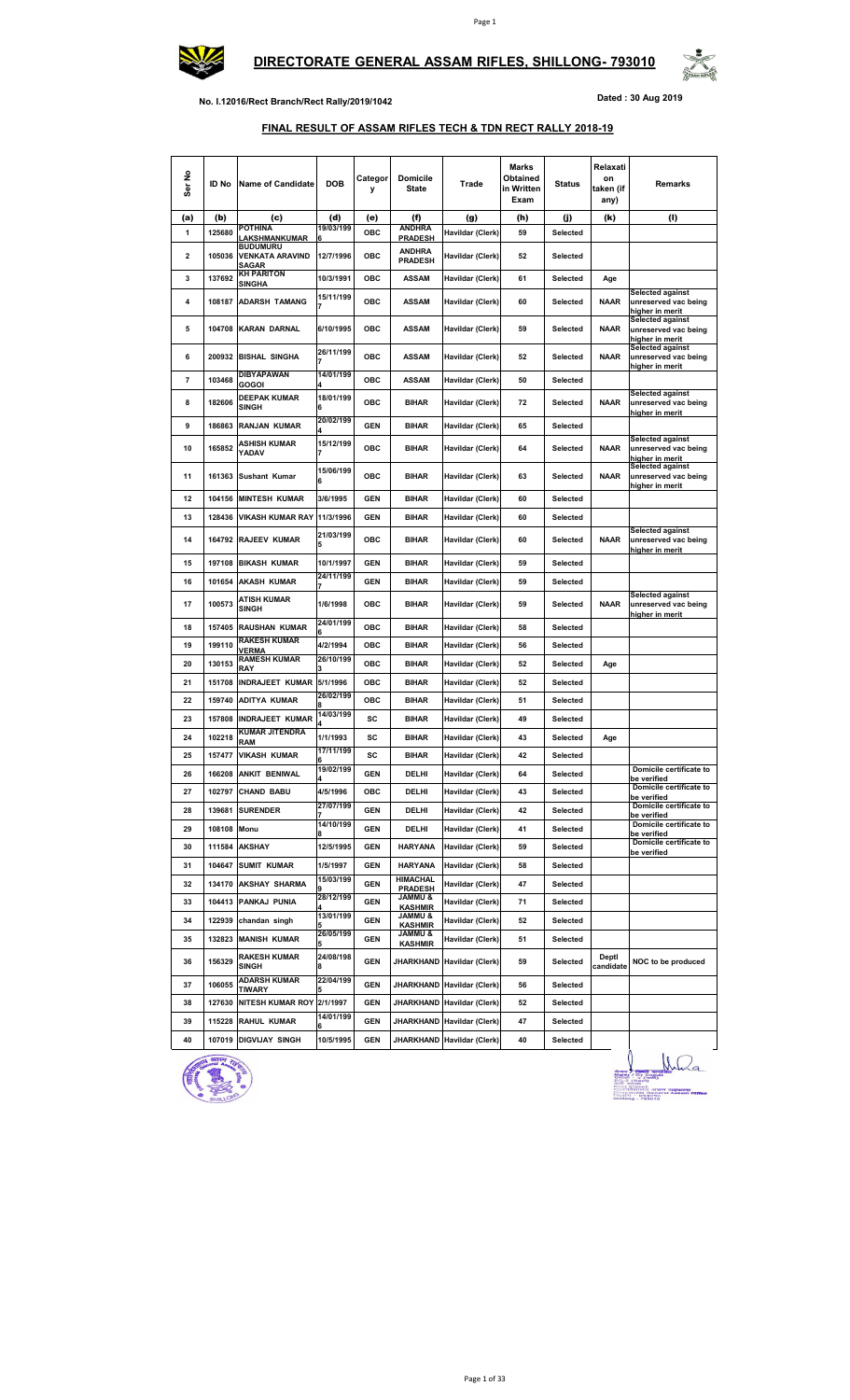



**No. I.12016/Rect Branch/Rect Rally/2019/1042 Dated : 30 Aug 2019**

## **FINAL RESULT OF ASSAM RIFLES TECH & TDN RECT RALLY 2018-19**

| Ser No                  | ID No  | <b>Name of Candidate</b>                           | <b>DOB</b>          | Categor<br>У | <b>Domicile</b><br><b>State</b>      | Trade                      | Marks<br>Obtained<br>in Written<br>Exam | <b>Status</b> | Relaxati<br>on<br>taken (if<br>any) | Remarks                                                            |
|-------------------------|--------|----------------------------------------------------|---------------------|--------------|--------------------------------------|----------------------------|-----------------------------------------|---------------|-------------------------------------|--------------------------------------------------------------------|
| (a)                     | (b)    | (c)                                                | (d)                 | (e)          | (f)                                  | (g)                        | (h)                                     | (j)           | (k)                                 | (I)                                                                |
| $\mathbf{1}$            | 125680 | <b>POTHINA</b><br>LAKSHMANKUMAR                    | 19/03/199           | OBC          | <b>ANDHRA</b><br><b>PRADESH</b>      | Havildar (Clerk)           | 59                                      | Selected      |                                     |                                                                    |
| $\overline{\mathbf{2}}$ | 105036 | <b>BUDUMURU</b><br><b>VENKATA ARAVIND</b><br>SAGAR | 12/7/1996           | ОВС          | <b>ANDHRA</b><br><b>PRADESH</b>      | Havildar (Clerk)           | 52                                      | Selected      |                                     |                                                                    |
| 3                       | 137692 | <b>KH PARITON</b><br><b>SINGHA</b>                 | 10/3/1991           | OBC          | <b>ASSAM</b>                         | Havildar (Clerk)           | 61                                      | Selected      | Age                                 |                                                                    |
| 4                       | 108187 | <b>ADARSH TAMANG</b>                               | 15/11/199<br>7      | <b>OBC</b>   | <b>ASSAM</b>                         | Havildar (Clerk)           | 60                                      | Selected      | <b>NAAR</b>                         | <b>Selected against</b><br>unreserved vac being<br>higher in merit |
| 5                       | 104708 | <b>KARAN DARNAL</b>                                | 6/10/1995           | ОВС          | <b>ASSAM</b>                         | Havildar (Clerk)           | 59                                      | Selected      | <b>NAAR</b>                         | <b>Selected against</b><br>unreserved vac being<br>higher in merit |
| 6                       | 200932 | <b>BISHAL SINGHA</b>                               | 26/11/199<br>7      | ОВС          | <b>ASSAM</b>                         | Havildar (Clerk)           | 52                                      | Selected      | <b>NAAR</b>                         | <b>Selected against</b><br>unreserved vac being<br>higher in merit |
| $\overline{\mathbf{7}}$ | 103468 | <b>DIBYAPAWAN</b><br>GOGOI                         | 14/01/199           | ОВС          | <b>ASSAM</b>                         | Havildar (Clerk)           | 50                                      | Selected      |                                     |                                                                    |
| 8                       | 182606 | DEEPAK KUMAR<br><b>SINGH</b>                       | 18/01/199<br>6      | ОВС          | <b>BIHAR</b>                         | Havildar (Clerk)           | 72                                      | Selected      | <b>NAAR</b>                         | <b>Selected against</b><br>unreserved vac being<br>higher in merit |
| 9                       | 186863 | <b>RANJAN KUMAR</b>                                | 20/02/199           | <b>GEN</b>   | <b>BIHAR</b>                         | Havildar (Clerk)           | 65                                      | Selected      |                                     |                                                                    |
| 10                      | 165852 | ASHISH KUMAR<br>YADAV                              | 15/12/199<br>7      | ОВС          | <b>BIHAR</b>                         | Havildar (Clerk)           | 64                                      | Selected      | <b>NAAR</b>                         | Selected against<br>unreserved vac being<br>higher in merit        |
| 11                      | 161363 | Sushant Kumar                                      | 15/06/199<br>6      | ОВС          | <b>BIHAR</b>                         | Havildar (Clerk)           | 63                                      | Selected      | <b>NAAR</b>                         | <b>Selected against</b><br>unreserved vac being<br>higher in merit |
| 12                      | 104156 | <b>MINTESH KUMAR</b>                               | 3/6/1995            | <b>GEN</b>   | <b>BIHAR</b>                         | Havildar (Clerk)           | 60                                      | Selected      |                                     |                                                                    |
| 13                      | 128436 | VIKASH KUMAR RAY 11/3/1996                         |                     | <b>GEN</b>   | <b>BIHAR</b>                         | Havildar (Clerk)           | 60                                      | Selected      |                                     |                                                                    |
| 14                      | 164792 | <b>RAJEEV KUMAR</b>                                | 21/03/199<br>5      | ОВС          | <b>BIHAR</b>                         | Havildar (Clerk)           | 60                                      | Selected      | <b>NAAR</b>                         | <b>Selected against</b><br>unreserved vac being<br>higher in merit |
| 15                      | 197108 | <b>BIKASH KUMAR</b>                                | 10/1/1997           | <b>GEN</b>   | <b>BIHAR</b>                         | Havildar (Clerk)           | 59                                      | Selected      |                                     |                                                                    |
| 16                      | 101654 | <b>AKASH KUMAR</b>                                 | 24/11/199           | <b>GEN</b>   | <b>BIHAR</b>                         | Havildar (Clerk)           | 59                                      | Selected      |                                     |                                                                    |
| 17                      | 100573 | <b>ATISH KUMAR</b><br><b>SINGH</b>                 | 1/6/1998            | ОВС          | <b>BIHAR</b>                         | Havildar (Clerk)           | 59                                      | Selected      | <b>NAAR</b>                         | <b>Selected against</b><br>unreserved vac being<br>higher in merit |
| 18                      | 157405 | <b>RAUSHAN KUMAR</b>                               | 24/01/199           | ОВС          | <b>BIHAR</b>                         | Havildar (Clerk)           | 58                                      | Selected      |                                     |                                                                    |
| 19                      | 199110 | <b>RAKESH KUMAR</b><br><b>/ERMA</b>                | 4/2/1994            | ОВС          | <b>BIHAR</b>                         | Havildar (Clerk)           | 56                                      | Selected      |                                     |                                                                    |
| 20                      | 130153 | <b>RAMESH KUMAR</b><br>RAY                         | 26/10/199           | ОВС          | <b>BIHAR</b>                         | Havildar (Clerk)           | 52                                      | Selected      | Age                                 |                                                                    |
| 21                      | 151708 | <b>INDRAJEET KUMAR</b>                             | 5/1/1996            | ОВС          | <b>BIHAR</b>                         | Havildar (Clerk)           | 52                                      | Selected      |                                     |                                                                    |
| 22                      | 159740 | <b>ADITYA KUMAR</b>                                | 26/02/199           | ОВС          | <b>BIHAR</b>                         | Havildar (Clerk)           | 51                                      | Selected      |                                     |                                                                    |
| 23                      | 157808 | <b>INDRAJEET KUMAR</b>                             | 14/03/199           | sc           | <b>BIHAR</b>                         | Havildar (Clerk)           | 49                                      | Selected      |                                     |                                                                    |
| 24                      | 102218 | <b>KUMAR JITENDRA</b>                              | 1/1/1993            | SC           | <b>BIHAR</b>                         | Havildar (Clerk)           | 43                                      | Selected      | Age                                 |                                                                    |
| 25                      | 157477 | RAM<br><b>VIKASH KUMAR</b>                         | 17/11/199           | SC           | <b>BIHAR</b>                         | Havildar (Clerk)           | 42                                      | Selected      |                                     |                                                                    |
| 26                      |        | 166208 ANKIT BENIWAL                               | 19/02/199           | GEN          | DELHI                                | Havildar (Clerk)           | 64                                      | Selected      |                                     | Domicile certificate to                                            |
| 27                      | 102797 | <b>CHAND BABU</b>                                  | 4<br>4/5/1996       | ОВС          | DELHI                                | Havildar (Clerk)           | 43                                      | Selected      |                                     | be verified<br>Domicile certificate to                             |
| 28                      | 139681 | <b>SURENDER</b>                                    | 27/07/199           | <b>GEN</b>   | DELHI                                | Havildar (Clerk)           | 42                                      | Selected      |                                     | be verified<br>Domicile certificate to                             |
| 29                      | 108108 | Monu                                               | 14/10/199           | <b>GEN</b>   | DELHI                                | Havildar (Clerk)           | 41                                      | Selected      |                                     | be verified<br>Domicile certificate to                             |
| 30                      | 111584 | <b>AKSHAY</b>                                      | 12/5/1995           | <b>GEN</b>   | <b>HARYANA</b>                       | Havildar (Clerk)           | 59                                      | Selected      |                                     | be verified<br>Domicile certificate to                             |
| 31                      | 104647 | <b>SUMIT KUMAR</b>                                 | 1/5/1997            | <b>GEN</b>   | HARYANA                              | Havildar (Clerk)           | 58                                      | Selected      |                                     | be verified                                                        |
| 32                      | 134170 | <b>AKSHAY SHARMA</b>                               | 15/03/199           | <b>GEN</b>   | <b>HIMACHAL</b>                      | Havildar (Clerk)           | 47                                      | Selected      |                                     |                                                                    |
| 33                      |        | 104413 PANKAJ PUNIA                                | 28/12/199           | <b>GEN</b>   | <b>PRADESH</b><br><b>JAMMU &amp;</b> | Havildar (Clerk)           | 71                                      | Selected      |                                     |                                                                    |
| 34                      | 122939 | chandan singh                                      | 13/01/199           | <b>GEN</b>   | <b>KASHMIR</b><br><b>&amp; UMMAL</b> | Havildar (Clerk)           | 52                                      | Selected      |                                     |                                                                    |
| 35                      | 132823 | <b>MANISH KUMAR</b>                                | 26/05/199           | <b>GEN</b>   | <b>KASHMIR</b><br>& UMMAL            | Havildar (Clerk)           | 51                                      | Selected      |                                     |                                                                    |
| 36                      | 156329 | <b>RAKESH KUMAR</b><br><b>SINGH</b>                | 5<br>24/08/198<br>8 | <b>GEN</b>   | <b>KASHMIR</b>                       | JHARKHAND Havildar (Clerk) | 59                                      | Selected      | Deptl<br>candidate                  | NOC to be produced                                                 |
| 37                      | 106055 | ADARSH KUMAR                                       | 22/04/199           | <b>GEN</b>   |                                      |                            | 56                                      | Selected      |                                     |                                                                    |
|                         |        | TIWARY                                             |                     |              |                                      | JHARKHAND Havildar (Clerk) |                                         |               |                                     |                                                                    |
| 38                      | 127630 | NITESH KUMAR ROY 2/1/1997                          | 14/01/199           | <b>GEN</b>   |                                      | JHARKHAND Havildar (Clerk) | 52                                      | Selected      |                                     |                                                                    |
| 39                      | 115228 | <b>RAHUL KUMAR</b>                                 |                     | <b>GEN</b>   | JHARKHAND                            | Havildar (Clerk)           | 47                                      | Selected      |                                     |                                                                    |
| 40                      | 107019 | <b>DIGVIJAY SINGH</b>                              | 10/5/1995           | <b>GEN</b>   |                                      | JHARKHAND Havildar (Clerk) | 40                                      | Selected      |                                     |                                                                    |



 $\bigcup_{\substack{3\leq x\\3\leq x\\3\leq x\\3\leq x\\3\leq x\\3\leq x\\3\leq x\\3\leq x\\3\leq x\\3\leq x\\3\leq x\\3\leq x\\3\leq x\\3\leq x\\3\leq x\\3\leq x\\3\leq x\\3\leq x\\3\leq x\\3\leq x\\3\leq x\\3\leq x\\3\leq x\\3\leq x\\3\leq x\\3\leq x\\3\leq x\\3\leq x\\3\leq x\\3\leq x\\3\leq x\\3\leq x\\3\leq x\\3\leq x\\3\leq x\\3\$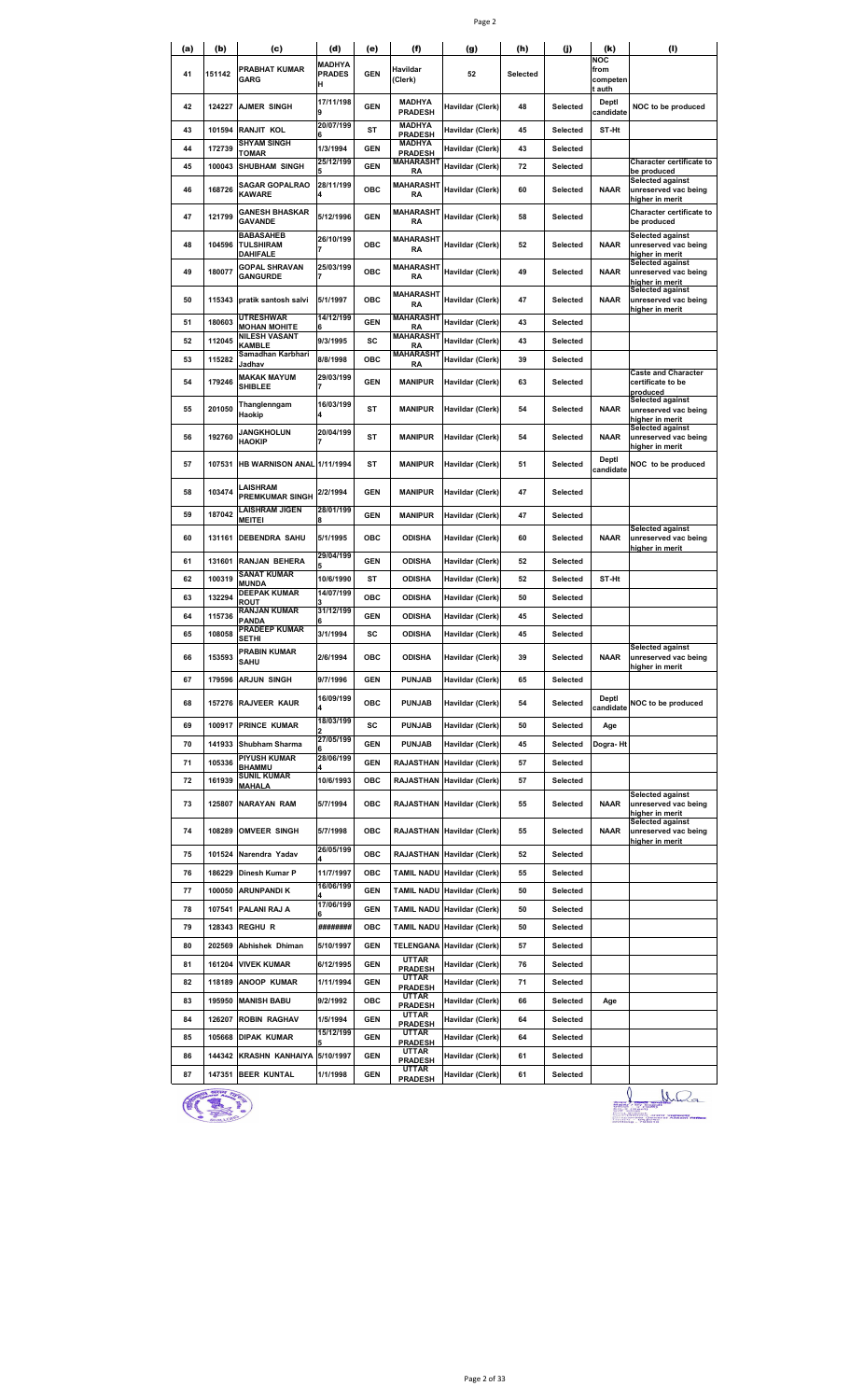|--|--|

| (a) | (b)    | (c)                                              | (d)                                 | (e)        | (f)                             | (g)                         | (h)      | (j)      | (k)                               | (I)                                                                |
|-----|--------|--------------------------------------------------|-------------------------------------|------------|---------------------------------|-----------------------------|----------|----------|-----------------------------------|--------------------------------------------------------------------|
| 41  | 151142 | PRABHAT KUMAR<br><b>GARG</b>                     | <b>MADHYA</b><br><b>PRADES</b><br>н | <b>GEN</b> | Havildar<br>(Clerk)             | 52                          | Selected |          | NOC<br>from<br>competen<br>t auth |                                                                    |
| 42  | 124227 | <b>AJMER SINGH</b>                               | 17/11/198<br>9                      | <b>GEN</b> | MADHYA<br><b>PRADESH</b>        | Havildar (Clerk)            | 48       | Selected | Deptl<br>candidate                | NOC to be produced                                                 |
| 43  | 101594 | RANJIT KOL                                       | 20/07/199                           | ST         | <b>MADHYA</b><br><b>PRADESH</b> | Havildar (Clerk)            | 45       | Selected | ST-Ht                             |                                                                    |
| 44  | 172739 | SHYAM SINGH<br><b>TOMAR</b>                      | 1/3/1994                            | GEN        | MADHYA<br><b>PRADESH</b>        | Havildar (Clerk)            | 43       | Selected |                                   |                                                                    |
| 45  | 100043 | <b>SHUBHAM SINGH</b>                             | 25/12/199                           | <b>GEN</b> | <b>MAHARASHT</b><br>RA          | Havildar (Clerk)            | 72       | Selected |                                   | <b>Character certificate to</b><br>be produced                     |
| 46  | 168726 | SAGAR GOPALRAO<br><b>KAWARE</b>                  | 28/11/199                           | ОВС        | <b>MAHARASHT</b><br>RA          | Havildar (Clerk)            | 60       | Selected | <b>NAAR</b>                       | <b>Selected against</b><br>unreserved vac being<br>higher in merit |
| 47  | 121799 | <b>GANESH BHASKAR</b><br><b>GAVANDE</b>          | 5/12/1996                           | <b>GEN</b> | <b>MAHARASHT</b><br><b>RA</b>   | Havildar (Clerk)            | 58       | Selected |                                   | Character certificate to<br>be produced                            |
| 48  | 104596 | <b>BABASAHEB</b><br>TULSHIRAM<br><b>DAHIFALE</b> | 26/10/199                           | <b>OBC</b> | MAHARASHT<br><b>RA</b>          | Havildar (Clerk)            | 52       | Selected | <b>NAAR</b>                       | <b>Selected against</b><br>unreserved vac being<br>higher in merit |
| 49  | 180077 | <b>GOPAL SHRAVAN</b><br><b>GANGURDE</b>          | 25/03/199                           | <b>OBC</b> | MAHARASHT<br>RA                 | Havildar (Clerk)            | 49       | Selected | <b>NAAR</b>                       | Selected against<br>unreserved vac being<br>higher in merit        |
| 50  | 115343 | pratik santosh salvi                             | 5/1/1997                            | <b>OBC</b> | <b>MAHARASHT</b><br>RA          | Havildar (Clerk)            | 47       | Selected | <b>NAAR</b>                       | <b>Selected against</b><br>unreserved vac being<br>higher in merit |
| 51  | 180603 | <b>UTRESHWAR</b><br><b>MOHAN MOHITE</b>          | 14/12/199                           | <b>GEN</b> | <b>MAHARASHT</b><br>RA          | Havildar (Clerk)            | 43       | Selected |                                   |                                                                    |
| 52  | 112045 | NILESH VASANT<br><b>KAMBLE</b>                   | 9/3/1995                            | SC         | <b>MAHARASHT</b><br><b>RA</b>   | Havildar (Clerk)            | 43       | Selected |                                   |                                                                    |
| 53  | 115282 | Samadhan Karbhari<br>Jadhav                      | 8/8/1998                            | ОВС        | <b>MAHARASHT</b><br><b>RA</b>   | Havildar (Clerk)            | 39       | Selected |                                   |                                                                    |
| 54  | 179246 | MAKAK MAYUM<br><b>SHIBLEE</b>                    | 29/03/199<br>7                      | <b>GEN</b> | <b>MANIPUR</b>                  | Havildar (Clerk)            | 63       | Selected |                                   | <b>Caste and Character</b><br>certificate to be<br>produced        |
| 55  | 201050 | Thanglenngam<br>Haokip                           | 16/03/199                           | <b>ST</b>  | <b>MANIPUR</b>                  | Havildar (Clerk)            | 54       | Selected | <b>NAAR</b>                       | <b>Selected against</b><br>unreserved vac being<br>higher in merit |
| 56  | 192760 | <b>JANGKHOLUN</b><br><b>HAOKIP</b>               | 20/04/199                           | <b>ST</b>  | <b>MANIPUR</b>                  | Havildar (Clerk)            | 54       | Selected | <b>NAAR</b>                       | <b>Selected against</b><br>unreserved vac being<br>higher in merit |
| 57  |        | 107531 HB WARNISON ANAL 1/11/1994                |                                     | ST         | <b>MANIPUR</b>                  | Havildar (Clerk)            | 51       | Selected | Deptl<br>candidate                | NOC to be produced                                                 |
| 58  | 103474 | LAISHRAM<br><b>PREMKUMAR SINGH</b>               | 2/2/1994                            | <b>GEN</b> | <b>MANIPUR</b>                  | Havildar (Clerk)            | 47       | Selected |                                   |                                                                    |
| 59  | 187042 | LAISHRAM JIGEN<br>MEITEI                         | 28/01/199                           | <b>GEN</b> | <b>MANIPUR</b>                  | Havildar (Clerk)            | 47       | Selected |                                   |                                                                    |
| 60  | 131161 | <b>DEBENDRA SAHU</b>                             | 5/1/1995                            | ОВС        | <b>ODISHA</b>                   | Havildar (Clerk)            | 60       | Selected | <b>NAAR</b>                       | Selected against<br>unreserved vac being<br>higher in merit        |
| 61  | 131601 | RANJAN BEHERA                                    | 29/04/199                           | GEN        | <b>ODISHA</b>                   | Havildar (Clerk)            | 52       | Selected |                                   |                                                                    |
| 62  | 100319 | SANAT KUMAR<br><b>MUNDA</b>                      | 10/6/1990                           | ST         | <b>ODISHA</b>                   | Havildar (Clerk)            | 52       | Selected | ST-Ht                             |                                                                    |
| 63  | 132294 | <b>DEEPAK KUMAR</b><br><b>ROUT</b>               | 14/07/199                           | ОВС        | <b>ODISHA</b>                   | Havildar (Clerk)            | 50       | Selected |                                   |                                                                    |
| 64  | 115736 | <b>RANJAN KUMAR</b><br><b>PANDA</b>              | 31/12/199                           | <b>GEN</b> | <b>ODISHA</b>                   | Havildar (Clerk)            | 45       | Selected |                                   |                                                                    |
| 65  | 108058 | <b>PRADEEP KUMAR</b>                             | 3/1/1994                            | sc         | ODISHA                          | Havildar (Clerk)            | 45       | Selected |                                   |                                                                    |
| 66  | 153593 | SETHI<br><b>PRABIN KUMAR</b><br><b>SAHU</b>      | 2/6/1994                            | OBC        | <b>ODISHA</b>                   | Havildar (Clerk)            | 39       | Selected | <b>NAAR</b>                       | <b>Selected against</b><br>unreserved vac being<br>higher in merit |
| 67  | 179596 | <b>ARJUN SINGH</b>                               | 9/7/1996                            | GEN        | <b>PUNJAB</b>                   | Havildar (Clerk)            | 65       | Selected |                                   |                                                                    |
| 68  |        | 157276 RAJVEER KAUR                              | 16/09/199<br>4                      | ОВС        | <b>PUNJAB</b>                   | Havildar (Clerk)            | 54       | Selected | Deptl<br>candidate                | NOC to be produced                                                 |
| 69  |        | 100917 PRINCE KUMAR                              | 18/03/199                           | SC         | <b>PUNJAB</b>                   | Havildar (Clerk)            | 50       | Selected | Age                               |                                                                    |
| 70  | 141933 | <b>Shubham Sharma</b>                            | 27/05/199                           | GEN        | <b>PUNJAB</b>                   | Havildar (Clerk)            | 45       | Selected | Dogra-Ht                          |                                                                    |
| 71  | 105336 | <b>PIYUSH KUMAR</b><br>BHAMMU                    | 28/06/199                           | <b>GEN</b> | RAJASTHAN                       | Havildar (Clerk)            | 57       | Selected |                                   |                                                                    |
| 72  | 161939 | <b>SUNIL KUMAR</b><br><b>MAHALA</b>              | 10/6/1993                           | OBC        | RAJASTHAN                       | Havildar (Clerk)            | 57       | Selected |                                   |                                                                    |
| 73  | 125807 | <b>NARAYAN RAM</b>                               | 5/7/1994                            | ОВС        |                                 | RAJASTHAN Havildar (Clerk)  | 55       | Selected | <b>NAAR</b>                       | Selected against<br>unreserved vac being<br>higher in merit        |
| 74  | 108289 | <b>OMVEER SINGH</b>                              | 5/7/1998                            | ОВС        |                                 | RAJASTHAN Havildar (Clerk)  | 55       | Selected | <b>NAAR</b>                       | <b>Selected against</b><br>unreserved vac being<br>higher in merit |
| 75  |        | 101524 Narendra Yadav                            | 26/05/199                           | OBC        | RAJASTHAN                       | Havildar (Clerk)            | 52       | Selected |                                   |                                                                    |
| 76  | 186229 | Dinesh Kumar P                                   | 11/7/1997                           | OBC        |                                 | TAMIL NADU Havildar (Clerk) | 55       | Selected |                                   |                                                                    |
| 77  | 100050 | <b>ARUNPANDIK</b>                                | 16/06/199                           | <b>GEN</b> | <b>TAMIL NADU</b>               | Havildar (Clerk)            | 50       | Selected |                                   |                                                                    |
| 78  |        | 107541 PALANI RAJ A                              | 17/06/199                           | <b>GEN</b> |                                 | TAMIL NADU Havildar (Clerk) | 50       | Selected |                                   |                                                                    |
| 79  | 128343 | <b>REGHU R</b>                                   | ########                            | ОВС        | TAMIL NADU                      | Havildar (Clerk)            | 50       | Selected |                                   |                                                                    |
| 80  | 202569 | Abhishek Dhiman                                  | 5/10/1997                           | <b>GEN</b> |                                 | TELENGANA Havildar (Clerk)  | 57       | Selected |                                   |                                                                    |
|     |        |                                                  |                                     |            | <b>UTTAR</b>                    |                             |          |          |                                   |                                                                    |
| 81  |        | 161204 VIVEK KUMAR                               | 6/12/1995                           | <b>GEN</b> | <b>PRADESH</b><br>UTTAR         | Havildar (Clerk)            | 76       | Selected |                                   |                                                                    |
| 82  | 118189 | <b>ANOOP KUMAR</b>                               | 1/11/1994                           | <b>GEN</b> | <b>PRADESH</b><br>UTTAR         | Havildar (Clerk)            | 71       | Selected |                                   |                                                                    |
| 83  | 195950 | <b>MANISH BABU</b>                               | 9/2/1992                            | ОВС        | <b>PRADESH</b><br>UTTAR         | Havildar (Clerk)            | 66       | Selected | Age                               |                                                                    |
| 84  | 126207 | <b>ROBIN RAGHAV</b>                              | 1/5/1994                            | GEN        | <b>PRADESH</b>                  | Havildar (Clerk)            | 64       | Selected |                                   |                                                                    |
| 85  |        | 105668 DIPAK KUMAR                               | 15/12/199                           | GEN        | UTTAR<br><b>PRADESH</b>         | Havildar (Clerk)            | 64       | Selected |                                   |                                                                    |
| 86  | 144342 | KRASHN KANHAIYA 5/10/1997                        |                                     | GEN        | <b>UTTAR</b><br><b>PRADESH</b>  | Havildar (Clerk)            | 61       | Selected |                                   |                                                                    |
| 87  |        | 147351 BEER KUNTAL                               | 1/1/1998                            | <b>GEN</b> | UTTAR<br><b>PRADESH</b>         | Havildar (Clerk)            | 61       | Selected |                                   |                                                                    |



 $\bigcup_{\substack{\frac{\alpha}{2}+\frac{\alpha}{2}+\frac{\alpha}{2}+\cdots+\alpha+1 \\ \frac{\alpha}{2}+\cdots+\alpha+1 \\ \frac{\alpha}{2}+\cdots+\alpha+1 \\ \frac{\alpha}{2}+\cdots+\alpha+1 \\ \frac{\alpha}{2}+\cdots+\alpha+1 \\ \frac{\alpha}{2}+\cdots+\alpha+1 \\ \frac{\alpha}{2}+\cdots+\alpha+1 \\ \frac{\alpha}{2}+\cdots+\alpha+1 \\ \frac{\alpha}{2}+\cdots+\alpha+1 \\ \frac{\alpha}{2}+\cdots+\alpha+1 \\ \frac{\alpha}{2}+\cdots+\alpha+1 \\ \frac{\alpha}{2}+\cdots+\alpha+1 \\ \frac{\alpha}{2}+\cdots+\alpha+1 \\ \frac{\alpha$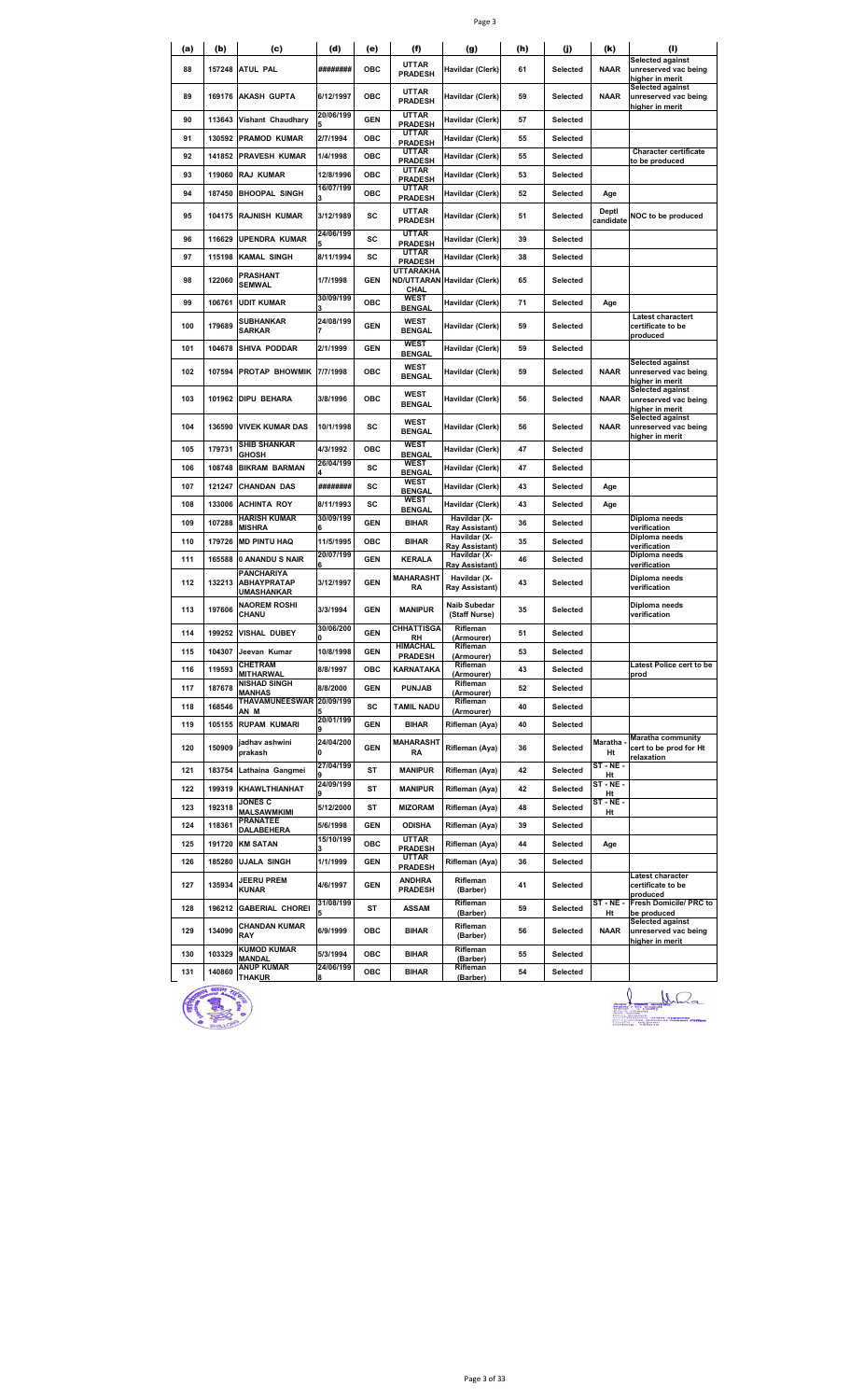| ٦ |  |
|---|--|
|---|--|

| (a)        | (b)              | (c)                                        | (d)                    | (e)               | (f)                                            | (g)                                              | (h)      | (i)                  | (k)                | (I)                                                                                   |
|------------|------------------|--------------------------------------------|------------------------|-------------------|------------------------------------------------|--------------------------------------------------|----------|----------------------|--------------------|---------------------------------------------------------------------------------------|
|            |                  |                                            |                        |                   | <b>UTTAR</b>                                   |                                                  |          |                      |                    | <b>Selected against</b>                                                               |
| 88         | 157248           | <b>ATUL PAL</b>                            | ########               | OBC               | <b>PRADESH</b>                                 | Havildar (Clerk)                                 | 61       | Selected             | <b>NAAR</b>        | unreserved vac being<br>higher in merit<br>Selected against                           |
| 89         |                  | 169176 AKASH GUPTA                         | 6/12/1997<br>20/06/199 | OBC               | <b>UTTAR</b><br><b>PRADESH</b><br><b>UTTAR</b> | Havildar (Clerk)                                 | 59       | Selected             | <b>NAAR</b>        | unreserved vac being<br>higher in merit                                               |
| 90         | 113643           | Vishant Chaudhary                          |                        | <b>GEN</b>        | <b>PRADESH</b>                                 | Havildar (Clerk)                                 | 57       | Selected             |                    |                                                                                       |
| 91         | 130592           | <b>PRAMOD KUMAR</b>                        | 2/7/1994               | ОВС               | <b>UTTAR</b><br><b>PRADESH</b>                 | Havildar (Clerk)                                 | 55       | Selected             |                    |                                                                                       |
| 92         | 141852           | <b>PRAVESH KUMAR</b>                       | 1/4/1998               | ОВС               | <b>UTTAR</b><br><b>PRADESH</b>                 | Havildar (Clerk)                                 | 55       | Selected             |                    | <b>Character certificate</b><br>to be produced                                        |
| 93         | 119060           | <b>RAJ KUMAR</b>                           | 12/8/1996              | <b>OBC</b>        | <b>UTTAR</b><br><b>PRADESH</b>                 | Havildar (Clerk)                                 | 53       | Selected             |                    |                                                                                       |
| 94         | 187450           | <b>BHOOPAL SINGH</b>                       | 16/07/199              | ОВС               | UTTAR<br><b>PRADESH</b>                        | Havildar (Clerk)                                 | 52       | Selected             | Age                |                                                                                       |
| 95         | 104175           | <b>RAJNISH KUMAR</b>                       | 3/12/1989              | sc                | <b>UTTAR</b><br><b>PRADESH</b>                 | Havildar (Clerk)                                 | 51       | Selected             | Deptl<br>candidate | NOC to be produced                                                                    |
| 96         | 116629           | UPENDRA KUMAR                              | 24/06/199              | sc                | <b>UTTAR</b><br><b>PRADESH</b>                 | Havildar (Clerk)                                 | 39       | Selected             |                    |                                                                                       |
| 97         | 115198           | KAMAL SINGH                                | 8/11/1994              | sc                | <b>UTTAR</b><br><b>PRADESH</b>                 | Havildar (Clerk)                                 | 38       | Selected             |                    |                                                                                       |
| 98         | 122060           | PRASHANT<br><b>SEMWAL</b>                  | 1/7/1998               | <b>GEN</b>        | UTTARAKHA<br>CHAL                              | ND/UTTARAN Havildar (Clerk)                      | 65       | Selected             |                    |                                                                                       |
| 99         | 106761           | <b>UDIT KUMAR</b>                          | 30/09/199              | ОВС               | <b>WEST</b><br><b>BENGAL</b>                   | Havildar (Clerk)                                 | 71       | Selected             | Age                |                                                                                       |
| 100        | 179689           | SUBHANKAR<br><b>SARKAR</b>                 | 24/08/199              | <b>GEN</b>        | <b>WEST</b><br><b>BENGAL</b>                   | Havildar (Clerk)                                 | 59       | Selected             |                    | Latest charactert<br>certificate to be<br>produced                                    |
| 101        | 104678           | SHIVA PODDAR                               | 2/1/1999               | <b>GEN</b>        | <b>WEST</b><br><b>BENGAL</b>                   | Havildar (Clerk)                                 | 59       | Selected             |                    |                                                                                       |
| 102        | 107594           | <b>PROTAP BHOWMIK</b>                      | 7/7/1998               | OBC               | <b>WEST</b><br><b>BENGAL</b>                   | Havildar (Clerk)                                 | 59       | Selected             | <b>NAAR</b>        | <b>Selected against</b><br>unreserved vac being                                       |
| 103        | 101962           | DIPU BEHARA                                | 3/8/1996               | ОВС               | <b>WEST</b><br><b>BENGAL</b>                   | Havildar (Clerk)                                 | 56       | Selected             | NAAR               | higher in merit<br><b>Selected against</b><br>unreserved vac being<br>higher in merit |
| 104        | 136590           | <b>VIVEK KUMAR DAS</b>                     | 10/1/1998              | SC                | WEST<br><b>BENGAL</b>                          | Havildar (Clerk)                                 | 56       | Selected             | <b>NAAR</b>        | <b>Selected against</b><br>unreserved vac being<br>higher in merit                    |
| 105        | 179731           | <b>SHIB SHANKAR</b><br>GHOSH               | 4/3/1992               | <b>OBC</b>        | <b>WEST</b><br><b>BENGAL</b>                   | Havildar (Clerk)                                 | 47       | Selected             |                    |                                                                                       |
| 106        | 108748           | <b>BIKRAM BARMAN</b>                       | 26/04/199              | sc                | <b>WEST</b>                                    | Havildar (Clerk)                                 | 47       | Selected             |                    |                                                                                       |
| 107        | 121247           | <b>CHANDAN DAS</b>                         | ########               | sc                | <b>BENGAL</b><br><b>WEST</b>                   | Havildar (Clerk)                                 | 43       | Selected             | Age                |                                                                                       |
| 108        | 133006           | <b>ACHINTA ROY</b>                         | 8/11/1993              | sc                | <b>BENGAL</b><br>WEST                          | Havildar (Clerk)                                 | 43       | Selected             | Age                |                                                                                       |
| 109        | 107288           | <b>HARISH KUMAR</b>                        | 30/09/199              | <b>GEN</b>        | <b>BENGAL</b><br><b>BIHAR</b>                  | Havildar (X-                                     | 36       | Selected             |                    | Diploma needs                                                                         |
| 110        | 179726           | MISHRA<br><b>MD PINTU HAQ</b>              | 11/5/1995              | <b>OBC</b>        | <b>BIHAR</b>                                   | Ray Assistant)<br>Havildar (X-                   | 35       | Selected             |                    | verification<br>Diploma needs                                                         |
| 111        | 165588           | 0 ANANDU S NAIR                            | 20/07/199              | <b>GEN</b>        | <b>KERALA</b>                                  | Ray Assistant)<br>Havildar (X-                   | 46       | Selected             |                    | verification<br>Diploma needs                                                         |
| 112        | 132213           | PANCHARIYA<br><b>ABHAYPRATAP</b>           | 3/12/1997              | <b>GEN</b>        | <b>MAHARASHT</b><br>RA                         | Ray Assistant)<br>Havildar (X-<br>Ray Assistant) | 43       | Selected             |                    | verification<br>Diploma needs<br>verification                                         |
| 113        | 197606           | UMASHANKAR<br><b>NAOREM ROSHI</b><br>CHANU | 3/3/1994               | <b>GEN</b>        | <b>MANIPUR</b>                                 | Naib Subedar<br>(Staff Nurse)                    | 35       | Selected             |                    | Diploma needs<br>verification                                                         |
| 114        | 199252           | <b>VISHAL DUBEY</b>                        | 30/06/200              | <b>GEN</b>        | <b>CHHATTISGA</b>                              | Rifleman                                         | 51       | Selected             |                    |                                                                                       |
| 115        | 104307           | Jeevan Kumar                               | 0<br>10/8/1998         | GEN               | RH<br><b>HIMACHAL</b>                          | (Armourer)<br>Rifleman                           | 53       | Selected             |                    |                                                                                       |
| 116        | 119593           | <b>CHETRAM</b>                             | 8/8/1997               | ОВС               | <b>PRADESH</b><br><b>KARNATAKA</b>             | (Armourer)<br>Rifleman                           | 43       | Selected             |                    | Latest Police cert to be                                                              |
| 117        | 187678           | MITHARWAL<br>NISHAD SINGH                  | 8/8/2000               | <b>GEN</b>        | <b>PUNJAB</b>                                  | (Armourer)<br>Rifleman                           | 52       | Selected             |                    | prod                                                                                  |
| 118        | 168546           | MANHAS<br>THAVAMUNEESWAR 20/09/199         |                        | SC                | <b>TAMIL NADU</b>                              | (Armourer)<br>Rifleman                           | 40       | Selected             |                    |                                                                                       |
| 119        | 105155           | AN M<br><b>RUPAM KUMARI</b>                | 20/01/199              | <b>GEN</b>        | <b>BIHAR</b>                                   | (Armourer)<br>Rifleman (Aya)                     | 40       | Selected             |                    |                                                                                       |
| 120        | 150909           | jadhav ashwini<br>prakash                  | 24/04/200<br>0         | <b>GEN</b>        | MAHARASHT<br>RA                                | Rifleman (Aya)                                   | 36       | Selected             | Maratha<br>Ht      | <b>Maratha community</b><br>cert to be prod for Ht                                    |
| 121        |                  |                                            | 27/04/199              | ST                | <b>MANIPUR</b>                                 |                                                  | 42       | Selected             | ST-NE-             | <u>relaxation</u>                                                                     |
|            |                  | 183754 Lathaina Gangmei                    | 24/09/199              |                   |                                                | Rifleman (Aya)                                   |          |                      | Ht<br>$ST - NE -$  |                                                                                       |
| 122        |                  | 199319 KHAWLTHIANHAT<br><b>JONES C</b>     |                        | ST                | <b>MANIPUR</b>                                 | Rifleman (Aya)                                   | 42       | Selected             | Ht<br>$ST - NE -$  |                                                                                       |
| 123        | 192318           | MALSAWMKIMI<br><b>PRANATEE</b>             | 5/12/2000              | ST                | <b>MIZORAM</b>                                 | Rifleman (Aya)                                   | 48       | Selected             | Ht                 |                                                                                       |
| 124        | 118361           | DALABEHERA                                 | 5/6/1998<br>15/10/199  | <b>GEN</b>        | <b>ODISHA</b><br><b>UTTAR</b>                  | Rifleman (Aya)                                   | 39       | Selected             |                    |                                                                                       |
| 125<br>126 | 191720<br>185280 | <b>KM SATAN</b><br><b>UJALA SINGH</b>      | 1/1/1999               | OBC<br><b>GEN</b> | <b>PRADESH</b><br>UTTAR<br><b>PRADESH</b>      | Rifleman (Aya)<br>Rifleman (Aya)                 | 44<br>36 | Selected<br>Selected | Age                |                                                                                       |
| 127        | 135934           | <b>JEERU PREM</b><br><b>KUNAR</b>          | 4/6/1997               | <b>GEN</b>        | <b>ANDHRA</b><br><b>PRADESH</b>                | Rifleman<br>(Barber)                             | 41       | Selected             |                    | Latest character<br>certificate to be<br>produced                                     |
| 128        | 196212           | <b>GABERIAL CHOREI</b>                     | 31/08/199              | ST                | <b>ASSAM</b>                                   | Rifleman<br>(Barber)                             | 59       | Selected             | ST-NE-<br>Ht       | Fresh Domicile/ PRC to<br>be produced                                                 |
| 129        | 134090           | <b>CHANDAN KUMAR</b><br>RAY                | 6/9/1999               | ОВС               | <b>BIHAR</b>                                   | Rifleman<br>(Barber)                             | 56       | Selected             | <b>NAAR</b>        | Selected against<br>unreserved vac being<br>higher in merit                           |
| 130        | 103329           | <b>KUMOD KUMAR</b><br>MANDAL               | 5/3/1994               | OBC               | <b>BIHAR</b>                                   | Rifleman<br>(Barber)                             | 55       | Selected             |                    |                                                                                       |
| 131        | 140860           | <b>ANUP KUMAR</b><br>THAKUR                | 24/06/199              | ОВС               | <b>BIHAR</b>                                   | Rifleman<br>(Barber)                             | 54       | Selected             |                    |                                                                                       |

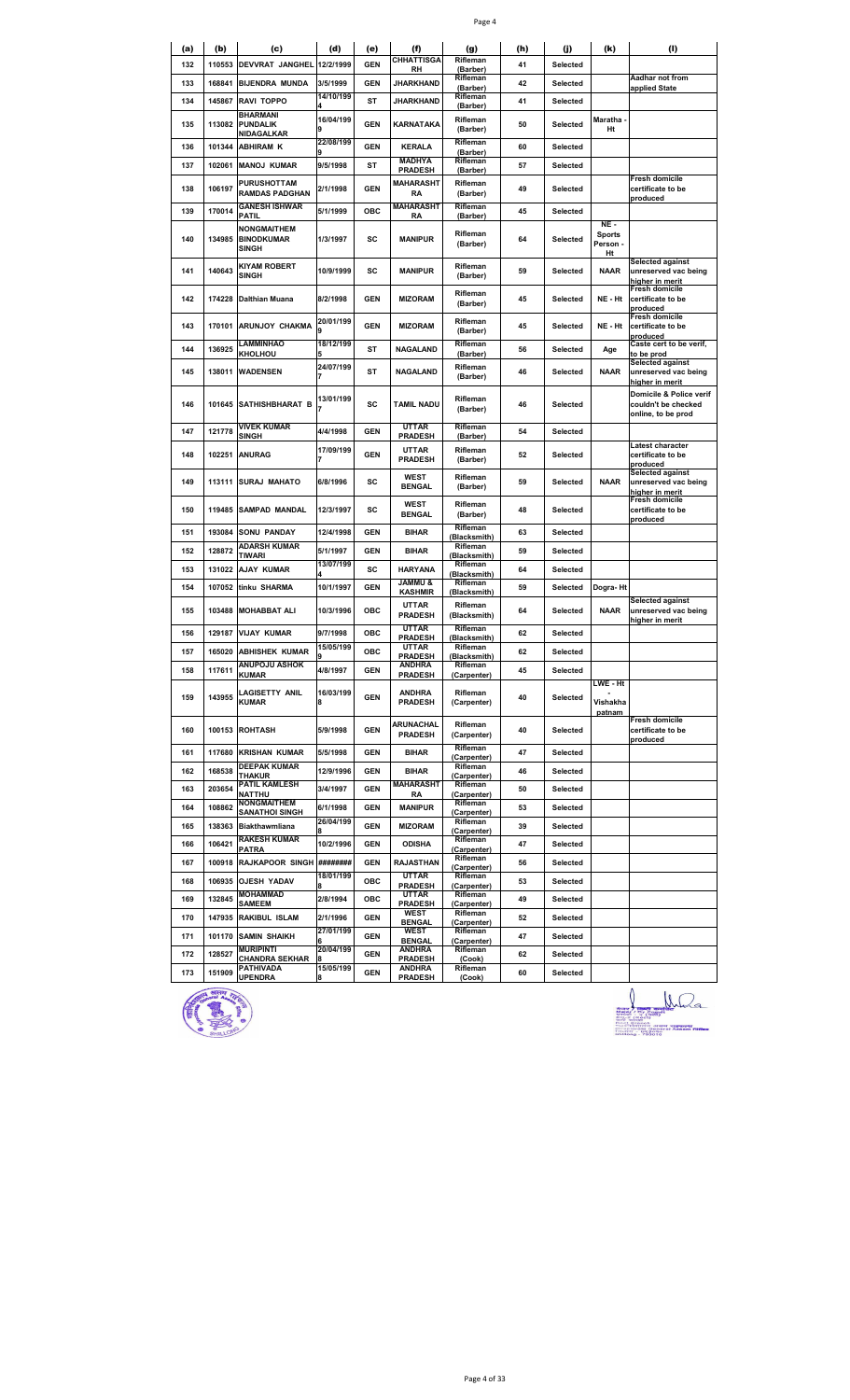|--|--|

| <b>CHHATTISGA</b><br>Rifleman<br>DEVVRAT JANGHEL 12/2/1999<br><b>GEN</b><br>132<br>110553<br>41<br>Selected<br>(Barber)<br>RH<br>Rifleman<br>Aadhar not from<br><b>JHARKHAND</b><br>133<br>168841<br><b>BIJENDRA MUNDA</b><br>3/5/1999<br>GEN<br>42<br><b>Selected</b><br>(Barber)<br>applied State<br>14/10/199<br>Rifleman<br>134<br>145867<br><b>RAVI TOPPO</b><br>ST<br><b>JHARKHAND</b><br>41<br>Selected<br>(Barber)<br>BHARMANI<br>16/04/199<br>Rifleman<br>Maratha<br>113082<br><b>PUNDALIK</b><br><b>GEN</b><br>135<br>KARNATAKA<br>50<br><b>Selected</b><br>Ht<br>9<br>(Barber)<br>NIDAGALKAR<br>22/08/199<br>Rifleman<br>101344<br><b>ABHIRAM K</b><br><b>GEN</b><br><b>KERALA</b><br>136<br>60<br>Selected<br>(Barber)<br>MADHYA<br>Rifleman<br>102061<br>9/5/1998<br><b>ST</b><br>137<br><b>MANOJ KUMAR</b><br>Selected<br>57<br><b>PRADESH</b><br>(Barber)<br>Fresh domicile<br><b>PURUSHOTTAM</b><br><b>MAHARASHT</b><br>Rifleman<br>138<br>106197<br>2/1/1998<br><b>GEN</b><br>49<br>Selected<br>certificate to be<br>RAMDAS PADGHAN<br>RA<br>(Barber)<br>produced<br><b>GANESH ISHWAR</b><br><b>MAHARASHT</b><br>Rifleman<br>170014<br>5/1/1999<br>OBC<br>139<br>45<br>Selected<br>PATIL<br>(Barber)<br>RA<br>NE -<br><b>NONGMAITHEM</b><br>Rifleman<br><b>Sports</b><br>140<br>134985<br><b>BINODKUMAR</b><br>SC<br>1/3/1997<br><b>MANIPUR</b><br>64<br>Selected<br>Person -<br>(Barber)<br><b>SINGH</b><br>Ht<br><b>Selected against</b><br>KIYAM ROBERT<br>Rifleman<br>140643<br><b>NAAR</b><br>141<br>10/9/1999<br>SC<br><b>MANIPUR</b><br>59<br>Selected<br><b>SINGH</b><br>(Barber)<br>higher in merit<br><b>Fresh domicile</b><br>Rifleman<br><b>GEN</b><br>NE - Ht<br>142<br>174228<br>Dalthian Muana<br>8/2/1998<br><b>MIZORAM</b><br>45<br><b>Selected</b><br>certificate to be<br>(Barber)<br>produced<br>Fresh domicile<br>20/01/199<br>Rifleman<br>143<br><b>ARUNJOY CHAKMA</b><br><b>GEN</b><br><b>MIZORAM</b><br>170101<br>45<br>Selected<br>NE - Ht<br>certificate to be<br>9<br>(Barber)<br>produced<br>Caste cert to be verif,<br>LAMMINHAO<br>18/12/199<br>Rifleman<br>136925<br><b>ST</b><br><b>NAGALAND</b><br>144<br>56<br>Selected<br>Age<br>KHOLHOU<br>(Barber)<br>to be prod<br>5<br><b>Selected against</b><br>24/07/199<br>Rifleman<br>145<br><b>WADENSEN</b><br><b>ST</b><br><b>NAAR</b><br>138011<br>NAGALAND<br>46<br>Selected<br>(Barber)<br>higher in merit<br>13/01/199<br>Rifleman<br>SATHISHBHARAT B<br>SC<br>146<br>101645<br><b>TAMIL NADU</b><br>46<br>Selected<br>couldn't be checked<br>(Barber)<br>online, to be prod<br><b>VIVEK KUMAR</b><br><b>UTTAR</b><br>Rifleman<br>121778<br>4/4/1998<br><b>GEN</b><br>147<br>54<br><b>Selected</b><br>SINGH<br><b>PRADESH</b><br>(Barber)<br>Latest character<br>17/09/199<br>UTTAR<br>Rifleman<br><b>GEN</b><br>148<br>102251<br><b>ANURAG</b><br>52<br>Selected<br>certificate to be<br><b>PRADESH</b><br>(Barber)<br>produced<br><b>Selected against</b><br>WEST<br>Rifleman<br><b>SURAJ MAHATO</b><br>SC<br>149<br>113111<br>6/8/1996<br>59<br><b>Selected</b><br><b>NAAR</b><br><b>BENGAL</b><br>(Barber)<br>higher in merit<br>Fresh domicile<br><b>WEST</b><br>Rifleman<br>SC<br>150<br>119485<br><b>SAMPAD MANDAL</b><br>12/3/1997<br>48<br>Selected<br>certificate to be<br><b>BENGAL</b><br>(Barber)<br>produced<br>Rifleman<br>193084<br>SONU PANDAY<br>12/4/1998<br><b>GEN</b><br>151<br><b>BIHAR</b><br>63<br>Selected<br>(Blacksmith)<br>ADARSH KUMAR<br>Rifleman<br>152<br>128872<br>5/1/1997<br>GEN<br><b>BIHAR</b><br>59<br>Selected<br>TIWARI<br>Blacksmith)<br>13/07/199<br>Rifleman<br>131022<br><b>AJAY KUMAR</b><br>SC<br><b>HARYANA</b><br>153<br>64<br>Selected<br>Blacksmith)<br><b>S UMMAL</b><br>Rifleman<br>154<br>107052<br>tinku SHARMA<br>10/1/1997<br>GEN<br>59<br><b>Selected</b><br>Dogra-Ht<br><b>KASHMIR</b><br>(Blacksmith)<br>Selected against<br><b>UTTAR</b><br>Rifleman<br>155<br>103488<br><b>MOHABBAT ALI</b><br>10/3/1996<br>ОВС<br>64<br><b>Selected</b><br><b>NAAR</b><br><b>PRADESH</b><br>(Blacksmith)<br>higher in merit<br>UTTAR<br>Rifleman<br>156<br>129187<br><b>VIJAY KUMAR</b><br>9/7/1998<br>ОВС<br>62<br><b>Selected</b><br><b>PRADESH</b><br>(Blacksmith)<br>15/05/199<br>UTTAR<br>Rifleman<br>157<br>165020<br><b>ABHISHEK KUMAR</b><br>ОВС<br>62<br>Selected<br><b>PRADESH</b><br>Blacksmith)<br>ANUPOJU ASHOK<br><b>ANDHRA</b><br>Rifleman<br>117611<br>4/8/1997<br>158<br><b>GEN</b><br>45<br>Selected<br><b>KUMAR</b><br><b>PRADESH</b><br>(Carpenter)<br>LWE - Ht<br>LAGISETTY ANIL<br>16/03/199<br><b>ANDHRA</b><br>Rifleman<br>143955<br>159<br><b>GEN</b><br>40<br>Selected<br>8<br>KUMAR<br><b>PRADESH</b><br>(Carpenter)<br>Vishakha<br>patnam<br>Fresh domicile<br>ARUNACHAL<br>Rifleman<br>160<br>100153<br><b>ROHTASH</b><br>5/9/1998<br>GEN<br>40<br>Selected<br>certificate to be<br><b>PRADESH</b><br>(Carpenter)<br>produced<br>Rifleman<br>161<br>117680<br><b>KRISHAN KUMAR</b><br>5/5/1998<br>GEN<br><b>BIHAR</b><br>47<br>Selected<br>(Carpenter)<br><b>DEEPAK KUMAR</b><br>Rifleman<br>162<br>168538<br>12/9/1996<br>GEN<br><b>BIHAR</b><br>Selected<br>46<br>THAKUR<br>(Carpenter)<br>PATIL KAMLESH<br><b>MAHARASHT</b><br>Rifleman<br>203654<br>163<br>3/4/1997<br>GEN<br>50<br>Selected<br>NATTHU<br>RA<br>(Carpenter)<br><b>NONGMAITHEM</b><br>Rifleman<br>164<br>108862<br>6/1/1998<br><b>GEN</b><br><b>MANIPUR</b><br>53<br>Selected<br><b>SANATHOI SINGH</b><br>(Carpenter)<br>26/04/199<br>Rifleman<br>165<br>138363<br>Biakthawmliana<br><b>GEN</b><br><b>MIZORAM</b><br>39<br>Selected | (a) | (b) | (c) | (d) | (e) | (f) | (g)         | (h) | (j) | (k) | (1)                     |
|--------------------------------------------------------------------------------------------------------------------------------------------------------------------------------------------------------------------------------------------------------------------------------------------------------------------------------------------------------------------------------------------------------------------------------------------------------------------------------------------------------------------------------------------------------------------------------------------------------------------------------------------------------------------------------------------------------------------------------------------------------------------------------------------------------------------------------------------------------------------------------------------------------------------------------------------------------------------------------------------------------------------------------------------------------------------------------------------------------------------------------------------------------------------------------------------------------------------------------------------------------------------------------------------------------------------------------------------------------------------------------------------------------------------------------------------------------------------------------------------------------------------------------------------------------------------------------------------------------------------------------------------------------------------------------------------------------------------------------------------------------------------------------------------------------------------------------------------------------------------------------------------------------------------------------------------------------------------------------------------------------------------------------------------------------------------------------------------------------------------------------------------------------------------------------------------------------------------------------------------------------------------------------------------------------------------------------------------------------------------------------------------------------------------------------------------------------------------------------------------------------------------------------------------------------------------------------------------------------------------------------------------------------------------------------------------------------------------------------------------------------------------------------------------------------------------------------------------------------------------------------------------------------------------------------------------------------------------------------------------------------------------------------------------------------------------------------------------------------------------------------------------------------------------------------------------------------------------------------------------------------------------------------------------------------------------------------------------------------------------------------------------------------------------------------------------------------------------------------------------------------------------------------------------------------------------------------------------------------------------------------------------------------------------------------------------------------------------------------------------------------------------------------------------------------------------------------------------------------------------------------------------------------------------------------------------------------------------------------------------------------------------------------------------------------------------------------------------------------------------------------------------------------------------------------------------------------------------------------------------------------------------------------------------------------------------------------------------------------------------------------------------------------------------------------------------------------------------------------------------------------------------------------------------------------------------------------------------------------------------------------------------------------------------------------------------------------------------------------------------------------------------------------------------------------------------------------------------------------------------------------------------------------------------------------------------------------------------------------------------------------------------------------------------------------------------------------------------------------------------------------------------------------------------------------------------------------------------------------------------------------------------------------------------------------------------------------------------------------------------------------------------------------------------------------------------------------------------------------------------------------------------------------------------------------------------------------------|-----|-----|-----|-----|-----|-----|-------------|-----|-----|-----|-------------------------|
|                                                                                                                                                                                                                                                                                                                                                                                                                                                                                                                                                                                                                                                                                                                                                                                                                                                                                                                                                                                                                                                                                                                                                                                                                                                                                                                                                                                                                                                                                                                                                                                                                                                                                                                                                                                                                                                                                                                                                                                                                                                                                                                                                                                                                                                                                                                                                                                                                                                                                                                                                                                                                                                                                                                                                                                                                                                                                                                                                                                                                                                                                                                                                                                                                                                                                                                                                                                                                                                                                                                                                                                                                                                                                                                                                                                                                                                                                                                                                                                                                                                                                                                                                                                                                                                                                                                                                                                                                                                                                                                                                                                                                                                                                                                                                                                                                                                                                                                                                                                                                                                                                                                                                                                                                                                                                                                                                                                                                                                                                                                                                                                      |     |     |     |     |     |     |             |     |     |     |                         |
|                                                                                                                                                                                                                                                                                                                                                                                                                                                                                                                                                                                                                                                                                                                                                                                                                                                                                                                                                                                                                                                                                                                                                                                                                                                                                                                                                                                                                                                                                                                                                                                                                                                                                                                                                                                                                                                                                                                                                                                                                                                                                                                                                                                                                                                                                                                                                                                                                                                                                                                                                                                                                                                                                                                                                                                                                                                                                                                                                                                                                                                                                                                                                                                                                                                                                                                                                                                                                                                                                                                                                                                                                                                                                                                                                                                                                                                                                                                                                                                                                                                                                                                                                                                                                                                                                                                                                                                                                                                                                                                                                                                                                                                                                                                                                                                                                                                                                                                                                                                                                                                                                                                                                                                                                                                                                                                                                                                                                                                                                                                                                                                      |     |     |     |     |     |     |             |     |     |     |                         |
|                                                                                                                                                                                                                                                                                                                                                                                                                                                                                                                                                                                                                                                                                                                                                                                                                                                                                                                                                                                                                                                                                                                                                                                                                                                                                                                                                                                                                                                                                                                                                                                                                                                                                                                                                                                                                                                                                                                                                                                                                                                                                                                                                                                                                                                                                                                                                                                                                                                                                                                                                                                                                                                                                                                                                                                                                                                                                                                                                                                                                                                                                                                                                                                                                                                                                                                                                                                                                                                                                                                                                                                                                                                                                                                                                                                                                                                                                                                                                                                                                                                                                                                                                                                                                                                                                                                                                                                                                                                                                                                                                                                                                                                                                                                                                                                                                                                                                                                                                                                                                                                                                                                                                                                                                                                                                                                                                                                                                                                                                                                                                                                      |     |     |     |     |     |     |             |     |     |     |                         |
|                                                                                                                                                                                                                                                                                                                                                                                                                                                                                                                                                                                                                                                                                                                                                                                                                                                                                                                                                                                                                                                                                                                                                                                                                                                                                                                                                                                                                                                                                                                                                                                                                                                                                                                                                                                                                                                                                                                                                                                                                                                                                                                                                                                                                                                                                                                                                                                                                                                                                                                                                                                                                                                                                                                                                                                                                                                                                                                                                                                                                                                                                                                                                                                                                                                                                                                                                                                                                                                                                                                                                                                                                                                                                                                                                                                                                                                                                                                                                                                                                                                                                                                                                                                                                                                                                                                                                                                                                                                                                                                                                                                                                                                                                                                                                                                                                                                                                                                                                                                                                                                                                                                                                                                                                                                                                                                                                                                                                                                                                                                                                                                      |     |     |     |     |     |     |             |     |     |     |                         |
|                                                                                                                                                                                                                                                                                                                                                                                                                                                                                                                                                                                                                                                                                                                                                                                                                                                                                                                                                                                                                                                                                                                                                                                                                                                                                                                                                                                                                                                                                                                                                                                                                                                                                                                                                                                                                                                                                                                                                                                                                                                                                                                                                                                                                                                                                                                                                                                                                                                                                                                                                                                                                                                                                                                                                                                                                                                                                                                                                                                                                                                                                                                                                                                                                                                                                                                                                                                                                                                                                                                                                                                                                                                                                                                                                                                                                                                                                                                                                                                                                                                                                                                                                                                                                                                                                                                                                                                                                                                                                                                                                                                                                                                                                                                                                                                                                                                                                                                                                                                                                                                                                                                                                                                                                                                                                                                                                                                                                                                                                                                                                                                      |     |     |     |     |     |     |             |     |     |     |                         |
|                                                                                                                                                                                                                                                                                                                                                                                                                                                                                                                                                                                                                                                                                                                                                                                                                                                                                                                                                                                                                                                                                                                                                                                                                                                                                                                                                                                                                                                                                                                                                                                                                                                                                                                                                                                                                                                                                                                                                                                                                                                                                                                                                                                                                                                                                                                                                                                                                                                                                                                                                                                                                                                                                                                                                                                                                                                                                                                                                                                                                                                                                                                                                                                                                                                                                                                                                                                                                                                                                                                                                                                                                                                                                                                                                                                                                                                                                                                                                                                                                                                                                                                                                                                                                                                                                                                                                                                                                                                                                                                                                                                                                                                                                                                                                                                                                                                                                                                                                                                                                                                                                                                                                                                                                                                                                                                                                                                                                                                                                                                                                                                      |     |     |     |     |     |     |             |     |     |     |                         |
|                                                                                                                                                                                                                                                                                                                                                                                                                                                                                                                                                                                                                                                                                                                                                                                                                                                                                                                                                                                                                                                                                                                                                                                                                                                                                                                                                                                                                                                                                                                                                                                                                                                                                                                                                                                                                                                                                                                                                                                                                                                                                                                                                                                                                                                                                                                                                                                                                                                                                                                                                                                                                                                                                                                                                                                                                                                                                                                                                                                                                                                                                                                                                                                                                                                                                                                                                                                                                                                                                                                                                                                                                                                                                                                                                                                                                                                                                                                                                                                                                                                                                                                                                                                                                                                                                                                                                                                                                                                                                                                                                                                                                                                                                                                                                                                                                                                                                                                                                                                                                                                                                                                                                                                                                                                                                                                                                                                                                                                                                                                                                                                      |     |     |     |     |     |     |             |     |     |     |                         |
|                                                                                                                                                                                                                                                                                                                                                                                                                                                                                                                                                                                                                                                                                                                                                                                                                                                                                                                                                                                                                                                                                                                                                                                                                                                                                                                                                                                                                                                                                                                                                                                                                                                                                                                                                                                                                                                                                                                                                                                                                                                                                                                                                                                                                                                                                                                                                                                                                                                                                                                                                                                                                                                                                                                                                                                                                                                                                                                                                                                                                                                                                                                                                                                                                                                                                                                                                                                                                                                                                                                                                                                                                                                                                                                                                                                                                                                                                                                                                                                                                                                                                                                                                                                                                                                                                                                                                                                                                                                                                                                                                                                                                                                                                                                                                                                                                                                                                                                                                                                                                                                                                                                                                                                                                                                                                                                                                                                                                                                                                                                                                                                      |     |     |     |     |     |     |             |     |     |     |                         |
|                                                                                                                                                                                                                                                                                                                                                                                                                                                                                                                                                                                                                                                                                                                                                                                                                                                                                                                                                                                                                                                                                                                                                                                                                                                                                                                                                                                                                                                                                                                                                                                                                                                                                                                                                                                                                                                                                                                                                                                                                                                                                                                                                                                                                                                                                                                                                                                                                                                                                                                                                                                                                                                                                                                                                                                                                                                                                                                                                                                                                                                                                                                                                                                                                                                                                                                                                                                                                                                                                                                                                                                                                                                                                                                                                                                                                                                                                                                                                                                                                                                                                                                                                                                                                                                                                                                                                                                                                                                                                                                                                                                                                                                                                                                                                                                                                                                                                                                                                                                                                                                                                                                                                                                                                                                                                                                                                                                                                                                                                                                                                                                      |     |     |     |     |     |     |             |     |     |     |                         |
|                                                                                                                                                                                                                                                                                                                                                                                                                                                                                                                                                                                                                                                                                                                                                                                                                                                                                                                                                                                                                                                                                                                                                                                                                                                                                                                                                                                                                                                                                                                                                                                                                                                                                                                                                                                                                                                                                                                                                                                                                                                                                                                                                                                                                                                                                                                                                                                                                                                                                                                                                                                                                                                                                                                                                                                                                                                                                                                                                                                                                                                                                                                                                                                                                                                                                                                                                                                                                                                                                                                                                                                                                                                                                                                                                                                                                                                                                                                                                                                                                                                                                                                                                                                                                                                                                                                                                                                                                                                                                                                                                                                                                                                                                                                                                                                                                                                                                                                                                                                                                                                                                                                                                                                                                                                                                                                                                                                                                                                                                                                                                                                      |     |     |     |     |     |     |             |     |     |     |                         |
|                                                                                                                                                                                                                                                                                                                                                                                                                                                                                                                                                                                                                                                                                                                                                                                                                                                                                                                                                                                                                                                                                                                                                                                                                                                                                                                                                                                                                                                                                                                                                                                                                                                                                                                                                                                                                                                                                                                                                                                                                                                                                                                                                                                                                                                                                                                                                                                                                                                                                                                                                                                                                                                                                                                                                                                                                                                                                                                                                                                                                                                                                                                                                                                                                                                                                                                                                                                                                                                                                                                                                                                                                                                                                                                                                                                                                                                                                                                                                                                                                                                                                                                                                                                                                                                                                                                                                                                                                                                                                                                                                                                                                                                                                                                                                                                                                                                                                                                                                                                                                                                                                                                                                                                                                                                                                                                                                                                                                                                                                                                                                                                      |     |     |     |     |     |     |             |     |     |     |                         |
|                                                                                                                                                                                                                                                                                                                                                                                                                                                                                                                                                                                                                                                                                                                                                                                                                                                                                                                                                                                                                                                                                                                                                                                                                                                                                                                                                                                                                                                                                                                                                                                                                                                                                                                                                                                                                                                                                                                                                                                                                                                                                                                                                                                                                                                                                                                                                                                                                                                                                                                                                                                                                                                                                                                                                                                                                                                                                                                                                                                                                                                                                                                                                                                                                                                                                                                                                                                                                                                                                                                                                                                                                                                                                                                                                                                                                                                                                                                                                                                                                                                                                                                                                                                                                                                                                                                                                                                                                                                                                                                                                                                                                                                                                                                                                                                                                                                                                                                                                                                                                                                                                                                                                                                                                                                                                                                                                                                                                                                                                                                                                                                      |     |     |     |     |     |     |             |     |     |     | unreserved vac being    |
|                                                                                                                                                                                                                                                                                                                                                                                                                                                                                                                                                                                                                                                                                                                                                                                                                                                                                                                                                                                                                                                                                                                                                                                                                                                                                                                                                                                                                                                                                                                                                                                                                                                                                                                                                                                                                                                                                                                                                                                                                                                                                                                                                                                                                                                                                                                                                                                                                                                                                                                                                                                                                                                                                                                                                                                                                                                                                                                                                                                                                                                                                                                                                                                                                                                                                                                                                                                                                                                                                                                                                                                                                                                                                                                                                                                                                                                                                                                                                                                                                                                                                                                                                                                                                                                                                                                                                                                                                                                                                                                                                                                                                                                                                                                                                                                                                                                                                                                                                                                                                                                                                                                                                                                                                                                                                                                                                                                                                                                                                                                                                                                      |     |     |     |     |     |     |             |     |     |     |                         |
|                                                                                                                                                                                                                                                                                                                                                                                                                                                                                                                                                                                                                                                                                                                                                                                                                                                                                                                                                                                                                                                                                                                                                                                                                                                                                                                                                                                                                                                                                                                                                                                                                                                                                                                                                                                                                                                                                                                                                                                                                                                                                                                                                                                                                                                                                                                                                                                                                                                                                                                                                                                                                                                                                                                                                                                                                                                                                                                                                                                                                                                                                                                                                                                                                                                                                                                                                                                                                                                                                                                                                                                                                                                                                                                                                                                                                                                                                                                                                                                                                                                                                                                                                                                                                                                                                                                                                                                                                                                                                                                                                                                                                                                                                                                                                                                                                                                                                                                                                                                                                                                                                                                                                                                                                                                                                                                                                                                                                                                                                                                                                                                      |     |     |     |     |     |     |             |     |     |     |                         |
|                                                                                                                                                                                                                                                                                                                                                                                                                                                                                                                                                                                                                                                                                                                                                                                                                                                                                                                                                                                                                                                                                                                                                                                                                                                                                                                                                                                                                                                                                                                                                                                                                                                                                                                                                                                                                                                                                                                                                                                                                                                                                                                                                                                                                                                                                                                                                                                                                                                                                                                                                                                                                                                                                                                                                                                                                                                                                                                                                                                                                                                                                                                                                                                                                                                                                                                                                                                                                                                                                                                                                                                                                                                                                                                                                                                                                                                                                                                                                                                                                                                                                                                                                                                                                                                                                                                                                                                                                                                                                                                                                                                                                                                                                                                                                                                                                                                                                                                                                                                                                                                                                                                                                                                                                                                                                                                                                                                                                                                                                                                                                                                      |     |     |     |     |     |     |             |     |     |     |                         |
|                                                                                                                                                                                                                                                                                                                                                                                                                                                                                                                                                                                                                                                                                                                                                                                                                                                                                                                                                                                                                                                                                                                                                                                                                                                                                                                                                                                                                                                                                                                                                                                                                                                                                                                                                                                                                                                                                                                                                                                                                                                                                                                                                                                                                                                                                                                                                                                                                                                                                                                                                                                                                                                                                                                                                                                                                                                                                                                                                                                                                                                                                                                                                                                                                                                                                                                                                                                                                                                                                                                                                                                                                                                                                                                                                                                                                                                                                                                                                                                                                                                                                                                                                                                                                                                                                                                                                                                                                                                                                                                                                                                                                                                                                                                                                                                                                                                                                                                                                                                                                                                                                                                                                                                                                                                                                                                                                                                                                                                                                                                                                                                      |     |     |     |     |     |     |             |     |     |     | unreserved vac being    |
|                                                                                                                                                                                                                                                                                                                                                                                                                                                                                                                                                                                                                                                                                                                                                                                                                                                                                                                                                                                                                                                                                                                                                                                                                                                                                                                                                                                                                                                                                                                                                                                                                                                                                                                                                                                                                                                                                                                                                                                                                                                                                                                                                                                                                                                                                                                                                                                                                                                                                                                                                                                                                                                                                                                                                                                                                                                                                                                                                                                                                                                                                                                                                                                                                                                                                                                                                                                                                                                                                                                                                                                                                                                                                                                                                                                                                                                                                                                                                                                                                                                                                                                                                                                                                                                                                                                                                                                                                                                                                                                                                                                                                                                                                                                                                                                                                                                                                                                                                                                                                                                                                                                                                                                                                                                                                                                                                                                                                                                                                                                                                                                      |     |     |     |     |     |     |             |     |     |     | Domicile & Police verif |
|                                                                                                                                                                                                                                                                                                                                                                                                                                                                                                                                                                                                                                                                                                                                                                                                                                                                                                                                                                                                                                                                                                                                                                                                                                                                                                                                                                                                                                                                                                                                                                                                                                                                                                                                                                                                                                                                                                                                                                                                                                                                                                                                                                                                                                                                                                                                                                                                                                                                                                                                                                                                                                                                                                                                                                                                                                                                                                                                                                                                                                                                                                                                                                                                                                                                                                                                                                                                                                                                                                                                                                                                                                                                                                                                                                                                                                                                                                                                                                                                                                                                                                                                                                                                                                                                                                                                                                                                                                                                                                                                                                                                                                                                                                                                                                                                                                                                                                                                                                                                                                                                                                                                                                                                                                                                                                                                                                                                                                                                                                                                                                                      |     |     |     |     |     |     |             |     |     |     |                         |
|                                                                                                                                                                                                                                                                                                                                                                                                                                                                                                                                                                                                                                                                                                                                                                                                                                                                                                                                                                                                                                                                                                                                                                                                                                                                                                                                                                                                                                                                                                                                                                                                                                                                                                                                                                                                                                                                                                                                                                                                                                                                                                                                                                                                                                                                                                                                                                                                                                                                                                                                                                                                                                                                                                                                                                                                                                                                                                                                                                                                                                                                                                                                                                                                                                                                                                                                                                                                                                                                                                                                                                                                                                                                                                                                                                                                                                                                                                                                                                                                                                                                                                                                                                                                                                                                                                                                                                                                                                                                                                                                                                                                                                                                                                                                                                                                                                                                                                                                                                                                                                                                                                                                                                                                                                                                                                                                                                                                                                                                                                                                                                                      |     |     |     |     |     |     |             |     |     |     |                         |
|                                                                                                                                                                                                                                                                                                                                                                                                                                                                                                                                                                                                                                                                                                                                                                                                                                                                                                                                                                                                                                                                                                                                                                                                                                                                                                                                                                                                                                                                                                                                                                                                                                                                                                                                                                                                                                                                                                                                                                                                                                                                                                                                                                                                                                                                                                                                                                                                                                                                                                                                                                                                                                                                                                                                                                                                                                                                                                                                                                                                                                                                                                                                                                                                                                                                                                                                                                                                                                                                                                                                                                                                                                                                                                                                                                                                                                                                                                                                                                                                                                                                                                                                                                                                                                                                                                                                                                                                                                                                                                                                                                                                                                                                                                                                                                                                                                                                                                                                                                                                                                                                                                                                                                                                                                                                                                                                                                                                                                                                                                                                                                                      |     |     |     |     |     |     |             |     |     |     | unreserved vac being    |
|                                                                                                                                                                                                                                                                                                                                                                                                                                                                                                                                                                                                                                                                                                                                                                                                                                                                                                                                                                                                                                                                                                                                                                                                                                                                                                                                                                                                                                                                                                                                                                                                                                                                                                                                                                                                                                                                                                                                                                                                                                                                                                                                                                                                                                                                                                                                                                                                                                                                                                                                                                                                                                                                                                                                                                                                                                                                                                                                                                                                                                                                                                                                                                                                                                                                                                                                                                                                                                                                                                                                                                                                                                                                                                                                                                                                                                                                                                                                                                                                                                                                                                                                                                                                                                                                                                                                                                                                                                                                                                                                                                                                                                                                                                                                                                                                                                                                                                                                                                                                                                                                                                                                                                                                                                                                                                                                                                                                                                                                                                                                                                                      |     |     |     |     |     |     |             |     |     |     |                         |
|                                                                                                                                                                                                                                                                                                                                                                                                                                                                                                                                                                                                                                                                                                                                                                                                                                                                                                                                                                                                                                                                                                                                                                                                                                                                                                                                                                                                                                                                                                                                                                                                                                                                                                                                                                                                                                                                                                                                                                                                                                                                                                                                                                                                                                                                                                                                                                                                                                                                                                                                                                                                                                                                                                                                                                                                                                                                                                                                                                                                                                                                                                                                                                                                                                                                                                                                                                                                                                                                                                                                                                                                                                                                                                                                                                                                                                                                                                                                                                                                                                                                                                                                                                                                                                                                                                                                                                                                                                                                                                                                                                                                                                                                                                                                                                                                                                                                                                                                                                                                                                                                                                                                                                                                                                                                                                                                                                                                                                                                                                                                                                                      |     |     |     |     |     |     |             |     |     |     |                         |
|                                                                                                                                                                                                                                                                                                                                                                                                                                                                                                                                                                                                                                                                                                                                                                                                                                                                                                                                                                                                                                                                                                                                                                                                                                                                                                                                                                                                                                                                                                                                                                                                                                                                                                                                                                                                                                                                                                                                                                                                                                                                                                                                                                                                                                                                                                                                                                                                                                                                                                                                                                                                                                                                                                                                                                                                                                                                                                                                                                                                                                                                                                                                                                                                                                                                                                                                                                                                                                                                                                                                                                                                                                                                                                                                                                                                                                                                                                                                                                                                                                                                                                                                                                                                                                                                                                                                                                                                                                                                                                                                                                                                                                                                                                                                                                                                                                                                                                                                                                                                                                                                                                                                                                                                                                                                                                                                                                                                                                                                                                                                                                                      |     |     |     |     |     |     |             |     |     |     |                         |
|                                                                                                                                                                                                                                                                                                                                                                                                                                                                                                                                                                                                                                                                                                                                                                                                                                                                                                                                                                                                                                                                                                                                                                                                                                                                                                                                                                                                                                                                                                                                                                                                                                                                                                                                                                                                                                                                                                                                                                                                                                                                                                                                                                                                                                                                                                                                                                                                                                                                                                                                                                                                                                                                                                                                                                                                                                                                                                                                                                                                                                                                                                                                                                                                                                                                                                                                                                                                                                                                                                                                                                                                                                                                                                                                                                                                                                                                                                                                                                                                                                                                                                                                                                                                                                                                                                                                                                                                                                                                                                                                                                                                                                                                                                                                                                                                                                                                                                                                                                                                                                                                                                                                                                                                                                                                                                                                                                                                                                                                                                                                                                                      |     |     |     |     |     |     |             |     |     |     |                         |
|                                                                                                                                                                                                                                                                                                                                                                                                                                                                                                                                                                                                                                                                                                                                                                                                                                                                                                                                                                                                                                                                                                                                                                                                                                                                                                                                                                                                                                                                                                                                                                                                                                                                                                                                                                                                                                                                                                                                                                                                                                                                                                                                                                                                                                                                                                                                                                                                                                                                                                                                                                                                                                                                                                                                                                                                                                                                                                                                                                                                                                                                                                                                                                                                                                                                                                                                                                                                                                                                                                                                                                                                                                                                                                                                                                                                                                                                                                                                                                                                                                                                                                                                                                                                                                                                                                                                                                                                                                                                                                                                                                                                                                                                                                                                                                                                                                                                                                                                                                                                                                                                                                                                                                                                                                                                                                                                                                                                                                                                                                                                                                                      |     |     |     |     |     |     |             |     |     |     |                         |
|                                                                                                                                                                                                                                                                                                                                                                                                                                                                                                                                                                                                                                                                                                                                                                                                                                                                                                                                                                                                                                                                                                                                                                                                                                                                                                                                                                                                                                                                                                                                                                                                                                                                                                                                                                                                                                                                                                                                                                                                                                                                                                                                                                                                                                                                                                                                                                                                                                                                                                                                                                                                                                                                                                                                                                                                                                                                                                                                                                                                                                                                                                                                                                                                                                                                                                                                                                                                                                                                                                                                                                                                                                                                                                                                                                                                                                                                                                                                                                                                                                                                                                                                                                                                                                                                                                                                                                                                                                                                                                                                                                                                                                                                                                                                                                                                                                                                                                                                                                                                                                                                                                                                                                                                                                                                                                                                                                                                                                                                                                                                                                                      |     |     |     |     |     |     |             |     |     |     | unreserved vac being    |
|                                                                                                                                                                                                                                                                                                                                                                                                                                                                                                                                                                                                                                                                                                                                                                                                                                                                                                                                                                                                                                                                                                                                                                                                                                                                                                                                                                                                                                                                                                                                                                                                                                                                                                                                                                                                                                                                                                                                                                                                                                                                                                                                                                                                                                                                                                                                                                                                                                                                                                                                                                                                                                                                                                                                                                                                                                                                                                                                                                                                                                                                                                                                                                                                                                                                                                                                                                                                                                                                                                                                                                                                                                                                                                                                                                                                                                                                                                                                                                                                                                                                                                                                                                                                                                                                                                                                                                                                                                                                                                                                                                                                                                                                                                                                                                                                                                                                                                                                                                                                                                                                                                                                                                                                                                                                                                                                                                                                                                                                                                                                                                                      |     |     |     |     |     |     |             |     |     |     |                         |
|                                                                                                                                                                                                                                                                                                                                                                                                                                                                                                                                                                                                                                                                                                                                                                                                                                                                                                                                                                                                                                                                                                                                                                                                                                                                                                                                                                                                                                                                                                                                                                                                                                                                                                                                                                                                                                                                                                                                                                                                                                                                                                                                                                                                                                                                                                                                                                                                                                                                                                                                                                                                                                                                                                                                                                                                                                                                                                                                                                                                                                                                                                                                                                                                                                                                                                                                                                                                                                                                                                                                                                                                                                                                                                                                                                                                                                                                                                                                                                                                                                                                                                                                                                                                                                                                                                                                                                                                                                                                                                                                                                                                                                                                                                                                                                                                                                                                                                                                                                                                                                                                                                                                                                                                                                                                                                                                                                                                                                                                                                                                                                                      |     |     |     |     |     |     |             |     |     |     |                         |
|                                                                                                                                                                                                                                                                                                                                                                                                                                                                                                                                                                                                                                                                                                                                                                                                                                                                                                                                                                                                                                                                                                                                                                                                                                                                                                                                                                                                                                                                                                                                                                                                                                                                                                                                                                                                                                                                                                                                                                                                                                                                                                                                                                                                                                                                                                                                                                                                                                                                                                                                                                                                                                                                                                                                                                                                                                                                                                                                                                                                                                                                                                                                                                                                                                                                                                                                                                                                                                                                                                                                                                                                                                                                                                                                                                                                                                                                                                                                                                                                                                                                                                                                                                                                                                                                                                                                                                                                                                                                                                                                                                                                                                                                                                                                                                                                                                                                                                                                                                                                                                                                                                                                                                                                                                                                                                                                                                                                                                                                                                                                                                                      |     |     |     |     |     |     |             |     |     |     |                         |
|                                                                                                                                                                                                                                                                                                                                                                                                                                                                                                                                                                                                                                                                                                                                                                                                                                                                                                                                                                                                                                                                                                                                                                                                                                                                                                                                                                                                                                                                                                                                                                                                                                                                                                                                                                                                                                                                                                                                                                                                                                                                                                                                                                                                                                                                                                                                                                                                                                                                                                                                                                                                                                                                                                                                                                                                                                                                                                                                                                                                                                                                                                                                                                                                                                                                                                                                                                                                                                                                                                                                                                                                                                                                                                                                                                                                                                                                                                                                                                                                                                                                                                                                                                                                                                                                                                                                                                                                                                                                                                                                                                                                                                                                                                                                                                                                                                                                                                                                                                                                                                                                                                                                                                                                                                                                                                                                                                                                                                                                                                                                                                                      |     |     |     |     |     |     |             |     |     |     |                         |
|                                                                                                                                                                                                                                                                                                                                                                                                                                                                                                                                                                                                                                                                                                                                                                                                                                                                                                                                                                                                                                                                                                                                                                                                                                                                                                                                                                                                                                                                                                                                                                                                                                                                                                                                                                                                                                                                                                                                                                                                                                                                                                                                                                                                                                                                                                                                                                                                                                                                                                                                                                                                                                                                                                                                                                                                                                                                                                                                                                                                                                                                                                                                                                                                                                                                                                                                                                                                                                                                                                                                                                                                                                                                                                                                                                                                                                                                                                                                                                                                                                                                                                                                                                                                                                                                                                                                                                                                                                                                                                                                                                                                                                                                                                                                                                                                                                                                                                                                                                                                                                                                                                                                                                                                                                                                                                                                                                                                                                                                                                                                                                                      |     |     |     |     |     |     |             |     |     |     |                         |
|                                                                                                                                                                                                                                                                                                                                                                                                                                                                                                                                                                                                                                                                                                                                                                                                                                                                                                                                                                                                                                                                                                                                                                                                                                                                                                                                                                                                                                                                                                                                                                                                                                                                                                                                                                                                                                                                                                                                                                                                                                                                                                                                                                                                                                                                                                                                                                                                                                                                                                                                                                                                                                                                                                                                                                                                                                                                                                                                                                                                                                                                                                                                                                                                                                                                                                                                                                                                                                                                                                                                                                                                                                                                                                                                                                                                                                                                                                                                                                                                                                                                                                                                                                                                                                                                                                                                                                                                                                                                                                                                                                                                                                                                                                                                                                                                                                                                                                                                                                                                                                                                                                                                                                                                                                                                                                                                                                                                                                                                                                                                                                                      |     |     |     |     |     |     |             |     |     |     |                         |
|                                                                                                                                                                                                                                                                                                                                                                                                                                                                                                                                                                                                                                                                                                                                                                                                                                                                                                                                                                                                                                                                                                                                                                                                                                                                                                                                                                                                                                                                                                                                                                                                                                                                                                                                                                                                                                                                                                                                                                                                                                                                                                                                                                                                                                                                                                                                                                                                                                                                                                                                                                                                                                                                                                                                                                                                                                                                                                                                                                                                                                                                                                                                                                                                                                                                                                                                                                                                                                                                                                                                                                                                                                                                                                                                                                                                                                                                                                                                                                                                                                                                                                                                                                                                                                                                                                                                                                                                                                                                                                                                                                                                                                                                                                                                                                                                                                                                                                                                                                                                                                                                                                                                                                                                                                                                                                                                                                                                                                                                                                                                                                                      |     |     |     |     |     |     |             |     |     |     |                         |
|                                                                                                                                                                                                                                                                                                                                                                                                                                                                                                                                                                                                                                                                                                                                                                                                                                                                                                                                                                                                                                                                                                                                                                                                                                                                                                                                                                                                                                                                                                                                                                                                                                                                                                                                                                                                                                                                                                                                                                                                                                                                                                                                                                                                                                                                                                                                                                                                                                                                                                                                                                                                                                                                                                                                                                                                                                                                                                                                                                                                                                                                                                                                                                                                                                                                                                                                                                                                                                                                                                                                                                                                                                                                                                                                                                                                                                                                                                                                                                                                                                                                                                                                                                                                                                                                                                                                                                                                                                                                                                                                                                                                                                                                                                                                                                                                                                                                                                                                                                                                                                                                                                                                                                                                                                                                                                                                                                                                                                                                                                                                                                                      |     |     |     |     |     |     |             |     |     |     |                         |
|                                                                                                                                                                                                                                                                                                                                                                                                                                                                                                                                                                                                                                                                                                                                                                                                                                                                                                                                                                                                                                                                                                                                                                                                                                                                                                                                                                                                                                                                                                                                                                                                                                                                                                                                                                                                                                                                                                                                                                                                                                                                                                                                                                                                                                                                                                                                                                                                                                                                                                                                                                                                                                                                                                                                                                                                                                                                                                                                                                                                                                                                                                                                                                                                                                                                                                                                                                                                                                                                                                                                                                                                                                                                                                                                                                                                                                                                                                                                                                                                                                                                                                                                                                                                                                                                                                                                                                                                                                                                                                                                                                                                                                                                                                                                                                                                                                                                                                                                                                                                                                                                                                                                                                                                                                                                                                                                                                                                                                                                                                                                                                                      |     |     |     |     |     |     |             |     |     |     |                         |
|                                                                                                                                                                                                                                                                                                                                                                                                                                                                                                                                                                                                                                                                                                                                                                                                                                                                                                                                                                                                                                                                                                                                                                                                                                                                                                                                                                                                                                                                                                                                                                                                                                                                                                                                                                                                                                                                                                                                                                                                                                                                                                                                                                                                                                                                                                                                                                                                                                                                                                                                                                                                                                                                                                                                                                                                                                                                                                                                                                                                                                                                                                                                                                                                                                                                                                                                                                                                                                                                                                                                                                                                                                                                                                                                                                                                                                                                                                                                                                                                                                                                                                                                                                                                                                                                                                                                                                                                                                                                                                                                                                                                                                                                                                                                                                                                                                                                                                                                                                                                                                                                                                                                                                                                                                                                                                                                                                                                                                                                                                                                                                                      |     |     |     |     |     |     | (Carpenter) |     |     |     |                         |
| <b>RAKESH KUMAR</b><br>Rifleman<br>10/2/1996<br>166<br>106421<br>GEN<br><b>ODISHA</b><br>47<br>Selected<br>PATRA<br>(Carpenter)                                                                                                                                                                                                                                                                                                                                                                                                                                                                                                                                                                                                                                                                                                                                                                                                                                                                                                                                                                                                                                                                                                                                                                                                                                                                                                                                                                                                                                                                                                                                                                                                                                                                                                                                                                                                                                                                                                                                                                                                                                                                                                                                                                                                                                                                                                                                                                                                                                                                                                                                                                                                                                                                                                                                                                                                                                                                                                                                                                                                                                                                                                                                                                                                                                                                                                                                                                                                                                                                                                                                                                                                                                                                                                                                                                                                                                                                                                                                                                                                                                                                                                                                                                                                                                                                                                                                                                                                                                                                                                                                                                                                                                                                                                                                                                                                                                                                                                                                                                                                                                                                                                                                                                                                                                                                                                                                                                                                                                                      |     |     |     |     |     |     |             |     |     |     |                         |
| Rifleman<br>########<br>167<br>100918<br><b>RAJKAPOOR SINGH</b><br>GEN<br>RAJASTHAN<br>56<br>Selected<br>(Carpenter)                                                                                                                                                                                                                                                                                                                                                                                                                                                                                                                                                                                                                                                                                                                                                                                                                                                                                                                                                                                                                                                                                                                                                                                                                                                                                                                                                                                                                                                                                                                                                                                                                                                                                                                                                                                                                                                                                                                                                                                                                                                                                                                                                                                                                                                                                                                                                                                                                                                                                                                                                                                                                                                                                                                                                                                                                                                                                                                                                                                                                                                                                                                                                                                                                                                                                                                                                                                                                                                                                                                                                                                                                                                                                                                                                                                                                                                                                                                                                                                                                                                                                                                                                                                                                                                                                                                                                                                                                                                                                                                                                                                                                                                                                                                                                                                                                                                                                                                                                                                                                                                                                                                                                                                                                                                                                                                                                                                                                                                                 |     |     |     |     |     |     |             |     |     |     |                         |
| 18/01/199<br>Rifleman<br>UTTAR<br>168<br>106935<br><b>OJESH YADAV</b><br>ОВС<br>53<br>Selected<br><b>PRADESH</b><br>(Carpenter)                                                                                                                                                                                                                                                                                                                                                                                                                                                                                                                                                                                                                                                                                                                                                                                                                                                                                                                                                                                                                                                                                                                                                                                                                                                                                                                                                                                                                                                                                                                                                                                                                                                                                                                                                                                                                                                                                                                                                                                                                                                                                                                                                                                                                                                                                                                                                                                                                                                                                                                                                                                                                                                                                                                                                                                                                                                                                                                                                                                                                                                                                                                                                                                                                                                                                                                                                                                                                                                                                                                                                                                                                                                                                                                                                                                                                                                                                                                                                                                                                                                                                                                                                                                                                                                                                                                                                                                                                                                                                                                                                                                                                                                                                                                                                                                                                                                                                                                                                                                                                                                                                                                                                                                                                                                                                                                                                                                                                                                      |     |     |     |     |     |     |             |     |     |     |                         |
| <b>MOHAMMAD</b><br>UTTAR<br>Rifleman<br>132845<br>169<br>2/8/1994<br>ОВС<br>49<br>Selected<br><b>SAMEEM</b><br><b>PRADESH</b><br>(Carpenter)                                                                                                                                                                                                                                                                                                                                                                                                                                                                                                                                                                                                                                                                                                                                                                                                                                                                                                                                                                                                                                                                                                                                                                                                                                                                                                                                                                                                                                                                                                                                                                                                                                                                                                                                                                                                                                                                                                                                                                                                                                                                                                                                                                                                                                                                                                                                                                                                                                                                                                                                                                                                                                                                                                                                                                                                                                                                                                                                                                                                                                                                                                                                                                                                                                                                                                                                                                                                                                                                                                                                                                                                                                                                                                                                                                                                                                                                                                                                                                                                                                                                                                                                                                                                                                                                                                                                                                                                                                                                                                                                                                                                                                                                                                                                                                                                                                                                                                                                                                                                                                                                                                                                                                                                                                                                                                                                                                                                                                         |     |     |     |     |     |     |             |     |     |     |                         |
| WEST<br>Rifleman<br>170<br>147935 RAKIBUL ISLAM<br>2/1/1996<br>GEN<br>52<br>Selected<br><b>BENGAL</b><br>(Carpenter)                                                                                                                                                                                                                                                                                                                                                                                                                                                                                                                                                                                                                                                                                                                                                                                                                                                                                                                                                                                                                                                                                                                                                                                                                                                                                                                                                                                                                                                                                                                                                                                                                                                                                                                                                                                                                                                                                                                                                                                                                                                                                                                                                                                                                                                                                                                                                                                                                                                                                                                                                                                                                                                                                                                                                                                                                                                                                                                                                                                                                                                                                                                                                                                                                                                                                                                                                                                                                                                                                                                                                                                                                                                                                                                                                                                                                                                                                                                                                                                                                                                                                                                                                                                                                                                                                                                                                                                                                                                                                                                                                                                                                                                                                                                                                                                                                                                                                                                                                                                                                                                                                                                                                                                                                                                                                                                                                                                                                                                                 |     |     |     |     |     |     |             |     |     |     |                         |
| 27/01/199<br>WEST<br>Rifleman<br>171<br>101170<br><b>SAMIN SHAIKH</b><br>GEN<br>47<br>Selected<br><b>BENGAL</b><br>(Carpenter)                                                                                                                                                                                                                                                                                                                                                                                                                                                                                                                                                                                                                                                                                                                                                                                                                                                                                                                                                                                                                                                                                                                                                                                                                                                                                                                                                                                                                                                                                                                                                                                                                                                                                                                                                                                                                                                                                                                                                                                                                                                                                                                                                                                                                                                                                                                                                                                                                                                                                                                                                                                                                                                                                                                                                                                                                                                                                                                                                                                                                                                                                                                                                                                                                                                                                                                                                                                                                                                                                                                                                                                                                                                                                                                                                                                                                                                                                                                                                                                                                                                                                                                                                                                                                                                                                                                                                                                                                                                                                                                                                                                                                                                                                                                                                                                                                                                                                                                                                                                                                                                                                                                                                                                                                                                                                                                                                                                                                                                       |     |     |     |     |     |     |             |     |     |     |                         |
| MURIPINTI<br>20/04/199<br>ANDHRA<br>Rifleman<br>172<br>128527<br>GEN<br>Selected<br>62<br><b>CHANDRA SEKHAR</b><br><b>PRADESH</b><br>(Cook)                                                                                                                                                                                                                                                                                                                                                                                                                                                                                                                                                                                                                                                                                                                                                                                                                                                                                                                                                                                                                                                                                                                                                                                                                                                                                                                                                                                                                                                                                                                                                                                                                                                                                                                                                                                                                                                                                                                                                                                                                                                                                                                                                                                                                                                                                                                                                                                                                                                                                                                                                                                                                                                                                                                                                                                                                                                                                                                                                                                                                                                                                                                                                                                                                                                                                                                                                                                                                                                                                                                                                                                                                                                                                                                                                                                                                                                                                                                                                                                                                                                                                                                                                                                                                                                                                                                                                                                                                                                                                                                                                                                                                                                                                                                                                                                                                                                                                                                                                                                                                                                                                                                                                                                                                                                                                                                                                                                                                                          |     |     |     |     |     |     |             |     |     |     |                         |
| PATHIVADA<br>15/05/199<br>ANDHRA<br>Rifleman<br>151909<br>173<br><b>GEN</b><br>60<br>Selected<br>UPENDRA<br><b>PRADESH</b><br>8<br>(Cook)                                                                                                                                                                                                                                                                                                                                                                                                                                                                                                                                                                                                                                                                                                                                                                                                                                                                                                                                                                                                                                                                                                                                                                                                                                                                                                                                                                                                                                                                                                                                                                                                                                                                                                                                                                                                                                                                                                                                                                                                                                                                                                                                                                                                                                                                                                                                                                                                                                                                                                                                                                                                                                                                                                                                                                                                                                                                                                                                                                                                                                                                                                                                                                                                                                                                                                                                                                                                                                                                                                                                                                                                                                                                                                                                                                                                                                                                                                                                                                                                                                                                                                                                                                                                                                                                                                                                                                                                                                                                                                                                                                                                                                                                                                                                                                                                                                                                                                                                                                                                                                                                                                                                                                                                                                                                                                                                                                                                                                            |     |     |     |     |     |     |             |     |     |     |                         |



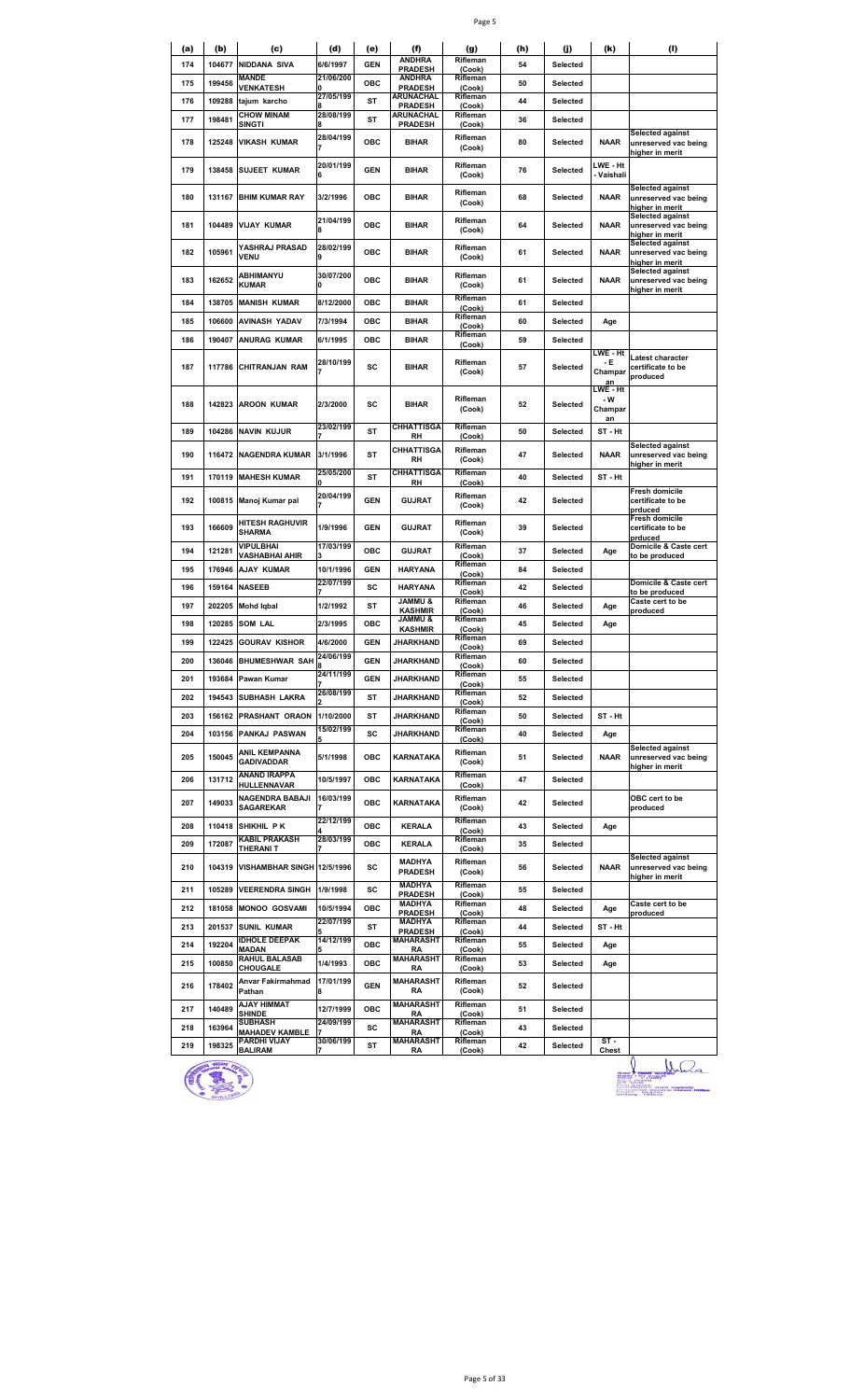| (a) | (b)     | (c)                                     | (d)            | (e)        | (f)                                  | (g)                          | (h) | (i)      | (k)                              | (1)                                                                |
|-----|---------|-----------------------------------------|----------------|------------|--------------------------------------|------------------------------|-----|----------|----------------------------------|--------------------------------------------------------------------|
| 174 | 104677  | <b>NIDDANA SIVA</b>                     | 6/6/1997       | <b>GEN</b> | <b>ANDHRA</b><br><b>PRADESH</b>      | Rifleman<br>(Cook)           | 54  | Selected |                                  |                                                                    |
| 175 | 199456  | <b>MANDE</b><br><b>VENKATESH</b>        | 21/06/200<br>O | <b>OBC</b> | <b>ANDHRA</b><br><b>PRADESH</b>      | Rifleman<br>(Cook)           | 50  | Selected |                                  |                                                                    |
| 176 | 109288  | tajum karcho                            | 27/05/199      | ST         | <b>ARUNACHAL</b><br><b>PRADESH</b>   | Rifleman<br>(Cook)           | 44  | Selected |                                  |                                                                    |
| 177 | 198481  | <b>CHOW MINAM</b><br><b>SINGTI</b>      | 28/08/199      | ST         | ARUNACHAL<br><b>PRADESH</b>          | Rifleman<br>(Cook)           | 36  | Selected |                                  |                                                                    |
| 178 | 125248  | <b>VIKASH KUMAR</b>                     | 28/04/199      | OBC        | <b>BIHAR</b>                         | Rifleman<br>(Cook)           | 80  | Selected | <b>NAAR</b>                      | <b>Selected against</b><br>unreserved vac being<br>higher in merit |
| 179 | 138458  | <b>SUJEET KUMAR</b>                     | 20/01/199<br>6 | <b>GEN</b> | <b>BIHAR</b>                         | Rifleman<br>(Cook)           | 76  | Selected | LWE - Ht<br>- Vaishali           |                                                                    |
| 180 | 131167  | <b>BHIM KUMAR RAY</b>                   | 3/2/1996       | ОВС        | <b>BIHAR</b>                         | Rifleman<br>(Cook)           | 68  | Selected | <b>NAAR</b>                      | Selected against<br>unreserved vac being<br>higher in merit        |
| 181 | 104489  | <b>VIJAY KUMAR</b>                      | 21/04/199<br>8 | OBC        | <b>BIHAR</b>                         | Rifleman<br>(Cook)           | 64  | Selected | <b>NAAR</b>                      | <b>Selected against</b><br>unreserved vac being<br>higher in merit |
| 182 | 105961  | YASHRAJ PRASAD<br><b>VENU</b>           | 28/02/199      | OBC        | <b>BIHAR</b>                         | Rifleman<br>(Cook)           | 61  | Selected | <b>NAAR</b>                      | Selected against<br>unreserved vac being<br>higher in merit        |
| 183 | 162652  | ABHIMANYU<br><b>KUMAR</b>               | 30/07/200<br>0 | OBC        | <b>BIHAR</b>                         | Rifleman<br>(Cook)           | 61  | Selected | <b>NAAR</b>                      | <b>Selected against</b><br>unreserved vac being<br>higher in merit |
| 184 | 138705  | <b>MANISH KUMAR</b>                     | 8/12/2000      | ОВС        | <b>BIHAR</b>                         | Rifleman<br>(Cook)           | 61  | Selected |                                  |                                                                    |
| 185 | 106600  | <b>AVINASH YADAV</b>                    | 7/3/1994       | OBC        | <b>BIHAR</b>                         | Rifleman<br>(Cook)           | 60  | Selected | Age                              |                                                                    |
| 186 | 190407  | ANURAG KUMAR                            | 6/1/1995       | OBC        | <b>BIHAR</b>                         | Rifleman<br>(Cook)           | 59  | Selected |                                  |                                                                    |
| 187 | 117786  | <b>CHITRANJAN RAM</b>                   | 28/10/199      | SC         | <b>BIHAR</b>                         | Rifleman<br>(Cook)           | 57  | Selected | LWE - Ht<br>- E<br>Champar<br>an | Latest character<br>certificate to be<br>produced                  |
| 188 | 142823  | <b>AROON KUMAR</b>                      | 2/3/2000       | SC         | <b>BIHAR</b>                         | Rifleman<br>(Cook)           | 52  | Selected | LWE - Ht<br>- W<br>Champar<br>an |                                                                    |
| 189 | 104286  | <b>NAVIN KUJUR</b>                      | 23/02/199      | ST         | <b>CHHATTISGA</b><br>RH              | Rifleman<br>(Cook)           | 50  | Selected | ST-Ht                            |                                                                    |
| 190 | 116472  | <b>NAGENDRA KUMAR</b>                   | 3/1/1996       | <b>ST</b>  | <b>CHHATTISGA</b><br>RH              | Rifleman<br>(Cook)           | 47  | Selected | <b>NAAR</b>                      | Selected against<br>unreserved vac being<br>higher in merit        |
| 191 | 170119  | <b>MAHESH KUMAR</b>                     | 25/05/200      | ST         | <b>CHHATTISGA</b><br>RH              | Rifleman<br>(Cook)           | 40  | Selected | ST-Ht                            |                                                                    |
| 192 | 100815  | Manoj Kumar pal                         | 20/04/199      | <b>GEN</b> | <b>GUJRAT</b>                        | Rifleman<br>(Cook)           | 42  | Selected |                                  | Fresh domicile<br>certificate to be<br>prduced                     |
| 193 | 166609  | <b>HITESH RAGHUVIR</b><br><b>SHARMA</b> | 1/9/1996       | <b>GEN</b> | <b>GUJRAT</b>                        | Rifleman<br>(Cook)           | 39  | Selected |                                  | Fresh domicile<br>certificate to be<br>prduced                     |
| 194 | 121281  | VIPULBHAI<br><b>VASHABHAI AHIR</b>      | 17/03/199      | ОВС        | <b>GUJRAT</b>                        | Rifleman<br>(Cook)           | 37  | Selected | Age                              | Domicile & Caste cert<br>to be produced                            |
| 195 | 176946  | AJAY KUMAR                              | 10/1/1996      | <b>GEN</b> | <b>HARYANA</b>                       | Rifleman<br>(Cook)           | 84  | Selected |                                  |                                                                    |
| 196 | 159164  | <b>NASEEB</b>                           | 22/07/199      | SC         | <b>HARYANA</b>                       | Rifleman<br>(Cook)           | 42  | Selected |                                  | Domicile & Caste cert<br>to be produced                            |
| 197 | 202205  | <b>Mohd Iqbal</b>                       | 1/2/1992       | ST         | <b>JAMMU &amp;</b><br><b>KASHMIR</b> | Rifleman<br>(Cook)           | 46  | Selected | Age                              | Caste cert to be<br>produced                                       |
| 198 | 120285  | <b>SOM LAL</b>                          | 2/3/1995       | ОВС        | & UMMAL<br><b>KASHMIR</b>            | Rifleman<br>(Cook)           | 45  | Selected | Age                              |                                                                    |
| 199 | 122425  | <b>GOURAV KISHOR</b>                    | 4/6/2000       | <b>GEN</b> | JHARKHAND                            | Rifleman                     | 69  | Selected |                                  |                                                                    |
| 200 |         | 136046 BHUMESHWAR SAH                   | 24/06/199      | <b>GEN</b> | JHARKHAND                            | (Cook)<br>Rifleman           | 60  | Selected |                                  |                                                                    |
| 201 | 193684  | Pawan Kumar                             | 24/11/199      | <b>GEN</b> | <b>JHARKHAND</b>                     | (Cook)<br>Rifleman           | 55  | Selected |                                  |                                                                    |
| 202 |         | 194543 SUBHASH LAKRA                    | 26/08/199      | ST         | JHARKHAND                            | (Cook)<br>Rifleman           | 52  | Selected |                                  |                                                                    |
| 203 |         | 156162 PRASHANT ORAON                   | 1/10/2000      | ST         | JHARKHAND                            | (Cook)<br>Rifleman           | 50  | Selected | ST-Ht                            |                                                                    |
| 204 |         | 103156 PANKAJ PASWAN                    | 15/02/199      | SC         | <b>JHARKHAND</b>                     | (Cook)<br>Rifleman           | 40  | Selected | Age                              |                                                                    |
| 205 | 150045  | ANIL KEMPANNA<br><b>GADIVADDAR</b>      | 5/1/1998       | OBC        | <b>KARNATAKA</b>                     | (Cook)<br>Rifleman<br>(Cook) | 51  | Selected | <b>NAAR</b>                      | Selected against<br>unreserved vac being<br>higher in merit        |
| 206 | 131712  | <b>ANAND IRAPPA</b><br>HULLENNAVAR      | 10/5/1997      | OBC        | KARNATAKA                            | Rifleman<br>(Cook)           | 47  | Selected |                                  |                                                                    |
| 207 | 149033  | NAGENDRA BABAJI<br><b>SAGAREKAR</b>     | 16/03/199      | OBC        | KARNATAKA                            | Rifleman<br>(Cook)           | 42  | Selected |                                  | OBC cert to be<br>produced                                         |
| 208 |         | 110418 SHIKHIL PK                       | 22/12/199      | <b>OBC</b> | <b>KERALA</b>                        | Rifleman<br>(Cook)           | 43  | Selected | Age                              |                                                                    |
| 209 | 172087  | <b>KABIL PRAKASH</b><br>THERANI T       | 28/03/199      | ОВС        | <b>KERALA</b>                        | Rifleman<br>(Cook)           | 35  | Selected |                                  |                                                                    |
| 210 |         | 104319 VISHAMBHAR SINGH 12/5/1996       |                | sc         | MADHYA<br><b>PRADESH</b>             | Rifleman<br>(Cook)           | 56  | Selected | <b>NAAR</b>                      | <b>Selected against</b><br>unreserved vac being<br>higher in merit |
| 211 | 105289  | <b>VEERENDRA SINGH</b>                  | 1/9/1998       | SC         | <b>MADHYA</b><br><b>PRADESH</b>      | Rifleman<br>(Cook)           | 55  | Selected |                                  |                                                                    |
| 212 |         | 181058 MONOO GOSVAMI                    | 10/5/1994      | OBC        | MADHYA<br><b>PRADESH</b>             | Rifleman<br>(Cook)           | 48  | Selected | Age                              | Caste cert to be<br>produced                                       |
| 213 |         | 201537 SUNIL KUMAR                      | 22/07/199      | ST         | MADHYA<br><b>PRADESH</b>             | Rifleman<br>(Cook)           | 44  | Selected | ST-Ht                            |                                                                    |
| 214 | 192204  | <b>IDHOLE DEEPAK</b><br>MADAN           | 14/12/199      | ОВС        | <b>MAHARASHT</b><br>RA               | Rifleman<br>(Cook)           | 55  | Selected | Age                              |                                                                    |
| 215 | 100850  | <b>RAHUL BALASAB</b><br>CHOUGALE        | 1/4/1993       | OBC        | <b>MAHARASHT</b><br>RA               | Rifleman                     | 53  | Selected | Age                              |                                                                    |
| 216 | 178402  | Anvar Fakirmahmad<br>Pathan             | 17/01/199      | <b>GEN</b> | <b>MAHARASHT</b><br>RA               | (Cook)<br>Rifleman<br>(Cook) | 52  | Selected |                                  |                                                                    |
| 217 | 140489  | <b>AJAY HIMMAT</b><br><b>SHINDE</b>     | 12/7/1999      | OBC        | <b>MAHARASHT</b><br><b>RA</b>        | Rifleman<br>(Cook)           | 51  | Selected |                                  |                                                                    |
| 218 | 163964  | <b>SUBHASH</b>                          | 24/09/199      | SC         | <b>MAHARASHT</b>                     | Rifleman                     | 43  | Selected |                                  |                                                                    |
| 219 | 198325  | <b>MAHADEV KAMBLE</b><br>PARDHI VIJAY   | 30/06/199      | ST         | RA<br><b>MAHARASHT</b>               | (Cook)<br>Rifleman           | 42  | Selected | $ST -$                           |                                                                    |
|     | enteray | <b>BALIRAM</b>                          | 7              |            | RA                                   | (Cook)                       |     |          | Chest                            |                                                                    |



 $\bigcup_{\substack{\text{max } A \text{ is prime}} \\ \text{max } A \text{ is even}} \\ \text{max } A \text{ is even} \\ \text{max } B \text{ is even} \\ \text{max } B \text{ is even} \\ \text{max } B \text{ is even}}$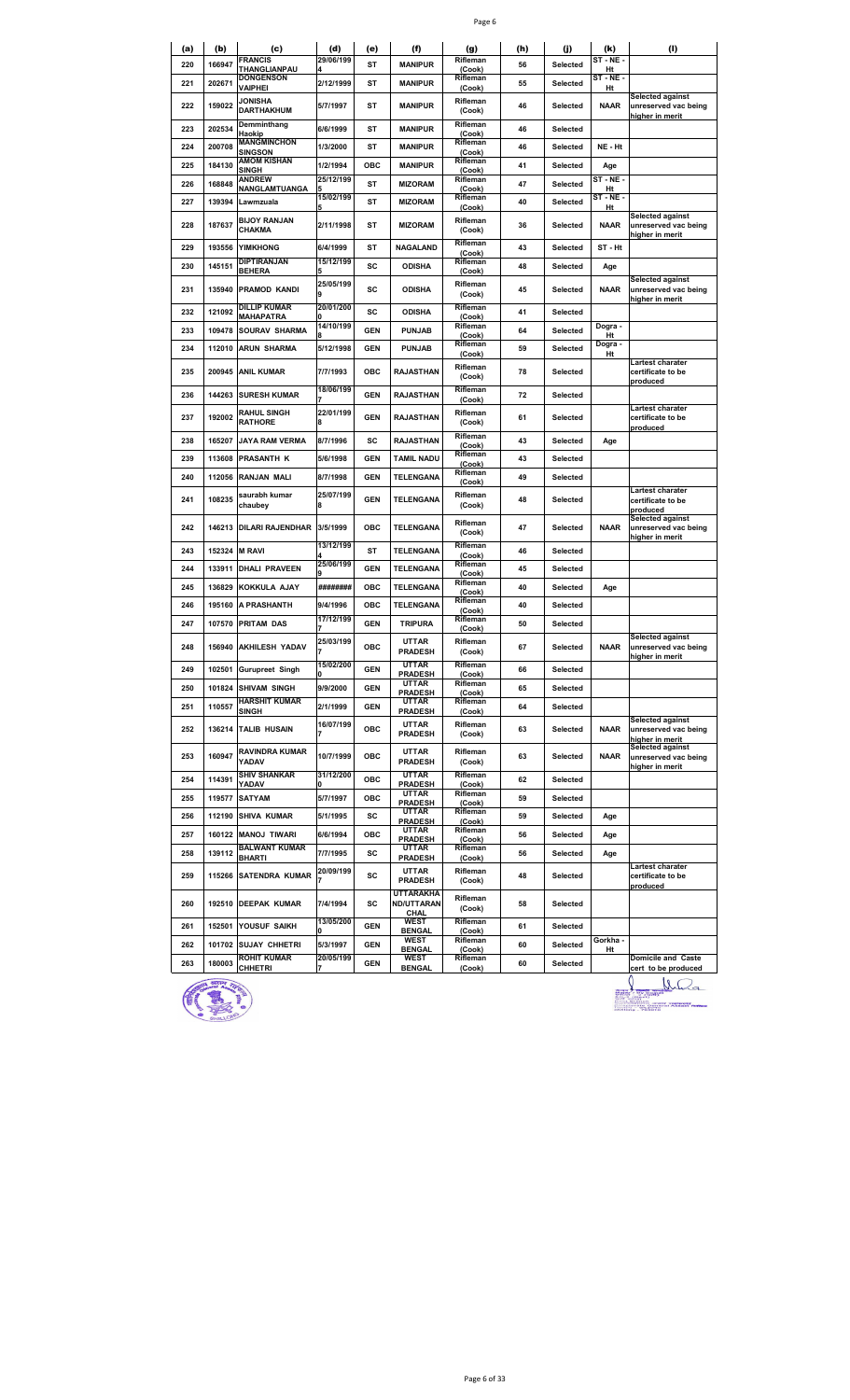|--|--|

| (a) | (b)    | (c)<br><b>FRANCIS</b>                      | (d)<br>29/06/199      | (e)        | (f)                                       | (g)<br>Rifleman              | (h) | (j)      | (k)<br>$ST - NE -$ | (1)                                                                |
|-----|--------|--------------------------------------------|-----------------------|------------|-------------------------------------------|------------------------------|-----|----------|--------------------|--------------------------------------------------------------------|
| 220 | 166947 | THANGLIANPAU                               |                       | <b>ST</b>  | <b>MANIPUR</b>                            | (Cook)                       | 56  | Selected | Ht                 |                                                                    |
| 221 | 202671 | <b>DONGENSON</b><br><b>VAIPHEI</b>         | 2/12/1999             | ST         | <b>MANIPUR</b>                            | Rifleman<br>(Cook)           | 55  | Selected | ST-NE-<br>Ht       |                                                                    |
| 222 | 159022 | <b>JONISHA</b><br><b>DARTHAKHUM</b>        | 5/7/1997              | ST         | MANIPUR                                   | Rifleman<br>(Cook)           | 46  | Selected | <b>NAAR</b>        | <b>Selected against</b><br>unreserved vac being<br>higher in merit |
| 223 | 202534 | Demminthang<br>Haokip                      | 6/6/1999              | ST         | MANIPUR                                   | Rifleman<br>(Cook)           | 46  | Selected |                    |                                                                    |
| 224 | 200708 | MANGMINCHON<br>SINGSON                     | 1/3/2000              | ST         | MANIPUR                                   | Rifleman<br>(Cook)           | 46  | Selected | NE - Ht            |                                                                    |
| 225 | 184130 | <b>AMOM KISHAN</b><br>SINGH                | 1/2/1994              | ОВС        | <b>MANIPUR</b>                            | Rifleman<br>(Cook)           | 41  | Selected | Age                |                                                                    |
| 226 | 168848 | <b>ANDREW</b><br>NANGLAMTUANGA             | 25/12/199             | <b>ST</b>  | <b>MIZORAM</b>                            | Rifleman<br>(Cook)           | 47  | Selected | ST - NE -<br>Ht    |                                                                    |
| 227 | 139394 | Lawmzuala                                  | 15/02/199             | <b>ST</b>  | <b>MIZORAM</b>                            | Rifleman<br>(Cook)           | 40  | Selected | $ST - NE -$<br>Ht  |                                                                    |
| 228 | 187637 | <b>BIJOY RANJAN</b><br>CHAKMA              | 2/11/1998             | ST         | <b>MIZORAM</b>                            | Rifleman<br>(Cook)           | 36  | Selected | <b>NAAR</b>        | <b>Selected against</b><br>unreserved vac being<br>higher in merit |
| 229 | 193556 | <b>YIMKHONG</b>                            | 6/4/1999              | ST         | NAGALAND                                  | Rifleman<br>(Cook)           | 43  | Selected | ST-Ht              |                                                                    |
| 230 | 145151 | DIPTIRANJAN<br><b>BEHERA</b>               | 15/12/199             | sc         | <b>ODISHA</b>                             | Rifleman<br>(Cook)           | 48  | Selected | Age                |                                                                    |
| 231 | 135940 | <b>PRAMOD KANDI</b>                        | 25/05/199<br>9        | SC         | <b>ODISHA</b>                             | Rifleman<br>(Cook)           | 45  | Selected | <b>NAAR</b>        | <b>Selected against</b><br>unreserved vac being<br>higher in merit |
| 232 | 121092 | DILLIP KUMAR<br><b>MAHAPATRA</b>           | 20/01/200             | sc         | <b>ODISHA</b>                             | Rifleman<br>(Cook)           | 41  | Selected |                    |                                                                    |
| 233 | 109478 | <b>SOURAV SHARMA</b>                       | 14/10/199             | <b>GEN</b> | <b>PUNJAB</b>                             | Rifleman<br>(Cook)           | 64  | Selected | Dogra -<br>Ht      |                                                                    |
| 234 | 112010 | <b>ARUN SHARMA</b>                         | 5/12/1998             | <b>GEN</b> | <b>PUNJAB</b>                             | Rifleman                     | 59  | Selected | Dogra -            |                                                                    |
| 235 | 200945 | <b>ANIL KUMAR</b>                          | 7/7/1993              | ОВС        | <b>RAJASTHAN</b>                          | (Cook)<br>Rifleman           | 78  |          | Ht                 | Lartest charater                                                   |
|     |        |                                            |                       |            |                                           | (Cook)                       |     | Selected |                    | certificate to be<br>produced                                      |
| 236 | 144263 | <b>SURESH KUMAR</b>                        | 18/06/199             | <b>GEN</b> | <b>RAJASTHAN</b>                          | Rifleman<br>(Cook)           | 72  | Selected |                    |                                                                    |
| 237 | 192002 | <b>RAHUL SINGH</b><br><b>RATHORE</b>       | 22/01/199             | <b>GEN</b> | <b>RAJASTHAN</b>                          | Rifleman<br>(Cook)           | 61  | Selected |                    | Lartest charater<br>certificate to be<br>produced                  |
| 238 | 165207 | JAYA RAM VERMA                             | 8/7/1996              | SC         | <b>RAJASTHAN</b>                          | Rifleman<br>(Cook)           | 43  | Selected | Age                |                                                                    |
| 239 | 113608 | <b>PRASANTH K</b>                          | 5/6/1998              | <b>GEN</b> | <b>TAMIL NADU</b>                         | Rifleman<br>(Cook)           | 43  | Selected |                    |                                                                    |
| 240 | 112056 | RANJAN MALI                                | 8/7/1998              | <b>GEN</b> | TELENGANA                                 | Rifleman<br>(Cook)           | 49  | Selected |                    |                                                                    |
| 241 | 108235 | saurabh kumar<br>chaubey                   | 25/07/199<br>8        | <b>GEN</b> | <b>TELENGANA</b>                          | Rifleman<br>(Cook)           | 48  | Selected |                    | <b>Lartest charater</b><br>certificate to be<br>produced           |
| 242 | 146213 | <b>DILARI RAJENDHAR</b>                    | 3/5/1999              | <b>OBC</b> | TELENGANA                                 | Rifleman<br>(Cook)           | 47  | Selected | <b>NAAR</b>        | <b>Selected against</b><br>unreserved vac being<br>higher in merit |
| 243 | 152324 | <b>M RAVI</b>                              | 13/12/199             | <b>ST</b>  | TELENGANA                                 | Rifleman<br>(Cook)           | 46  | Selected |                    |                                                                    |
| 244 | 133911 | DHALI PRAVEEN                              | 25/06/199             | <b>GEN</b> | <b>TELENGANA</b>                          | Rifleman<br>(Cook)           | 45  | Selected |                    |                                                                    |
| 245 | 136829 | <b>KOKKULA AJAY</b>                        | ########              | ОВС        | TELENGANA                                 | Rifleman<br>(Cook)           | 40  | Selected | Age                |                                                                    |
| 246 | 195160 | A PRASHANTH                                | 9/4/1996              | OBC        | TELENGANA                                 | Rifleman<br>(Cook)           | 40  | Selected |                    |                                                                    |
| 247 | 107570 | <b>PRITAM DAS</b>                          | 17/12/199             | <b>GEN</b> | <b>TRIPURA</b>                            | Rifleman<br>(Cook)           | 50  | Selected |                    |                                                                    |
| 248 |        | 156940 AKHILESH YADAV                      | 25/03/199             | OBC        | <b>UTTAR</b><br><b>PRADESH</b>            | Rifleman<br>(Cook)           | 67  | Selected | <b>NAAR</b>        | <b>Selected against</b><br>unreserved vac being                    |
| 249 | 102501 | <b>Gurupreet Singh</b>                     | 15/02/200<br>U        | <b>GEN</b> | <b>UTTAR</b><br><b>PRADESH</b>            | Rifleman<br>(Cook)           | 66  | Selected |                    | nigner in merit                                                    |
| 250 | 101824 | <b>SHIVAM SINGH</b>                        | 9/9/2000              | <b>GEN</b> | UTTAR<br><b>PRADESH</b>                   | Rifleman<br>(Cook)           | 65  | Selected |                    |                                                                    |
| 251 | 110557 | <b>HARSHIT KUMAR</b>                       | 2/1/1999              | <b>GEN</b> | <b>UTTAR</b>                              | Rifleman                     | 64  | Selected |                    |                                                                    |
| 252 |        | SINGH<br>136214 TALIB HUSAIN               | 16/07/199             | OBC        | <b>PRADESH</b><br>UTTAR<br><b>PRADESH</b> | (Cook)<br>Rifleman<br>(Cook) | 63  | Selected | <b>NAAR</b>        | <b>Selected against</b><br>unreserved vac being<br>higher in merit |
| 253 | 160947 | RAVINDRA KUMAR<br>YADAV                    | 10/7/1999             | OBC        | UTTAR<br><b>PRADESH</b>                   | Rifleman<br>(Cook)           | 63  | Selected | <b>NAAR</b>        | Selected against<br>unreserved vac being                           |
| 254 | 114391 | <b>SHIV SHANKAR</b><br>YADAV               | 31/12/200             | OBC        | <b>UTTAR</b><br><b>PRADESH</b>            | Rifleman<br>(Cook)           | 62  | Selected |                    | higher in merit                                                    |
| 255 | 119577 | <b>SATYAM</b>                              | 5/7/1997              | OBC        | <b>UTTAR</b>                              | Rifleman                     | 59  | Selected |                    |                                                                    |
| 256 |        | 112190 SHIVA KUMAR                         | 5/1/1995              | SC         | <b>PRADESH</b><br>UTTAR                   | (Cook)<br>Rifleman           | 59  | Selected | Age                |                                                                    |
| 257 |        | 160122 MANOJ TIWARI                        | 6/6/1994              | ОВС        | <b>PRADESH</b><br><b>UTTAR</b>            | (Cook)<br>Rifleman           | 56  | Selected | Age                |                                                                    |
| 258 | 139112 | <b>BALWANT KUMAR</b>                       | 7/7/1995              | SC         | <b>PRADESH</b><br>UTTAR                   | (Cook)<br>Rifleman           | 56  | Selected | Age                |                                                                    |
| 259 |        | <b>BHARTI</b><br>115266 SATENDRA KUMAR     | 20/09/199             | SC         | <b>PRADESH</b><br>UTTAR<br><b>PRADESH</b> | (Cook)<br>Rifleman<br>(Cook) | 48  | Selected |                    | Lartest charater<br>certificate to be                              |
|     |        |                                            |                       |            | <b>UTTARAKHA</b>                          | Rifleman                     |     |          |                    | produced                                                           |
| 260 |        | 192510 DEEPAK KUMAR                        | 7/4/1994<br>13/05/200 | SC         | <b>ND/UTTARAN</b><br>CHAL<br><b>WEST</b>  | (Cook)<br>Rifleman           | 58  | Selected |                    |                                                                    |
| 261 | 152501 | YOUSUF SAIKH                               |                       | GEN        | <b>BENGAL</b><br><b>WEST</b>              | (Cook)<br>Rifleman           | 61  | Selected | Gorkha -           |                                                                    |
| 262 | 101702 | <b>SUJAY CHHETRI</b><br><b>ROHIT KUMAR</b> | 5/3/1997<br>20/05/199 | GEN        | <b>BENGAL</b><br>WEST                     | (Cook)<br>Rifleman           | 60  | Selected | Ht                 | Domicile and Caste                                                 |
| 263 | 180003 | CHHETRI                                    |                       | <b>GEN</b> | <b>BENGAL</b>                             | (Cook)                       | 60  | Selected |                    | cert to be produced                                                |

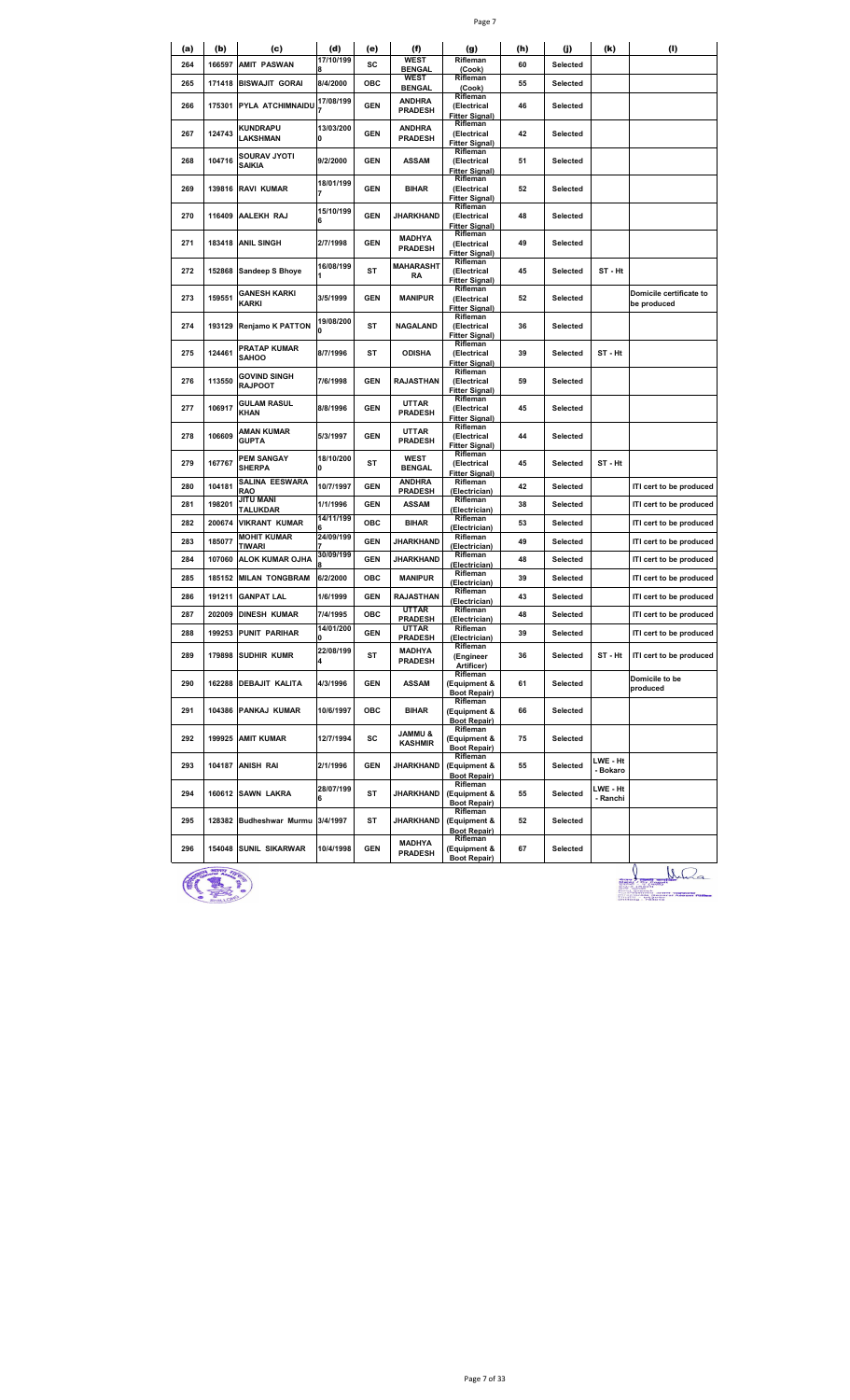| (a) | (b)    | (c)                                | (d)            | (e)        | (f)                                  | (g)                                              | (h) | (j)      | (k)                  | (I)                                    |
|-----|--------|------------------------------------|----------------|------------|--------------------------------------|--------------------------------------------------|-----|----------|----------------------|----------------------------------------|
| 264 | 166597 | <b>AMIT PASWAN</b>                 | 17/10/199      | SC         | <b>WEST</b><br><b>BENGAL</b>         | Rifleman<br>(Cook)                               | 60  | Selected |                      |                                        |
| 265 | 171418 | <b>BISWAJIT GORAI</b>              | 8/4/2000       | OBC        | <b>WEST</b><br><b>BENGAL</b>         | Rifleman<br>(Cook)                               | 55  | Selected |                      |                                        |
| 266 | 175301 | <b>PYLA ATCHIMNAIDU</b>            | 17/08/199      | <b>GEN</b> | ANDHRA<br><b>PRADESH</b>             | Rifleman<br>(Electrical<br><b>Fitter Signal)</b> | 46  | Selected |                      |                                        |
| 267 | 124743 | KUNDRAPU<br>LAKSHMAN               | 13/03/200<br>0 | <b>GEN</b> | <b>ANDHRA</b><br><b>PRADESH</b>      | Rifleman<br>(Electrical<br><b>Fitter Signal)</b> | 42  | Selected |                      |                                        |
| 268 | 104716 | SOURAV JYOTI<br>SAIKIA             | 9/2/2000       | <b>GEN</b> | ASSAM                                | Rifleman<br>(Electrical<br><b>Fitter Signal)</b> | 51  | Selected |                      |                                        |
| 269 | 139816 | <b>RAVI KUMAR</b>                  | 18/01/199      | <b>GEN</b> | <b>BIHAR</b>                         | Rifleman<br>(Electrical<br>Fitter Signal)        | 52  | Selected |                      |                                        |
| 270 | 116409 | AALEKH RAJ                         | 15/10/199<br>6 | <b>GEN</b> | JHARKHAND                            | Rifleman<br>(Electrical<br><b>Fitter Signal)</b> | 48  | Selected |                      |                                        |
| 271 | 183418 | <b>ANIL SINGH</b>                  | 2/7/1998       | <b>GEN</b> | <b>MADHYA</b><br><b>PRADESH</b>      | Rifleman<br>(Electrical<br><b>Fitter Signal)</b> | 49  | Selected |                      |                                        |
| 272 | 152868 | <b>Sandeep S Bhoye</b>             | 16/08/199      | ST         | MAHARASHT<br>RA                      | Rifleman<br>(Electrical<br>Fitter Signal)        | 45  | Selected | ST - Ht              |                                        |
| 273 | 159551 | GANESH KARKI<br>KARKI              | 3/5/1999       | <b>GEN</b> | <b>MANIPUR</b>                       | Rifleman<br>(Electrical<br><b>Fitter Signal)</b> | 52  | Selected |                      | Domicile certificate to<br>be produced |
| 274 | 193129 | <b>Renjamo K PATTON</b>            | 19/08/200<br>0 | ST         | <b>NAGALAND</b>                      | Rifleman<br>(Electrical<br><b>Fitter Signal)</b> | 36  | Selected |                      |                                        |
| 275 | 124461 | PRATAP KUMAR<br>SAHOO              | 8/7/1996       | ST         | <b>ODISHA</b>                        | Rifleman<br>(Electrical<br><b>Fitter Signal)</b> | 39  | Selected | ST-Ht                |                                        |
| 276 | 113550 | GOVIND SINGH<br><b>RAJPOOT</b>     | 7/6/1998       | <b>GEN</b> | RAJASTHAN                            | Rifleman<br>(Electrical<br><b>Fitter Signal)</b> | 59  | Selected |                      |                                        |
| 277 | 106917 | <b>GULAM RASUL</b><br>KHAN         | 8/8/1996       | GEN        | <b>UTTAR</b><br><b>PRADESH</b>       | Rifleman<br>(Electrical<br><b>Fitter Signal)</b> | 45  | Selected |                      |                                        |
| 278 | 106609 | AMAN KUMAR<br><b>GUPTA</b>         | 5/3/1997       | <b>GEN</b> | <b>UTTAR</b><br><b>PRADESH</b>       | Rifleman<br>(Electrical<br><b>Fitter Signal)</b> | 44  | Selected |                      |                                        |
| 279 | 167767 | <b>PEM SANGAY</b><br><b>SHERPA</b> | 18/10/200<br>0 | ST         | WEST<br><b>BENGAL</b>                | Rifleman<br>(Electrical<br>Fitter Signal)        | 45  | Selected | ST - Ht              |                                        |
| 280 | 104181 | SALINA EESWARA<br>RAO              | 10/7/1997      | <b>GEN</b> | ANDHRA<br><b>PRADESH</b>             | Rifleman<br>(Electrician)                        | 42  | Selected |                      | ITI cert to be produced                |
| 281 | 198201 | JITU MANI<br>TALUKDAR              | 1/1/1996       | <b>GEN</b> | ASSAM                                | Rifleman<br>(Electrician)                        | 38  | Selected |                      | ITI cert to be produced                |
| 282 | 200674 | VIKRANT KUMAR                      | 14/11/199      | ОВС        | <b>BIHAR</b>                         | Rifleman<br>(Electrician)                        | 53  | Selected |                      | ITI cert to be produced                |
| 283 | 185077 | <b>MOHIT KUMAR</b><br>TIWARI       | 24/09/199      | <b>GEN</b> | JHARKHAND                            | Rifleman<br>Electrician)                         | 49  | Selected |                      | ITI cert to be produced                |
| 284 | 107060 | ALOK KUMAR OJHA                    | 30/09/199      | <b>GEN</b> | <b>JHARKHAND</b>                     | Rifleman<br>(Electrician)                        | 48  | Selected |                      | ITI cert to be produced                |
| 285 | 185152 | <b>MILAN TONGBRAM</b>              | 6/2/2000       | ОВС        | <b>MANIPUR</b>                       | Rifleman<br>(Electrician)                        | 39  | Selected |                      | ITI cert to be produced                |
| 286 | 191211 | <b>GANPAT LAL</b>                  | 1/6/1999       | <b>GEN</b> | <b>RAJASTHAN</b>                     | Rifleman<br>(Electrician)                        | 43  | Selected |                      | ITI cert to be produced                |
| 287 | 202009 | DINESH KUMAR                       | 7/4/1995       | ОВС        | <b>UTTAR</b><br><b>PRADESH</b>       | Rifleman<br>(Electrician)                        | 48  | Selected |                      | ITI cert to be produced                |
| 288 | 199253 | PUNIT PARIHAR                      | 14/01/200      | <b>GEN</b> | <b>UTTAR</b><br><b>PRADESH</b>       | Rifleman<br>Electrician)                         | 39  | Selected |                      | ITI cert to be produced                |
| 289 |        | 179898 SUDHIR KUMR                 | 22/08/199      | ST         | <b>MADHYA</b><br><b>PRADESH</b>      | Rifleman<br>(Engineer<br>Artificer)              | 36  | Selected | ST-Ht                | ITI cert to be produced                |
| 290 | 162288 | <b>DEBAJIT KALITA</b>              | 4/3/1996       | <b>GEN</b> | <b>ASSAM</b>                         | Rifleman<br>(Equipment &<br><b>Boot Repair)</b>  | 61  | Selected |                      | Domicile to be<br>produced             |
| 291 | 104386 | <b>PANKAJ KUMAR</b>                | 10/6/1997      | ОВС        | <b>BIHAR</b>                         | Rifleman<br>(Equipment &<br><b>Boot Repair)</b>  | 66  | Selected |                      |                                        |
| 292 | 199925 | <b>AMIT KUMAR</b>                  | 12/7/1994      | SC         | <b>&amp; UMMAL</b><br><b>KASHMIR</b> | Rifleman<br>(Equipment &<br><b>Boot Repair)</b>  | 75  | Selected |                      |                                        |
| 293 | 104187 | <b>ANISH RAI</b>                   | 2/1/1996       | <b>GEN</b> | JHARKHAND                            | Rifleman<br>(Equipment &<br><b>Boot Repair)</b>  | 55  | Selected | LWE - Ht<br>- Bokaro |                                        |
| 294 |        | 160612 SAWN LAKRA                  | 28/07/199<br>6 | ST         | <b>JHARKHAND</b>                     | Rifleman<br>(Equipment &<br><b>Boot Repair)</b>  | 55  | Selected | LWE - Ht<br>- Ranchi |                                        |
| 295 | 128382 | Budheshwar Murmu 3/4/1997          |                | ST         | JHARKHAND                            | Rifleman<br>(Equipment &<br><b>Boot Repair)</b>  | 52  | Selected |                      |                                        |
| 296 | 154048 | <b>SUNIL SIKARWAR</b>              | 10/4/1998      | <b>GEN</b> | MADHYA<br><b>PRADESH</b>             | Rifleman<br>(Equipment &<br><b>Boot Repair)</b>  | 67  | Selected |                      |                                        |



 $\frac{1}{\frac{1}{2} \cdot \frac{1}{2} \cdot \frac{1}{2} \cdot \frac{1}{2} \cdot \frac{1}{2} \cdot \frac{1}{2} \cdot \frac{1}{2} \cdot \frac{1}{2} \cdot \frac{1}{2} \cdot \frac{1}{2} \cdot \frac{1}{2} \cdot \frac{1}{2} \cdot \frac{1}{2} \cdot \frac{1}{2} \cdot \frac{1}{2} \cdot \frac{1}{2} \cdot \frac{1}{2} \cdot \frac{1}{2} \cdot \frac{1}{2} \cdot \frac{1}{2} \cdot \frac{1}{2} \cdot \frac{1}{2} \cdot \frac{1}{2} \cdot \frac{1}{2} \$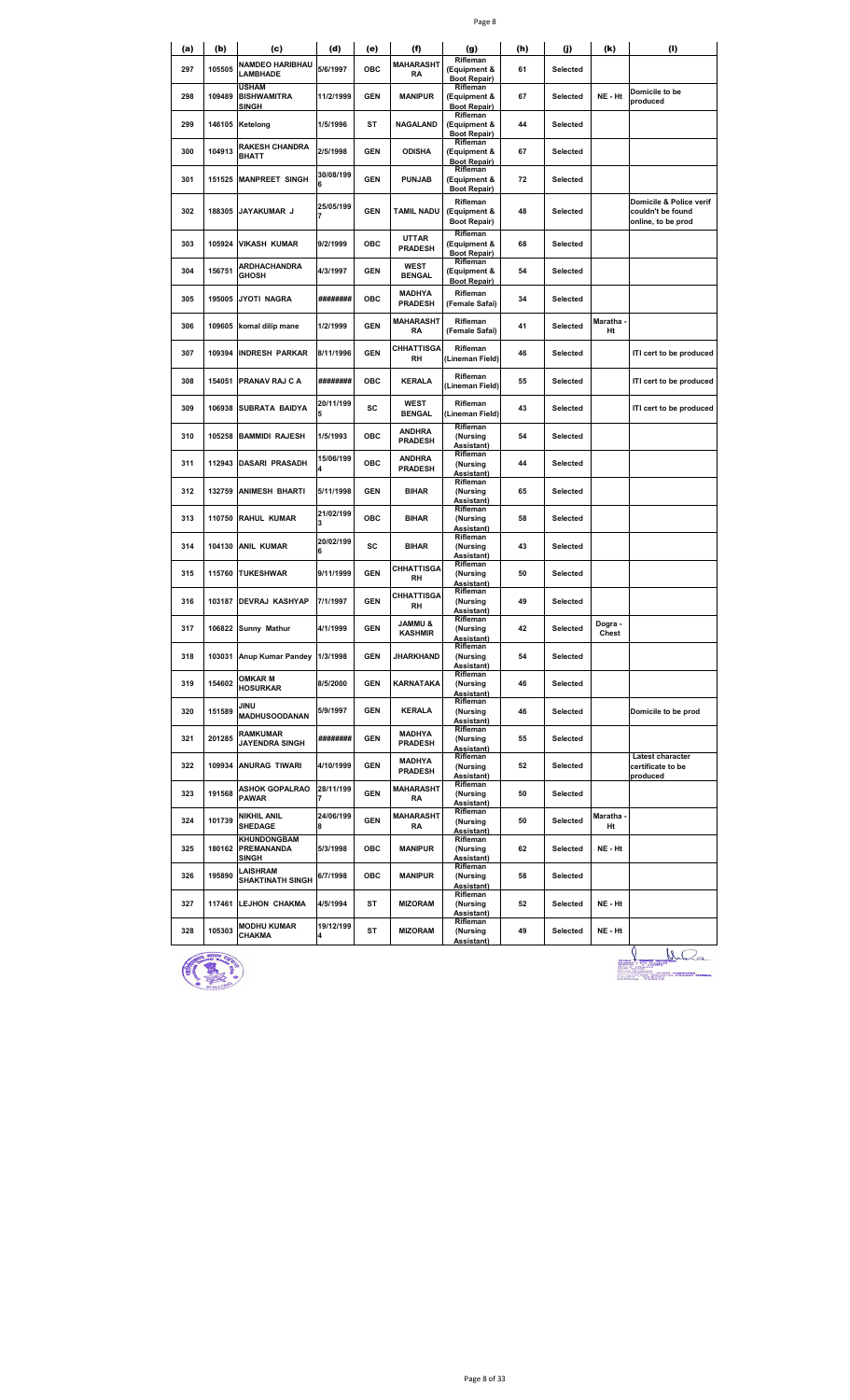| (a) | (b)    | (c)<br><b>NAMDEO HARIBHAU</b>                 | (d)            | (e)        | (f)<br><b>MAHARASHT</b>         | (g)<br>Rifleman                                 | (h) | (j)      | (k)              | (1)                                                                |
|-----|--------|-----------------------------------------------|----------------|------------|---------------------------------|-------------------------------------------------|-----|----------|------------------|--------------------------------------------------------------------|
| 297 | 105505 | <b>LAMBHADE</b><br><b>USHAM</b>               | 5/6/1997       | ОВС        | RA                              | (Equipment &<br><b>Boot Repair)</b><br>Rifleman | 61  | Selected |                  |                                                                    |
| 298 | 109489 | <b>BISHWAMITRA</b><br>SINGH                   | 11/2/1999      | <b>GEN</b> | <b>MANIPUR</b>                  | (Equipment &<br><b>Boot Repair)</b><br>Rifleman | 67  | Selected | NE - Ht          | Domicile to be<br>produced                                         |
| 299 | 146105 | Ketelong                                      | 1/5/1996       | ST         | NAGALAND                        | (Equipment &<br><b>Boot Repair)</b><br>Rifleman | 44  | Selected |                  |                                                                    |
| 300 | 104913 | <b>RAKESH CHANDRA</b><br><b>BHATT</b>         | 2/5/1998       | <b>GEN</b> | <b>ODISHA</b>                   | (Equipment &<br><b>Boot Repair)</b>             | 67  | Selected |                  |                                                                    |
| 301 | 151525 | <b>MANPREET SINGH</b>                         | 30/08/199<br>6 | <b>GEN</b> | <b>PUNJAB</b>                   | Rifleman<br>(Equipment &<br><b>Boot Repair)</b> | 72  | Selected |                  |                                                                    |
| 302 | 188305 | JAYAKUMAR J                                   | 25/05/199      | <b>GEN</b> | TAMIL NADU                      | Rifleman<br>(Equipment &<br><b>Boot Repair)</b> | 48  | Selected |                  | Domicile & Police verif<br>couldn't be found<br>online, to be prod |
| 303 | 105924 | <b>VIKASH KUMAR</b>                           | 9/2/1999       | ОВС        | <b>UTTAR</b><br><b>PRADESH</b>  | Rifleman<br>(Equipment &<br><b>Boot Repair)</b> | 68  | Selected |                  |                                                                    |
| 304 | 156751 | ARDHACHANDRA<br><b>GHOSH</b>                  | 4/3/1997       | <b>GEN</b> | WEST<br><b>BENGAL</b>           | Rifleman<br>(Equipment &<br><b>Boot Repair)</b> | 54  | Selected |                  |                                                                    |
| 305 | 195005 | <b>JYOTI NAGRA</b>                            | ########       | <b>OBC</b> | <b>MADHYA</b><br><b>PRADESH</b> | Rifleman<br>(Female Safai)                      | 34  | Selected |                  |                                                                    |
| 306 | 109605 | komal dilip mane                              | 1/2/1999       | <b>GEN</b> | MAHARASHT<br>RA                 | Rifleman<br>(Female Safai)                      | 41  | Selected | Maratha<br>Ht    |                                                                    |
| 307 | 109394 | <b>INDRESH PARKAR</b>                         | 8/11/1996      | <b>GEN</b> | <b>CHHATTISGA</b><br>RH         | Rifleman<br>(Lineman Field)                     | 46  | Selected |                  | ITI cert to be produced                                            |
| 308 | 154051 | PRANAV RAJ C A                                | ########       | ОВС        | <b>KERALA</b>                   | Rifleman<br>Lineman Field)                      | 55  | Selected |                  | ITI cert to be produced                                            |
| 309 | 106938 | <b>SUBRATA BAIDYA</b>                         | 20/11/199      | sc         | <b>WEST</b><br><b>BENGAL</b>    | Rifleman<br>(Lineman Field)                     | 43  | Selected |                  | ITI cert to be produced                                            |
| 310 | 105258 | <b>BAMMIDI RAJESH</b>                         | 1/5/1993       | ОВС        | <b>ANDHRA</b><br><b>PRADESH</b> | Rifleman<br>(Nursing<br><b>Assistant)</b>       | 54  | Selected |                  |                                                                    |
| 311 | 112943 | <b>DASARI PRASADH</b>                         | 15/06/199      | ОВС        | <b>ANDHRA</b><br><b>PRADESH</b> | Rifleman<br>(Nursing<br>Assistant)              | 44  | Selected |                  |                                                                    |
| 312 | 132759 | <b>ANIMESH BHARTI</b>                         | 5/11/1998      | <b>GEN</b> | <b>BIHAR</b>                    | Rifleman<br>(Nursing<br>Assistant)              | 65  | Selected |                  |                                                                    |
| 313 | 110750 | RAHUL KUMAR                                   | 21/02/199      | ОВС        | <b>BIHAR</b>                    | Rifleman<br>(Nursing<br>Assistant)              | 58  | Selected |                  |                                                                    |
| 314 | 104130 | <b>ANIL KUMAR</b>                             | 20/02/199      | sc         | <b>BIHAR</b>                    | Rifleman<br>(Nursing<br>Assistant)              | 43  | Selected |                  |                                                                    |
| 315 |        | 115760 TUKESHWAR                              | 9/11/1999      | <b>GEN</b> | <b>CHHATTISGA</b><br>RH         | Rifleman<br>(Nursing<br>Assistant)              | 50  | Selected |                  |                                                                    |
| 316 |        | 103187 DEVRAJ KASHYAP                         | 7/1/1997       | <b>GEN</b> | CHHATTISGA<br>RH                | Rifleman<br>(Nursing                            | 49  | Selected |                  |                                                                    |
| 317 | 106822 | Sunny Mathur                                  | 4/1/1999       | <b>GEN</b> | & UMMAL<br><b>KASHMIR</b>       | Assistant)<br>Rifleman<br>(Nursing              | 42  | Selected | Dogra -<br>Chest |                                                                    |
| 318 |        | 103031 Anup Kumar Pandey 1/3/1998             |                | <b>GEN</b> | JHARKHAND                       | Assistant)<br>Rifleman<br>(Nursing              | 54  | Selected |                  |                                                                    |
| 319 | 154602 | OMKAR M                                       | 8/5/2000       | <b>GEN</b> | KARNATAKA                       | Assistant)<br>Rifleman<br>(Nursing              | 46  | Selected |                  |                                                                    |
| 320 | 151589 | <b>HOSURKAR</b><br>JINU                       | 5/9/1997       | <b>GEN</b> | <b>KERALA</b>                   | Assistant)<br>Rifleman<br>(Nursing              | 46  | Selected |                  | Domicile to be prod                                                |
| 321 | 201285 | <b>MADHUSOODANAN</b><br>RAMKUMAR              | ########       | <b>GEN</b> | <b>MADHYA</b>                   | Assistant)<br>Rifleman<br>(Nursing              | 55  | Selected |                  |                                                                    |
| 322 |        | <b>JAYENDRA SINGH</b><br>109934 ANURAG TIWARI | 4/10/1999      | <b>GEN</b> | <b>PRADESH</b><br>MADHYA        | Assistant)<br>Rifleman<br>(Nursing              | 52  | Selected |                  | Latest character<br>certificate to be                              |
|     |        | <b>ASHOK GOPALRAO</b>                         | 28/11/199      |            | <b>PRADESH</b><br>MAHARASHT     | Assistant)<br>Rifleman                          |     |          |                  | produced                                                           |
| 323 | 191568 | <b>PAWAR</b><br>NIKHIL ANIL                   | 24/06/199      | <b>GEN</b> | RA<br>MAHARASHT                 | (Nursing<br>Assistant)<br>Rifleman              | 50  | Selected | Maratha -        |                                                                    |
| 324 | 101739 | SHEDAGE<br>KHUNDONGBAM                        | 8              | <b>GEN</b> | RA                              | (Nursing<br>Assistant)<br>Rifleman              | 50  | Selected | Ht               |                                                                    |
| 325 | 180162 | PREMANANDA<br><u>SINGH</u>                    | 5/3/1998       | OBC        | <b>MANIPUR</b>                  | (Nursing<br><b>Assistant)</b><br>Rifleman       | 62  | Selected | NE - Ht          |                                                                    |
| 326 | 195890 | LAISHRAM<br><b>SHAKTINATH SINGH</b>           | 6/7/1998       | OBC        | <b>MANIPUR</b>                  | (Nursing<br>Assistant)<br>Rifleman              | 58  | Selected |                  |                                                                    |
| 327 | 117461 | <b>LEJHON CHAKMA</b>                          | 4/5/1994       | ST         | <b>MIZORAM</b>                  | (Nursing<br>Assistant)                          | 52  | Selected | NE - Ht          |                                                                    |
| 328 | 105303 | <b>MODHU KUMAR</b><br>CHAKMA                  | 19/12/199      | ST         | <b>MIZORAM</b>                  | Rifleman<br>(Nursing<br>Assistant)              | 49  | Selected | NE - Ht          |                                                                    |



**49 Selected NE - Ht**<br> **ALCORE AND PROPERTY AND PROPERTY AND PROPERTY AND PROPERTY AND PROPERTY AND PROPERTY AND PROPERTY AND PROPERTY AND PROPERTY AND PROPERTY AND PROPERTY AND PROPERTY AND PROPERTY AND PROPERTY AND P** run<br>erri erett s**upuneti**<br>le General Assam i<br>793010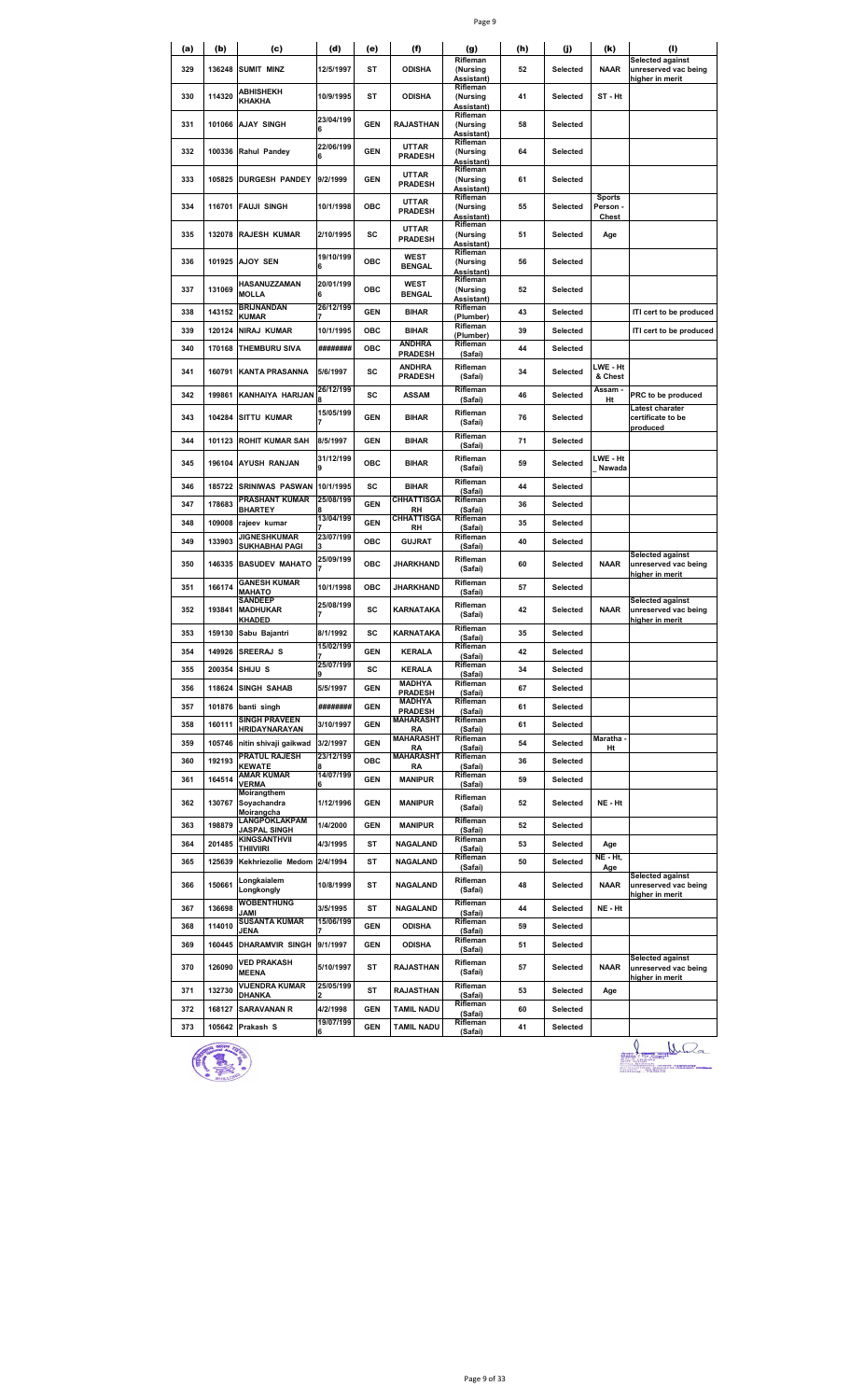| ×<br>٦ | ۰. |
|--------|----|
|--------|----|

| (a) | (b)    | (c)                                                   | (d)            | (e)        | (f)                             | (g)<br>Rifleman                           | (h) | (j)      | (k)                                | <b>Selected against</b>                          |
|-----|--------|-------------------------------------------------------|----------------|------------|---------------------------------|-------------------------------------------|-----|----------|------------------------------------|--------------------------------------------------|
| 329 | 136248 | <b>SUMIT MINZ</b>                                     | 12/5/1997      | ST         | <b>ODISHA</b>                   | (Nursing<br>Assistant)                    | 52  | Selected | <b>NAAR</b>                        | unreserved vac being<br>higher in merit          |
| 330 | 114320 | <b>ABHISHEKH</b><br>KHAKHA                            | 10/9/1995      | ST         | <b>ODISHA</b>                   | Rifleman<br>(Nursing<br>Assistant)        | 41  | Selected | ST - Ht                            |                                                  |
| 331 | 101066 | <b>AJAY SINGH</b>                                     | 23/04/199      | <b>GEN</b> | <b>RAJASTHAN</b>                | Rifleman<br>(Nursing<br>Assistant)        | 58  | Selected |                                    |                                                  |
| 332 | 100336 | Rahul Pandey                                          | 22/06/199<br>6 | <b>GEN</b> | <b>UTTAR</b><br><b>PRADESH</b>  | Rifleman<br>(Nursing<br>Assistant)        | 64  | Selected |                                    |                                                  |
| 333 | 105825 | <b>DURGESH PANDEY</b>                                 | 9/2/1999       | <b>GEN</b> | <b>UTTAR</b><br><b>PRADESH</b>  | Rifleman<br>(Nursing<br><u>Assistant)</u> | 61  | Selected |                                    |                                                  |
| 334 | 116701 | <b>FAUJI SINGH</b>                                    | 10/1/1998      | ОВС        | <b>UTTAR</b><br><b>PRADESH</b>  | Rifleman<br>(Nursing<br>Assistant)        | 55  | Selected | <b>Sports</b><br>Person -<br>Chest |                                                  |
| 335 | 132078 | <b>RAJESH KUMAR</b>                                   | 2/10/1995      | sc         | <b>UTTAR</b><br><b>PRADESH</b>  | Rifleman<br>(Nursing<br>Assistant)        | 51  | Selected | Age                                |                                                  |
| 336 |        | 101925 AJOY SEN                                       | 19/10/199<br>6 | <b>OBC</b> | WEST<br><b>BENGAL</b>           | Rifleman<br>(Nursing<br>Assistant)        | 56  | Selected |                                    |                                                  |
| 337 | 131069 | HASANUZZAMAN<br><b>MOLLA</b>                          | 20/01/199<br>6 | OBC        | WEST<br><b>BENGAL</b>           | Rifleman<br>(Nursing<br>Assistant)        | 52  | Selected |                                    |                                                  |
| 338 | 143152 | <b>BRIJNANDAN</b><br>KUMAR                            | 26/12/199      | <b>GEN</b> | <b>BIHAR</b>                    | Rifleman<br>(Plumber)                     | 43  | Selected |                                    | ITI cert to be produced                          |
| 339 | 120124 | <b>NIRAJ KUMAR</b>                                    | 10/1/1995      | ОВС        | <b>BIHAR</b>                    | Rifleman<br>(Plumber)                     | 39  | Selected |                                    | ITI cert to be produced                          |
| 340 | 170168 | <b>THEMBURU SIVA</b>                                  | ########       | ОВС        | <b>ANDHRA</b><br><b>PRADESH</b> | Rifleman<br>(Safai)                       | 44  | Selected |                                    |                                                  |
| 341 | 160791 | <b>KANTA PRASANNA</b>                                 | 5/6/1997       | sc         | ANDHRA<br><b>PRADESH</b>        | Rifleman<br>(Safai)                       | 34  | Selected | LWE - Ht<br>& Chest                |                                                  |
| 342 | 199861 | KANHAIYA HARIJAN                                      | 26/12/199      | sc         | <b>ASSAM</b>                    | Rifleman<br>(Safai)                       | 46  | Selected | Assam -<br>Ht                      | PRC to be produced                               |
| 343 | 104284 | <b>SITTU KUMAR</b>                                    | 15/05/199      | <b>GEN</b> | <b>BIHAR</b>                    | Rifleman<br>(Safai)                       | 76  | Selected |                                    | Latest charater<br>certificate to be<br>produced |
| 344 | 101123 | <b>ROHIT KUMAR SAH</b>                                | 8/5/1997       | <b>GEN</b> | <b>BIHAR</b>                    | Rifleman<br>(Safai)                       | 71  | Selected |                                    |                                                  |
| 345 | 196104 | <b>AYUSH RANJAN</b>                                   | 31/12/199<br>9 | ОВС        | <b>BIHAR</b>                    | Rifleman<br>(Safai)                       | 59  | Selected | LWE - Ht<br>Nawada                 |                                                  |
| 346 | 185722 | <b>SRINIWAS PASWAN</b>                                | 10/1/1995      | sc         | <b>BIHAR</b>                    | Rifleman<br>(Safai)                       | 44  | Selected |                                    |                                                  |
| 347 | 178683 | PRASHANT KUMAR<br>BHARTEY                             | 25/08/199      | <b>GEN</b> | <b>CHHATTISGA</b><br><b>RH</b>  | Rifleman<br>(Safai)                       | 36  | Selected |                                    |                                                  |
| 348 | 109008 | rajeev kumar                                          | 13/04/199      | <b>GEN</b> | <b>CHHATTISGA</b>               | Rifleman                                  | 35  | Selected |                                    |                                                  |
| 349 | 133903 | <b>JIGNESHKUMAR</b>                                   | 23/07/199      | ОВС        | RH<br><b>GUJRAT</b>             | (Safai)<br>Rifleman                       | 40  | Selected |                                    |                                                  |
| 350 | 146335 | SUKHABHAI PAGI<br><b>BASUDEV MAHATO</b>               | 25/09/199      | OBC        | JHARKHAND                       | (Safai)<br>Rifleman<br>(Safai)            | 60  | Selected | <b>NAAR</b>                        | <b>Selected against</b><br>unreserved vac being  |
| 351 | 166174 | <b>GANESH KUMAR</b>                                   | 10/1/1998      | ОВС        | JHARKHAND                       | Rifleman                                  | 57  | Selected |                                    | higher in merit                                  |
| 352 | 193841 | MAHATO<br><b>SANDEEP</b><br><b>MADHUKAR</b><br>KHADED | 25/08/199<br>7 | SC         | KARNATAKA                       | (Safai)<br>Rifleman<br>(Safai)            | 42  | Selected | <b>NAAR</b>                        | Selected against<br>unreserved vac being         |
| 353 | 159130 | Sabu Bajantri                                         | 8/1/1992       | SC         | KARNATAKA                       | Rifleman                                  | 35  | Selected |                                    | higher in merit                                  |
| 354 |        | 149926 SREERAJ S                                      | 15/02/199      | <b>GEN</b> | <b>KERALA</b>                   | (Safai)<br>Rifleman                       | 42  | Selected |                                    |                                                  |
| 355 | 200354 | SHIJU S                                               | 25/07/199      | SC         | <b>KERALA</b>                   | (Safai)<br>Rifleman                       | 34  | Selected |                                    |                                                  |
| 356 | 118624 | <b>SINGH SAHAB</b>                                    | 5/5/1997       | <b>GEN</b> | <b>MADHYA</b>                   | (Safai)<br>Rifleman                       | 67  | Selected |                                    |                                                  |
| 357 |        | 101876 banti singh                                    | ########       | <b>GEN</b> | <b>PRADESH</b><br><b>MADHYA</b> | (Safai)<br>Rifleman                       | 61  | Selected |                                    |                                                  |
| 358 | 160111 | <b>SINGH PRAVEEN</b>                                  | 3/10/1997      | <b>GEN</b> | <b>PRADESH</b><br>MAHARASHT     | (Safai)<br>Rifleman                       | 61  | Selected |                                    |                                                  |
| 359 |        | HRIDAYNARAYAN<br>105746 nitin shivaji gaikwad         | 3/2/1997       | <b>GEN</b> | RA<br><b>MAHARASHT</b>          | (Safai)<br>Rifleman                       | 54  | Selected | Maratha -                          |                                                  |
| 360 | 192193 | <b>PRATUL RAJESH</b>                                  | 23/12/199      | ОВС        | RA<br><b>MAHARASHT</b>          | (Safai)<br>Rifleman                       | 36  | Selected | Ht                                 |                                                  |
| 361 | 164514 | <b>KEWATE</b><br><b>AMAR KUMAR</b>                    | 14/07/199      | <b>GEN</b> | RA<br><b>MANIPUR</b>            | (Safai)<br>Rifleman                       | 59  | Selected |                                    |                                                  |
| 362 | 130767 | <b>VERMA</b><br>Moirangthem<br>Soyachandra            | 6<br>1/12/1996 | <b>GEN</b> | <b>MANIPUR</b>                  | (Safai)<br>Rifleman<br>(Safai)            | 52  | Selected | NE - Ht                            |                                                  |
| 363 | 198879 | Moirangcha<br>LANGPOKLAKPAM                           | 1/4/2000       | <b>GEN</b> | <b>MANIPUR</b>                  | Rifleman                                  | 52  | Selected |                                    |                                                  |
| 364 | 201485 | <b>JASPAL SINGH</b><br>KINGSANTHVII                   | 4/3/1995       | ST         | NAGALAND                        | (Safai)<br>Rifleman                       | 53  | Selected | Age                                |                                                  |
| 365 | 125639 | <b>THIIVIIRI</b><br>Kekhriezolie Medom                | 2/4/1994       | ST         | NAGALAND                        | (Safai)<br>Rifleman                       | 50  | Selected | NE - Ht,                           |                                                  |
| 366 | 150661 | Longkaialem<br>Longkongly                             | 10/8/1999      | ST         | <b>NAGALAND</b>                 | (Safai)<br>Rifleman<br>(Safai)            | 48  | Selected | Age<br><b>NAAR</b>                 | Selected against<br>unreserved vac being         |
| 367 | 136698 | <b>WOBENTHUNG</b>                                     | 3/5/1995       | ST         | <b>NAGALAND</b>                 | Rifleman                                  | 44  | Selected | NE - Ht                            | higher in merit                                  |
| 368 | 114010 | JAMI<br><b>SUSANTA KUMAR</b>                          | 15/06/199      | <b>GEN</b> | <b>ODISHA</b>                   | (Safai)<br>Rifleman                       | 59  | Selected |                                    |                                                  |
| 369 | 160445 | <b>JENA</b><br><b>DHARAMVIR SINGH</b>                 | 9/1/1997       | <b>GEN</b> | <b>ODISHA</b>                   | (Safai)<br>Rifleman                       | 51  | Selected |                                    |                                                  |
| 370 | 126090 | <b>VED PRAKASH</b><br><b>MEENA</b>                    | 5/10/1997      | ST         | <b>RAJASTHAN</b>                | (Safai)<br>Rifleman<br>(Safai)            | 57  | Selected | <b>NAAR</b>                        | Selected against<br>unreserved vac being         |
| 371 | 132730 | VIJENDRA KUMAR                                        | 25/05/199      | ST         | <b>RAJASTHAN</b>                | Rifleman                                  | 53  | Selected | Age                                | higher in merit                                  |
| 372 | 168127 | DHANKA<br><b>SARAVANAN R</b>                          | 4/2/1998       | <b>GEN</b> | <b>TAMIL NADU</b>               | (Safai)<br>Rifleman                       | 60  | Selected |                                    |                                                  |
| 373 |        | 105642 Prakash S                                      | 19/07/199      | <b>GEN</b> | <b>TAMIL NADU</b>               | (Safai)<br>Rifleman                       | 41  | Selected |                                    |                                                  |
|     |        |                                                       |                |            |                                 | (Safai)                                   |     |          |                                    |                                                  |



LL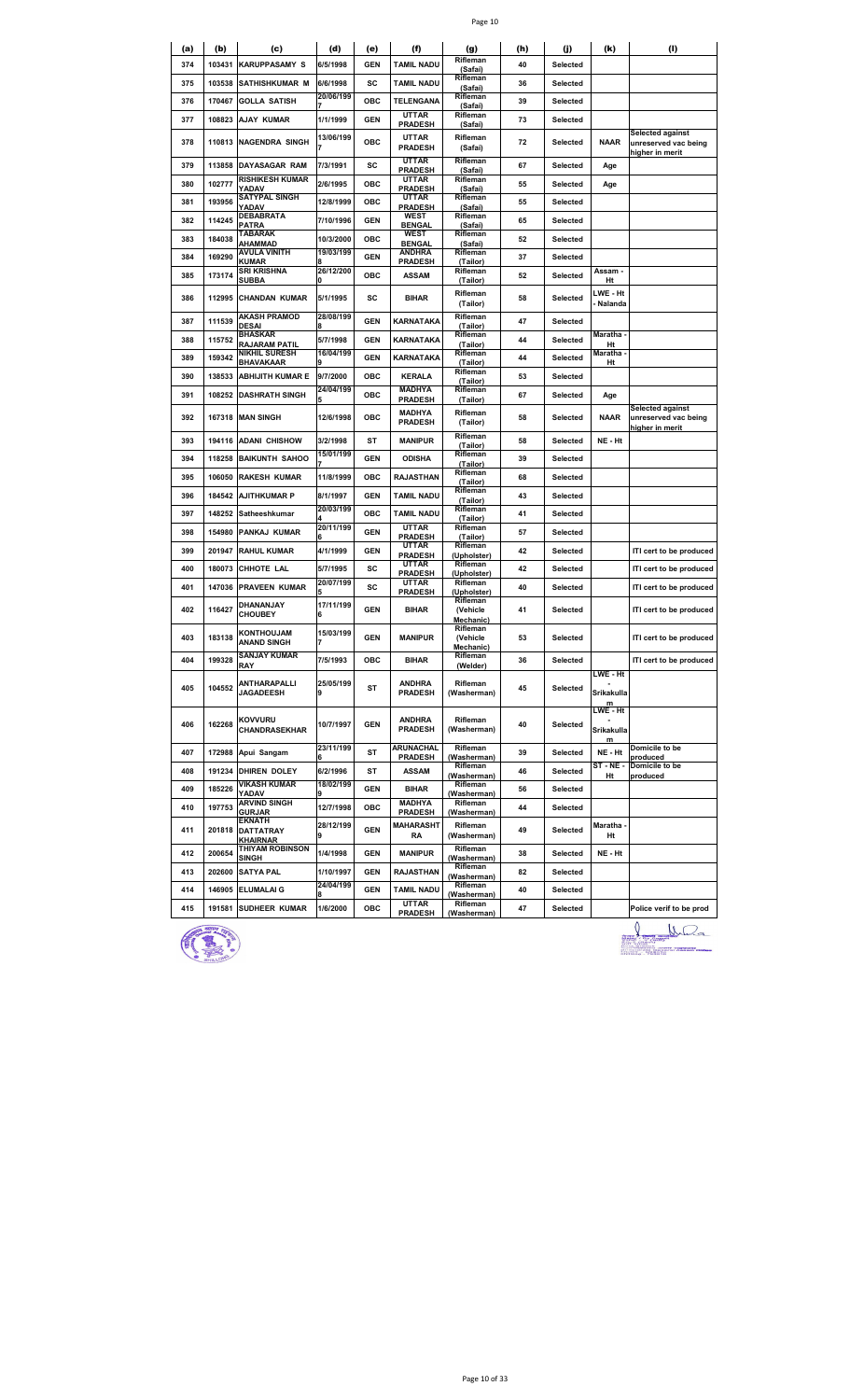|--|--|

| (a) | (b)    | (c)                                                  | (d)            | (e)        | (f)                             | (g)                               | (h) | (j)             | (k)                         | (1)                                                                |
|-----|--------|------------------------------------------------------|----------------|------------|---------------------------------|-----------------------------------|-----|-----------------|-----------------------------|--------------------------------------------------------------------|
| 374 | 103431 | <b>KARUPPASAMY S</b>                                 | 6/5/1998       | <b>GEN</b> | <b>TAMIL NADU</b>               | Rifleman<br>(Safai)               | 40  | Selected        |                             |                                                                    |
| 375 | 103538 | <b>SATHISHKUMAR M</b>                                | 6/6/1998       | sc         | <b>TAMIL NADU</b>               | Rifleman<br>(Safai)               | 36  | Selected        |                             |                                                                    |
| 376 | 170467 | <b>GOLLA SATISH</b>                                  | 20/06/199      | ОВС        | TELENGANA                       | Rifleman<br>(Safai)               | 39  | Selected        |                             |                                                                    |
| 377 | 108823 | <b>AJAY KUMAR</b>                                    | 1/1/1999       | GEN        | <b>UTTAR</b><br><b>PRADESH</b>  | Rifleman<br>(Safai)               | 73  | <b>Selected</b> |                             |                                                                    |
| 378 | 110813 | <b>NAGENDRA SINGH</b>                                | 13/06/199      | <b>OBC</b> | <b>UTTAR</b><br><b>PRADESH</b>  | Rifleman<br>(Safai)               | 72  | Selected        | <b>NAAR</b>                 | <b>Selected against</b><br>unreserved vac being<br>higher in merit |
| 379 | 113858 | DAYASAGAR RAM                                        | 7/3/1991       | sc         | <b>UTTAR</b><br><b>PRADESH</b>  | Rifleman<br>(Safai)               | 67  | Selected        | Age                         |                                                                    |
| 380 | 102777 | RISHIKESH KUMAR<br>YADAV                             | 2/6/1995       | ОВС        | <b>UTTAR</b><br><b>PRADESH</b>  | Rifleman<br>(Safai)               | 55  | Selected        | Age                         |                                                                    |
| 381 | 193956 | <b>SATYPAL SINGH</b><br>YADAV                        | 12/8/1999      | ОВС        | <b>UTTAR</b><br><b>PRADESH</b>  | Rifleman<br>(Safai)               | 55  | Selected        |                             |                                                                    |
| 382 | 114245 | DEBABRATA<br>PATRA                                   | 7/10/1996      | GEN        | WEST<br><b>BENGAL</b>           | Rifleman<br>(Safai)               | 65  | Selected        |                             |                                                                    |
| 383 | 184038 | TABARAK<br><b>AHAMMAD</b>                            | 10/3/2000      | ОВС        | <b>WEST</b><br><b>BENGAL</b>    | Rifleman<br>(Safai)               | 52  | Selected        |                             |                                                                    |
| 384 | 169290 | <b>AVULA VINITH</b><br><b>KUMAR</b>                  | 19/03/199      | <b>GEN</b> | ANDHRA<br><b>PRADESH</b>        | Rifleman<br>(Tailor)              | 37  | Selected        |                             |                                                                    |
| 385 | 173174 | SRI KRISHNA<br><b>SUBBA</b>                          | 26/12/200<br>0 | OBC        | <b>ASSAM</b>                    | Rifleman<br>(Tailor)              | 52  | Selected        | Assam -<br>Ht               |                                                                    |
| 386 | 112995 | <b>CHANDAN KUMAR</b>                                 | 5/1/1995       | SC         | <b>BIHAR</b>                    | Rifleman<br>(Tailor)              | 58  | Selected        | LWE - Ht<br>Nalanda         |                                                                    |
| 387 | 111539 | AKASH PRAMOD<br><b>DESAI</b>                         | 28/08/199<br>8 | <b>GEN</b> | <b>KARNATAKA</b>                | Rifleman<br>(Tailor)              | 47  | Selected        |                             |                                                                    |
| 388 | 115752 | <b>BHASKAR</b><br>RAJARAM PATIL                      | 5/7/1998       | <b>GEN</b> | <b>KARNATAKA</b>                | Rifleman<br>(Tailor)              | 44  | Selected        | Maratha<br>Ht               |                                                                    |
| 389 | 159342 | NIKHIL SURESH<br>BHAVAKAAR                           | 16/04/199      | <b>GEN</b> | KARNATAKA                       | Rifleman<br>(Tailor)              | 44  | Selected        | Maratha<br>Ht               |                                                                    |
| 390 | 138533 | <b>ABHIJITH KUMAR E</b>                              | 9/7/2000       | ОВС        | <b>KERALA</b>                   | Rifleman<br>(Tailor)              | 53  | Selected        |                             |                                                                    |
| 391 | 108252 | <b>DASHRATH SINGH</b>                                | 24/04/199      | ОВС        | <b>MADHYA</b><br><b>PRADESH</b> | Rifleman<br>(Tailor)              | 67  | Selected        | Age                         |                                                                    |
| 392 | 167318 | <b>MAN SINGH</b>                                     | 12/6/1998      | ОВС        | <b>MADHYA</b><br><b>PRADESH</b> | Rifleman<br>(Tailor)              | 58  | Selected        | <b>NAAR</b>                 | <b>Selected against</b><br>unreserved vac being<br>higher in merit |
| 393 | 194116 | <b>ADANI CHISHOW</b>                                 | 3/2/1998       | ST         | <b>MANIPUR</b>                  | Rifleman<br>(Tailor)              | 58  | Selected        | NE - Ht                     |                                                                    |
| 394 | 118258 | <b>BAIKUNTH SAHOO</b>                                | 15/01/199      | <b>GEN</b> | <b>ODISHA</b>                   | Rifleman<br>(Tailor)              | 39  | Selected        |                             |                                                                    |
| 395 | 106050 | <b>RAKESH KUMAR</b>                                  | 11/8/1999      | ОВС        | RAJASTHAN                       | Rifleman<br>(Tailor)              | 68  | Selected        |                             |                                                                    |
| 396 | 184542 | <b>AJITHKUMAR P</b>                                  | 8/1/1997       | GEN        | TAMIL NADU                      | Rifleman<br>(Tailor)              | 43  | Selected        |                             |                                                                    |
| 397 | 148252 | Satheeshkumar                                        | 20/03/199      | ОВС        | <b>TAMIL NADU</b>               | Rifleman<br>(Tailor)              | 41  | Selected        |                             |                                                                    |
| 398 | 154980 | PANKAJ KUMAR                                         | 20/11/199      | <b>GEN</b> | <b>UTTAR</b><br><b>PRADESH</b>  | Rifleman<br>(Tailor)              | 57  | Selected        |                             |                                                                    |
| 399 | 201947 | <b>RAHUL KUMAR</b>                                   | 4/1/1999       | GEN        | <b>UTTAR</b><br><b>PRADESH</b>  | Rifleman<br>(Upholster)           | 42  | Selected        |                             | ITI cert to be produced                                            |
| 400 | 180073 | CHHOTE LAL                                           | 5/7/1995       | sc         | <b>UTTAR</b><br><b>PRADESH</b>  | Rifleman<br>(Upholster)           | 42  | Selected        |                             | ITI cert to be produced                                            |
| 401 | 147036 | <b>PRAVEEN KUMAR</b>                                 | 20/07/199      | sc         | UTTAR<br><b>PRADESH</b>         | Rifleman<br>(Upholster)           | 40  | Selected        |                             | ITI cert to be produced                                            |
| 402 | 116427 | DHANANJAY<br><b>CHOUBEY</b>                          | 17/11/199<br>6 | <b>GEN</b> | <b>BIHAR</b>                    | Rifleman<br>(Vehicle<br>Mechanic) | 41  | Selected        |                             | ITI cert to be produced                                            |
| 403 | 183138 | KONTHOUJAM<br><b>ANAND SINGH</b>                     | 15/03/199      | <b>GEN</b> | <b>MANIPUR</b>                  | Rifleman<br>(Vehicle<br>Mechanic) | 53  | Selected        |                             | ITI cert to be produced                                            |
| 404 | 199328 | <b>SANJAY KUMAR</b><br><b>RAY</b>                    | 7/5/1993       | ОВС        | <b>BIHAR</b>                    | Rifleman<br>(Welder)              | 36  | Selected        |                             | ITI cert to be produced                                            |
| 405 | 104552 | ANTHARAPALLI<br><b>JAGADEESH</b>                     | 25/05/199<br>9 | ST         | <b>ANDHRA</b><br><b>PRADESH</b> | Rifleman<br>(Washerman)           | 45  | Selected        | LWE - Ht<br>Srikakulla<br>m |                                                                    |
| 406 | 162268 | <b>KOVVURU</b><br>CHANDRASEKHAR                      | 10/7/1997      | GEN        | ANDHRA<br><b>PRADESH</b>        | Rifleman<br>(Washerman)           | 40  | Selected        | LWE - Ht<br>Srikakulla<br>m |                                                                    |
| 407 | 172988 | Apui Sangam                                          | 23/11/199      | ST         | ARUNACHAL<br><b>PRADESH</b>     | Rifleman<br>(Washerman)           | 39  | Selected        | NE - Ht                     | Domicile to be<br>produced                                         |
| 408 | 191234 | DHIREN DOLEY                                         | 6/2/1996       | ST         | <b>ASSAM</b>                    | Rifleman<br>(Washerman)           | 46  | Selected        | ST-NE-<br>Ht                | Domicile to be<br>produced                                         |
| 409 | 185226 | VIKASH KUMAR<br>YADAV                                | 18/02/199      | GEN        | <b>BIHAR</b>                    | Rifleman<br>(Washerman)           | 56  | Selected        |                             |                                                                    |
| 410 | 197753 | <b>ARVIND SINGH</b><br>GURJAR                        | 12/7/1998      | OBC        | <b>MADHYA</b><br><b>PRADESH</b> | Rifleman<br>(Washerman)           | 44  | Selected        |                             |                                                                    |
| 411 | 201818 | <b>EKNATH</b><br><b>DATTATRAY</b><br><b>KHAIRNAR</b> | 28/12/199<br>9 | GEN        | MAHARASHT<br>RA                 | Rifleman<br>(Washerman)           | 49  | Selected        | <b>Maratha</b><br>Ht        |                                                                    |
| 412 | 200654 | <b>THIYAM ROBINSON</b><br>SINGH                      | 1/4/1998       | GEN        | <b>MANIPUR</b>                  | Rifleman<br>(Washerman)           | 38  | Selected        | NE - Ht                     |                                                                    |
| 413 | 202600 | <b>SATYA PAL</b>                                     | 1/10/1997      | <b>GEN</b> | RAJASTHAN                       | Rifleman<br>(Washerman)           | 82  | Selected        |                             |                                                                    |
| 414 | 146905 | <b>ELUMALAI G</b>                                    | 24/04/199      | <b>GEN</b> | <b>TAMIL NADU</b>               | Rifleman<br>(Washerman)           | 40  | Selected        |                             |                                                                    |
| 415 | 191581 | <b>SUDHEER KUMAR</b>                                 | 1/6/2000       | OBC        | <b>UTTAR</b><br><b>PRADESH</b>  | Rifleman<br>(Washerman)           | 47  | Selected        |                             | Police verif to be prod                                            |
|     |        |                                                      |                |            |                                 |                                   |     |                 |                             |                                                                    |

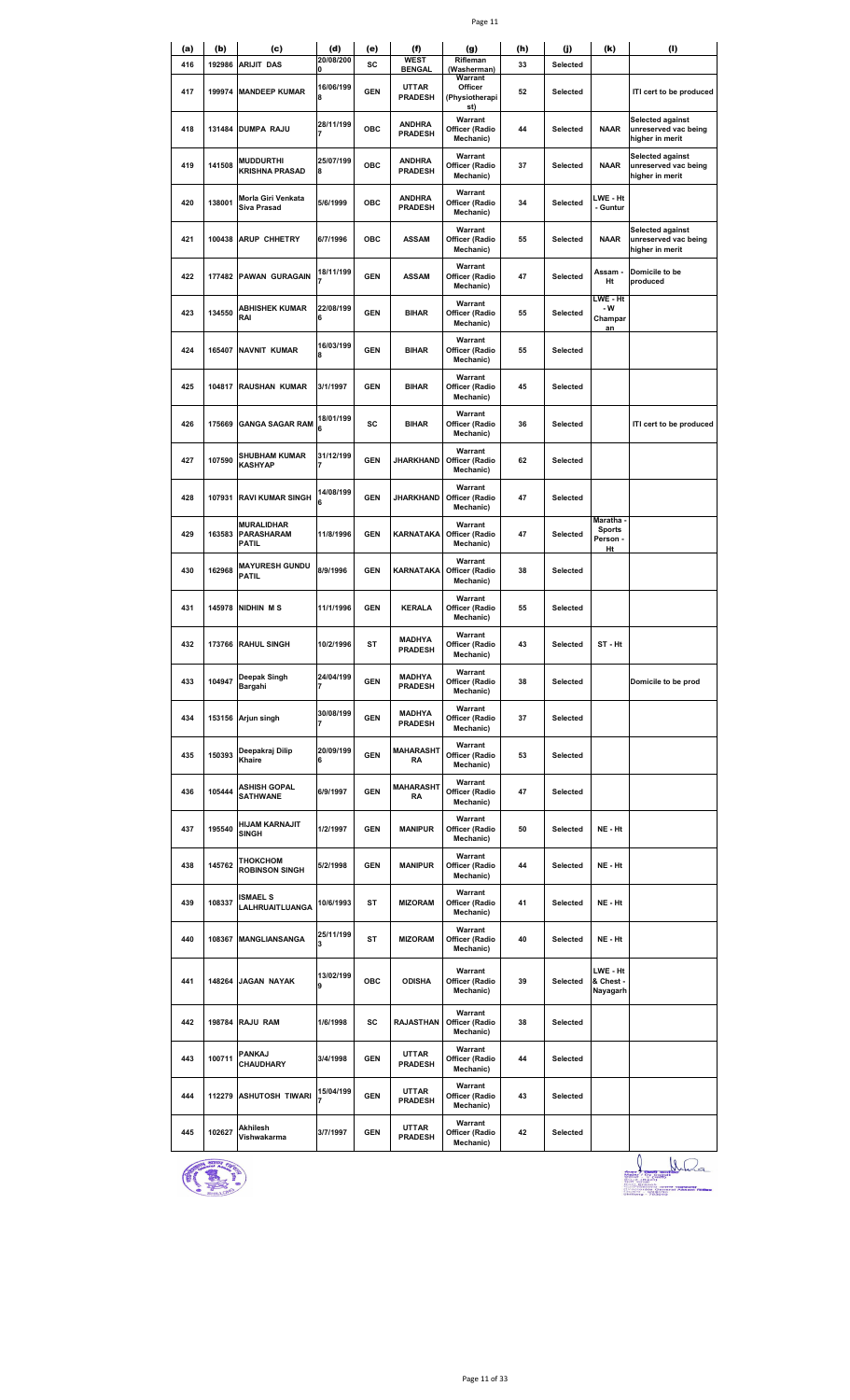|--|--|

| (a) | (b)    | (c)                                       | (d)            | (e)        | (f)                             | (g)                                              | (h) | (j)             | (k)                                                     | (1)                                                         |
|-----|--------|-------------------------------------------|----------------|------------|---------------------------------|--------------------------------------------------|-----|-----------------|---------------------------------------------------------|-------------------------------------------------------------|
| 416 | 192986 | <b>ARIJIT DAS</b>                         | 20/08/200<br>0 | SC         | <b>WEST</b><br><b>BENGAL</b>    | Rifleman<br>(Washerman)                          | 33  | Selected        |                                                         |                                                             |
| 417 | 199974 | <b>MANDEEP KUMAR</b>                      | 16/06/199<br>8 | <b>GEN</b> | <b>UTTAR</b><br><b>PRADESH</b>  | Warrant<br>Officer<br>(Physiotherapi<br>st)      | 52  | Selected        |                                                         | ITI cert to be produced                                     |
| 418 | 131484 | <b>DUMPA RAJU</b>                         | 28/11/199      | <b>OBC</b> | <b>ANDHRA</b><br><b>PRADESH</b> | Warrant<br>Officer (Radio<br>Mechanic)           | 44  | <b>Selected</b> | <b>NAAR</b>                                             | Selected against<br>unreserved vac being<br>higher in merit |
| 419 | 141508 | <b>MUDDURTHI</b><br><b>KRISHNA PRASAD</b> | 25/07/199<br>8 | ОВС        | <b>ANDHRA</b><br><b>PRADESH</b> | Warrant<br>Officer (Radio<br>Mechanic)           | 37  | Selected        | <b>NAAR</b>                                             | Selected against<br>unreserved vac being<br>higher in merit |
| 420 | 138001 | Morla Giri Venkata<br>Siva Prasad         | 5/6/1999       | ОВС        | <b>ANDHRA</b><br><b>PRADESH</b> | Warrant<br>Officer (Radio<br>Mechanic)           | 34  | Selected        | LWE - Ht<br>- Guntur                                    |                                                             |
| 421 | 100438 | <b>ARUP CHHETRY</b>                       | 6/7/1996       | <b>OBC</b> | <b>ASSAM</b>                    | Warrant<br>Officer (Radio<br>Mechanic)           | 55  | Selected        | <b>NAAR</b>                                             | Selected against<br>unreserved vac being<br>higher in merit |
| 422 | 177482 | <b>PAWAN GURAGAIN</b>                     | 18/11/199      | <b>GEN</b> | <b>ASSAM</b>                    | Warrant<br>Officer (Radio<br>Mechanic)           | 47  | Selected        | Assam -<br>Ht                                           | Domicile to be<br>produced                                  |
| 423 | 134550 | <b>ABHISHEK KUMAR</b><br>RAI              | 22/08/199<br>6 | <b>GEN</b> | <b>BIHAR</b>                    | Warrant<br>Officer (Radio<br>Mechanic)           | 55  | <b>Selected</b> | LWE - Ht<br>- W<br>Champar<br>an                        |                                                             |
| 424 | 165407 | <b>NAVNIT KUMAR</b>                       | 16/03/199<br>8 | <b>GEN</b> | <b>BIHAR</b>                    | Warrant<br>Officer (Radio<br>Mechanic)           | 55  | Selected        |                                                         |                                                             |
| 425 | 104817 | <b>RAUSHAN KUMAR</b>                      | 3/1/1997       | <b>GEN</b> | <b>BIHAR</b>                    | Warrant<br>Officer (Radio<br>Mechanic)           | 45  | Selected        |                                                         |                                                             |
| 426 | 175669 | <b>GANGA SAGAR RAM</b>                    | 18/01/199<br>6 | SC         | <b>BIHAR</b>                    | Warrant<br>Officer (Radio<br>Mechanic)           | 36  | Selected        |                                                         | ITI cert to be produced                                     |
| 427 | 107590 | <b>SHUBHAM KUMAR</b><br><b>KASHYAP</b>    | 31/12/199      | <b>GEN</b> | JHARKHAND                       | Warrant<br>Officer (Radio<br>Mechanic)           | 62  | <b>Selected</b> |                                                         |                                                             |
| 428 | 107931 | <b>RAVI KUMAR SINGH</b>                   | 14/08/199<br>6 | <b>GEN</b> | <b>JHARKHAND</b>                | Warrant<br>Officer (Radio<br>Mechanic)           | 47  | <b>Selected</b> |                                                         |                                                             |
| 429 | 163583 | <b>MURALIDHAR</b><br>PARASHARAM<br>PATIL  | 11/8/1996      | <b>GEN</b> | KARNATAKA                       | Warrant<br>Officer (Radio<br>Mechanic)           | 47  | Selected        | Maratha <sub>'</sub><br><b>Sports</b><br>Person -<br>Ht |                                                             |
| 430 | 162968 | <b>MAYURESH GUNDU</b><br>PATIL            | 8/9/1996       | <b>GEN</b> |                                 | Warrant<br>KARNATAKA Officer (Radio<br>Mechanic) | 38  | Selected        |                                                         |                                                             |
| 431 | 145978 | NIDHIN MS                                 | 11/1/1996      | <b>GEN</b> | <b>KERALA</b>                   | Warrant<br>Officer (Radio<br>Mechanic)           | 55  | <b>Selected</b> |                                                         |                                                             |
| 432 |        | 173766 RAHUL SINGH                        | 10/2/1996      | ST         | <b>MADHYA</b><br><b>PRADESH</b> | Warrant<br>Officer (Radio<br>Mechanic)           | 43  | Selected        | ST - Ht                                                 |                                                             |
| 433 | 104947 | Deepak Singh<br>Bargahi                   | 24/04/199      | <b>GEN</b> | <b>MADHYA</b><br><b>PRADESH</b> | Warrant<br>Officer (Radio<br>Mechanic)           | 38  | Selected        |                                                         | Domicile to be prod                                         |
| 434 | 153156 | Arjun singh                               | 30/08/199      | <b>GEN</b> | <b>MADHYA</b><br><b>PRADESH</b> | Warrant<br>Officer (Radio<br>Mechanic)           | 37  | Selected        |                                                         |                                                             |
| 435 | 150393 | Deepakraj Dilip<br>Khaire                 | 20/09/199<br>6 | <b>GEN</b> | <b>MAHARASHT</b><br><b>RA</b>   | Warrant<br>Officer (Radio<br>Mechanic)           | 53  | Selected        |                                                         |                                                             |
| 436 | 105444 | <b>ASHISH GOPAL</b><br><b>SATHWANE</b>    | 6/9/1997       | <b>GEN</b> | <b>MAHARASHT</b><br>RA          | Warrant<br>Officer (Radio<br>Mechanic)           | 47  | Selected        |                                                         |                                                             |
| 437 | 195540 | <b>HIJAM KARNAJIT</b><br>SINGH            | 1/2/1997       | <b>GEN</b> | <b>MANIPUR</b>                  | Warrant<br>Officer (Radio<br>Mechanic)           | 50  | Selected        | NE - Ht                                                 |                                                             |
| 438 | 145762 | тноксном<br><b>ROBINSON SINGH</b>         | 5/2/1998       | <b>GEN</b> | <b>MANIPUR</b>                  | Warrant<br>Officer (Radio<br>Mechanic)           | 44  | Selected        | NE - Ht                                                 |                                                             |
| 439 | 108337 | <b>ISMAEL S</b><br>LALHRUAITLUANGA        | 10/6/1993      | ST         | <b>MIZORAM</b>                  | Warrant<br>Officer (Radio<br>Mechanic)           | 41  | Selected        | NE - Ht                                                 |                                                             |
| 440 | 108367 | <b>MANGLIANSANGA</b>                      | 25/11/199<br>3 | ST         | <b>MIZORAM</b>                  | Warrant<br>Officer (Radio<br>Mechanic)           | 40  | <b>Selected</b> | NE - Ht                                                 |                                                             |
| 441 | 148264 | <b>JAGAN NAYAK</b>                        | 13/02/199<br>9 | <b>OBC</b> | <b>ODISHA</b>                   | Warrant<br>Officer (Radio<br>Mechanic)           | 39  | Selected        | LWE - Ht<br>& Chest -<br>Nayagarh                       |                                                             |
| 442 | 198784 | <b>RAJU RAM</b>                           | 1/6/1998       | SC         | <b>RAJASTHAN</b>                | Warrant<br>Officer (Radio<br>Mechanic)           | 38  | Selected        |                                                         |                                                             |
| 443 | 100711 | <b>PANKAJ</b><br>CHAUDHARY                | 3/4/1998       | <b>GEN</b> | <b>UTTAR</b><br><b>PRADESH</b>  | Warrant<br>Officer (Radio<br>Mechanic)           | 44  | Selected        |                                                         |                                                             |
| 444 | 112279 | <b>ASHUTOSH TIWARI</b>                    | 15/04/199      | <b>GEN</b> | <b>UTTAR</b><br><b>PRADESH</b>  | Warrant<br>Officer (Radio<br>Mechanic)           | 43  | Selected        |                                                         |                                                             |
| 445 | 102627 | Akhilesh<br>Vishwakarma                   | 3/7/1997       | <b>GEN</b> | <b>UTTAR</b><br><b>PRADESH</b>  | Warrant<br>Officer (Radio<br>Mechanic)           | 42  | <b>Selected</b> |                                                         |                                                             |



1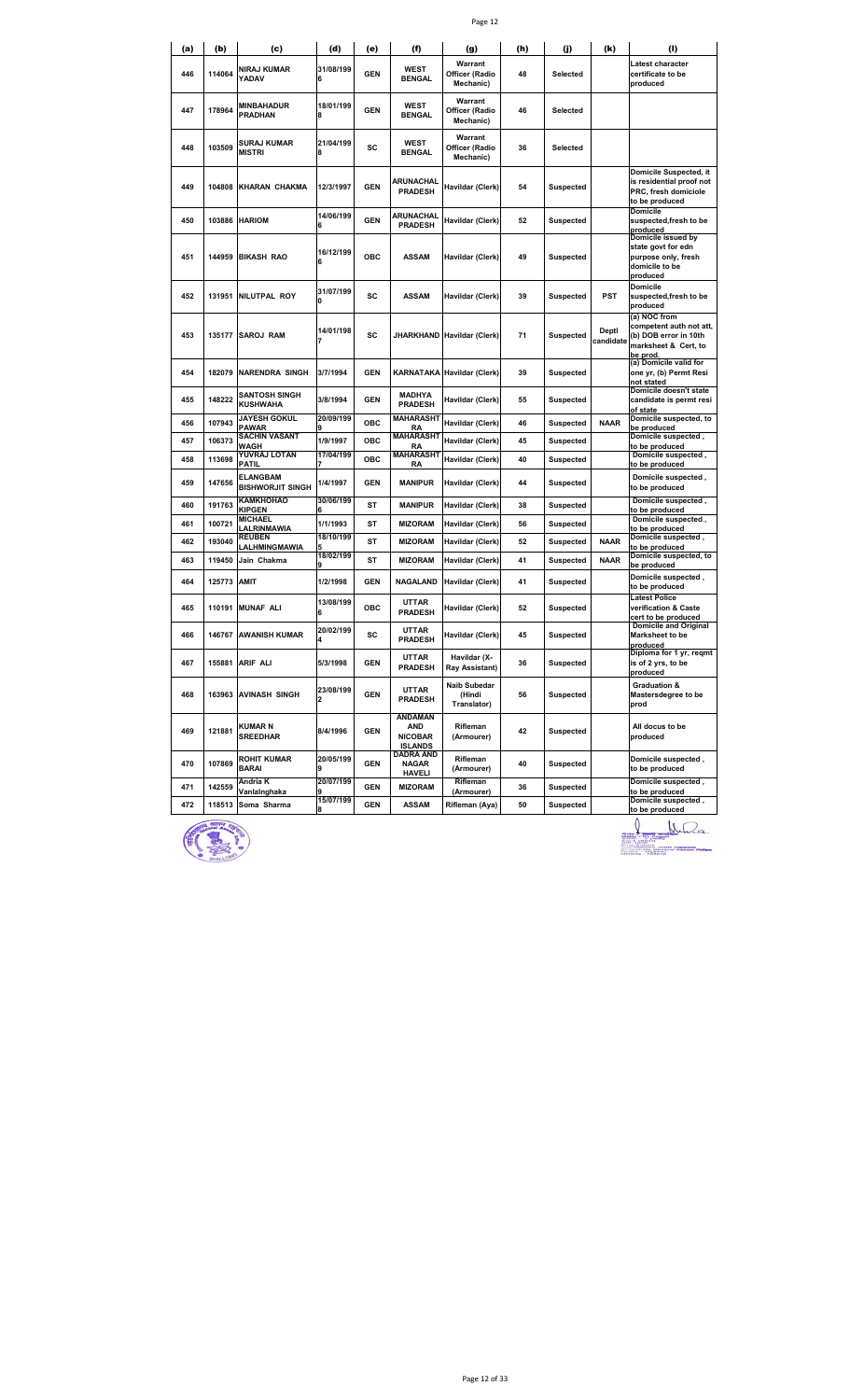|--|--|

| (a) | (b)    | (c)                                        | (d)                         | (e)        | (f)                                                       | (g)                                          | (h) | (j)              | (k)                | (I)                                                                                                  |
|-----|--------|--------------------------------------------|-----------------------------|------------|-----------------------------------------------------------|----------------------------------------------|-----|------------------|--------------------|------------------------------------------------------------------------------------------------------|
| 446 | 114064 | NIRAJ KUMAR<br>YADAV                       | 31/08/199<br>6              | <b>GEN</b> | <b>WEST</b><br><b>BENGAL</b>                              | Warrant<br>Officer (Radio<br>Mechanic)       | 48  | Selected         |                    | Latest character<br>certificate to be<br>produced                                                    |
| 447 | 178964 | MINBAHADUR<br><b>PRADHAN</b>               | 18/01/199<br>8              | <b>GEN</b> | WEST<br><b>BENGAL</b>                                     | Warrant<br>Officer (Radio<br>Mechanic)       | 46  | Selected         |                    |                                                                                                      |
| 448 | 103509 | SURAJ KUMAR<br><b>MISTRI</b>               | 21/04/199<br>8              | sc         | WEST<br><b>BENGAL</b>                                     | Warrant<br>Officer (Radio<br>Mechanic)       | 36  | Selected         |                    |                                                                                                      |
| 449 | 104808 | KHARAN CHAKMA                              | 12/3/1997                   | <b>GEN</b> | ARUNACHAL<br><b>PRADESH</b>                               | Havildar (Clerk)                             | 54  | Suspected        |                    | Domicile Suspected, it<br>is residential proof not<br>PRC, fresh domiciole<br>to be produced         |
| 450 | 103886 | <b>HARIOM</b>                              | 14/06/199<br>6              | <b>GEN</b> | ARUNACHAL<br><b>PRADESH</b>                               | Havildar (Clerk)                             | 52  | Suspected        |                    | Domicile<br>suspected, fresh to be<br>produced                                                       |
| 451 | 144959 | <b>BIKASH RAO</b>                          | 16/12/199<br>6              | OBC        | <b>ASSAM</b>                                              | Havildar (Clerk)                             | 49  | Suspected        |                    | Domicile issued by<br>state govt for edn<br>purpose only, fresh<br>domicile to be<br>produced        |
| 452 | 131951 | NILUTPAL ROY                               | 31/07/199<br>0              | SC         | <b>ASSAM</b>                                              | Havildar (Clerk)                             | 39  | <b>Suspected</b> | PST                | Domicile<br>suspected, fresh to be<br>produced                                                       |
| 453 | 135177 | <b>SAROJ RAM</b>                           | 14/01/198                   | SC         |                                                           | JHARKHAND Havildar (Clerk)                   | 71  | <b>Suspected</b> | Deptl<br>candidate | (a) NOC from<br>competent auth not att,<br>(b) DOB error in 10th<br>marksheet & Cert, to<br>be prod. |
| 454 | 182079 | <b>NARENDRA SINGH</b>                      | 3/7/1994                    | <b>GEN</b> |                                                           | <b>KARNATAKA Havildar (Clerk)</b>            | 39  | <b>Suspected</b> |                    | (a) Domicile valid for<br>one yr, (b) Permt Resi<br>not stated                                       |
| 455 | 148222 | <b>SANTOSH SINGH</b><br><b>KUSHWAHA</b>    | 3/8/1994                    | <b>GEN</b> | <b>MADHYA</b><br><b>PRADESH</b>                           | Havildar (Clerk)                             | 55  | Suspected        |                    | Domicile doesn't state<br>candidate is permt resi<br>of state                                        |
| 456 | 107943 | <b>JAYESH GOKUL</b><br>PAWAR               | 20/09/199                   | ОВС        | <b>MAHARASHT</b><br>RA                                    | Havildar (Clerk)                             | 46  | <b>Suspected</b> | <b>NAAR</b>        | Domicile suspected, to<br>be produced                                                                |
| 457 | 106373 | SACHIN VASANT<br><b>WAGH</b>               | 1/9/1997                    | ОВС        | <b>MAHARASHT</b><br><b>RA</b>                             | Havildar (Clerk)                             | 45  | <b>Suspected</b> |                    | Domicile suspected,<br>to be produced                                                                |
| 458 | 113698 | YUVRAJ LOTAN<br>PATIL                      | 17/04/199                   | ОВС        | <b>MAHARASHT</b><br>RA                                    | Havildar (Clerk)                             | 40  | <b>Suspected</b> |                    | Domicile suspected,<br>to be produced                                                                |
| 459 | 147656 | <b>ELANGBAM</b><br><b>BISHWORJIT SINGH</b> | 1/4/1997                    | <b>GEN</b> | <b>MANIPUR</b>                                            | Havildar (Clerk)                             | 44  | Suspected        |                    | Domicile suspected,<br>to be produced                                                                |
| 460 | 191763 | KAMKHOHAO<br><b>KIPGEN</b>                 | 30/06/199                   | ST         | <b>MANIPUR</b>                                            | Havildar (Clerk)                             | 38  | Suspected        |                    | Domicile suspected,<br>to be produced                                                                |
| 461 | 100721 | <b>MICHAEL</b><br>LALRINMAWIA              | 1/1/1993                    | ST         | <b>MIZORAM</b>                                            | Havildar (Clerk)                             | 56  | Suspected        |                    | Domicile suspected,<br>to be produced                                                                |
| 462 | 193040 | <b>REUBEN</b><br>LALHMINGMAWIA             | 18/10/199                   | <b>ST</b>  | <b>MIZORAM</b>                                            | Havildar (Clerk)                             | 52  | <b>Suspected</b> | <b>NAAR</b>        | Domicile suspected,<br>to be produced                                                                |
| 463 | 119450 | Jain Chakma                                | 18/02/199                   | ST         | <b>MIZORAM</b>                                            | Havildar (Clerk)                             | 41  | <b>Suspected</b> | <b>NAAR</b>        | Domicile suspected, to<br>be produced                                                                |
| 464 | 125773 | <b>AMIT</b>                                | 1/2/1998                    | <b>GEN</b> | <b>NAGALAND</b>                                           | Havildar (Clerk)                             | 41  | Suspected        |                    | Domicile suspected ,<br>to be produced                                                               |
| 465 | 110191 | <b>MUNAF ALI</b>                           | 13/08/199<br>6              | ОВС        | UTTAR<br><b>PRADESH</b>                                   | Havildar (Clerk)                             | 52  | Suspected        |                    | <b>Latest Police</b><br>verification & Caste<br>cert to be produced                                  |
| 466 | 146767 | <b>AWANISH KUMAR</b>                       | 20/02/199                   | sc         | <b>UTTAR</b><br><b>PRADESH</b>                            | Havildar (Clerk)                             | 45  | Suspected        |                    | <b>Domicile and Original</b><br>Marksheet to be<br>produced                                          |
| 467 |        | 155881 ARIF ALI                            | 5/3/1998                    | <b>GEN</b> | <b>UTTAR</b><br><b>PRADESH</b>                            | Havildar (X-<br>Ray Assistant)               | 36  | <b>Suspected</b> |                    | Diploma for 1 yr, regmt<br>is of 2 yrs, to be<br>produced                                            |
| 468 | 163963 | <b>AVINASH SINGH</b>                       | 23/08/199<br>$\overline{2}$ | <b>GEN</b> | <b>UTTAR</b><br><b>PRADESH</b>                            | <b>Naib Subedar</b><br>(Hindi<br>Translator) | 56  | <b>Suspected</b> |                    | Graduation &<br>Mastersdegree to be<br>prod                                                          |
| 469 | 121881 | KUMAR N<br><b>SREEDHAR</b>                 | 8/4/1996                    | <b>GEN</b> | <b>ANDAMAN</b><br>AND<br><b>NICOBAR</b><br><b>ISLANDS</b> | Rifleman<br>(Armourer)                       | 42  | <b>Suspected</b> |                    | All docus to be<br>produced                                                                          |
| 470 | 107869 | <b>ROHIT KUMAR</b><br>BARAI                | 20/05/199<br>9              | <b>GEN</b> | <b>DADRA AND</b><br><b>NAGAR</b><br><b>HAVELI</b>         | Rifleman<br>(Armourer)                       | 40  | <b>Suspected</b> |                    | Domicile suspected,<br>to be produced                                                                |
| 471 | 142559 | Andria K<br>VanlaInghaka                   | 20/07/199                   | <b>GEN</b> | <b>MIZORAM</b>                                            | Rifleman<br>(Armourer)                       | 36  | <b>Suspected</b> |                    | Domicile suspected,<br>to be produced                                                                |
| 472 | 118513 | Soma Sharma                                | 15/07/199                   | <b>GEN</b> | <b>ASSAM</b>                                              | Rifleman (Aya)                               | 50  | <b>Suspected</b> |                    | Domicile suspected,<br>to be produced                                                                |



**to be produced**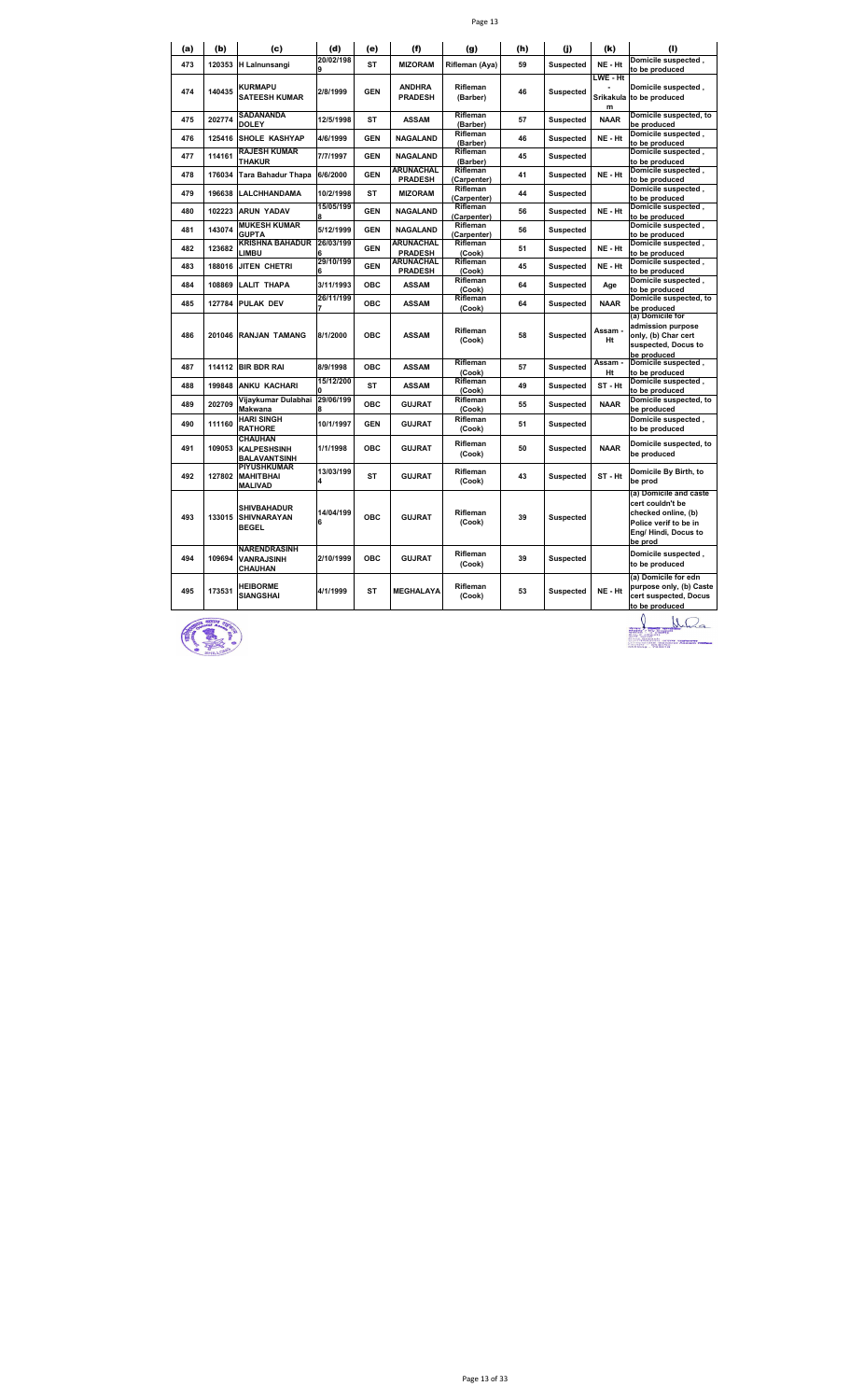|  | ۰, |
|--|----|
|--|----|

| (a) | (b)    | (c)                                                        | (d)            | (e)        | (f)                                | (g)                     | (h) | (i)              | (k)                        | (1)                                                                                                                           |
|-----|--------|------------------------------------------------------------|----------------|------------|------------------------------------|-------------------------|-----|------------------|----------------------------|-------------------------------------------------------------------------------------------------------------------------------|
| 473 | 120353 | <b>H</b> Lalnunsangi                                       | 20/02/198      | <b>ST</b>  | <b>MIZORAM</b>                     | Rifleman (Aya)          | 59  | <b>Suspected</b> | NE - Ht                    | Domicile suspected,<br>to be produced                                                                                         |
| 474 | 140435 | <b>KURMAPU</b><br><b>SATEESH KUMAR</b>                     | 2/8/1999       | <b>GEN</b> | <b>ANDHRA</b><br><b>PRADESH</b>    | Rifleman<br>(Barber)    | 46  | <b>Suspected</b> | LWE - Ht<br>Srikakula<br>m | Domicile suspected,<br>to be produced                                                                                         |
| 475 | 202774 | <b>SADANANDA</b><br><b>DOLEY</b>                           | 12/5/1998      | <b>ST</b>  | <b>ASSAM</b>                       | Rifleman<br>(Barber)    | 57  | <b>Suspected</b> | <b>NAAR</b>                | Domicile suspected, to<br>be produced                                                                                         |
| 476 | 125416 | <b>SHOLE KASHYAP</b>                                       | 4/6/1999       | <b>GEN</b> | <b>NAGALAND</b>                    | Rifleman<br>(Barber)    | 46  | <b>Suspected</b> | NE - Ht                    | Domicile suspected,<br>to be produced                                                                                         |
| 477 | 114161 | <b>RAJESH KUMAR</b><br><b>THAKUR</b>                       | 7/7/1997       | <b>GEN</b> | <b>NAGALAND</b>                    | Rifleman<br>(Barber)    | 45  | <b>Suspected</b> |                            | Domicile suspected,<br>to be produced                                                                                         |
| 478 | 176034 | Tara Bahadur Thapa                                         | 6/6/2000       | <b>GEN</b> | <b>ARUNACHAL</b><br><b>PRADESH</b> | Rifleman<br>(Carpenter) | 41  | <b>Suspected</b> | NE - Ht                    | Domicile suspected,<br>to be produced                                                                                         |
| 479 | 196638 | <b>LALCHHANDAMA</b>                                        | 10/2/1998      | <b>ST</b>  | <b>MIZORAM</b>                     | Rifleman<br>(Carpenter) | 44  | <b>Suspected</b> |                            | Domicile suspected,<br>to be produced                                                                                         |
| 480 | 102223 | <b>ARUN YADAV</b>                                          | 15/05/199      | <b>GEN</b> | <b>NAGALAND</b>                    | Rifleman<br>(Carpenter) | 56  | <b>Suspected</b> | NE - Ht                    | Domicile suspected,<br>to be produced                                                                                         |
| 481 | 143074 | <b>MUKESH KUMAR</b><br><b>GUPTA</b>                        | 5/12/1999      | <b>GEN</b> | NAGALAND                           | Rifleman<br>(Carpenter) | 56  | <b>Suspected</b> |                            | Domicile suspected,<br>to be produced                                                                                         |
| 482 | 123682 | <b>KRISHNA BAHADUR</b><br>LIMBU                            | 26/03/199      | <b>GEN</b> | <b>ARUNACHAL</b><br><b>PRADESH</b> | Rifleman<br>(Cook)      | 51  | <b>Suspected</b> | NE - Ht                    | Domicile suspected,<br>to be produced                                                                                         |
| 483 | 188016 | JITEN CHETRI                                               | 29/10/199      | <b>GEN</b> | <b>ARUNACHAL</b><br><b>PRADESH</b> | Rifleman<br>(Cook)      | 45  | <b>Suspected</b> | NE - Ht                    | Domicile suspected,<br>to be produced                                                                                         |
| 484 | 108869 | <b>LALIT THAPA</b>                                         | 3/11/1993      | <b>OBC</b> | <b>ASSAM</b>                       | Rifleman<br>(Cook)      | 64  | <b>Suspected</b> | Age                        | Domicile suspected,<br>to be produced                                                                                         |
| 485 | 127784 | <b>PULAK DEV</b>                                           | 26/11/199      | <b>OBC</b> | <b>ASSAM</b>                       | Rifleman<br>(Cook)      | 64  | <b>Suspected</b> | <b>NAAR</b>                | Domicile suspected, to<br>be produced                                                                                         |
| 486 | 201046 | <b>RANJAN TAMANG</b>                                       | 8/1/2000       | <b>OBC</b> | <b>ASSAM</b>                       | Rifleman<br>(Cook)      | 58  | <b>Suspected</b> | Assam -<br>Ht              | (a) Domicile for<br>admission purpose<br>only, (b) Char cert<br>suspected, Docus to                                           |
| 487 | 114112 | <b>BIR BDR RAI</b>                                         | 8/9/1998       | ОВС        | <b>ASSAM</b>                       | Rifleman<br>(Cook)      | 57  | <b>Suspected</b> | Assam -<br>Ht              | be produced<br>Domicile suspected,<br>to be produced                                                                          |
| 488 | 199848 | ANKU KACHARI                                               | 15/12/200      | <b>ST</b>  | <b>ASSAM</b>                       | Rifleman<br>(Cook)      | 49  | <b>Suspected</b> | ST-Ht                      | Domicile suspected ,<br>to be produced                                                                                        |
| 489 | 202709 | Vijaykumar Dulabhai<br>Makwana                             | 29/06/199      | <b>OBC</b> | <b>GUJRAT</b>                      | Rifleman<br>(Cook)      | 55  | <b>Suspected</b> | <b>NAAR</b>                | Domicile suspected, to<br>be produced                                                                                         |
| 490 | 111160 | <b>HARI SINGH</b><br><b>RATHORE</b>                        | 10/1/1997      | <b>GEN</b> | <b>GUJRAT</b>                      | Rifleman<br>(Cook)      | 51  | <b>Suspected</b> |                            | Domicile suspected,<br>to be produced                                                                                         |
| 491 | 109053 | <b>CHAUHAN</b><br><b>KALPESHSINH</b><br>BALAVANTSINH       | 1/1/1998       | <b>OBC</b> | <b>GUJRAT</b>                      | Rifleman<br>(Cook)      | 50  | <b>Suspected</b> | <b>NAAR</b>                | Domicile suspected, to<br>be produced                                                                                         |
| 492 | 127802 | <b>PIYUSHKUMAR</b><br><b>MAHITBHAI</b><br><b>MALIVAD</b>   | 13/03/199<br>4 | <b>ST</b>  | <b>GUJRAT</b>                      | Rifleman<br>(Cook)      | 43  | <b>Suspected</b> | ST-Ht                      | Domicile By Birth, to<br>be prod                                                                                              |
| 493 | 133015 | <b>SHIVBAHADUR</b><br><b>SHIVNARAYAN</b><br><b>BEGEL</b>   | 14/04/199<br>6 | <b>OBC</b> | <b>GUJRAT</b>                      | Rifleman<br>(Cook)      | 39  | <b>Suspected</b> |                            | (a) Domicile and caste<br>cert couldn't be<br>checked online, (b)<br>Police verif to be in<br>Eng/ Hindi, Docus to<br>be prod |
| 494 | 109694 | <b>NARENDRASINH</b><br><b>VANRAJSINH</b><br><b>CHAUHAN</b> | 2/10/1999      | <b>OBC</b> | <b>GUJRAT</b>                      | Rifleman<br>(Cook)      | 39  | <b>Suspected</b> |                            | Domicile suspected,<br>to be produced                                                                                         |
| 495 | 173531 | <b>HEIBORME</b><br><b>SIANGSHAI</b>                        | 4/1/1999       | <b>ST</b>  | MEGHALAYA                          | Rifleman<br>(Cook)      | 53  | Suspected        | NE - Ht                    | (a) Domicile for edn<br>purpose only, (b) Caste<br>cert suspected, Docus<br>to be produced                                    |



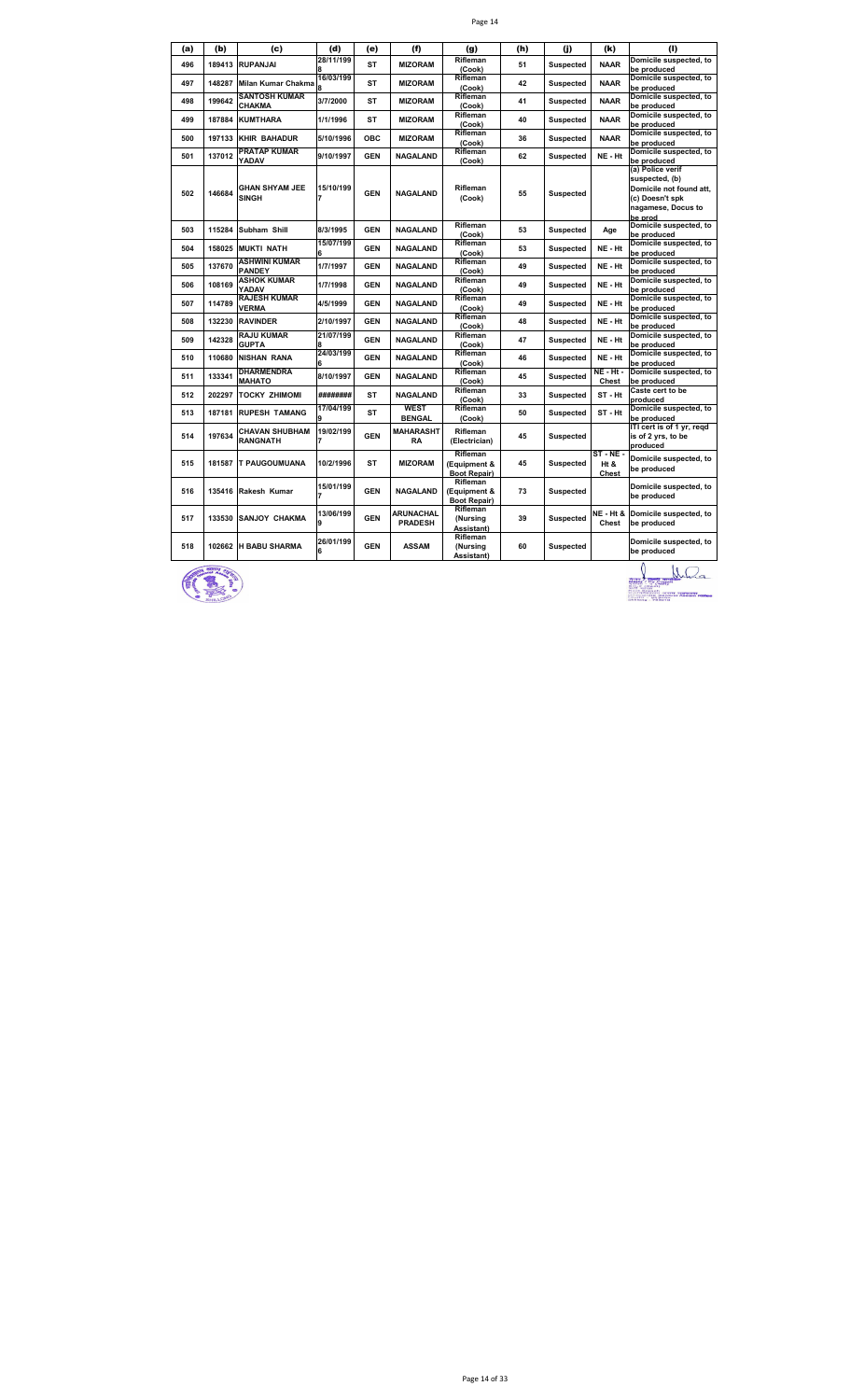|--|--|

| (a) | (b)    | (c)                                      | (d)            | (e)        | (f)                                | (g)                                             | (h) | (i)              | (k)                           | (I)                                                                                                               |
|-----|--------|------------------------------------------|----------------|------------|------------------------------------|-------------------------------------------------|-----|------------------|-------------------------------|-------------------------------------------------------------------------------------------------------------------|
| 496 | 189413 | <b>RUPANJAI</b>                          | 28/11/199      | <b>ST</b>  | <b>MIZORAM</b>                     | Rifleman<br>(Cook)                              | 51  | <b>Suspected</b> | <b>NAAR</b>                   | Domicile suspected, to<br>be produced                                                                             |
| 497 | 148287 | Milan Kumar Chakma                       | 16/03/199      | <b>ST</b>  | <b>MIZORAM</b>                     | Rifleman<br>(Cook)                              | 42  | <b>Suspected</b> | <b>NAAR</b>                   | Domicile suspected, to<br>be produced                                                                             |
| 498 | 199642 | <b>SANTOSH KUMAR</b><br>CHAKMA           | 3/7/2000       | ST         | <b>MIZORAM</b>                     | Rifleman<br>(Cook)                              | 41  | <b>Suspected</b> | <b>NAAR</b>                   | Domicile suspected, to<br>be produced                                                                             |
| 499 | 187884 | <b>KUMTHARA</b>                          | 1/1/1996       | <b>ST</b>  | <b>MIZORAM</b>                     | Rifleman<br>(Cook)                              | 40  | <b>Suspected</b> | <b>NAAR</b>                   | Domicile suspected, to<br>be produced                                                                             |
| 500 | 197133 | <b>KHIR BAHADUR</b>                      | 5/10/1996      | <b>OBC</b> | <b>MIZORAM</b>                     | Rifleman<br>(Cook)                              | 36  | <b>Suspected</b> | <b>NAAR</b>                   | Domicile suspected, to<br>be produced                                                                             |
| 501 | 137012 | <b>PRATAP KUMAR</b><br>YADAV             | 9/10/1997      | <b>GEN</b> | <b>NAGALAND</b>                    | Rifleman<br>(Cook)                              | 62  | <b>Suspected</b> | NE - Ht                       | Domicile suspected, to<br>be produced                                                                             |
| 502 | 146684 | <b>GHAN SHYAM JEE</b><br><b>SINGH</b>    | 15/10/199      | <b>GEN</b> | <b>NAGALAND</b>                    | Rifleman<br>(Cook)                              | 55  | <b>Suspected</b> |                               | (a) Police verif<br>suspected, (b)<br>Domicile not found att,<br>(c) Doesn't spk<br>nagamese, Docus to<br>be prod |
| 503 | 115284 | Subham Shill                             | 8/3/1995       | <b>GEN</b> | <b>NAGALAND</b>                    | Rifleman<br>(Cook)                              | 53  | <b>Suspected</b> | Age                           | Domicile suspected, to<br>be produced                                                                             |
| 504 | 158025 | <b>MUKTI NATH</b>                        | 15/07/199      | <b>GEN</b> | <b>NAGALAND</b>                    | Rifleman<br>(Cook)                              | 53  | <b>Suspected</b> | NE - Ht                       | Domicile suspected, to<br>be produced                                                                             |
| 505 | 137670 | ASHWINI KUMAR<br><b>PANDEY</b>           | 1/7/1997       | <b>GEN</b> | <b>NAGALAND</b>                    | Rifleman<br>(Cook)                              | 49  | Suspected        | NE - Ht                       | Domicile suspected, to<br>be produced                                                                             |
| 506 | 108169 | <b>ASHOK KUMAR</b><br>YADAV              | 1/7/1998       | <b>GEN</b> | <b>NAGALAND</b>                    | Rifleman<br>(Cook)                              | 49  | <b>Suspected</b> | NE - Ht                       | Domicile suspected, to<br>be produced                                                                             |
| 507 | 114789 | <b>RAJESH KUMAR</b><br><b>VERMA</b>      | 4/5/1999       | <b>GEN</b> | <b>NAGALAND</b>                    | Rifleman<br>(Cook)                              | 49  | <b>Suspected</b> | NE - Ht                       | Domicile suspected, to<br>be produced                                                                             |
| 508 | 132230 | <b>RAVINDER</b>                          | 2/10/1997      | <b>GEN</b> | <b>NAGALAND</b>                    | Rifleman<br>(Cook)                              | 48  | <b>Suspected</b> | NE - Ht                       | Domicile suspected, to<br>be produced                                                                             |
| 509 | 142328 | <b>RAJU KUMAR</b><br><b>GUPTA</b>        | 21/07/199      | <b>GEN</b> | <b>NAGALAND</b>                    | Rifleman<br>(Cook)                              | 47  | <b>Suspected</b> | NE - Ht                       | Domicile suspected, to<br>be produced                                                                             |
| 510 | 110680 | <b>NISHAN RANA</b>                       | 24/03/199<br>6 | <b>GEN</b> | <b>NAGALAND</b>                    | Rifleman<br>(Cook)                              | 46  | <b>Suspected</b> | NE - Ht                       | Domicile suspected, to<br>be produced                                                                             |
| 511 | 133341 | DHARMENDRA<br>MAHATO                     | 8/10/1997      | <b>GEN</b> | <b>NAGALAND</b>                    | Rifleman<br>(Cook)                              | 45  | <b>Suspected</b> | <b>NE - Ht -</b><br>Chest     | Domicile suspected, to<br>be produced                                                                             |
| 512 | 202297 | <b>TOCKY ZHIMOMI</b>                     | ########       | <b>ST</b>  | <b>NAGALAND</b>                    | Rifleman<br>(Cook)                              | 33  | <b>Suspected</b> | ST-Ht                         | Caste cert to be<br>produced                                                                                      |
| 513 | 187181 | <b>RUPESH TAMANG</b>                     | 17/04/199      | <b>ST</b>  | <b>WEST</b><br><b>BENGAL</b>       | Rifleman<br>(Cook)                              | 50  | <b>Suspected</b> | ST-Ht                         | Domicile suspected, to<br>be produced                                                                             |
| 514 | 197634 | <b>CHAVAN SHUBHAM</b><br><b>RANGNATH</b> | 19/02/199      | <b>GEN</b> | <b>MAHARASHT</b><br>RA             | Rifleman<br>(Electrician)                       | 45  | <b>Suspected</b> |                               | ITI cert is of 1 yr, regd<br>is of 2 yrs, to be<br>produced                                                       |
| 515 | 181587 | <b>T PAUGOUMUANA</b>                     | 10/2/1996      | <b>ST</b>  | <b>MIZORAM</b>                     | Rifleman<br>(Equipment &<br><b>Boot Repair)</b> | 45  | <b>Suspected</b> | $ST - NE -$<br>Ht &<br>Chest  | Domicile suspected, to<br>be produced                                                                             |
| 516 | 135416 | Rakesh Kumar                             | 15/01/199      | <b>GEN</b> | <b>NAGALAND</b>                    | Rifleman<br>(Equipment &<br><b>Boot Repair)</b> | 73  | <b>Suspected</b> |                               | Domicile suspected, to<br>be produced                                                                             |
| 517 | 133530 | <b>SANJOY CHAKMA</b>                     | 13/06/199<br>9 | <b>GEN</b> | <b>ARUNACHAL</b><br><b>PRADESH</b> | Rifleman<br>(Nursing<br>Assistant)              | 39  | Suspected        | <b>NE - Ht &amp;</b><br>Chest | Domicile suspected, to<br>be produced                                                                             |
| 518 | 102662 | <b>H BABU SHARMA</b>                     | 26/01/199<br>6 | <b>GEN</b> | <b>ASSAM</b>                       | Rifleman<br>(Nursing<br>Assistant)              | 60  | <b>Suspected</b> |                               | Domicile suspected, to<br>be produced                                                                             |



 $\bigcup_{\substack{\frac{33}{24},\frac{33}{24},\frac{33}{24},\frac{33}{24},\frac{33}{24},\frac{33}{24},\frac{33}{24},\frac{33}{24},\frac{33}{24},\frac{33}{24},\frac{33}{24},\frac{33}{24},\frac{33}{24},\frac{33}{24},\frac{33}{24},\frac{33}{24},\frac{33}{24},\frac{33}{24},\frac{33}{24},\frac{33}{24},\frac{33}{24},\frac{33}{24},\frac{33}{24},\frac{33}{$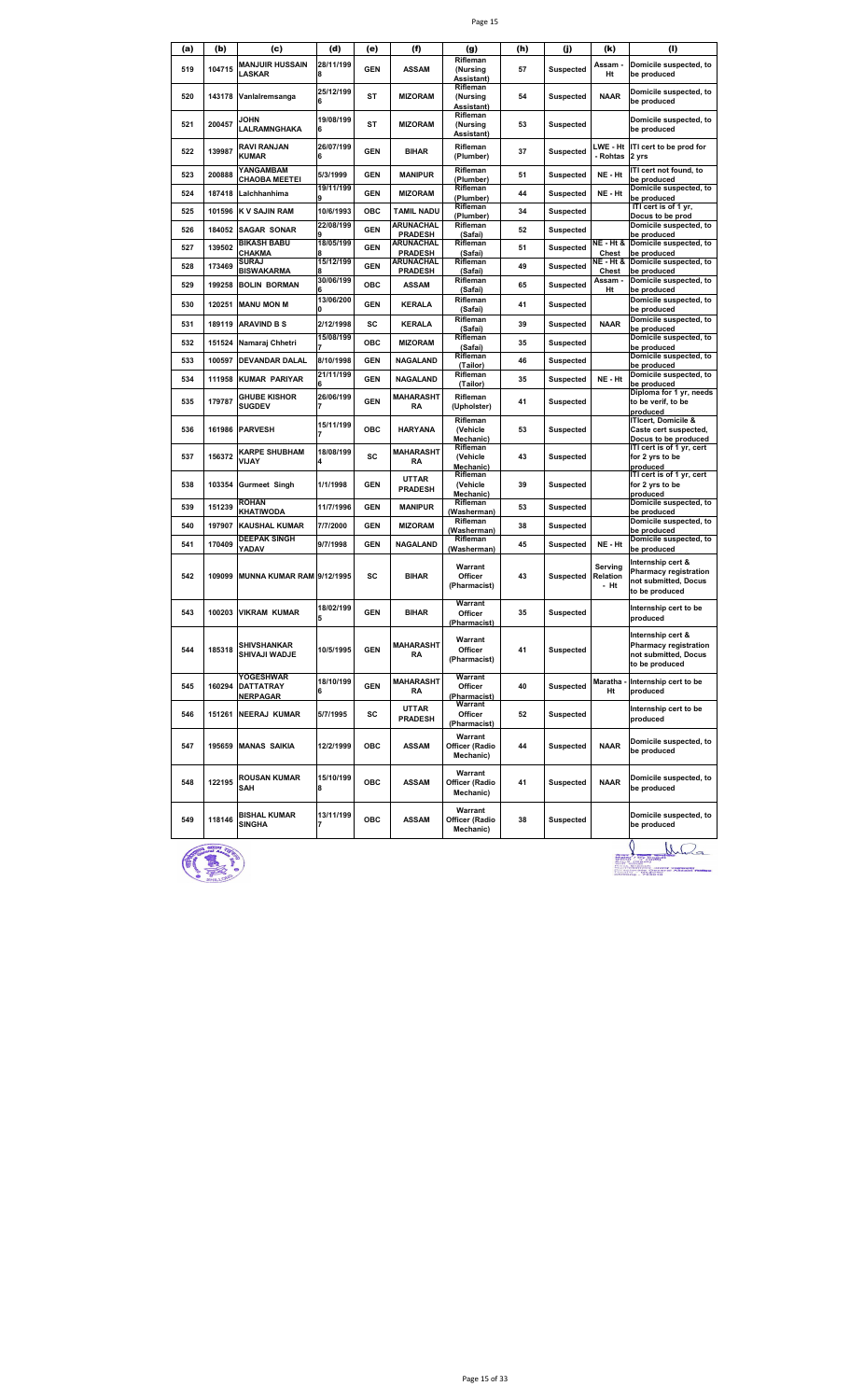|--|--|

| (a) | (b)    | (c)                                       | (d)                    | (e)        | (f)                                   | (g)                                       | (h) | (j)              | (k)                         | (1)                                                                                         |
|-----|--------|-------------------------------------------|------------------------|------------|---------------------------------------|-------------------------------------------|-----|------------------|-----------------------------|---------------------------------------------------------------------------------------------|
| 519 | 104715 | <b>MANJUIR HUSSAIN</b><br>LASKAR          | 28/11/199              | <b>GEN</b> | <b>ASSAM</b>                          | Rifleman<br>(Nursing                      | 57  | <b>Suspected</b> | Assam<br>Ht                 | Domicile suspected, to<br>be produced                                                       |
| 520 | 143178 | Vanlalremsanga                            | 25/12/199              | <b>ST</b>  | <b>MIZORAM</b>                        | Assistant)<br>Rifleman<br>(Nursing        | 54  | <b>Suspected</b> | <b>NAAR</b>                 | Domicile suspected, to                                                                      |
| 521 | 200457 | <b>JOHN</b>                               | 19/08/199              | <b>ST</b>  | <b>MIZORAM</b>                        | Assistant)<br>Rifleman<br>(Nursing        | 53  | <b>Suspected</b> |                             | be produced<br>Domicile suspected, to                                                       |
|     |        | LALRAMNGHAKA                              |                        |            |                                       | Assistant)                                |     |                  |                             | be produced                                                                                 |
| 522 | 139987 | RAVI RANJAN<br>KUMAR                      | 26/07/199<br>6         | <b>GEN</b> | <b>BIHAR</b>                          | Rifleman<br>(Plumber)                     | 37  | <b>Suspected</b> | LWE - Ht<br>- Rohtas        | ITI cert to be prod for<br>2 yrs                                                            |
| 523 | 200888 | YANGAMBAM<br><b>CHAOBA MEETEI</b>         | 5/3/1999               | <b>GEN</b> | <b>MANIPUR</b>                        | Rifleman<br>(Plumber)                     | 51  | <b>Suspected</b> | NE - Ht                     | ITI cert not found, to<br>be produced                                                       |
| 524 | 187418 | Lalchhanhima                              | 19/11/199              | <b>GEN</b> | <b>MIZORAM</b>                        | Rifleman<br>(Plumber)<br>Rifleman         | 44  | <b>Suspected</b> | NE - Ht                     | Domicile suspected, to<br>be produced<br>ITI cert is of 1 yr,                               |
| 525 | 101596 | <b>K V SAJIN RAM</b>                      | 10/6/1993<br>22/08/199 | ОВС        | <b>TAMIL NADU</b><br><b>ARUNACHAL</b> | (Plumber)<br>Rifleman                     | 34  | <b>Suspected</b> |                             | Docus to be prod<br>Domicile suspected, to                                                  |
| 526 | 184052 | <b>SAGAR SONAR</b>                        |                        | <b>GEN</b> | <b>PRADESH</b>                        | (Safai)                                   | 52  | <b>Suspected</b> |                             | be produced                                                                                 |
| 527 | 139502 | <b>BIKASH BABU</b><br>CHAKMA              | 18/05/199              | <b>GEN</b> | ARUNACHAL<br><b>PRADESH</b>           | Rifleman<br>(Safai)                       | 51  | <b>Suspected</b> | NE - Ht &<br>Chest          | Domicile suspected, to<br>be produced                                                       |
| 528 | 173469 | SURAJ<br>BISWAKARMA                       | 15/12/199              | <b>GEN</b> | ARUNACHAL<br><b>PRADESH</b>           | Rifleman<br>(Safai)                       | 49  | <b>Suspected</b> | NE - Ht &<br>Chest          | Domicile suspected, to<br>be produced                                                       |
| 529 | 199258 | <b>BOLIN BORMAN</b>                       | 30/06/199              | ОВС        | <b>ASSAM</b>                          | Rifleman<br>(Safai)                       | 65  | <b>Suspected</b> | Assam -<br>Ht               | Domicile suspected, to<br>be produced                                                       |
| 530 | 120251 | <b>MANU MON M</b>                         | 13/06/200              | <b>GEN</b> | <b>KERALA</b>                         | Rifleman<br>(Safai)                       | 41  | <b>Suspected</b> |                             | Domicile suspected, to<br>be produced                                                       |
| 531 | 189119 | <b>ARAVIND B S</b>                        | 2/12/1998              | SC         | <b>KERALA</b>                         | Rifleman                                  | 39  | <b>Suspected</b> | <b>NAAR</b>                 | Domicile suspected, to                                                                      |
| 532 | 151524 | Namaraj Chhetri                           | 15/08/199              | <b>OBC</b> | <b>MIZORAM</b>                        | (Safai)<br>Rifleman                       | 35  | <b>Suspected</b> |                             | be produced<br>Domicile suspected, to                                                       |
| 533 | 100597 | <b>DEVANDAR DALAL</b>                     | 8/10/1998              | <b>GEN</b> | <b>NAGALAND</b>                       | (Safai)<br>Rifleman                       | 46  | <b>Suspected</b> |                             | be produced<br>Domicile suspected, to                                                       |
| 534 | 111958 | <b>KUMAR PARIYAR</b>                      | 21/11/199              | <b>GEN</b> | <b>NAGALAND</b>                       | (Tailor)<br>Rifleman                      | 35  | <b>Suspected</b> | NE - Ht                     | be produced<br>Domicile suspected, to                                                       |
|     |        | <b>GHUBE KISHOR</b>                       | 26/06/199              |            | <b>MAHARASHT</b>                      | (Tailor)<br>Rifleman                      |     |                  |                             | be produced<br>Diploma for 1 yr, needs                                                      |
| 535 | 179787 | <b>SUGDEV</b>                             |                        | <b>GEN</b> | RA                                    | (Upholster)<br>Rifleman                   | 41  | <b>Suspected</b> |                             | to be verif, to be<br>produced<br>ITIcert, Domicile &                                       |
| 536 | 161986 | <b>PARVESH</b>                            | 15/11/199              | ОВС        | <b>HARYANA</b>                        | (Vehicle<br>Mechanic)                     | 53  | <b>Suspected</b> |                             | Caste cert suspected,<br>Docus to be produced                                               |
| 537 | 156372 | KARPE SHUBHAM<br>VIJAY                    | 18/08/199              | SC         | MAHARASHT<br>RA                       | Rifleman<br>(Vehicle<br>Mechanic)         | 43  | <b>Suspected</b> |                             | ITI cert is of 1 yr, cert<br>for 2 yrs to be<br>produced                                    |
| 538 | 103354 | <b>Gurmeet Singh</b>                      | 1/1/1998               | <b>GEN</b> | <b>UTTAR</b><br><b>PRADESH</b>        | Rifleman<br>(Vehicle<br><b>Mechanic</b> ) | 39  | <b>Suspected</b> |                             | ITI cert is of 1 yr, cert<br>for 2 yrs to be<br>produced                                    |
| 539 | 151239 | <b>ROHAN</b><br>KHATIWODA                 | 11/7/1996              | <b>GEN</b> | <b>MANIPUR</b>                        | Rifleman<br>(Washerman)                   | 53  | <b>Suspected</b> |                             | Domicile suspected, to<br>be produced                                                       |
| 540 | 197907 | <b>KAUSHAL KUMAR</b>                      | 7/7/2000               | <b>GEN</b> | <b>MIZORAM</b>                        | Rifleman<br>(Washerman)                   | 38  | <b>Suspected</b> |                             | Domicile suspected, to<br>be produced                                                       |
| 541 | 170409 | <b>DEEPAK SINGH</b><br>YADAV              | 9/7/1998               | <b>GEN</b> | <b>NAGALAND</b>                       | Rifleman<br>(Washerman)                   | 45  | <b>Suspected</b> | NE - Ht                     | Domicile suspected, to<br>be produced                                                       |
| 542 | 109099 | MUNNA KUMAR RAM 9/12/1995                 |                        | SC         | <b>BIHAR</b>                          | Warrant<br>Officer<br>(Pharmacist)        | 43  | <b>Suspected</b> | Serving<br>Relation<br>- Ht | Internship cert &<br><b>Pharmacy registration</b><br>not submitted, Docus<br>to be produced |
| 543 | 100203 | <b>VIKRAM KUMAR</b>                       | 18/02/199<br>5         | <b>GEN</b> | <b>BIHAR</b>                          | Warrant<br>Officer<br>(Pharmacist)        | 35  | <b>Suspected</b> |                             | Internship cert to be<br>produced                                                           |
| 544 | 185318 | <b>SHIVSHANKAR</b><br>SHIVAJI WADJE       | 10/5/1995              | <b>GEN</b> | <b>MAHARASHT</b><br>RA                | Warrant<br>Officer<br>(Pharmacist)        | 41  | <b>Suspected</b> |                             | Internship cert &<br><b>Pharmacy registration</b><br>not submitted, Docus<br>to be produced |
| 545 | 160294 | YOGESHWAR<br><b>DATTATRAY</b><br>NERPAGAR | 18/10/199<br>6         | <b>GEN</b> | MAHARASHT<br>RA                       | Warrant<br>Officer<br>Pharmacist)         | 40  | <b>Suspected</b> | Maratha<br>Ht               | Internship cert to be<br>produced                                                           |
| 546 |        | 151261 NEERAJ KUMAR                       | 5/7/1995               | sc         | <b>UTTAR</b><br><b>PRADESH</b>        | Warrant<br>Officer<br>(Pharmacist)        | 52  | <b>Suspected</b> |                             | Internship cert to be<br>produced                                                           |
| 547 |        | 195659 MANAS SAIKIA                       | 12/2/1999              | OBC        | ASSAM                                 | Warrant<br>Officer (Radio<br>Mechanic)    | 44  | <b>Suspected</b> | <b>NAAR</b>                 | Domicile suspected, to<br>be produced                                                       |
| 548 | 122195 | ROUSAN KUMAR<br>SAH                       | 15/10/199<br>8         | OBC        | ASSAM                                 | Warrant<br>Officer (Radio<br>Mechanic)    | 41  | <b>Suspected</b> | <b>NAAR</b>                 | Domicile suspected, to<br>be produced                                                       |
| 549 | 118146 | <b>BISHAL KUMAR</b><br><b>SINGHA</b>      | 13/11/199              | OBC        | <b>ASSAM</b>                          | Warrant<br>Officer (Radio<br>Mechanic)    | 38  | <b>Suspected</b> |                             | Domicile suspected, to<br>be produced                                                       |



O WD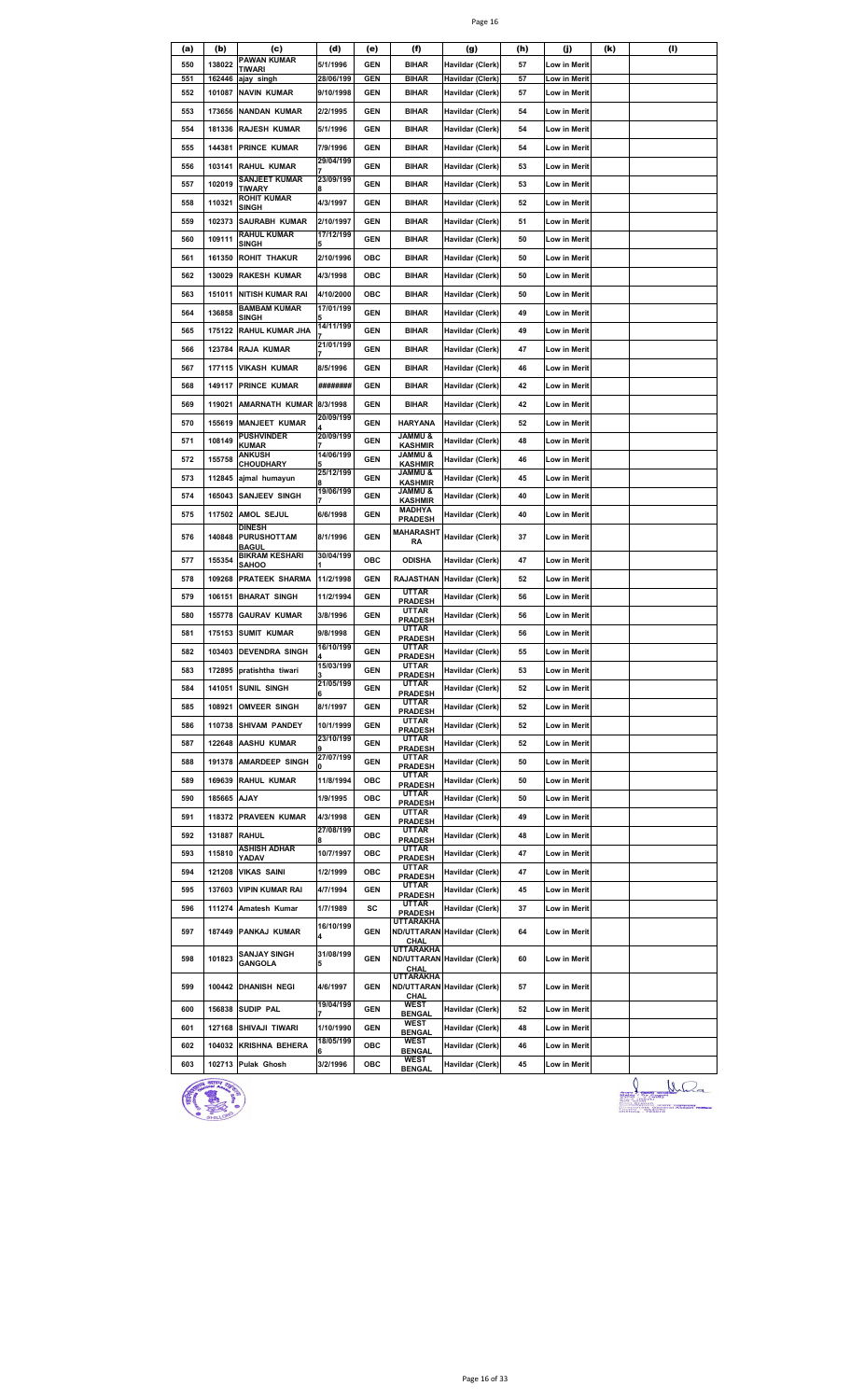|--|--|

| (a) | (b)          | (c)                                            | (d)                    | (e)        | (f)                                  | (g)                                | (h) | (j)                 | (k) | (I) |
|-----|--------------|------------------------------------------------|------------------------|------------|--------------------------------------|------------------------------------|-----|---------------------|-----|-----|
| 550 | 138022       | <b>PAWAN KUMAR</b>                             | 5/1/1996               | <b>GEN</b> | <b>BIHAR</b>                         | Havildar (Clerk)                   | 57  | Low in Merit        |     |     |
| 551 | 162446       | TIWARI<br>ajay singh                           | 28/06/199              | <b>GEN</b> | <b>BIHAR</b>                         | Havildar (Clerk)                   | 57  | Low in Merit        |     |     |
| 552 | 101087       | <b>NAVIN KUMAR</b>                             | 9/10/1998              | <b>GEN</b> | BIHAR                                | Havildar (Clerk)                   | 57  | Low in Merit        |     |     |
| 553 | 173656       | <b>NANDAN KUMAR</b>                            | 2/2/1995               | GEN        | <b>BIHAR</b>                         | Havildar (Clerk)                   | 54  | Low in Merit        |     |     |
| 554 | 181336       | <b>RAJESH KUMAR</b>                            | 5/1/1996               | <b>GEN</b> | <b>BIHAR</b>                         | Havildar (Clerk)                   | 54  | Low in Merit        |     |     |
|     |              |                                                |                        |            |                                      |                                    |     |                     |     |     |
| 555 | 144381       | <b>PRINCE KUMAR</b>                            | 7/9/1996<br>29/04/199  | GEN        | <b>BIHAR</b>                         | <b>Havildar (Clerk)</b>            | 54  | Low in Merit        |     |     |
| 556 | 103141       | <b>RAHUL KUMAR</b>                             |                        | <b>GEN</b> | <b>BIHAR</b>                         | Havildar (Clerk)                   | 53  | Low in Merit        |     |     |
| 557 | 102019       | SANJEET KUMAR<br>TIWARY                        | 23/09/199              | <b>GEN</b> | BIHAR                                | Havildar (Clerk)                   | 53  | Low in Merit        |     |     |
| 558 | 110321       | ROHIT KUMAR<br>SINGH                           | 4/3/1997               | <b>GEN</b> | <b>BIHAR</b>                         | Havildar (Clerk)                   | 52  | Low in Merit        |     |     |
| 559 | 102373       | <b>SAURABH KUMAR</b>                           | 2/10/1997              | <b>GEN</b> | <b>BIHAR</b>                         | Havildar (Clerk)                   | 51  | <b>Low in Merit</b> |     |     |
| 560 | 109111       | <b>RAHUL KUMAR</b>                             | 17/12/199              | GEN        | <b>BIHAR</b>                         | <b>Havildar (Clerk)</b>            | 50  | Low in Merit        |     |     |
| 561 | 161350       | SINGH<br><b>ROHIT THAKUR</b>                   | 2/10/1996              | ОВС        | <b>BIHAR</b>                         | Havildar (Clerk)                   | 50  | Low in Merit        |     |     |
|     |              | <b>RAKESH KUMAR</b>                            |                        | ОВС        |                                      |                                    |     |                     |     |     |
| 562 | 130029       |                                                | 4/3/1998               |            | BIHAR                                | Havildar (Clerk)                   | 50  | Low in Merit        |     |     |
| 563 | 151011       | <b>NITISH KUMAR RAI</b><br><b>BAMBAM KUMAR</b> | 4/10/2000<br>17/01/199 | ОВС        | <b>BIHAR</b>                         | Havildar (Clerk)                   | 50  | Low in Merit        |     |     |
| 564 | 136858       | SINGH                                          |                        | <b>GEN</b> | <b>BIHAR</b>                         | Havildar (Clerk)                   | 49  | Low in Merit        |     |     |
| 565 | 175122       | <b>RAHUL KUMAR JHA</b>                         | 14/11/199              | <b>GEN</b> | <b>BIHAR</b>                         | Havildar (Clerk)                   | 49  | Low in Merit        |     |     |
| 566 | 123784       | <b>RAJA KUMAR</b>                              | 21/01/199              | <b>GEN</b> | BIHAR                                | Havildar (Clerk)                   | 47  | Low in Merit        |     |     |
| 567 | 177115       | <b>VIKASH KUMAR</b>                            | 8/5/1996               | <b>GEN</b> | BIHAR                                | Havildar (Clerk)                   | 46  | Low in Merit        |     |     |
| 568 | 149117       | <b>PRINCE KUMAR</b>                            | ########               | <b>GEN</b> | <b>BIHAR</b>                         | Havildar (Clerk)                   | 42  | Low in Merit        |     |     |
| 569 | 119021       | AMARNATH KUMAR                                 | 8/3/1998               | <b>GEN</b> | <b>BIHAR</b>                         | Havildar (Clerk)                   | 42  | Low in Merit        |     |     |
| 570 | 155619       | <b>MANJEET KUMAR</b>                           | 20/09/199              | <b>GEN</b> | <b>HARYANA</b>                       | Havildar (Clerk)                   | 52  | Low in Merit        |     |     |
|     |              | <b>PUSHVINDER</b>                              | 20/09/199              |            | <b>JAMMU &amp;</b>                   |                                    |     |                     |     |     |
| 571 | 108149       | KUMAR<br>ANKUSH                                | 14/06/199              | <b>GEN</b> | <b>KASHMIR</b><br><b>&amp; UMMAL</b> | Havildar (Clerk)                   | 48  | Low in Merit        |     |     |
| 572 | 155758       | <b>CHOUDHARY</b>                               |                        | GEN        | <b>KASHMIR</b>                       | Havildar (Clerk)                   | 46  | Low in Merit        |     |     |
| 573 | 112845       | ajmal humayun                                  | 25/12/199              | <b>GEN</b> | <b>&amp; UMMAL</b><br><b>KASHMIR</b> | Havildar (Clerk)                   | 45  | Low in Merit        |     |     |
| 574 | 165043       | <b>SANJEEV SINGH</b>                           | 19/06/199              | <b>GEN</b> | & UMMAL<br><b>KASHMIR</b>            | Havildar (Clerk)                   | 40  | Low in Merit        |     |     |
| 575 | 117502       | AMOL SEJUL                                     | 6/6/1998               | GEN        | MADHYA<br><b>PRADESH</b>             | Havildar (Clerk)                   | 40  | Low in Merit        |     |     |
| 576 | 140848       | <b>DINESH</b><br><b>PURUSHOTTAM</b>            | 8/1/1996               | <b>GEN</b> | MAHARASHT                            | Havildar (Clerk)                   | 37  | Low in Merit        |     |     |
|     |              | <b>BAGUL</b>                                   |                        |            | RA                                   |                                    |     |                     |     |     |
| 577 | 155354       | <b>BIKRAM KESHARI</b><br>SAHOO                 | 30/04/199              | ОВС        | <b>ODISHA</b>                        | Havildar (Clerk)                   | 47  | Low in Merit        |     |     |
| 578 | 109268       | <b>PRATEEK SHARMA</b>                          | 11/2/1998              | GEN        | RAJASTHAN                            | Havildar (Clerk)                   | 52  | Low in Merit        |     |     |
| 579 | 106151       | <b>BHARAT SINGH</b>                            | 11/2/1994              | <b>GEN</b> | <b>UTTAR</b><br><b>PRADESH</b>       | Havildar (Clerk)                   | 56  | Low in Merit        |     |     |
| 580 | 155778       | <b>GAURAV KUMAR</b>                            | 3/8/1996               | <b>GEN</b> | UTTAR<br><b>PRADESH</b>              | Havildar (Clerk)                   | 56  | Low in Merit        |     |     |
| 581 | 175153       | <b>SUMIT KUMAR</b>                             | 9/8/1998               | <b>GEN</b> | UTTAR                                | Havildar (Clerk)                   | 56  | Low in Merit        |     |     |
| 582 |              | 103403 DEVENDRA SINGH                          | 16/10/199              | <b>GEN</b> | <b>PRADESH</b><br>UTTAR              | Havildar (Clerk)                   | 55  | Low in Merit        |     |     |
| 583 | 172895       | pratishtha tiwari                              | 15/03/199              | <b>GEN</b> | <b>PRADESH</b><br>UTTAR              | Havildar (Clerk)                   | 53  | Low in Merit        |     |     |
|     |              |                                                | 21/05/199              |            | <b>PRADESH</b><br>UTTAR              |                                    |     |                     |     |     |
| 584 | 141051       | <b>SUNIL SINGH</b>                             |                        | <b>GEN</b> | <b>PRADESH</b><br>UTTAR              | Havildar (Clerk)                   | 52  | Low in Merit        |     |     |
| 585 |              | 108921 OMVEER SINGH                            | 8/1/1997               | <b>GEN</b> | <b>PRADESH</b>                       | Havildar (Clerk)                   | 52  | Low in Merit        |     |     |
| 586 |              | 110738 SHIVAM PANDEY                           | 10/1/1999              | <b>GEN</b> | UTTAR<br><b>PRADESH</b>              | Havildar (Clerk)                   | 52  | Low in Merit        |     |     |
| 587 |              | 122648 AASHU KUMAR                             | 23/10/199              | <b>GEN</b> | UTTAR<br><b>PRADESH</b>              | Havildar (Clerk)                   | 52  | Low in Merit        |     |     |
| 588 | 191378       | <b>AMARDEEP SINGH</b>                          | 27/07/199              | <b>GEN</b> | UTTAR<br><b>PRADESH</b>              | Havildar (Clerk)                   | 50  | Low in Merit        |     |     |
| 589 | 169639       | <b>RAHUL KUMAR</b>                             | 11/8/1994              | ОВС        | UTTAR<br><b>PRADESH</b>              | Havildar (Clerk)                   | 50  | Low in Merit        |     |     |
| 590 | 185665 AJAY  |                                                | 1/9/1995               | ОВС        | UTTAR                                | Havildar (Clerk)                   | 50  | Low in Merit        |     |     |
| 591 |              | 118372 PRAVEEN KUMAR                           | 4/3/1998               | <b>GEN</b> | <b>PRADESH</b><br>UTTAR              | Havildar (Clerk)                   | 49  | Low in Merit        |     |     |
|     |              |                                                | 27/08/199              |            | <b>PRADESH</b><br>UTTAR              |                                    |     |                     |     |     |
| 592 | 131887 RAHUL | ASHISH ADHAR                                   |                        | ОВС        | <b>PRADESH</b><br>UTTAR              | Havildar (Clerk)                   | 48  | Low in Merit        |     |     |
| 593 | 115810       | YADAV                                          | 10/7/1997              | ОВС        | <b>PRADESH</b><br>UTTAR              | Havildar (Clerk)                   | 47  | Low in Merit        |     |     |
| 594 |              | 121208 VIKAS SAINI                             | 1/2/1999               | ОВС        | <b>PRADESH</b>                       | Havildar (Clerk)                   | 47  | Low in Merit        |     |     |
| 595 |              | 137603 VIPIN KUMAR RAI                         | 4/7/1994               | <b>GEN</b> | UTTAR<br><b>PRADESH</b>              | Havildar (Clerk)                   | 45  | Low in Merit        |     |     |
| 596 |              | 111274 Amatesh Kumar                           | 1/7/1989               | sc         | UTTAR<br><b>PRADESH</b>              | Havildar (Clerk)                   | 37  | Low in Merit        |     |     |
| 597 |              | 187449 PANKAJ KUMAR                            | 16/10/199              | <b>GEN</b> | UTTARAKHA                            | <b>ND/UTTARAN Havildar (Clerk)</b> | 64  | Low in Merit        |     |     |
| 598 | 101823       | <b>SANJAY SINGH</b>                            | 31/08/199              | <b>GEN</b> | CHAL<br><b>UTTARAKHA</b>             | ND/UTTARAN Havildar (Clerk)        | 60  | Low in Merit        |     |     |
|     |              | <b>GANGOLA</b>                                 | 5                      |            | CHAL<br>UTTARAKHA                    |                                    |     |                     |     |     |
| 599 |              | 100442 DHANISH NEGI                            | 4/6/1997               | <b>GEN</b> | CHAL                                 | ND/UTTARAN Havildar (Clerk)        | 57  | Low in Merit        |     |     |
| 600 |              | 156838 SUDIP PAL                               | 19/04/199              | <b>GEN</b> | WEST<br><b>BENGAL</b>                | Havildar (Clerk)                   | 52  | Low in Merit        |     |     |
| 601 |              | 127168 SHIVAJI TIWARI                          | 1/10/1990              | GEN        | WEST<br><b>BENGAL</b>                | Havildar (Clerk)                   | 48  | Low in Merit        |     |     |
| 602 | 104032       | <b>KRISHNA BEHERA</b>                          | 18/05/199<br>Բ         | ОВС        | WEST                                 | Havildar (Clerk)                   | 46  | Low in Merit        |     |     |
| 603 |              | 102713 Pulak Ghosh                             | 3/2/1996               | ОВС        | <b>BENGAL</b><br><b>WEST</b>         | Havildar (Clerk)                   | 45  | Low in Merit        |     |     |
|     |              |                                                |                        |            | <b>BENGAL</b>                        |                                    |     |                     |     |     |



Julie 1978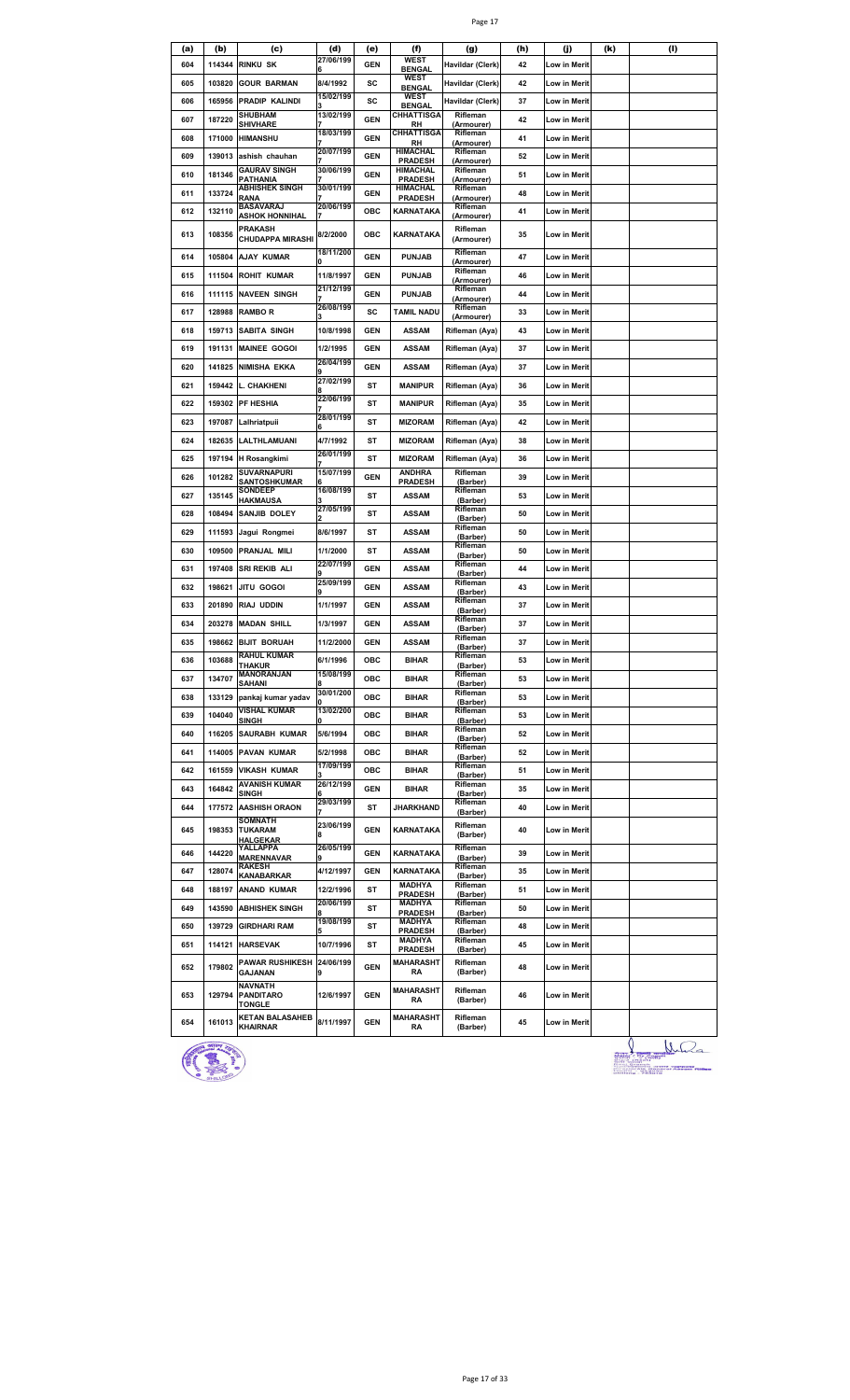|--|--|

| (a) | (b)    | (c)                                       | (d)            | (e)        | (f)                             | (g)                    | (h) | (j)          | (k) | (1) |
|-----|--------|-------------------------------------------|----------------|------------|---------------------------------|------------------------|-----|--------------|-----|-----|
| 604 | 114344 | <b>RINKU SK</b>                           | 27/06/199      | <b>GEN</b> | <b>WEST</b><br><b>BENGAL</b>    | Havildar (Clerk)       | 42  | Low in Merit |     |     |
| 605 | 103820 | <b>GOUR BARMAN</b>                        | 8/4/1992       | sc         | WEST                            | Havildar (Clerk)       | 42  | Low in Merit |     |     |
| 606 | 165956 | PRADIP KALINDI                            | 15/02/199      | sc         | <b>BENGAL</b><br>WEST           | Havildar (Clerk)       | 37  | Low in Merit |     |     |
|     |        | <b>SHUBHAM</b>                            | 13/02/199      |            | <b>BENGAL</b><br>CHHATTISGA     | Rifleman               |     |              |     |     |
| 607 | 187220 | <b>SHIVHARE</b>                           |                | <b>GEN</b> | RH                              | (Armourer)             | 42  | Low in Merit |     |     |
| 608 | 171000 | <b>HIMANSHU</b>                           | 18/03/199      | <b>GEN</b> | CHHATTISGA<br>RH                | Rifleman<br>(Armourer) | 41  | Low in Merit |     |     |
| 609 | 139013 | ashish chauhan                            | 20/07/199      | <b>GEN</b> | HIMACHAL<br><b>PRADESH</b>      | Rifleman<br>(Armourer) | 52  | Low in Merit |     |     |
| 610 | 181346 | <b>GAURAV SINGH</b>                       | 30/06/199      | <b>GEN</b> | HIMACHAL                        | Rifleman               | 51  | Low in Merit |     |     |
|     |        | PATHANIA<br><b>ABHISHEK SINGH</b>         | 30/01/199      |            | <b>PRADESH</b><br>HIMACHAL      | (Armourer)<br>Rifleman |     |              |     |     |
| 611 | 133724 | RANA<br><b>BASAVARAJ</b>                  | 20/06/199      | <b>GEN</b> | <b>PRADESH</b>                  | (Armourer)<br>Rifleman | 48  | Low in Merit |     |     |
| 612 | 132110 | <b>ASHOK HONNIHAL</b>                     |                | ОВС        | KARNATAKA                       | (Armourer)             | 41  | Low in Merit |     |     |
| 613 | 108356 | <b>PRAKASH</b><br><b>CHUDAPPA MIRASHI</b> | 8/2/2000       | ОВС        | KARNATAKA                       | Rifleman<br>(Armourer) | 35  | Low in Merit |     |     |
| 614 | 105804 | <b>AJAY KUMAR</b>                         | 18/11/200      | <b>GEN</b> | <b>PUNJAB</b>                   | Rifleman<br>(Armourer) | 47  | Low in Merit |     |     |
| 615 | 111504 | <b>ROHIT KUMAR</b>                        | 11/8/1997      | <b>GEN</b> | <b>PUNJAB</b>                   | Rifleman               | 46  | Low in Merit |     |     |
| 616 | 111115 | <b>NAVEEN SINGH</b>                       | 21/12/199      | <b>GEN</b> | <b>PUNJAB</b>                   | (Armourer)<br>Rifleman | 44  | Low in Merit |     |     |
|     |        |                                           | 26/08/199      |            |                                 | (Armourer)<br>Rifleman |     |              |     |     |
| 617 | 128988 | <b>RAMBOR</b>                             |                | sc         | TAMIL NADU                      | (Armourer)             | 33  | Low in Merit |     |     |
| 618 | 159713 | <b>SABITA SINGH</b>                       | 10/8/1998      | <b>GEN</b> | <b>ASSAM</b>                    | Rifleman (Aya)         | 43  | Low in Merit |     |     |
| 619 | 191131 | <b>MAINEE GOGOI</b>                       | 1/2/1995       | <b>GEN</b> | <b>ASSAM</b>                    | Rifleman (Aya)         | 37  | Low in Merit |     |     |
| 620 | 141825 | NIMISHA EKKA                              | 26/04/199      | <b>GEN</b> | <b>ASSAM</b>                    | Rifleman (Aya)         | 37  | Low in Merit |     |     |
| 621 | 159442 | <b>L. CHAKHENI</b>                        | 27/02/199      | ST         | <b>MANIPUR</b>                  | Rifleman (Aya)         | 36  | Low in Merit |     |     |
| 622 | 159302 | <b>PF HESHIA</b>                          | 22/06/199      | ST         | <b>MANIPUR</b>                  | Rifleman (Aya)         | 35  | Low in Merit |     |     |
| 623 | 197087 | Lalhriatpuii                              | 28/01/199      | ST         | <b>MIZORAM</b>                  | Rifleman (Aya)         | 42  | Low in Merit |     |     |
| 624 | 182635 | LALTHLAMUANI                              | 4/7/1992       | ST         | <b>MIZORAM</b>                  | Rifleman (Aya)         | 38  | Low in Merit |     |     |
| 625 | 197194 | H Rosangkimi                              | 26/01/199      | ST         | <b>MIZORAM</b>                  | Rifleman (Aya)         | 36  | Low in Merit |     |     |
|     |        | SUVARNAPURI                               | 15/07/199      |            | <b>ANDHRA</b>                   | Rifleman               |     |              |     |     |
| 626 | 101282 | SANTOSHKUMAR<br><b>SONDEEP</b>            | 16/08/199      | <b>GEN</b> | <b>PRADESH</b>                  | (Barber)               | 39  | Low in Merit |     |     |
| 627 | 135145 | <b>HAKMAUSA</b>                           |                | ST         | <b>ASSAM</b>                    | Rifleman<br>(Barber)   | 53  | Low in Merit |     |     |
| 628 | 108494 | <b>SANJIB DOLEY</b>                       | 27/05/199      | SΤ         | <b>ASSAM</b>                    | Rifleman<br>(Barber)   | 50  | Low in Merit |     |     |
| 629 | 111593 | Jagui Rongmei                             | 8/6/1997       | SΤ         | <b>ASSAM</b>                    | Rifleman<br>(Barber)   | 50  | Low in Merit |     |     |
| 630 | 109500 | PRANJAL MILI                              | 1/1/2000       | ST         | <b>ASSAM</b>                    | Rifleman               | 50  | Low in Merit |     |     |
| 631 | 197408 | SRI REKIB ALI                             | 22/07/199      | <b>GEN</b> | <b>ASSAM</b>                    | (Barber)<br>Rifleman   | 44  | Low in Merit |     |     |
|     |        |                                           | 25/09/199      |            |                                 | (Barber)<br>Rifleman   |     |              |     |     |
| 632 | 198621 | JITU GOGOI                                |                | <b>GEN</b> | <b>ASSAM</b>                    | (Barber)               | 43  | Low in Merit |     |     |
| 633 | 201890 | RIAJ UDDIN                                | 1/1/1997       | <b>GEN</b> | <b>ASSAM</b>                    | Rifleman<br>(Barber)   | 37  | Low in Merit |     |     |
| 634 | 203278 | <b>MADAN SHILL</b>                        | 1/3/1997       | <b>GEN</b> | <b>ASSAM</b>                    | Rifleman<br>(Barber)   | 37  | Low in Merit |     |     |
| 635 |        | 198662 BIJIT BORUAH                       | 11/2/2000      | <b>GEN</b> | <b>ASSAM</b>                    | Rifleman<br>(Barber)   | 37  | Low in Merit |     |     |
| 636 | 103688 | <b>RAHUL KUMAR</b>                        | 6/1/1996       | ОВС        | <b>BIHAR</b>                    | Rifleman<br>(Barber)   | 53  | Low in Merit |     |     |
| 637 | 134707 | <b>THAKUR</b><br><b>MANORANJAN</b>        | 15/08/199      | ОВС        | <b>BIHAR</b>                    | Rifleman               | 53  | Low in Merit |     |     |
|     |        | <b>SAHANI</b>                             | 30/01/200      |            |                                 | (Barber)<br>Rifleman   |     |              |     |     |
| 638 | 133129 | pankaj kumar yadav<br>VISHAL KUMAR        | 13/02/200      | ОВС        | <b>BIHAR</b>                    | (Barber)<br>Rifleman   | 53  | Low in Merit |     |     |
| 639 | 104040 | <b>SINGH</b>                              |                | ОВС        | <b>BIHAR</b>                    | (Barber)               | 53  | Low in Merit |     |     |
| 640 |        | 116205 SAURABH KUMAR                      | 5/6/1994       | ОВС        | <b>BIHAR</b>                    | Rifleman<br>(Barber)   | 52  | Low in Merit |     |     |
| 641 |        | 114005 PAVAN KUMAR                        | 5/2/1998       | ОВС        | <b>BIHAR</b>                    | Rifleman<br>(Barber)   | 52  | Low in Merit |     |     |
| 642 | 161559 | <b>VIKASH KUMAR</b>                       | 17/09/199      | ОВС        | <b>BIHAR</b>                    | Rifleman<br>(Barber)   | 51  | Low in Merit |     |     |
| 643 | 164842 | <b>AVANISH KUMAR</b>                      | 26/12/199      | <b>GEN</b> | <b>BIHAR</b>                    | Rifleman               | 35  | Low in Merit |     |     |
|     |        | <b>SINGH</b>                              | 29/03/199      |            |                                 | (Barber)<br>Rifleman   |     |              |     |     |
| 644 | 177572 | <b>AASHISH ORAON</b><br>SOMNATH           |                | ST         | JHARKHAND                       | (Barber)               | 40  | Low in Merit |     |     |
| 645 | 198353 | TUKARAM<br><b>HALGEKAR</b>                | 23/06/199<br>8 | <b>GEN</b> | KARNATAKA                       | Rifleman<br>(Barber)   | 40  | Low in Merit |     |     |
| 646 | 144220 | YALLAPPA<br><b>MARENNAVAR</b>             | 26/05/199      | <b>GEN</b> | KARNATAKA                       | Rifleman<br>(Barber)   | 39  | Low in Merit |     |     |
| 647 | 128074 | <b>RAKESH</b><br>KANABARKAR               | 4/12/1997      | <b>GEN</b> | KARNATAKA                       | Rifleman<br>(Barber)   | 35  | Low in Merit |     |     |
| 648 | 188197 | <b>ANAND KUMAR</b>                        | 12/2/1996      | ST         | <b>MADHYA</b>                   | Rifleman               | 51  | Low in Merit |     |     |
|     |        |                                           | 20/06/199      |            | <b>PRADESH</b><br><b>MADHYA</b> | (Barber)<br>Rifleman   |     |              |     |     |
| 649 | 143590 | <b>ABHISHEK SINGH</b>                     | 19/08/199      | ST         | <b>PRADESH</b><br><b>MADHYA</b> | (Barber)<br>Rifleman   | 50  | Low in Merit |     |     |
| 650 | 139729 | <b>GIRDHARI RAM</b>                       |                | ST         | <b>PRADESH</b>                  | (Barber)               | 48  | Low in Merit |     |     |
| 651 | 114121 | <b>HARSEVAK</b>                           | 10/7/1996      | ST         | <b>MADHYA</b><br><b>PRADESH</b> | Rifleman<br>(Barber)   | 45  | Low in Merit |     |     |
| 652 | 179802 | <b>PAWAR RUSHIKESH</b>                    | 24/06/199      | <b>GEN</b> | MAHARASHT                       | Rifleman               | 48  | Low in Merit |     |     |
|     |        | <b>GAJANAN</b>                            | 9              |            | RA                              | (Barber)               |     |              |     |     |
| 653 | 129794 | <b>NAVNATH</b><br><b>PANDITARO</b>        | 12/6/1997      | <b>GEN</b> | <b>MAHARASHT</b><br>RA          | Rifleman<br>(Barber)   | 46  | Low in Merit |     |     |
|     |        | <b>TONGLE</b>                             |                |            |                                 |                        |     |              |     |     |
| 654 | 161013 | <b>KETAN BALASAHEB</b><br><b>KHAIRNAR</b> | 8/11/1997      | <b>GEN</b> | MAHARASHT<br>RA                 | Rifleman<br>(Barber)   | 45  | Low in Merit |     |     |



 $\frac{1}{\frac{1}{\frac{1}{1-\frac{1}{1-\frac{1}{1-\frac{1}{1-\frac{1}{1-\frac{1}{1-\frac{1}{1-\frac{1}{1-\frac{1}{1-\frac{1}{1-\frac{1}{1-\frac{1}{1-\frac{1}{1-\frac{1}{1-\frac{1}{1-\frac{1}{1-\frac{1}{1-\frac{1}{1-\frac{1}{1-\frac{1}{1-\frac{1}{1-\frac{1}{1-\frac{1}{1-\frac{1}{1-\frac{1}{1-\frac{1}{1-\frac{1}{1-\frac{1}{1-\frac{1}{1-\frac{1}{1-\frac{1}{1-\frac{1}{1-\frac{1}{1-\frac{1}{1-\frac{1}{1$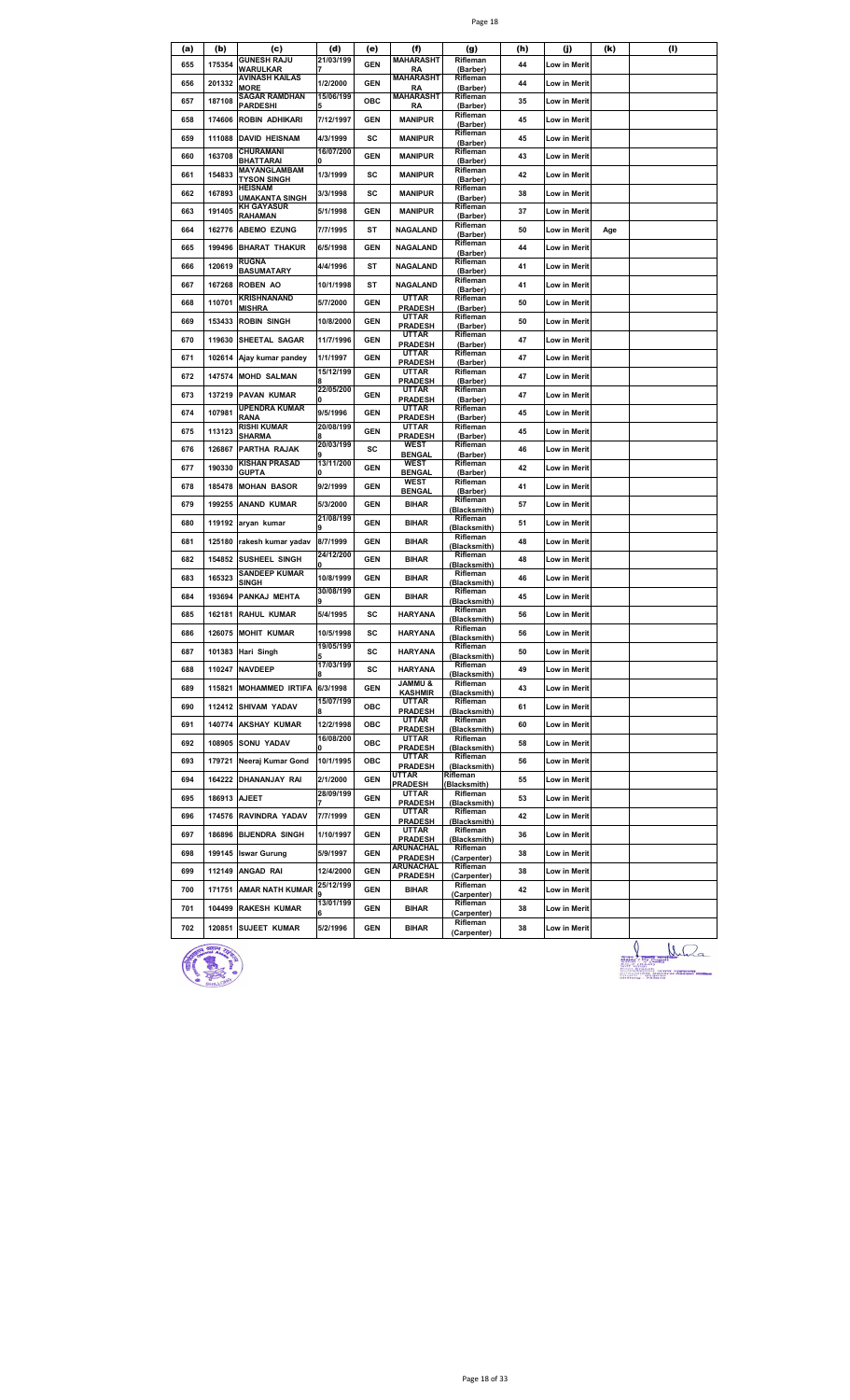|--|--|

| (a) | (b)          | (c)                                  | (d)                   | (e)        | (f)                              | (g)                      | (h) | (j)          | (k) | (I) |
|-----|--------------|--------------------------------------|-----------------------|------------|----------------------------------|--------------------------|-----|--------------|-----|-----|
| 655 | 175354       | <b>GUNESH RAJU</b><br>WARULKAR       | 21/03/199             | <b>GEN</b> | MAHARASHT<br>RA                  | Rifleman<br>(Barber)     | 44  | Low in Merit |     |     |
| 656 | 201332       | AVINASH KAILAS<br>MORE               | 1/2/2000              | <b>GEN</b> | <b>MAHARASHT</b><br>RA           | Rifleman<br>(Barber)     | 44  | Low in Merit |     |     |
| 657 | 187108       | SAGAR RAMDHAN<br><b>PARDESHI</b>     | 15/06/199             | ОВС        | MAHARASHT<br>RA                  | Rifleman<br>(Barber)     | 35  | Low in Merit |     |     |
| 658 | 174606       | <b>ROBIN ADHIKARI</b>                | 7/12/1997             | <b>GEN</b> | <b>MANIPUR</b>                   | Rifleman                 | 45  | Low in Merit |     |     |
| 659 | 111088       | <b>DAVID HEISNAM</b>                 | 4/3/1999              | sc         | <b>MANIPUR</b>                   | (Barber)<br>Rifleman     | 45  | Low in Merit |     |     |
| 660 | 163708       | CHURAMANI                            | 16/07/200             | <b>GEN</b> | <b>MANIPUR</b>                   | (Barber)<br>Rifleman     | 43  | Low in Merit |     |     |
| 661 | 154833       | BHATTARAI<br>MAYANGLAMBAM            | ŋ<br>1/3/1999         | sc         | <b>MANIPUR</b>                   | (Barber)<br>Rifleman     | 42  | Low in Merit |     |     |
|     |              | <b>TYSON SINGH</b><br><b>HEISNAM</b> |                       |            |                                  | (Barber)<br>Rifleman     |     |              |     |     |
| 662 | 167893       | UMAKANTA SINGH<br><b>KH GAYASUR</b>  | 3/3/1998              | sc         | <b>MANIPUR</b>                   | (Barber)<br>Rifleman     | 38  | Low in Merit |     |     |
| 663 | 191405       | RAHAMAN                              | 5/1/1998              | <b>GEN</b> | <b>MANIPUR</b>                   | (Barber)<br>Rifleman     | 37  | Low in Merit |     |     |
| 664 |              | 162776 ABEMO EZUNG                   | 7/7/1995              | ST         | <b>NAGALAND</b>                  | (Barber)                 | 50  | Low in Merit | Age |     |
| 665 | 199496       | <b>BHARAT THAKUR</b>                 | 6/5/1998              | <b>GEN</b> | <b>NAGALAND</b>                  | Rifleman<br>(Barber)     | 44  | Low in Merit |     |     |
| 666 | 120619       | <b>RUGNA</b><br><b>BASUMATARY</b>    | 4/4/1996              | ST         | <b>NAGALAND</b>                  | Rifleman<br>(Barber)     | 41  | Low in Merit |     |     |
| 667 | 167268       | <b>ROBEN AO</b>                      | 10/1/1998             | SΤ         | <b>NAGALAND</b>                  | Rifleman<br>(Barber)     | 41  | Low in Merit |     |     |
| 668 | 110701       | KRISHNANAND<br>MISHRA                | 5/7/2000              | <b>GEN</b> | <b>UTTAR</b><br><b>PRADESH</b>   | Rifleman<br>(Barber)     | 50  | Low in Merit |     |     |
| 669 | 153433       | <b>ROBIN SINGH</b>                   | 10/8/2000             | <b>GEN</b> | UTTAR<br><b>PRADESH</b>          | Rifleman<br>(Barber)     | 50  | Low in Merit |     |     |
| 670 | 119630       | SHEETAL SAGAR                        | 11/7/1996             | <b>GEN</b> | <b>UTTAR</b>                     | Rifleman                 | 47  | Low in Merit |     |     |
| 671 | 102614       | Ajay kumar pandey                    | 1/1/1997              | <b>GEN</b> | <b>PRADESH</b><br>UTTAR          | (Barber)<br>Rifleman     | 47  | Low in Merit |     |     |
| 672 | 147574       | <b>MOHD SALMAN</b>                   | 15/12/199             | GEN        | <b>PRADESH</b><br>UTTAR          | (Barber)<br>Rifleman     | 47  | Low in Merit |     |     |
|     |              |                                      | 22/05/200             |            | <b>PRADESH</b><br>UTTAR          | (Barber)<br>Rifleman     |     |              |     |     |
| 673 | 137219       | <b>PAVAN KUMAR</b><br>UPENDRA KUMAR  |                       | <b>GEN</b> | <b>PRADESH</b><br><b>UTTAR</b>   | (Barber)<br>Rifleman     | 47  | Low in Merit |     |     |
| 674 | 107981       | RANA<br><b>RISHI KUMAR</b>           | 9/5/1996<br>20/08/199 | <b>GEN</b> | <b>PRADESH</b><br><b>UTTAR</b>   | (Barber)<br>Rifleman     | 45  | Low in Merit |     |     |
| 675 | 113123       | SHARMA                               | 20/03/199             | <b>GEN</b> | <b>PRADESH</b>                   | (Barber)<br>Rifleman     | 45  | Low in Merit |     |     |
| 676 | 126867       | PARTHA RAJAK                         |                       | sc         | WEST<br><b>BENGAL</b>            | (Barber)                 | 46  | Low in Merit |     |     |
| 677 | 190330       | KISHAN PRASAD<br><b>GUPTA</b>        | 13/11/200<br>O        | <b>GEN</b> | WEST<br><b>BENGAL</b>            | Rifleman<br>(Barber)     | 42  | Low in Merit |     |     |
| 678 | 185478       | <b>MOHAN BASOR</b>                   | 9/2/1999              | <b>GEN</b> | WEST<br><b>BENGAL</b>            | Rifleman<br>(Barber)     | 41  | Low in Merit |     |     |
| 679 | 199255       | <b>ANAND KUMAR</b>                   | 5/3/2000              | <b>GEN</b> | <b>BIHAR</b>                     | Rifleman<br>(Blacksmith) | 57  | Low in Merit |     |     |
| 680 | 119192       | aryan kumar                          | 21/08/199             | <b>GEN</b> | <b>BIHAR</b>                     | Rifleman<br>(Blacksmith) | 51  | Low in Merit |     |     |
| 681 | 125180       | rakesh kumar yadav                   | 8/7/1999              | <b>GEN</b> | <b>BIHAR</b>                     | Rifleman<br>(Blacksmith) | 48  | Low in Merit |     |     |
| 682 | 154852       | SUSHEEL SINGH                        | 24/12/200             | <b>GEN</b> | <b>BIHAR</b>                     | Rifleman<br>(Blacksmith) | 48  | Low in Merit |     |     |
| 683 | 165323       | <b>SANDEEP KUMAR</b>                 | 10/8/1999             | <b>GEN</b> | <b>BIHAR</b>                     | Rifleman                 | 46  | Low in Merit |     |     |
| 684 | 193694       | SINGH<br>PANKAJ MEHTA                | 30/08/199             | <b>GEN</b> | <b>BIHAR</b>                     | (Blacksmith)<br>Rifleman | 45  | Low in Merit |     |     |
| 685 | 162181       | <b>RAHUL KUMAR</b>                   | 9<br>5/4/1995         | sc         | <b>HARYANA</b>                   | (Blacksmith)<br>Rifleman | 56  | Low in Merit |     |     |
| 686 | 126075       | <b>MOHIT KUMAR</b>                   | 10/5/1998             | sc         | <b>HARYANA</b>                   | (Blacksmith)<br>Rifleman | 56  | Low in Merit |     |     |
|     |              |                                      | 19/05/199             |            |                                  | Blacksmith)<br>Rifleman  |     |              |     |     |
| 687 |              | 101383 Hari Singh                    | 5<br>17/03/199        | sc         | <b>HARYANA</b>                   | (Blacksmith)<br>Rifleman | 50  | Low in Merit |     |     |
| 688 |              | 110247 NAVDEEP                       |                       | SC         | <b>HARYANA</b><br><b>S UMMAL</b> | (Blacksmith)<br>Rifleman | 49  | Low in Merit |     |     |
| 689 |              | 115821 MOHAMMED IRTIFA               | 6/3/1998<br>15/07/199 | <b>GEN</b> | <b>KASHMIR</b><br>UTTAR          | (Blacksmith)<br>Rifleman | 43  | Low in Merit |     |     |
| 690 |              | 112412 SHIVAM YADAV                  |                       | ОВС        | <b>PRADESH</b>                   | (Blacksmith)             | 61  | Low in Merit |     |     |
| 691 |              | 140774 AKSHAY KUMAR                  | 12/2/1998             | ОВС        | UTTAR<br><b>PRADESH</b>          | Rifleman<br>(Blacksmith) | 60  | Low in Merit |     |     |
| 692 |              | 108905 SONU YADAV                    | 16/08/200<br>O        | ОВС        | UTTAR<br><b>PRADESH</b>          | Rifleman<br>(Blacksmith) | 58  | Low in Merit |     |     |
| 693 |              | 179721 Neeraj Kumar Gond             | 10/1/1995             | ОВС        | UTTAR<br><b>PRADESH</b>          | Rifleman<br>(Blacksmith) | 56  | Low in Merit |     |     |
| 694 |              | 164222 DHANANJAY RAI                 | 2/1/2000              | <b>GEN</b> | UTTAR<br>PRADESH                 | Rifleman<br>(Blacksmith) | 55  | Low in Merit |     |     |
| 695 | 186913 AJEET |                                      | 28/09/199             | GEN        | UTTAR<br><b>PRADESH</b>          | Rifleman<br>(Blacksmith) | 53  | Low in Merit |     |     |
| 696 | 174576       | RAVINDRA YADAV                       | 7/7/1999              | <b>GEN</b> | <b>UTTAR</b>                     | Rifleman                 | 42  | Low in Merit |     |     |
| 697 | 186896       | <b>BIJENDRA SINGH</b>                | 1/10/1997             | GEN        | <b>PRADESH</b><br>UTTAR          | (Blacksmith)<br>Rifleman | 36  | Low in Merit |     |     |
| 698 |              | 199145 Iswar Gurung                  | 5/9/1997              | <b>GEN</b> | <b>PRADESH</b><br>ARUNACHAL      | (Blacksmith)<br>Rifleman | 38  | Low in Merit |     |     |
|     |              | 112149 ANGAD RAI                     | 12/4/2000             |            | <b>PRADESH</b><br>ARUNACHAL      | (Carpenter)<br>Rifleman  |     |              |     |     |
| 699 |              |                                      | 25/12/199             | <b>GEN</b> | <b>PRADESH</b>                   | (Carpenter)<br>Rifleman  | 38  | Low in Merit |     |     |
| 700 |              | 171751 AMAR NATH KUMAR               | 13/01/199             | <b>GEN</b> | <b>BIHAR</b>                     | (Carpenter)<br>Rifleman  | 42  | Low in Merit |     |     |
| 701 | 104499       | <b>RAKESH KUMAR</b>                  |                       | <b>GEN</b> | <b>BIHAR</b>                     | (Carpenter)              | 38  | Low in Merit |     |     |
| 702 |              | 120851 SUJEET KUMAR                  | 5/2/1996              | <b>GEN</b> | <b>BIHAR</b>                     | Rifleman<br>(Carpenter)  | 38  | Low in Merit |     | Λ   |



J Wila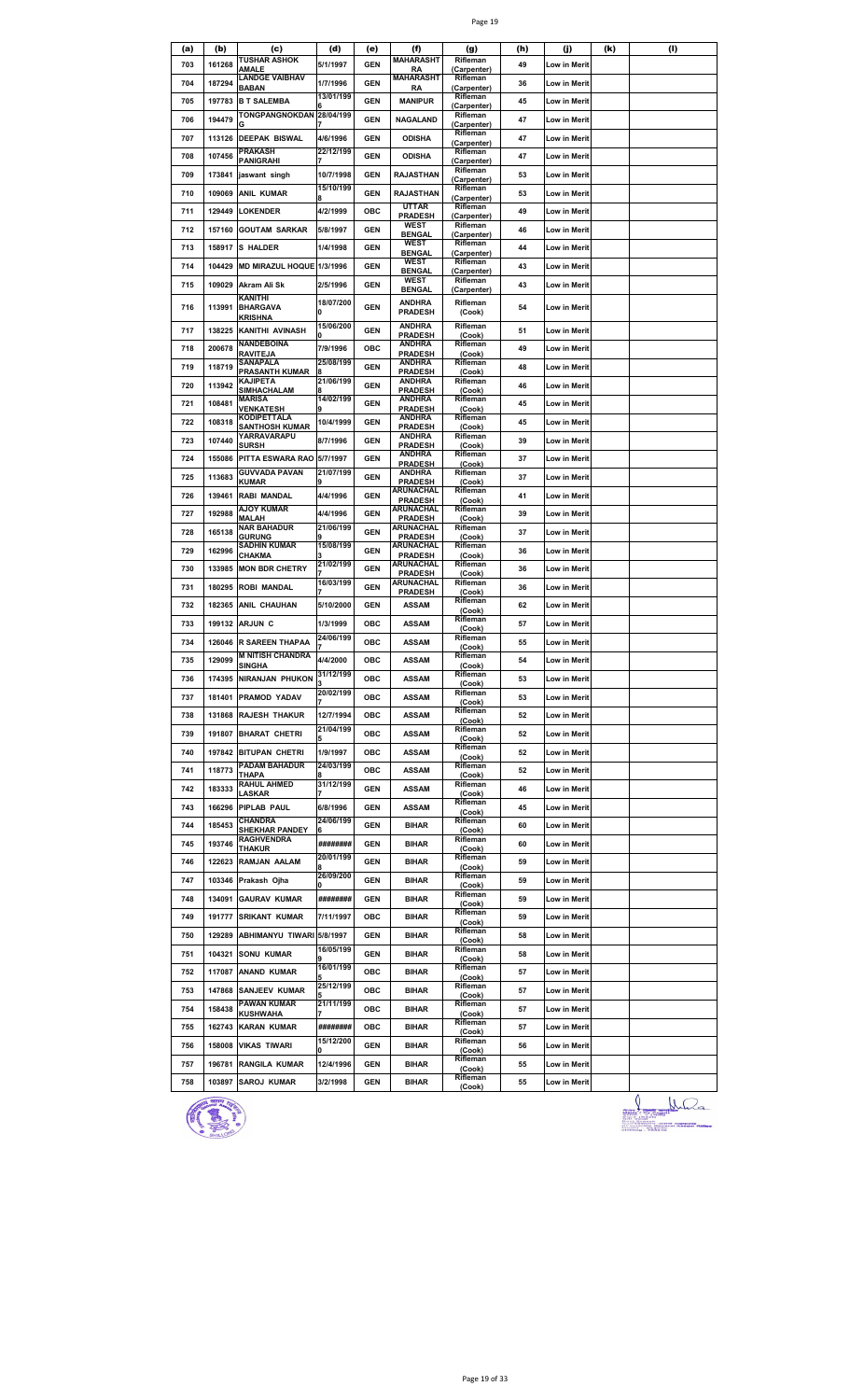| (a) | (b)    | (c)                                 | (d)            | (e)        | (f)                             | (g)                     | (h) | (j)                 | (k) | (I) |
|-----|--------|-------------------------------------|----------------|------------|---------------------------------|-------------------------|-----|---------------------|-----|-----|
| 703 | 161268 | TUSHAR ASHOK<br>AMALE               | 5/1/1997       | <b>GEN</b> | <b>MAHARASHT</b><br>RA          | Rifleman<br>(Carpenter) | 49  | Low in Merit        |     |     |
| 704 | 187294 | <b>LANDGE VAIBHAV</b>               | 1/7/1996       | <b>GEN</b> | <b>MAHARASHT</b>                | Rifleman                | 36  | Low in Merit        |     |     |
|     |        | <b>BABAN</b>                        | 13/01/199      |            | RA                              | (Carpenter)<br>Rifleman |     |                     |     |     |
| 705 | 197783 | <b>B T SALEMBA</b>                  |                | <b>GEN</b> | <b>MANIPUR</b>                  | (Carpenter)             | 45  | Low in Merit        |     |     |
| 706 | 194479 | TONGPANGNOKDAN                      | 28/04/199      | <b>GEN</b> | <b>NAGALAND</b>                 | Rifleman<br>(Carpenter) | 47  | Low in Merit        |     |     |
| 707 | 113126 | <b>DEEPAK BISWAL</b>                | 4/6/1996       | GEN        | <b>ODISHA</b>                   | Rifleman                | 47  | Low in Merit        |     |     |
| 708 | 107456 | PRAKASH                             | 22/12/199      |            |                                 | (Carpenter)<br>Rifleman |     |                     |     |     |
|     |        | PANIGRAHI                           |                | <b>GEN</b> | <b>ODISHA</b>                   | (Carpenter)<br>Rifleman | 47  | Low in Merit        |     |     |
| 709 | 173841 | jaswant singh                       | 10/7/1998      | <b>GEN</b> | <b>RAJASTHAN</b>                | (Carpenter)             | 53  | Low in Merit        |     |     |
| 710 | 109069 | <b>ANIL KUMAR</b>                   | 15/10/199      | <b>GEN</b> | <b>RAJASTHAN</b>                | Rifleman                | 53  | Low in Merit        |     |     |
| 711 | 129449 | <b>LOKENDER</b>                     | 4/2/1999       | ОВС        | <b>UTTAR</b>                    | (Carpenter)<br>Rifleman | 49  | Low in Merit        |     |     |
|     |        |                                     |                |            | <b>PRADESH</b><br>WEST          | (Carpenter)<br>Rifleman |     |                     |     |     |
| 712 | 157160 | <b>GOUTAM SARKAR</b>                | 5/8/1997       | <b>GEN</b> | <b>BENGAL</b>                   | (Carpenter)             | 46  | Low in Merit        |     |     |
| 713 | 158917 | <b>S HALDER</b>                     | 1/4/1998       | <b>GEN</b> | <b>WEST</b><br><b>BENGAL</b>    | Rifleman<br>(Carpenter) | 44  | Low in Merit        |     |     |
| 714 | 104429 | <b>MD MIRAZUL HOQUE</b>             | 1/3/1996       | <b>GEN</b> | WEST                            | Rifleman                | 43  | Low in Merit        |     |     |
|     |        |                                     |                |            | <b>BENGAL</b><br><b>WEST</b>    | (Carpenter)<br>Rifleman |     |                     |     |     |
| 715 | 109029 | Akram Ali Sk                        | 2/5/1996       | <b>GEN</b> | <b>BENGAL</b>                   | (Carpenter)             | 43  | Low in Merit        |     |     |
| 716 | 113991 | <b>KANITHI</b><br><b>BHARGAVA</b>   | 18/07/200      | GEN        | ANDHRA                          | Rifleman                | 54  | Low in Merit        |     |     |
|     |        | KRISHNA                             | 0              |            | <b>PRADESH</b>                  | (Cook)                  |     |                     |     |     |
| 717 | 138225 | KANITHI AVINASH                     | 15/06/200      | <b>GEN</b> | <b>ANDHRA</b><br><b>PRADESH</b> | Rifleman<br>(Cook)      | 51  | <b>Low in Merit</b> |     |     |
| 718 | 200678 | <b>NANDEBOINA</b>                   | 7/9/1996       | ОВС        | ANDHRA                          | Rifleman                | 49  | <b>Low in Merit</b> |     |     |
|     |        | <b>RAVITEJA</b><br>SANAPALA         | 25/08/199      |            | <b>PRADESH</b><br><b>ANDHRA</b> | (Cook)<br>Rifleman      |     |                     |     |     |
| 719 | 118719 | <b>PRASANTH KUMAR</b>               |                | <b>GEN</b> | <b>PRADESH</b>                  | (Cook)                  | 48  | Low in Merit        |     |     |
| 720 | 113942 | KAJIPETA<br>SIMHACHALAM             | 21/06/199      | <b>GEN</b> | <b>ANDHRA</b><br><b>PRADESH</b> | Rifleman<br>(Cook)      | 46  | <b>Low in Merit</b> |     |     |
| 721 | 108481 | MARISA                              | 14/02/199      | <b>GEN</b> | <b>ANDHRA</b>                   | Rifleman                | 45  | Low in Merit        |     |     |
|     |        | <b>VENKATESH</b><br>KODIPETTALA     |                |            | <b>PRADESH</b><br><b>ANDHRA</b> | (Cook)<br>Rifleman      |     |                     |     |     |
| 722 | 108318 | <b>SANTHOSH KUMAR</b>               | 10/4/1999      | <b>GEN</b> | <b>PRADESH</b>                  | (Cook)                  | 45  | Low in Merit        |     |     |
| 723 | 107440 | YARRAVARAPU<br>SURSH                | 8/7/1996       | GEN        | ANDHRA<br><b>PRADESH</b>        | Rifleman<br>(Cook)      | 39  | Low in Merit        |     |     |
| 724 | 155086 | PITTA ESWARA RAO                    | 5/7/1997       | GEN        | <b>ANDHRA</b>                   | Rifleman                | 37  | Low in Merit        |     |     |
| 725 |        | <b>GUVVADA PAVAN</b>                | 21/07/199      | <b>GEN</b> | <b>PRADESH</b><br><b>ANDHRA</b> | (Cook)<br>Rifleman      | 37  |                     |     |     |
|     | 113683 | <b>KUMAR</b>                        |                |            | <b>PRADESH</b><br>ARUNACHAL     | (Cook)<br>Rifleman      |     | Low in Merit        |     |     |
| 726 | 139461 | <b>RABI MANDAL</b>                  | 4/4/1996       | GEN        | <b>PRADESH</b>                  | (Cook)                  | 41  | Low in Merit        |     |     |
| 727 | 192988 | <b>AJOY KUMAR</b><br>MALAH          | 4/4/1996       | <b>GEN</b> | ARUNACHAL<br><b>PRADESH</b>     | Rifleman                | 39  | Low in Merit        |     |     |
| 728 | 165138 | NAR BAHADUR                         | 21/06/199      | <b>GEN</b> | ARUNACHAL                       | (Cook)<br>Rifleman      | 37  | Low in Merit        |     |     |
|     |        | <b>GURUNG</b><br>SADHIN KUMAR       | 15/08/199      |            | <b>PRADESH</b><br>ARUNACHAL     | (Cook)<br>Rifleman      |     |                     |     |     |
| 729 | 162996 | CHAKMA                              |                | <b>GEN</b> | <b>PRADESH</b>                  | (Cook)                  | 36  | Low in Merit        |     |     |
| 730 | 133985 | <b>MON BDR CHETRY</b>               | 21/02/199      | <b>GEN</b> | ARUNACHAL<br><b>PRADESH</b>     | Rifleman<br>(Cook)      | 36  | <b>Low in Merit</b> |     |     |
| 731 | 180295 | <b>ROBI MANDAL</b>                  | 16/03/199      | <b>GEN</b> | ARUNACHAL                       | Rifleman                | 36  | Low in Merit        |     |     |
|     |        |                                     |                |            | <b>PRADESH</b>                  | (Cook)<br>Rifleman      |     |                     |     |     |
| 732 | 182365 | <b>ANIL CHAUHAN</b>                 | 5/10/2000      | <b>GEN</b> | ASSAM                           | (Cook)                  | 62  | Low in Merit        |     |     |
| 733 | 199132 | <b>ARJUN C</b>                      | 1/3/1999       | ОВС        | ASSAM                           | Rifleman<br>(Cook)      | 57  | Low in Merit        |     |     |
| 734 | 126046 | <b>R SAREEN THAPAA</b>              | 24/06/199      | ОВС        | ASSAM                           | Rifleman                | 55  | Low in Merit        |     |     |
|     |        | <b>M NITISH CHANDRA</b>             |                |            |                                 | (Cook)<br>Rifleman      |     |                     |     |     |
| 735 | 129099 | SINGHA                              | 4/4/2000       | OBC        | <b>ASSAM</b>                    | (Cook)                  | 54  | Low in Merit        |     |     |
| 736 | 174395 | <b>NIRANJAN PHUKON</b>              | 31/12/199      | ОВС        | ASSAM                           | Rifleman<br>(Cook)      | 53  | Low in Merit        |     |     |
| 737 | 181401 | <b>PRAMOD YADAV</b>                 | 20/02/199      | ОВС        | <b>ASSAM</b>                    | Rifleman<br>(Cook)      | 53  | Low in Merit        |     |     |
| 738 |        |                                     | 12/7/1994      | ОВС        |                                 | Rifleman                | 52  | Low in Merit        |     |     |
|     |        | 131868 RAJESH THAKUR                | 21/04/199      |            | <b>ASSAM</b>                    | (Cook)<br>Rifleman      |     |                     |     |     |
| 739 |        | 191807 BHARAT CHETRI                |                | ОВС        | ASSAM                           | (Cook)                  | 52  | Low in Merit        |     |     |
| 740 |        | 197842 BITUPAN CHETRI               | 1/9/1997       | ОВС        | ASSAM                           | Rifleman<br>(Cook)      | 52  | Low in Merit        |     |     |
| 741 | 118773 | <b>PADAM BAHADUR</b>                | 24/03/199      | OBC        | ASSAM                           | Rifleman                | 52  | Low in Merit        |     |     |
|     |        | THAPA<br><b>RAHUL AHMED</b>         | 31/12/199      |            |                                 | (Cook)<br>Rifleman      |     |                     |     |     |
| 742 | 183333 | LASKAR                              |                | <b>GEN</b> | <b>ASSAM</b>                    | (Cook)                  | 46  | Low in Merit        |     |     |
| 743 |        | 166296 PIPLAB PAUL                  | 6/8/1996       | <b>GEN</b> | <b>ASSAM</b>                    | Rifleman<br>(Cook)      | 45  | Low in Merit        |     |     |
| 744 | 185453 | <b>CHANDRA</b>                      | 24/06/199      | <b>GEN</b> | <b>BIHAR</b>                    | Rifleman                | 60  | Low in Merit        |     |     |
|     |        | SHEKHAR PANDEY<br><b>RAGHVENDRA</b> | 6              |            |                                 | (Cook)<br>Rifleman      |     |                     |     |     |
| 745 | 193746 | THAKUR                              | ########       | <b>GEN</b> | <b>BIHAR</b>                    | (Cook)                  | 60  | Low in Merit        |     |     |
| 746 | 122623 | RAMJAN AALAM                        | 20/01/199      | <b>GEN</b> | <b>BIHAR</b>                    | Rifleman<br>(Cook)      | 59  | Low in Merit        |     |     |
| 747 |        | 103346 Prakash Ojha                 | 26/09/200      | <b>GEN</b> | <b>BIHAR</b>                    | Rifleman                | 59  | Low in Merit        |     |     |
| 748 | 134091 | <b>GAURAV KUMAR</b>                 | ########       | <b>GEN</b> | <b>BIHAR</b>                    | (Cook)<br>Rifleman      | 59  | Low in Merit        |     |     |
|     |        |                                     |                |            |                                 | (Cook)<br>Rifleman      |     |                     |     |     |
| 749 | 191777 | <b>SRIKANT KUMAR</b>                | 7/11/1997      | OBC        | <b>BIHAR</b>                    | (Cook)                  | 59  | Low in Merit        |     |     |
| 750 | 129289 | ABHIMANYU TIWARI 5/8/1997           |                | GEN        | <b>BIHAR</b>                    | Rifleman<br>(Cook)      | 58  | Low in Merit        |     |     |
| 751 | 104321 | <b>SONU KUMAR</b>                   | 16/05/199      | <b>GEN</b> | <b>BIHAR</b>                    | Rifleman                | 58  | Low in Merit        |     |     |
|     |        |                                     | 16/01/199      |            |                                 | (Cook)<br>Rifleman      |     |                     |     |     |
| 752 |        | 117087 ANAND KUMAR                  |                | ОВС        | <b>BIHAR</b>                    | (Cook)                  | 57  | Low in Merit        |     |     |
| 753 | 147868 | <b>SANJEEV KUMAR</b>                | 25/12/199      | ОВС        | <b>BIHAR</b>                    | Rifleman<br>(Cook)      | 57  | Low in Merit        |     |     |
| 754 | 158438 | <b>PAWAN KUMAR</b>                  | 21/11/199      | ОВС        | <b>BIHAR</b>                    | Rifleman                | 57  | Low in Merit        |     |     |
|     |        | KUSHWAHA                            |                |            |                                 | (Cook)<br>Rifleman      |     |                     |     |     |
| 755 | 162743 | <b>KARAN KUMAR</b>                  | ########       | ОВС        | <b>BIHAR</b>                    | (Cook)                  | 57  | Low in Merit        |     |     |
| 756 | 158008 | <b>VIKAS TIWARI</b>                 | 15/12/200<br>U | <b>GEN</b> | <b>BIHAR</b>                    | Rifleman<br>(Cook)      | 56  | Low in Merit        |     |     |
| 757 | 196781 | RANGILA KUMAR                       | 12/4/1996      | <b>GEN</b> | <b>BIHAR</b>                    | Rifleman                | 55  | Low in Merit        |     |     |
|     |        |                                     |                |            |                                 | (Cook)<br>Rifleman      |     |                     |     |     |
| 758 | 103897 | <b>SAROJ KUMAR</b>                  | 3/2/1998       | GEN        | <b>BIHAR</b>                    | (Cook)                  | 55  | Low in Merit        |     |     |



Jean William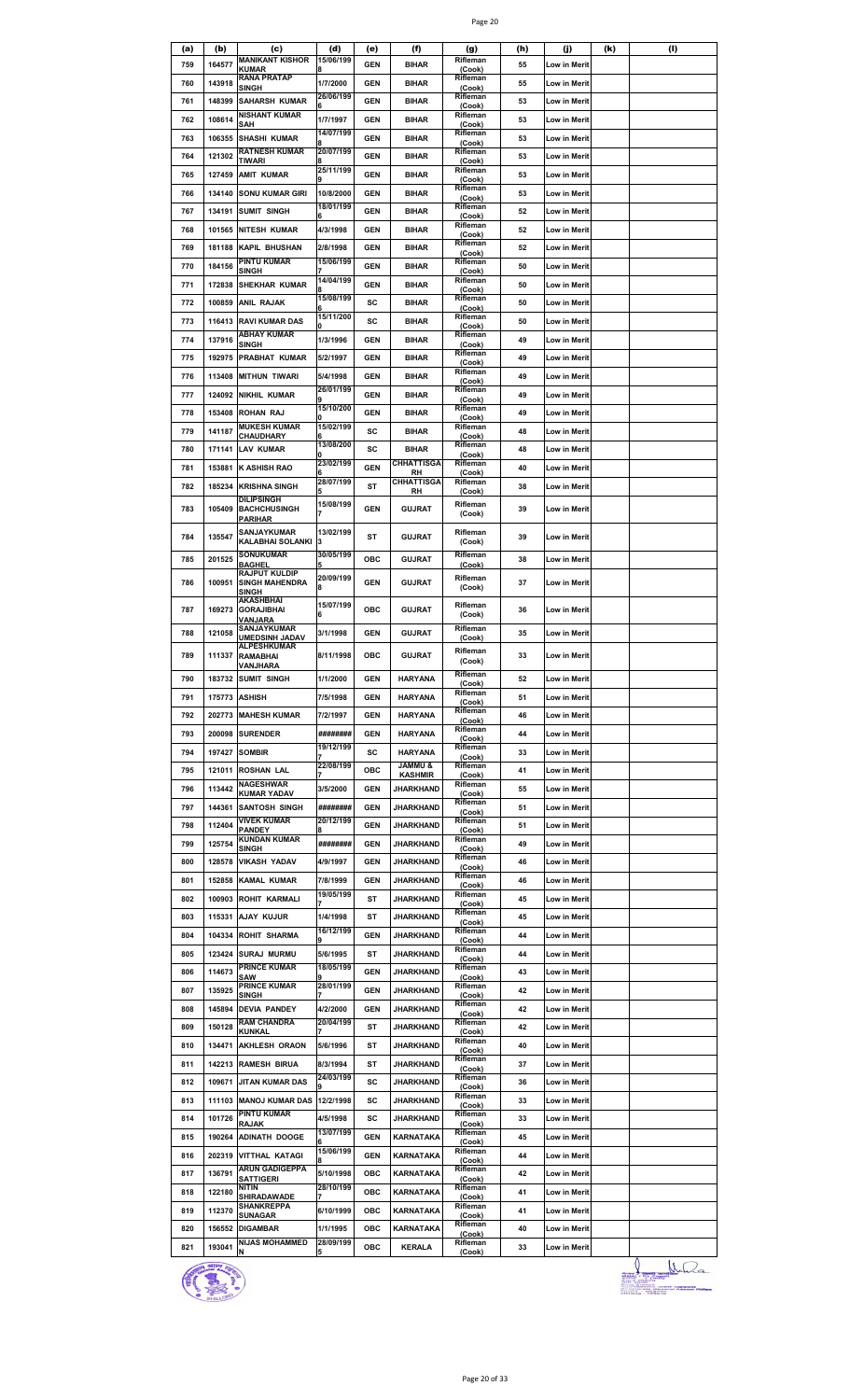| Page 20 |  |
|---------|--|

| (a) | (b)    | (c)                                       | (d)            | (e)        | (f)                     | (g)                | (h) | (j)                 | (k) | (1) |
|-----|--------|-------------------------------------------|----------------|------------|-------------------------|--------------------|-----|---------------------|-----|-----|
| 759 | 164577 | <b>MANIKANT KISHOR</b><br><b>KUMAR</b>    | 15/06/199      | GEN        | <b>BIHAR</b>            | Rifleman<br>(Cook) | 55  | Low in Merit        |     |     |
| 760 | 143918 | <b>RANA PRATAP</b>                        | 1/7/2000       | <b>GEN</b> | <b>BIHAR</b>            | Rifleman           | 55  | Low in Merit        |     |     |
|     |        | SINGH                                     | 26/06/199      |            |                         | (Cook)<br>Rifleman |     |                     |     |     |
| 761 | 148399 | <b>SAHARSH KUMAR</b>                      |                | <b>GEN</b> | <b>BIHAR</b>            | (Cook)             | 53  | Low in Merit        |     |     |
| 762 | 108614 | <b>NISHANT KUMAR</b>                      | 1/7/1997       | <b>GEN</b> | <b>BIHAR</b>            | Rifleman           | 53  | Low in Merit        |     |     |
|     |        | SAH                                       | 14/07/199      |            |                         | (Cook)<br>Rifleman |     |                     |     |     |
| 763 | 106355 | <b>SHASHI KUMAR</b>                       |                | <b>GEN</b> | <b>BIHAR</b>            | (Cook)             | 53  | Low in Merit        |     |     |
| 764 | 121302 | RATNESH KUMAR<br>TIWARI                   | 20/07/199      | GEN        | <b>BIHAR</b>            | Rifleman<br>(Cook) | 53  | Low in Merit        |     |     |
|     |        |                                           | 25/11/199      |            |                         | Rifleman           |     |                     |     |     |
| 765 | 127459 | <b>AMIT KUMAR</b>                         |                | GEN        | <b>BIHAR</b>            | (Cook)             | 53  | Low in Merit        |     |     |
| 766 | 134140 | <b>SONU KUMAR GIRI</b>                    | 10/8/2000      | <b>GEN</b> | <b>BIHAR</b>            | Rifleman<br>(Cook) | 53  | Low in Merit        |     |     |
| 767 | 134191 | <b>SUMIT SINGH</b>                        | 18/01/199      | <b>GEN</b> | <b>BIHAR</b>            | Rifleman           | 52  | Low in Merit        |     |     |
|     |        |                                           | Բ              |            |                         | (Cook)<br>Rifleman |     |                     |     |     |
| 768 | 101565 | <b>NITESH KUMAR</b>                       | 4/3/1998       | <b>GEN</b> | <b>BIHAR</b>            | (Cook)             | 52  | Low in Merit        |     |     |
| 769 | 181188 | <b>KAPIL BHUSHAN</b>                      | 2/8/1998       | GEN        | <b>BIHAR</b>            | Rifleman           | 52  | Low in Merit        |     |     |
|     |        | PINTU KUMAR                               | 15/06/199      |            |                         | (Cook)<br>Rifleman |     |                     |     |     |
| 770 | 184156 | SINGH                                     |                | GEN        | <b>BIHAR</b>            | (Cook)             | 50  | Low in Merit        |     |     |
| 771 | 172838 | SHEKHAR KUMAR                             | 14/04/199      | <b>GEN</b> | <b>BIHAR</b>            | Rifleman<br>(Cook) | 50  | Low in Merit        |     |     |
| 772 | 100859 | ANIL RAJAK                                | 15/08/199      | sc         | <b>BIHAR</b>            | Rifleman           | 50  | Low in Merit        |     |     |
|     |        |                                           | 15/11/200      |            |                         | (Cook)<br>Rifleman |     |                     |     |     |
| 773 | 116413 | <b>RAVI KUMAR DAS</b>                     |                | sc         | <b>BIHAR</b>            | (Cook)             | 50  | Low in Merit        |     |     |
| 774 | 137916 | ABHAY KUMAR                               | 1/3/1996       | GEN        | <b>BIHAR</b>            | Rifleman           | 49  | <b>Low in Merit</b> |     |     |
|     |        | <b>SINGH</b>                              |                |            |                         | (Cook)<br>Rifleman |     |                     |     |     |
| 775 | 192975 | PRABHAT KUMAR                             | 5/2/1997       | GEN        | <b>BIHAR</b>            | (Cook)             | 49  | Low in Merit        |     |     |
| 776 | 113408 | <b>MITHUN TIWARI</b>                      | 5/4/1998       | <b>GEN</b> | <b>BIHAR</b>            | Rifleman<br>(Cook) | 49  | Low in Merit        |     |     |
|     |        |                                           | 26/01/199      |            |                         | Rifleman           |     |                     |     |     |
| 777 | 124092 | <b>NIKHIL KUMAR</b>                       | 15/10/200      | <b>GEN</b> | <b>BIHAR</b>            | (Cook)<br>Rifleman | 49  | Low in Merit        |     |     |
| 778 | 153408 | ROHAN RAJ                                 |                | <b>GEN</b> | <b>BIHAR</b>            | (Cook)             | 49  | Low in Merit        |     |     |
| 779 | 141187 | <b>MUKESH KUMAR</b>                       | 15/02/199      | sc         | <b>BIHAR</b>            | Rifleman           | 48  | <b>Low in Merit</b> |     |     |
|     |        | CHAUDHARY                                 | 13/08/200      |            |                         | (Cook)<br>Rifleman |     |                     |     |     |
| 780 | 171141 | LAV KUMAR                                 |                | sc         | <b>BIHAR</b>            | (Cook)             | 48  | Low in Merit        |     |     |
| 781 | 153881 | K ASHISH RAO                              | 23/02/199      | <b>GEN</b> | <b>CHHATTISGA</b>       | Rifleman           | 40  | Low in Merit        |     |     |
| 782 | 185234 |                                           | 28/07/199      | ST         | RH<br><b>CHHATTISGA</b> | (Cook)<br>Rifleman | 38  |                     |     |     |
|     |        | <b>KRISHNA SINGH</b><br><b>DILIPSINGH</b> | 5              |            | RH                      | (Cook)             |     | Low in Merit        |     |     |
| 783 | 105409 | <b>BACHCHUSINGH</b>                       | 15/08/199      | <b>GEN</b> | <b>GUJRAT</b>           | Rifleman           | 39  | Low in Merit        |     |     |
|     |        | <b>PARIHAR</b>                            |                |            |                         | (Cook)             |     |                     |     |     |
| 784 | 135547 | SANJAYKUMAR                               | 13/02/199      | ST         | <b>GUJRAT</b>           | Rifleman           | 39  | Low in Merit        |     |     |
|     |        | KALABHAI SOLANKI                          | 3              |            |                         | (Cook)             |     |                     |     |     |
| 785 | 201525 | <b>SONUKUMAR</b><br><b>BAGHEL</b>         | 30/05/199      | ОВС        | <b>GUJRAT</b>           | Rifleman<br>(Cook) | 38  | Low in Merit        |     |     |
|     |        | <b>RAJPUT KULDIP</b>                      | 20/09/199      |            |                         | Rifleman           |     |                     |     |     |
| 786 | 100951 | <b>SINGH MAHENDRA</b>                     | 8              | <b>GEN</b> | GUJRAT                  | (Cook)             | 37  | Low in Merit        |     |     |
|     |        | <b>SINGH</b><br>AKASHBHAI                 |                |            |                         |                    |     |                     |     |     |
| 787 | 169273 | <b>GORAJIBHAI</b>                         | 15/07/199<br>6 | ОВС        | GUJRAT                  | Rifleman<br>(Cook) | 36  | Low in Merit        |     |     |
|     |        | VANJARA<br>SANJAYKUMAR                    |                |            |                         | Rifleman           |     |                     |     |     |
| 788 | 121058 | <b>UMEDSINH JADAV</b>                     | 3/1/1998       | <b>GEN</b> | <b>GUJRAT</b>           | (Cook)             | 35  | Low in Merit        |     |     |
|     |        | <b>ALPESHKUMAR</b>                        | 8/11/1998      |            | <b>GUJRAT</b>           | Rifleman           |     |                     |     |     |
| 789 | 111337 | RAMABHAI<br>VANJHARA                      |                | ОВС        |                         | (Cook)             | 33  | Low in Merit        |     |     |
| 790 |        | 183732 SUMIT SINGH                        | 1/1/2000       | GEN        | <b>HARYANA</b>          | Rifleman           | 52  | Low in Merit        |     |     |
|     |        |                                           |                |            |                         | (Cook)<br>Rifleman |     |                     |     |     |
| 791 |        | 175773 ASHISH                             | 7/5/1998       | <b>GEN</b> | <b>HARYANA</b>          | (Cook)             | 51  | Low in Merit        |     |     |
| 792 |        | 202773 MAHESH KUMAR                       | 7/2/1997       | GEN        | <b>HARYANA</b>          | Rifleman<br>(Cook) | 46  | Low in Merit        |     |     |
|     |        |                                           |                |            |                         | Rifleman           |     |                     |     |     |
| 793 | 200098 | <b>SURENDER</b>                           | ########       | GEN        | <b>HARYANA</b>          | (Cook)             | 44  | Low in Merit        |     |     |
| 794 | 197427 | <b>SOMBIR</b>                             | 19/12/199      | sc         | <b>HARYANA</b>          | Rifleman<br>(Cook) | 33  | Low in Merit        |     |     |
| 795 | 121011 | <b>ROSHAN LAL</b>                         | 22/08/199      | ОВС        | <b>JAMMU &amp;</b>      | Rifleman           | 41  | Low in Merit        |     |     |
|     |        | NAGESHWAR                                 |                |            | <b>KASHMIR</b>          | (Cook)<br>Rifleman |     |                     |     |     |
| 796 | 113442 | <b>KUMAR YADAV</b>                        | 3/5/2000       | GEN        | <b>JHARKHAND</b>        | (Cook)             | 55  | Low in Merit        |     |     |
| 797 |        | 144361 SANTOSH SINGH                      | ########       | GEN        | JHARKHAND               | Rifleman<br>(Cook) | 51  | Low in Merit        |     |     |
| 798 | 112404 | <b>VIVEK KUMAR</b>                        | 20/12/199      | GEN        | JHARKHAND               | Rifleman           | 51  | Low in Merit        |     |     |
|     |        | <b>PANDEY</b><br><b>KUNDAN KUMAR</b>      |                |            |                         | (Cook)             |     |                     |     |     |
| 799 | 125754 | <b>SINGH</b>                              | ########       | GEN        | JHARKHAND               | Rifleman<br>(Cook) | 49  | Low in Merit        |     |     |
| 800 | 128578 | <b>VIKASH YADAV</b>                       | 4/9/1997       | GEN        | JHARKHAND               | Rifleman           | 46  | Low in Merit        |     |     |
|     |        |                                           |                |            |                         | (Cook)<br>Rifleman |     |                     |     |     |
| 801 | 152858 | <b>KAMAL KUMAR</b>                        | 7/8/1999       | <b>GEN</b> | JHARKHAND               | (Cook)             | 46  | Low in Merit        |     |     |
| 802 |        | 100903 ROHIT KARMALI                      | 19/05/199      | ST         | JHARKHAND               | Rifleman<br>(Cook) | 45  | Low in Merit        |     |     |
| 803 |        | 115331 AJAY KUJUR                         | 1/4/1998       | ST         | JHARKHAND               | Rifleman           | 45  | Low in Merit        |     |     |
|     |        |                                           | 16/12/199      |            |                         | (Cook)<br>Rifleman |     |                     |     |     |
| 804 |        | 104334 ROHIT SHARMA                       |                | GEN        | JHARKHAND               | (Cook)             | 44  | Low in Merit        |     |     |
| 805 |        | 123424 SURAJ MURMU                        | 5/6/1995       | ST         | JHARKHAND               | Rifleman<br>(Cook) | 44  | Low in Merit        |     |     |
|     |        | <b>PRINCE KUMAR</b>                       | 18/05/199      |            |                         | Rifleman           |     |                     |     |     |
| 806 | 114673 | SAW                                       |                | <b>GEN</b> | JHARKHAND               | (Cook)             | 43  | Low in Merit        |     |     |
| 807 | 135925 | <b>PRINCE KUMAR</b><br><b>SINGH</b>       | 28/01/199      | GEN        | JHARKHAND               | Rifleman<br>(Cook) | 42  | Low in Merit        |     |     |
| 808 | 145894 | <b>DEVIA PANDEY</b>                       | 4/2/2000       | GEN        | JHARKHAND               | Rifleman           | 42  | Low in Merit        |     |     |
|     |        | <b>RAM CHANDRA</b>                        | 20/04/199      |            |                         | (Cook)<br>Rifleman |     |                     |     |     |
| 809 | 150128 | <b>KUNKAL</b>                             |                | ST         | JHARKHAND               | (Cook)             | 42  | Low in Merit        |     |     |
| 810 | 134471 | <b>AKHLESH ORAON</b>                      | 5/6/1996       | ST         | JHARKHAND               | Rifleman<br>(Cook) | 40  | Low in Merit        |     |     |
| 811 |        | 142213 RAMESH BIRUA                       | 8/3/1994       | ST         | JHARKHAND               | Rifleman           | 37  | Low in Merit        |     |     |
|     |        |                                           |                |            |                         | (Cook)             |     |                     |     |     |
| 812 |        | 109671 JITAN KUMAR DAS                    | 24/03/199      | sc         | JHARKHAND               | Rifleman<br>(Cook) | 36  | Low in Merit        |     |     |
| 813 |        | 111103 MANOJ KUMAR DAS                    | 12/2/1998      | sc         | JHARKHAND               | Rifleman           | 33  | Low in Merit        |     |     |
|     |        | PINTU KUMAR                               |                |            |                         | (Cook)<br>Rifleman |     |                     |     |     |
| 814 | 101726 | <b>RAJAK</b>                              | 4/5/1998       | sc         | JHARKHAND               | (Cook)             | 33  | Low in Merit        |     |     |
| 815 | 190264 | <b>ADINATH DOOGE</b>                      | 13/07/199<br>6 | <b>GEN</b> | KARNATAKA               | Rifleman<br>(Cook) | 45  | Low in Merit        |     |     |
| 816 |        | 202319 VITTHAL KATAGI                     | 15/06/199      | <b>GEN</b> | KARNATAKA               | Rifleman           | 44  | Low in Merit        |     |     |
|     |        | <b>ARUN GADIGEPPA</b>                     |                |            |                         | (Cook)<br>Rifleman |     |                     |     |     |
| 817 | 136791 | <b>SATTIGERI</b>                          | 5/10/1998      | ОВС        | KARNATAKA               | (Cook)             | 42  | Low in Merit        |     |     |
| 818 | 122180 | NITIN                                     | 28/10/199      | ОВС        | KARNATAKA               | Rifleman           | 41  | Low in Merit        |     |     |
|     |        | SHIRADAWADE<br>SHANKREPPA                 |                |            |                         | (Cook)<br>Rifleman |     |                     |     |     |
| 819 | 112370 | <b>SUNAGAR</b>                            | 6/10/1999      | ОВС        | KARNATAKA               | (Cook)             | 41  | Low in Merit        |     |     |
| 820 | 156552 | <b>DIGAMBAR</b>                           | 1/1/1995       | ОВС        | KARNATAKA               | Rifleman<br>(Cook) | 40  | Low in Merit        |     |     |
| 821 | 193041 | <b>NIJAS MOHAMMED</b>                     | 28/09/199      | OBC        | <b>KERALA</b>           | Rifleman           | 33  | Low in Merit        |     |     |
|     |        |                                           |                |            |                         | (Cook)             |     |                     |     |     |



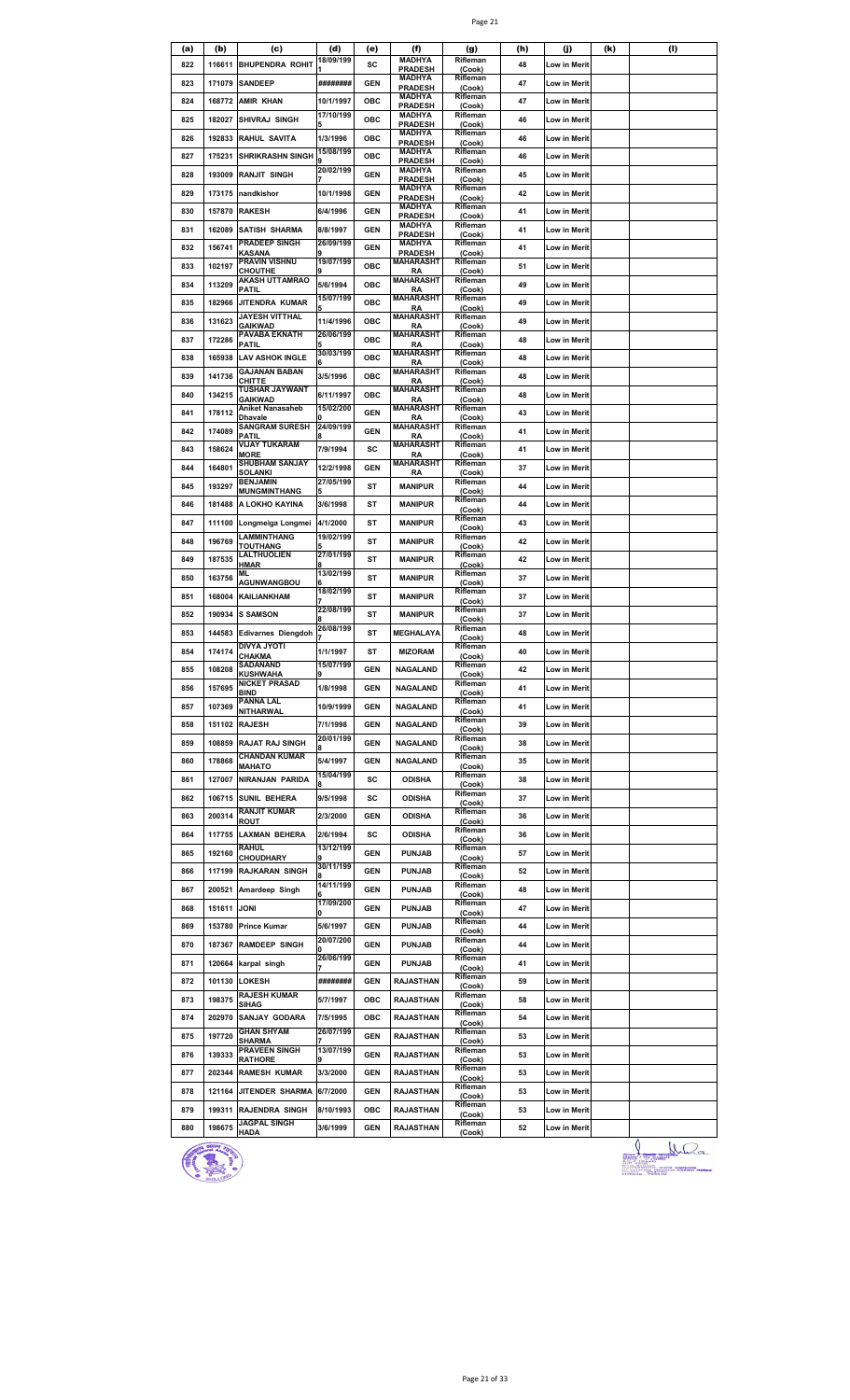| (a) | (b)         | (c)                                    | (d)            | (e)        | (f)                             | (g)                | (h) | (j)                 | (k) | (1) |
|-----|-------------|----------------------------------------|----------------|------------|---------------------------------|--------------------|-----|---------------------|-----|-----|
| 822 | 116611      | <b>BHUPENDRA ROHIT</b>                 | 18/09/199      | SC         | <b>MADHYA</b>                   | Rifleman           | 48  | Low in Merit        |     |     |
|     |             |                                        |                |            | <b>PRADESH</b><br><b>MADHYA</b> | (Cook)<br>Rifleman |     |                     |     |     |
| 823 | 171079      | <b>SANDEEP</b>                         | ########       | <b>GEN</b> | <b>PRADESH</b>                  | (Cook)             | 47  | Low in Merit        |     |     |
| 824 | 168772      | <b>AMIR KHAN</b>                       | 10/1/1997      | ОВС        | <b>MADHYA</b>                   | Rifleman           | 47  | Low in Merit        |     |     |
|     |             |                                        | 17/10/199      |            | <b>PRADESH</b><br><b>MADHYA</b> | (Cook)<br>Rifleman |     |                     |     |     |
| 825 | 182027      | SHIVRAJ SINGH                          |                | ОВС        | <b>PRADESH</b>                  | (Cook)             | 46  | Low in Merit        |     |     |
| 826 | 192833      | RAHUL SAVITA                           | 1/3/1996       | ОВС        | <b>MADHYA</b><br><b>PRADESH</b> | Rifleman<br>(Cook) | 46  | Low in Merit        |     |     |
| 827 | 175231      | <b>SHRIKRASHN SINGH</b>                | 15/08/199      | OBC        | <b>MADHYA</b>                   | Rifleman           | 46  |                     |     |     |
|     |             |                                        |                |            | <b>PRADESH</b><br><b>MADHYA</b> | (Cook)<br>Rifleman |     | Low in Merit        |     |     |
| 828 | 193009      | <b>RANJIT SINGH</b>                    | 20/02/199      | <b>GEN</b> | <b>PRADESH</b>                  | (Cook)             | 45  | Low in Merit        |     |     |
| 829 | 173175      | nandkishor                             | 10/1/1998      | GEN        | <b>MADHYA</b>                   | Rifleman           | 42  | <b>Low in Merit</b> |     |     |
|     |             |                                        |                |            | <b>PRADESH</b><br><b>MADHYA</b> | (Cook)<br>Rifleman |     |                     |     |     |
| 830 | 157870      | <b>RAKESH</b>                          | 6/4/1996       | <b>GEN</b> | <b>PRADESH</b>                  | (Cook)             | 41  | <b>Low in Merit</b> |     |     |
| 831 | 162089      | <b>SATISH SHARMA</b>                   | 8/8/1997       | <b>GEN</b> | <b>MADHYA</b><br><b>PRADESH</b> | Rifleman<br>(Cook) | 41  | Low in Merit        |     |     |
|     |             | <b>PRADEEP SINGH</b>                   | 26/09/199      |            | <b>MADHYA</b>                   | Rifleman           |     |                     |     |     |
| 832 | 156741      | KASANA                                 |                | <b>GEN</b> | <b>PRADESH</b>                  | (Cook)             | 41  | Low in Merit        |     |     |
| 833 | 102197      | <b>PRAVIN VISHNU</b><br><b>CHOUTHE</b> | 19/07/199      | ОВС        | MAHARASHT<br><b>RA</b>          | Rifleman<br>(Cook) | 51  | Low in Merit        |     |     |
| 834 | 113209      | <b>AKASH UTTAMRAO</b>                  | 5/6/1994       | ОВС        | <b>MAHARASHT</b>                | Rifleman           | 49  | Low in Merit        |     |     |
|     |             | PATIL                                  | 15/07/199      |            | RA<br>MAHARASHT                 | (Cook)<br>Rifleman |     |                     |     |     |
| 835 | 182966      | JITENDRA KUMAR                         |                | ОВС        | <b>RA</b>                       | (Cook)             | 49  | Low in Merit        |     |     |
| 836 | 131623      | <b>JAYESH VITTHAL</b>                  | 11/4/1996      | ОВС        | <b>MAHARASHT</b>                | Rifleman           | 49  | Low in Merit        |     |     |
|     |             | GAIKWAD<br>PAVABA EKNATH               | 26/06/199      |            | <b>RA</b><br>MAHARASHT          | (Cook)<br>Rifleman |     |                     |     |     |
| 837 | 172286      | PATIL                                  |                | ОВС        | RA                              | (Cook)             | 48  | Low in Merit        |     |     |
| 838 | 165938      | <b>LAV ASHOK INGLE</b>                 | 30/03/199      | ОВС        | <b>MAHARASHT</b><br>RA          | Rifleman<br>(Cook) | 48  | Low in Merit        |     |     |
| 839 | 141736      | <b>GAJANAN BABAN</b>                   | 3/5/1996       | ОВС        | <b>MAHARASHT</b>                | Rifleman           | 48  | <b>Low in Merit</b> |     |     |
|     |             | CHITTE<br><b>TUSHAR JAYWANT</b>        |                |            | RA                              | (Cook)             |     |                     |     |     |
| 840 | 134215      | <b>GAIKWAD</b>                         | 6/11/1997      | ОВС        | MAHARASHT<br><b>RA</b>          | Rifleman<br>(Cook) | 48  | <b>Low in Merit</b> |     |     |
| 841 | 178112      | Aniket Nanasaheb                       | 15/02/200      | <b>GEN</b> | <b>MAHARASHT</b>                | Rifleman           | 43  | Low in Merit        |     |     |
|     |             | Dhavale<br><b>SANGRAM SURESH</b>       | 24/09/199      |            | <b>RA</b><br><b>MAHARASHT</b>   | (Cook)<br>Rifleman |     |                     |     |     |
| 842 | 174089      | PATIL                                  |                | <b>GEN</b> | RA                              | (Cook)             | 41  | Low in Merit        |     |     |
| 843 | 158624      | VIJAY TUKARAM<br><b>MORE</b>           | 7/9/1994       | sc         | MAHARASHT<br>RA                 | Rifleman<br>(Cook) | 41  | Low in Merit        |     |     |
|     |             | <b>SHUBHAM SANJAY</b>                  |                |            | <b>MAHARASHT</b>                | Rifleman           |     |                     |     |     |
| 844 | 164801      | SOLANKI                                | 12/2/1998      | GEN        | RA                              | (Cook)             | 37  | Low in Merit        |     |     |
| 845 | 193297      | <b>BENJAMIN</b><br><b>MUNGMINTHANG</b> | 27/05/199      | ST         | <b>MANIPUR</b>                  | Rifleman<br>(Cook) | 44  | Low in Merit        |     |     |
| 846 | 181488      | A LOKHO KAYINA                         | 3/6/1998       | ST         | <b>MANIPUR</b>                  | Rifleman           | 44  | Low in Merit        |     |     |
|     |             |                                        |                |            |                                 | (Cook)<br>Rifleman |     |                     |     |     |
| 847 | 111100      | Longmeiga Longmei                      | 4/1/2000       | ST         | <b>MANIPUR</b>                  | (Cook)             | 43  | Low in Merit        |     |     |
| 848 | 196769      | LAMMINTHANG                            | 19/02/199      | ST         | <b>MANIPUR</b>                  | Rifleman           | 42  | Low in Merit        |     |     |
|     |             | <b>TOUTHANG</b><br><b>LALTHUOLIEN</b>  | 27/01/199      |            |                                 | (Cook)<br>Rifleman |     |                     |     |     |
| 849 | 187535      | HMAR                                   |                | ST         | <b>MANIPUR</b>                  | (Cook)             | 42  | <b>Low in Merit</b> |     |     |
| 850 | 163756      | ML<br>AGUNWANGBOU                      | 13/02/199      | ST         | <b>MANIPUR</b>                  | Rifleman<br>(Cook) | 37  | <b>Low in Merit</b> |     |     |
| 851 | 168004      | <b>KAILIANKHAM</b>                     | 18/02/199      | ST         | <b>MANIPUR</b>                  | Rifleman           | 37  | Low in Merit        |     |     |
|     |             |                                        |                |            |                                 | (Cook)             |     |                     |     |     |
| 852 | 190934      | <b>S SAMSON</b>                        | 22/08/199      | ST         | <b>MANIPUR</b>                  | Rifleman<br>(Cook) | 37  | Low in Merit        |     |     |
| 853 | 144583      | <b>Edivarnes Diengdoh</b>              | 26/08/199      | ST         | MEGHALAYA                       | Rifleman           | 48  | Low in Merit        |     |     |
|     |             | <b>DIVYA JYOTI</b>                     |                |            |                                 | (Cook)<br>Rifleman |     |                     |     |     |
| 854 | 174174      | CHAKMA                                 | 1/1/1997       | ST         | <b>MIZORAM</b>                  | (Cook)             | 40  | Low in Merit        |     |     |
| 855 | 108208      | SADANAND<br><b>KUSHWAHA</b>            | 15/07/199<br>9 | <b>GEN</b> | <b>NAGALAND</b>                 | Rifleman           | 42  | Low in Merit        |     |     |
|     |             | <b>NICKET PRASAD</b>                   |                |            |                                 | (Cook)<br>Rifleman |     |                     |     |     |
| 856 | 157695      | BIND                                   | 1/8/1998       | <b>GEN</b> | <b>NAGALAND</b>                 | (Cook)             | 41  | Low in Merit        |     |     |
| 857 | 107369      | PANNA LAL<br>NITHARWAL                 | 10/9/1999      | GEN        | <b>NAGALAND</b>                 | Rifleman<br>(Cook) | 41  | Low in Merit        |     |     |
| 858 |             | 151102 RAJESH                          | 7/1/1998       | GEN        | <b>NAGALAND</b>                 | Rifleman           | 39  | Low in Merit        |     |     |
|     |             |                                        | 20/01/199      |            |                                 | (Cook)<br>Rifleman |     |                     |     |     |
| 859 | 108859      | <b>RAJAT RAJ SINGH</b>                 |                | <b>GEN</b> | NAGALAND                        | (Cook)             | 38  | Low in Merit        |     |     |
| 860 | 178868      | <b>CHANDAN KUMAR</b>                   | 5/4/1997       | <b>GEN</b> | <b>NAGALAND</b>                 | Rifleman           | 35  | Low in Merit        |     |     |
|     |             | <b>MAHATO</b>                          | 15/04/199      |            |                                 | (Cook)<br>Rifleman |     |                     |     |     |
| 861 |             | 127007 NIRANJAN PARIDA                 |                | sc         | <b>ODISHA</b>                   | (Cook)             | 38  | Low in Merit        |     |     |
| 862 |             | 106715 SUNIL BEHERA                    | 9/5/1998       | sc         | <b>ODISHA</b>                   | Rifleman<br>(Cook) | 37  | Low in Merit        |     |     |
| 863 | 200314      | <b>RANJIT KUMAR</b>                    | 2/3/2000       | GEN        | <b>ODISHA</b>                   | Rifleman           | 36  | Low in Merit        |     |     |
|     |             | <b>ROUT</b>                            |                |            |                                 | (Cook)             |     |                     |     |     |
| 864 | 117755      | <b>LAXMAN BEHERA</b>                   | 2/6/1994       | sc         | <b>ODISHA</b>                   | Rifleman<br>(Cook) | 36  | Low in Merit        |     |     |
| 865 | 192160      | RAHUL                                  | 13/12/199      | <b>GEN</b> | <b>PUNJAB</b>                   | Rifleman           | 57  | Low in Merit        |     |     |
|     |             | <b>CHOUDHARY</b>                       | 30/11/199      |            |                                 | (Cook)<br>Rifleman |     |                     |     |     |
| 866 | 117199      | <b>RAJKARAN SINGH</b>                  |                | <b>GEN</b> | <b>PUNJAB</b>                   | (Cook)             | 52  | Low in Merit        |     |     |
| 867 |             | 200521 Amardeep Singh                  | 14/11/199      | GEN        | <b>PUNJAB</b>                   | Rifleman<br>(Cook) | 48  | Low in Merit        |     |     |
|     |             |                                        | 17/09/200      |            |                                 | Rifleman           |     |                     |     |     |
| 868 | 151611 JONI |                                        |                | GEN        | <b>PUNJAB</b>                   | (Cook)             | 47  | Low in Merit        |     |     |
| 869 | 153780      | <b>Prince Kumar</b>                    | 5/6/1997       | <b>GEN</b> | <b>PUNJAB</b>                   | Rifleman<br>(Cook) | 44  | Low in Merit        |     |     |
| 870 | 187367      | <b>RAMDEEP SINGH</b>                   | 20/07/200      | <b>GEN</b> | <b>PUNJAB</b>                   | Rifleman           | 44  | Low in Merit        |     |     |
|     |             |                                        | 26/06/199      |            |                                 | (Cook)<br>Rifleman |     |                     |     |     |
| 871 |             | 120664 karpal singh                    |                | <b>GEN</b> | <b>PUNJAB</b>                   | (Cook)             | 41  | Low in Merit        |     |     |
| 872 | 101130      | <b>LOKESH</b>                          | ########       | GEN        | RAJASTHAN                       | Rifleman           | 59  | <b>Low in Merit</b> |     |     |
|     |             | <b>RAJESH KUMAR</b>                    |                |            |                                 | (Cook)<br>Rifleman |     |                     |     |     |
| 873 | 198375      | SIHAG                                  | 5/7/1997       | ОВС        | RAJASTHAN                       | (Cook)             | 58  | Low in Merit        |     |     |
| 874 | 202970      | <b>SANJAY GODARA</b>                   | 7/5/1995       | ОВС        | RAJASTHAN                       | Rifleman           | 54  | Low in Merit        |     |     |
|     |             | <b>GHAN SHYAM</b>                      | 26/07/199      |            |                                 | (Cook)<br>Rifleman |     |                     |     |     |
| 875 | 197720      | <b>SHARMA</b>                          |                | <b>GEN</b> | <b>RAJASTHAN</b>                | (Cook)             | 53  | Low in Merit        |     |     |
| 876 | 139333      | <b>PRAVEEN SINGH</b><br><b>RATHORE</b> | 13/07/199      | <b>GEN</b> | RAJASTHAN                       | Rifleman<br>(Cook) | 53  | Low in Merit        |     |     |
| 877 | 202344      | <b>RAMESH KUMAR</b>                    | 3/3/2000       | GEN        | <b>RAJASTHAN</b>                | Rifleman           | 53  | Low in Merit        |     |     |
|     |             |                                        |                |            |                                 | (Cook)<br>Rifleman |     |                     |     |     |
| 878 |             | 121164 JITENDER SHARMA                 | 6/7/2000       | GEN        | RAJASTHAN                       | (Cook)             | 53  | Low in Merit        |     |     |
| 879 | 199311      | <b>RAJENDRA SINGH</b>                  | 8/10/1993      | ОВС        | <b>RAJASTHAN</b>                | Rifleman           | 53  | Low in Merit        |     |     |
|     |             | <b>JAGPAL SINGH</b>                    |                |            |                                 | (Cook)<br>Rifleman |     |                     |     |     |
| 880 | 198675      | <b>HADA</b>                            | 3/6/1999       | <b>GEN</b> | RAJASTHAN                       | (Cook)             | 52  | Low in Merit        |     |     |



<u>J</u><br>Escriptor W.C.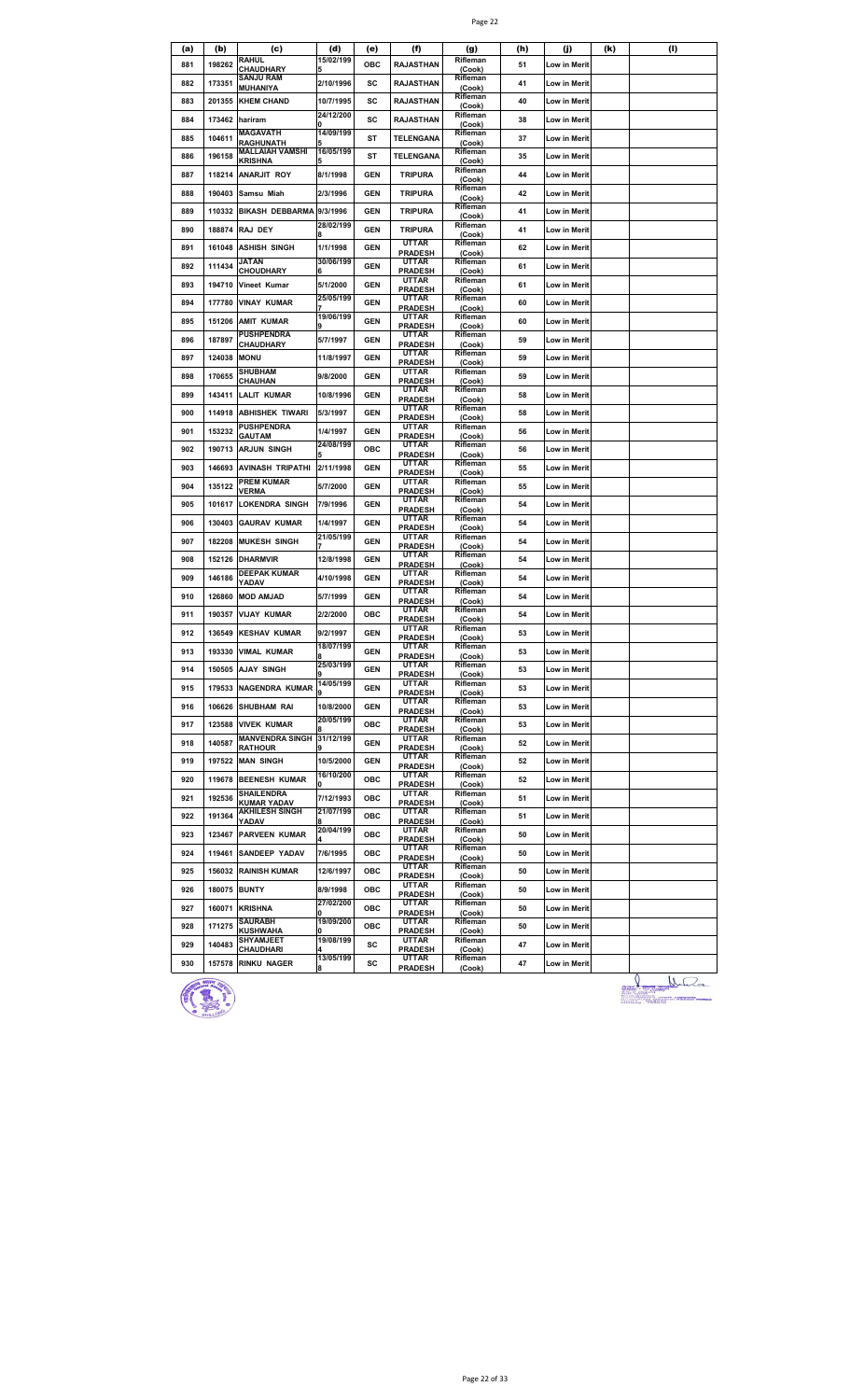|--|--|

| (a) | (b)    | (c)                                          | (d)                    | (e)        | (f)                            | (g)                | (h) | (j)                 | (k) | (I) |
|-----|--------|----------------------------------------------|------------------------|------------|--------------------------------|--------------------|-----|---------------------|-----|-----|
| 881 | 198262 | <b>RAHUL</b><br><b>CHAUDHARY</b>             | 15/02/199              | ОВС        | RAJASTHAN                      | Rifleman<br>(Cook) | 51  | Low in Merit        |     |     |
| 882 | 173351 | <b>SANJU RAM</b><br>MUHANIYA                 | 2/10/1996              | SC         | <b>RAJASTHAN</b>               | Rifleman<br>(Cook) | 41  | <b>Low in Merit</b> |     |     |
| 883 | 201355 | <b>KHEM CHAND</b>                            | 10/7/1995              | sc         | <b>RAJASTHAN</b>               | Rifleman<br>(Cook) | 40  | Low in Merit        |     |     |
| 884 | 173462 | hariram                                      | 24/12/200              | sc         | <b>RAJASTHAN</b>               | Rifleman<br>(Cook) | 38  | Low in Merit        |     |     |
| 885 | 104611 | <b>MAGAVATH</b>                              | 14/09/199              | ST         | <b>TELENGANA</b>               | Rifleman           | 37  | Low in Merit        |     |     |
| 886 | 196158 | <b>RAGHUNATH</b><br>MALLAIAH VAMSHI          | 16/05/199              | ST         | TELENGANA                      | (Cook)<br>Rifleman | 35  | Low in Merit        |     |     |
| 887 | 118214 | KRISHNA<br><b>ANARJIT ROY</b>                | 8/1/1998               | <b>GEN</b> | <b>TRIPURA</b>                 | (Cook)<br>Rifleman | 44  | Low in Merit        |     |     |
| 888 | 190403 | Samsu Miah                                   | 2/3/1996               | <b>GEN</b> | <b>TRIPURA</b>                 | (Cook)<br>Rifleman | 42  | Low in Merit        |     |     |
|     |        |                                              |                        |            |                                | (Cook)<br>Rifleman |     |                     |     |     |
| 889 | 110332 | <b>BIKASH DEBBARMA</b>                       | 9/3/1996<br>28/02/199  | <b>GEN</b> | <b>TRIPURA</b>                 | (Cook)<br>Rifleman | 41  | Low in Merit        |     |     |
| 890 | 188874 | <b>RAJ DEY</b>                               |                        | <b>GEN</b> | <b>TRIPURA</b><br><b>UTTAR</b> | (Cook)<br>Rifleman | 41  | Low in Merit        |     |     |
| 891 | 161048 | ASHISH SINGH<br>JATAN                        | 1/1/1998<br>30/06/199  | <b>GEN</b> | <b>PRADESH</b><br>UTTAR        | (Cook)<br>Rifleman | 62  | Low in Merit        |     |     |
| 892 | 111434 | CHOUDHARY                                    | 6                      | <b>GEN</b> | <b>PRADESH</b>                 | (Cook)             | 61  | Low in Merit        |     |     |
| 893 | 194710 | Vineet Kumar                                 | 5/1/2000               | <b>GEN</b> | UTTAR<br><b>PRADESH</b>        | Rifleman<br>(Cook) | 61  | Low in Merit        |     |     |
| 894 | 177780 | <b>VINAY KUMAR</b>                           | 25/05/199              | <b>GEN</b> | UTTAR<br><b>PRADESH</b>        | Rifleman<br>(Cook) | 60  | Low in Merit        |     |     |
| 895 | 151206 | <b>AMIT KUMAR</b>                            | 19/06/199<br>9         | <b>GEN</b> | UTTAR<br><b>PRADESH</b>        | Rifleman<br>(Cook) | 60  | Low in Merit        |     |     |
| 896 | 187897 | <b>PUSHPENDRA</b><br><b>CHAUDHARY</b>        | 5/7/1997               | <b>GEN</b> | UTTAR<br><b>PRADESH</b>        | Rifleman<br>(Cook) | 59  | Low in Merit        |     |     |
| 897 | 124038 | <b>MONU</b>                                  | 11/8/1997              | <b>GEN</b> | UTTAR<br><b>PRADESH</b>        | Rifleman<br>(Cook) | 59  | Low in Merit        |     |     |
| 898 | 170655 | <b>SHUBHAM</b><br><b>CHAUHAN</b>             | 9/8/2000               | <b>GEN</b> | UTTAR<br><b>PRADESH</b>        | Rifleman<br>(Cook) | 59  | Low in Merit        |     |     |
| 899 | 143411 | <b>LALIT KUMAR</b>                           | 10/8/1996              | <b>GEN</b> | <b>UTTAR</b>                   | Rifleman           | 58  | Low in Merit        |     |     |
| 900 |        | 114918 ABHISHEK TIWARI                       | 5/3/1997               | <b>GEN</b> | <b>PRADESH</b><br>UTTAR        | (Cook)<br>Rifleman | 58  | Low in Merit        |     |     |
| 901 | 153232 | <b>PUSHPENDRA</b>                            | 1/4/1997               | <b>GEN</b> | <b>PRADESH</b><br>UTTAR        | (Cook)<br>Rifleman | 56  | Low in Merit        |     |     |
| 902 |        | GAUTAM<br>190713 ARJUN SINGH                 | 24/08/199              | ОВС        | <b>PRADESH</b><br>UTTAR        | (Cook)<br>Rifleman | 56  | Low in Merit        |     |     |
|     |        |                                              |                        |            | <b>PRADESH</b><br>UTTAR        | (Cook)<br>Rifleman |     |                     |     |     |
| 903 | 146693 | <b>AVINASH TRIPATHI</b><br><b>PREM KUMAR</b> | 2/11/1998              | <b>GEN</b> | <b>PRADESH</b><br>UTTAR        | (Cook)<br>Rifleman | 55  | Low in Merit        |     |     |
| 904 | 135122 | <b>VERMA</b>                                 | 5/7/2000               | <b>GEN</b> | <b>PRADESH</b><br>UTTAR        | (Cook)<br>Rifleman | 55  | Low in Merit        |     |     |
| 905 | 101617 | LOKENDRA SINGH                               | 7/9/1996               | <b>GEN</b> | <b>PRADESH</b><br>UTTAR        | (Cook)<br>Rifleman | 54  | Low in Merit        |     |     |
| 906 | 130403 | <b>GAURAV KUMAR</b>                          | 1/4/1997               | <b>GEN</b> | <b>PRADESH</b>                 | (Cook)             | 54  | Low in Merit        |     |     |
| 907 | 182208 | <b>MUKESH SINGH</b>                          | 21/05/199              | <b>GEN</b> | UTTAR<br><b>PRADESH</b>        | Rifleman<br>(Cook) | 54  | Low in Merit        |     |     |
| 908 | 152126 | <b>DHARMVIR</b>                              | 12/8/1998              | <b>GEN</b> | UTTAR<br><b>PRADESH</b>        | Rifleman<br>(Cook) | 54  | Low in Merit        |     |     |
| 909 | 146186 | <b>DEEPAK KUMAR</b><br>YADAV                 | 4/10/1998              | <b>GEN</b> | UTTAR<br><b>PRADESH</b>        | Rifleman<br>(Cook) | 54  | Low in Merit        |     |     |
| 910 | 126860 | <b>MOD AMJAD</b>                             | 5/7/1999               | <b>GEN</b> | UTTAR<br><b>PRADESH</b>        | Rifleman<br>(Cook) | 54  | Low in Merit        |     |     |
| 911 | 190357 | <b>VIJAY KUMAR</b>                           | 2/2/2000               | ОВС        | <b>UTTAR</b><br><b>PRADESH</b> | Rifleman<br>(Cook) | 54  | Low in Merit        |     |     |
| 912 | 136549 | <b>KESHAV KUMAR</b>                          | 9/2/1997               | <b>GEN</b> | UTTAR<br>PRADESH               | Rifleman<br>(Cook) | 53  | Low in Merit        |     |     |
| 913 | 193330 | <b>VIMAL KUMAR</b>                           | 18/07/199<br>8         | <b>GEN</b> | <b>UTTAR</b><br><b>PRADESH</b> | Rifleman<br>(Cook) | 53  | Low in Merit        |     |     |
| 914 |        | 150505 AJAY SINGH                            | 25/03/199              | <b>GEN</b> | UTTAR<br><b>PRADESH</b>        | Rifleman<br>(Cook) | 53  | Low in Merit        |     |     |
| 915 |        | 179533 NAGENDRA KUMAR                        | 14/05/199              | <b>GEN</b> | UTTAR                          | Rifleman           | 53  | Low in Merit        |     |     |
| 916 | 106626 | <b>SHUBHAM RAI</b>                           | 10/8/2000              | <b>GEN</b> | <b>PRADESH</b><br>UTTAR        | (Cook)<br>Rifleman | 53  | Low in Merit        |     |     |
| 917 | 123588 | <b>VIVEK KUMAR</b>                           | 20/05/199              | ОВС        | <b>PRADESH</b><br>UTTAR        | (Cook)<br>Rifleman | 53  | Low in Merit        |     |     |
| 918 | 140587 | MANVENDRA SINGH 31/12/199                    |                        | <b>GEN</b> | <b>PRADESH</b><br>UTTAR        | (Cook)<br>Rifleman | 52  | Low in Merit        |     |     |
|     |        | <b>RATHOUR</b>                               |                        |            | <b>PRADESH</b><br>UTTAR        | (Cook)<br>Rifleman |     |                     |     |     |
| 919 |        | 197522 MAN SINGH                             | 10/5/2000<br>16/10/200 | <b>GEN</b> | <b>PRADESH</b><br>UTTAR        | (Cook)<br>Rifleman | 52  | Low in Merit        |     |     |
| 920 |        | 119678 BEENESH KUMAR<br>SHAILENDRA           | 0                      | ОВС        | <b>PRADESH</b><br><b>UTTAR</b> | (Cook)<br>Rifleman | 52  | Low in Merit        |     |     |
| 921 | 192536 | KUMAR YADAV<br><b>AKHILESH SINGH</b>         | 7/12/1993<br>21/07/199 | ОВС        | <b>PRADESH</b><br>UTTAR        | (Cook)<br>Rifleman | 51  | Low in Merit        |     |     |
| 922 | 191364 | YADAV                                        | 8                      | ОВС        | <b>PRADESH</b>                 | (Cook)             | 51  | Low in Merit        |     |     |
| 923 | 123467 | <b>PARVEEN KUMAR</b>                         | 20/04/199              | ОВС        | UTTAR<br><b>PRADESH</b>        | Rifleman<br>(Cook) | 50  | Low in Merit        |     |     |
| 924 | 119461 | <b>SANDEEP YADAV</b>                         | 7/6/1995               | ОВС        | UTTAR<br><b>PRADESH</b>        | Rifleman<br>(Cook) | 50  | Low in Merit        |     |     |
| 925 |        | <b>156032 RAINISH KUMAR</b>                  | 12/6/1997              | ОВС        | UTTAR<br><b>PRADESH</b>        | Rifleman<br>(Cook) | 50  | Low in Merit        |     |     |
| 926 | 180075 | <b>BUNTY</b>                                 | 8/9/1998               | ОВС        | UTTAR<br><b>PRADESH</b>        | Rifleman<br>(Cook) | 50  | Low in Merit        |     |     |
| 927 | 160071 | <b>KRISHNA</b>                               | 27/02/200<br>O         | ОВС        | UTTAR<br><b>PRADESH</b>        | Rifleman<br>(Cook) | 50  | Low in Merit        |     |     |
| 928 | 171275 | SAURABH<br>KUSHWAHA                          | 19/09/200<br>O         | ОВС        | UTTAR<br><b>PRADESH</b>        | Rifleman<br>(Cook) | 50  | Low in Merit        |     |     |
| 929 | 140483 | <b>SHYAMJEET</b><br>CHAUDHARI                | 19/08/199              | SC         | UTTAR<br><b>PRADESH</b>        | Rifleman<br>(Cook) | 47  | Low in Merit        |     |     |
| 930 | 157578 | <b>RINKU NAGER</b>                           | 13/05/199              | SC         | UTTAR                          | Rifleman           | 47  | Low in Merit        |     |     |
|     |        |                                              |                        |            | <b>PRADESH</b>                 | (Cook)             |     |                     |     |     |



 $\frac{1}{2\pi\sqrt{2\pi}}\frac{1}{2\pi\sqrt{2\pi}}$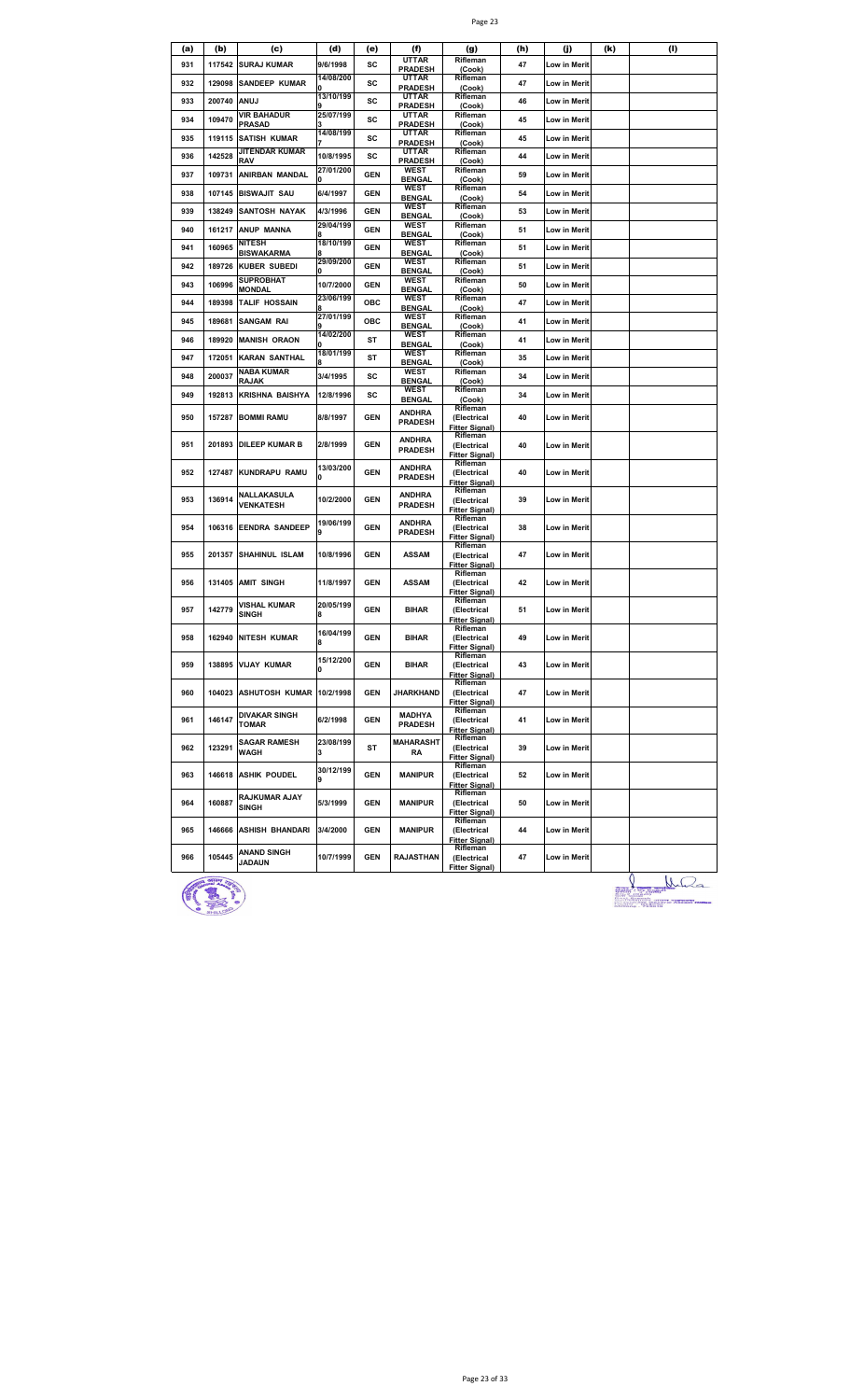| (a) | (b)                    | (c)                                     | (d)                    | (e)        | (f)                             | (g)                                              | (h) | (j)          | (k) | (I)              |
|-----|------------------------|-----------------------------------------|------------------------|------------|---------------------------------|--------------------------------------------------|-----|--------------|-----|------------------|
| 931 | 117542                 | <b>SURAJ KUMAR</b>                      | 9/6/1998               | SC         | <b>UTTAR</b><br><b>PRADESH</b>  | Rifleman<br>(Cook)                               | 47  | Low in Merit |     |                  |
| 932 | 129098                 | <b>SANDEEP KUMAR</b>                    | 14/08/200              | SC         | <b>UTTAR</b><br><b>PRADESH</b>  | Rifleman<br>(Cook)                               | 47  | Low in Merit |     |                  |
| 933 | 200740                 | ANUJ                                    | 13/10/199              | sc         | UTTAR<br><b>PRADESH</b>         | Rifleman<br>(Cook)                               | 46  | Low in Merit |     |                  |
| 934 | 109470                 | <b>VIR BAHADUR</b><br><b>PRASAD</b>     | 25/07/199              | sc         | UTTAR<br><b>PRADESH</b>         | Rifleman<br>(Cook)                               | 45  | Low in Merit |     |                  |
| 935 | 119115                 | <b>SATISH KUMAR</b>                     | 14/08/199              | SC         | UTTAR                           | Rifleman                                         | 45  | Low in Merit |     |                  |
| 936 | 142528                 | JITENDAR KUMAR                          | 10/8/1995              | SC         | <b>PRADESH</b><br><b>UTTAR</b>  | (Cook)<br>Rifleman                               | 44  | Low in Merit |     |                  |
| 937 | 109731                 | RAV<br>ANIRBAN MANDAL                   | 27/01/200              | <b>GEN</b> | <b>PRADESH</b><br><b>WEST</b>   | (Cook)<br>Rifleman                               | 59  | Low in Merit |     |                  |
| 938 | 107145                 | <b>BISWAJIT SAU</b>                     | 6/4/1997               | <b>GEN</b> | <b>BENGAL</b><br><b>WEST</b>    | (Cook)<br>Rifleman                               | 54  | Low in Merit |     |                  |
|     |                        |                                         |                        |            | <b>BENGAL</b><br>WEST           | (Cook)<br>Rifleman                               |     |              |     |                  |
| 939 | 138249                 | <b>SANTOSH NAYAK</b>                    | 4/3/1996<br>29/04/199  | <b>GEN</b> | <b>BENGAL</b><br>WEST           | (Cook)<br>Rifleman                               | 53  | Low in Merit |     |                  |
| 940 | 161217                 | ANUP MANNA<br>NITESH                    | 18/10/199              | <b>GEN</b> | <b>BENGAL</b><br>WEST           | (Cook)<br>Rifleman                               | 51  | Low in Merit |     |                  |
| 941 | 160965                 | BISWAKARMA                              | 8<br>29/09/200         | <b>GEN</b> | <b>BENGAL</b><br><b>WEST</b>    | (Cook)<br>Rifleman                               | 51  | Low in Merit |     |                  |
| 942 | 189726                 | <b>KUBER SUBEDI</b><br><b>SUPROBHAT</b> | n                      | <b>GEN</b> | <b>BENGAL</b><br><b>WEST</b>    | (Cook)<br>Rifleman                               | 51  | Low in Merit |     |                  |
| 943 | 106996                 | <b>MONDAL</b>                           | 10/7/2000<br>23/06/199 | <b>GEN</b> | <b>BENGAL</b>                   | (Cook)                                           | 50  | Low in Merit |     |                  |
| 944 | 189398                 | TALIF HOSSAIN                           |                        | ОВС        | WEST<br><b>BENGAL</b>           | Rifleman<br>(Cook)                               | 47  | Low in Merit |     |                  |
| 945 | 189681                 | <b>SANGAM RAI</b>                       | 27/01/199              | OBC        | WEST<br><b>BENGAL</b>           | Rifleman<br>(Cook)                               | 41  | Low in Merit |     |                  |
| 946 | 189920                 | <b>MANISH ORAON</b>                     | 14/02/200              | ST         | WEST<br><b>BENGAL</b>           | Rifleman<br>(Cook)                               | 41  | Low in Merit |     |                  |
| 947 | 172051                 | <b>KARAN SANTHAL</b>                    | 18/01/199              | ST         | WEST<br><b>BENGAL</b>           | Rifleman<br>(Cook)                               | 35  | Low in Merit |     |                  |
| 948 | 200037                 | <b>NABA KUMAR</b><br>RAJAK              | 3/4/1995               | sc         | <b>WEST</b><br><b>BENGAL</b>    | Rifleman<br>(Cook)                               | 34  | Low in Merit |     |                  |
| 949 | 192813                 | KRISHNA BAISHYA                         | 12/8/1996              | sc         | <b>WEST</b><br><b>BENGAL</b>    | Rifleman<br>(Cook)                               | 34  | Low in Merit |     |                  |
| 950 | 157287                 | <b>BOMMI RAMU</b>                       | 8/8/1997               | <b>GEN</b> | <b>ANDHRA</b>                   | Rifleman<br>(Electrical                          | 40  | Low in Merit |     |                  |
|     |                        |                                         |                        |            | <b>PRADESH</b>                  | <b>Fitter Signal)</b><br>Rifleman                |     |              |     |                  |
| 951 | 201893                 | <b>DILEEP KUMAR B</b>                   | 2/8/1999               | <b>GEN</b> | <b>ANDHRA</b><br><b>PRADESH</b> | (Electrical<br><b>Fitter Signal)</b>             | 40  | Low in Merit |     |                  |
| 952 | 127487                 | KUNDRAPU RAMU                           | 13/03/200<br>0         | <b>GEN</b> | <b>ANDHRA</b><br><b>PRADESH</b> | Rifleman<br>(Electrical<br><b>Fitter Signal)</b> | 40  | Low in Merit |     |                  |
| 953 | 136914                 | NALLAKASULA                             | 10/2/2000              | <b>GEN</b> | <b>ANDHRA</b>                   | Rifleman<br>(Electrical                          | 39  | Low in Merit |     |                  |
|     |                        | <b>VENKATESH</b>                        |                        |            | <b>PRADESH</b>                  | <b>Fitter Signal)</b><br>Rifleman                |     |              |     |                  |
| 954 | 106316                 | <b>EENDRA SANDEEP</b>                   | 19/06/199<br>9         | <b>GEN</b> | <b>ANDHRA</b><br><b>PRADESH</b> | (Electrical<br><b>Fitter Signal)</b>             | 38  | Low in Merit |     |                  |
| 955 | 201357                 | SHAHINUL ISLAM                          | 10/8/1996              | <b>GEN</b> | <b>ASSAM</b>                    | Rifleman<br>(Electrical                          | 47  | Low in Merit |     |                  |
|     |                        |                                         |                        |            |                                 | <b>Fitter Signal)</b><br>Rifleman                |     |              |     |                  |
| 956 | 131405                 | <b>AMIT SINGH</b>                       | 11/8/1997              | <b>GEN</b> | <b>ASSAM</b>                    | (Electrical<br><b>Fitter Signal)</b>             | 42  | Low in Merit |     |                  |
| 957 | 142779                 | VISHAL KUMAR<br><b>SINGH</b>            | 20/05/199<br>8         | <b>GEN</b> | <b>BIHAR</b>                    | Rifleman<br>(Electrical                          | 51  | Low in Merit |     |                  |
|     |                        |                                         |                        |            |                                 | <b>Fitter Signal)</b><br>Rifleman                |     |              |     |                  |
| 958 | 162940                 | NITESH KUMAR                            | 16/04/199<br>8         | <b>GEN</b> | <b>BIHAR</b>                    | (Electrical<br><b>Fitter Signal)</b>             | 49  | Low in Merit |     |                  |
| 959 |                        | 138895 VIJAY KUMAR                      | 15/12/200              | <b>GEN</b> | <b>BIHAR</b>                    | Rifleman<br>(Electrical                          | 43  | Low in Merit |     |                  |
|     |                        |                                         | 0                      |            |                                 | <b>Fitter Signal)</b><br>Rifleman                |     |              |     |                  |
| 960 |                        | 104023 ASHUTOSH KUMAR 10/2/1998         |                        | <b>GEN</b> | <b>JHARKHAND</b>                | (Electrical<br><b>Fitter Signal)</b>             | 47  | Low in Merit |     |                  |
| 961 | 146147                 | <b>DIVAKAR SINGH</b><br><b>TOMAR</b>    | 6/2/1998               | <b>GEN</b> | <b>MADHYA</b><br><b>PRADESH</b> | Rifleman<br>(Electrical                          | 41  | Low in Merit |     |                  |
|     |                        | <b>SAGAR RAMESH</b>                     | 23/08/199              |            | <b>MAHARASHT</b>                | <b>Fitter Signal)</b><br>Rifleman                |     |              |     |                  |
| 962 | 123291                 | WAGH                                    | 3                      | ST         | RA                              | (Electrical<br><b>Fitter Signal)</b>             | 39  | Low in Merit |     |                  |
| 963 | 146618                 | <b>ASHIK POUDEL</b>                     | 30/12/199              | <b>GEN</b> | <b>MANIPUR</b>                  | Rifleman<br>(Electrical<br><b>Fitter Signal)</b> | 52  | Low in Merit |     |                  |
| 964 | 160887                 | RAJKUMAR AJAY<br>SINGH                  | 5/3/1999               | <b>GEN</b> | <b>MANIPUR</b>                  | Rifleman<br>(Electrical<br><b>Fitter Signal)</b> | 50  | Low in Merit |     |                  |
| 965 | 146666                 | <b>ASHISH BHANDARI</b>                  | 3/4/2000               | <b>GEN</b> | <b>MANIPUR</b>                  | Rifleman<br>(Electrical<br><b>Fitter Signal)</b> | 44  | Low in Merit |     |                  |
| 966 | 105445                 | <b>ANAND SINGH</b>                      | 10/7/1999              | <b>GEN</b> | RAJASTHAN                       | Rifleman<br>(Electrical                          | 47  | Low in Merit |     |                  |
|     |                        | <b>JADAUN</b>                           |                        |            |                                 | <b>Fitter Signal)</b>                            |     |              |     |                  |
|     | <b>STEEP Processor</b> |                                         |                        |            |                                 |                                                  |     |              |     | 0<br>$R_{\odot}$ |



 $\bigcup_{\substack{a \in \mathbb{Z}^* \\ a \neq a \text{ such that } a \neq a \text{ such that } a \neq a \text{ such that } a \neq a \text{ such that } a \neq a \text{ such that } a \neq a \text{ such that } a \neq a \text{ such that } a \neq a \text{ such that } a \neq a \text{ such that } a \neq a \text{ such that } a \neq a \text{ such that } a \neq a \text{ such that } a \neq a \text{ such that } a \neq a \text{ such that } a \neq a \text{ such that } a \neq a \text{ such that } a \neq a \text{ such that } a \neq a \text{ such that } a \$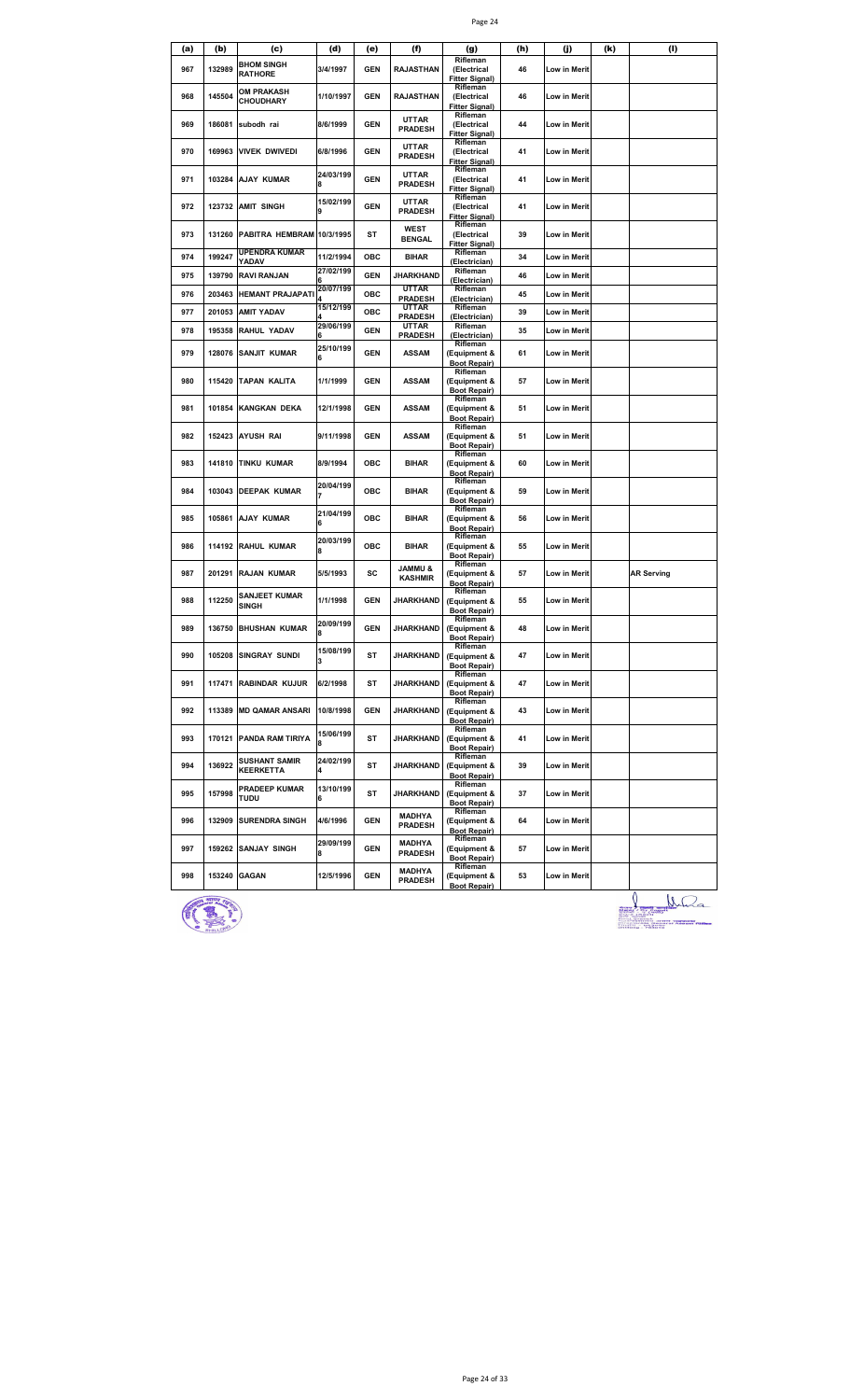| (f)<br>(h)<br>(j)<br>(k)<br>(I)<br>(a)<br>(b)<br>(c)<br>(d)<br>(e)<br>(g)<br>Rifleman<br><b>BHOM SINGH</b><br>967<br>132989<br>3/4/1997<br><b>GEN</b><br><b>RAJASTHAN</b><br>46<br>(Electrical<br>Low in Merit<br><b>RATHORE</b><br><b>Fitter Signal)</b><br>Rifleman<br>OM PRAKASH<br>145504<br>1/10/1997<br><b>GEN</b><br>968<br><b>RAJASTHAN</b><br>46<br>(Electrical<br>Low in Merit<br><b>CHOUDHARY</b><br><b>Fitter Signal)</b><br>Rifleman<br><b>UTTAR</b><br>969<br>186081<br>8/6/1999<br><b>GEN</b><br>(Electrical<br>44<br>subodh rai<br>Low in Merit<br><b>PRADESH</b><br><b>Fitter Signal)</b><br>Rifleman<br>UTTAR<br>970<br>169963<br>VIVEK DWIVEDI<br>6/8/1996<br>GEN<br>(Electrical<br>41<br>Low in Merit<br><b>PRADESH</b><br><b>Fitter Signal)</b><br>Rifleman<br>24/03/199<br><b>UTTAR</b><br><b>GEN</b><br>971<br>103284<br>AJAY KUMAR<br>(Electrical<br>41<br>Low in Merit<br><b>PRADESH</b><br>R<br><b>Fitter Signal)</b><br>Rifleman<br>15/02/199<br><b>UTTAR</b><br>972<br><b>GEN</b><br>123732<br><b>AMIT SINGH</b><br>(Electrical<br>41<br>Low in Merit<br><b>PRADESH</b><br>9<br><b>Fitter Signal)</b><br>Rifleman<br><b>WEST</b><br>973<br>131260<br>PABITRA HEMBRAM 10/3/1995<br>ST<br>39<br>(Electrical<br>Low in Merit<br><b>BENGAL</b><br><b>Fitter Signal)</b><br><b>UPENDRA KUMAR</b><br>Rifleman<br>974<br>199247<br>11/2/1994<br>ОВС<br>BIHAR<br>34<br>Low in Merit<br>YADAV<br>(Electrician)<br>27/02/199<br>Rifleman<br>975<br>139790<br>RAVI RANJAN<br><b>GEN</b><br>JHARKHAND<br>46<br>Low in Merit<br>(Electrician)<br>20/07/199<br>UTTAR<br>Rifleman<br><b>HEMANT PRAJAPATI</b><br>ОВС<br>976<br>203463<br>45<br>Low in Merit<br><b>PRADESH</b><br>(Electrician)<br>15/12/199<br>UTTAR<br>Rifleman<br>977<br>201053<br>AMIT YADAV<br>ОВС<br>39<br>Low in Merit<br><b>PRADESH</b><br>(Electrician)<br>29/06/199<br>UTTAR<br>Rifleman<br>978<br>195358<br>RAHUL YADAV<br><b>GEN</b><br>35<br>Low in Merit<br><b>PRADESH</b><br>(Electrician)<br>Rifleman<br>25/10/199<br><b>GEN</b><br>979<br>128076<br>SANJIT KUMAR<br><b>ASSAM</b><br>(Equipment &<br>61<br>Low in Merit<br><b>Boot Repair)</b><br>Rifleman<br>980<br>115420<br>TAPAN KALITA<br>1/1/1999<br>GEN<br><b>ASSAM</b><br>(Equipment &<br>57<br>Low in Merit<br><b>Boot Repair)</b><br>Rifleman<br>981<br>101854<br><b>KANGKAN DEKA</b><br>12/1/1998<br><b>GEN</b><br><b>ASSAM</b><br>(Equipment &<br>51<br>Low in Merit<br><b>Boot Repair)</b> |  |
|----------------------------------------------------------------------------------------------------------------------------------------------------------------------------------------------------------------------------------------------------------------------------------------------------------------------------------------------------------------------------------------------------------------------------------------------------------------------------------------------------------------------------------------------------------------------------------------------------------------------------------------------------------------------------------------------------------------------------------------------------------------------------------------------------------------------------------------------------------------------------------------------------------------------------------------------------------------------------------------------------------------------------------------------------------------------------------------------------------------------------------------------------------------------------------------------------------------------------------------------------------------------------------------------------------------------------------------------------------------------------------------------------------------------------------------------------------------------------------------------------------------------------------------------------------------------------------------------------------------------------------------------------------------------------------------------------------------------------------------------------------------------------------------------------------------------------------------------------------------------------------------------------------------------------------------------------------------------------------------------------------------------------------------------------------------------------------------------------------------------------------------------------------------------------------------------------------------------------------------------------------------------------------------------------------------------------------------------------------------------------------------------------------------------------------------------------|--|
|                                                                                                                                                                                                                                                                                                                                                                                                                                                                                                                                                                                                                                                                                                                                                                                                                                                                                                                                                                                                                                                                                                                                                                                                                                                                                                                                                                                                                                                                                                                                                                                                                                                                                                                                                                                                                                                                                                                                                                                                                                                                                                                                                                                                                                                                                                                                                                                                                                                    |  |
|                                                                                                                                                                                                                                                                                                                                                                                                                                                                                                                                                                                                                                                                                                                                                                                                                                                                                                                                                                                                                                                                                                                                                                                                                                                                                                                                                                                                                                                                                                                                                                                                                                                                                                                                                                                                                                                                                                                                                                                                                                                                                                                                                                                                                                                                                                                                                                                                                                                    |  |
|                                                                                                                                                                                                                                                                                                                                                                                                                                                                                                                                                                                                                                                                                                                                                                                                                                                                                                                                                                                                                                                                                                                                                                                                                                                                                                                                                                                                                                                                                                                                                                                                                                                                                                                                                                                                                                                                                                                                                                                                                                                                                                                                                                                                                                                                                                                                                                                                                                                    |  |
|                                                                                                                                                                                                                                                                                                                                                                                                                                                                                                                                                                                                                                                                                                                                                                                                                                                                                                                                                                                                                                                                                                                                                                                                                                                                                                                                                                                                                                                                                                                                                                                                                                                                                                                                                                                                                                                                                                                                                                                                                                                                                                                                                                                                                                                                                                                                                                                                                                                    |  |
|                                                                                                                                                                                                                                                                                                                                                                                                                                                                                                                                                                                                                                                                                                                                                                                                                                                                                                                                                                                                                                                                                                                                                                                                                                                                                                                                                                                                                                                                                                                                                                                                                                                                                                                                                                                                                                                                                                                                                                                                                                                                                                                                                                                                                                                                                                                                                                                                                                                    |  |
|                                                                                                                                                                                                                                                                                                                                                                                                                                                                                                                                                                                                                                                                                                                                                                                                                                                                                                                                                                                                                                                                                                                                                                                                                                                                                                                                                                                                                                                                                                                                                                                                                                                                                                                                                                                                                                                                                                                                                                                                                                                                                                                                                                                                                                                                                                                                                                                                                                                    |  |
|                                                                                                                                                                                                                                                                                                                                                                                                                                                                                                                                                                                                                                                                                                                                                                                                                                                                                                                                                                                                                                                                                                                                                                                                                                                                                                                                                                                                                                                                                                                                                                                                                                                                                                                                                                                                                                                                                                                                                                                                                                                                                                                                                                                                                                                                                                                                                                                                                                                    |  |
|                                                                                                                                                                                                                                                                                                                                                                                                                                                                                                                                                                                                                                                                                                                                                                                                                                                                                                                                                                                                                                                                                                                                                                                                                                                                                                                                                                                                                                                                                                                                                                                                                                                                                                                                                                                                                                                                                                                                                                                                                                                                                                                                                                                                                                                                                                                                                                                                                                                    |  |
|                                                                                                                                                                                                                                                                                                                                                                                                                                                                                                                                                                                                                                                                                                                                                                                                                                                                                                                                                                                                                                                                                                                                                                                                                                                                                                                                                                                                                                                                                                                                                                                                                                                                                                                                                                                                                                                                                                                                                                                                                                                                                                                                                                                                                                                                                                                                                                                                                                                    |  |
|                                                                                                                                                                                                                                                                                                                                                                                                                                                                                                                                                                                                                                                                                                                                                                                                                                                                                                                                                                                                                                                                                                                                                                                                                                                                                                                                                                                                                                                                                                                                                                                                                                                                                                                                                                                                                                                                                                                                                                                                                                                                                                                                                                                                                                                                                                                                                                                                                                                    |  |
|                                                                                                                                                                                                                                                                                                                                                                                                                                                                                                                                                                                                                                                                                                                                                                                                                                                                                                                                                                                                                                                                                                                                                                                                                                                                                                                                                                                                                                                                                                                                                                                                                                                                                                                                                                                                                                                                                                                                                                                                                                                                                                                                                                                                                                                                                                                                                                                                                                                    |  |
|                                                                                                                                                                                                                                                                                                                                                                                                                                                                                                                                                                                                                                                                                                                                                                                                                                                                                                                                                                                                                                                                                                                                                                                                                                                                                                                                                                                                                                                                                                                                                                                                                                                                                                                                                                                                                                                                                                                                                                                                                                                                                                                                                                                                                                                                                                                                                                                                                                                    |  |
|                                                                                                                                                                                                                                                                                                                                                                                                                                                                                                                                                                                                                                                                                                                                                                                                                                                                                                                                                                                                                                                                                                                                                                                                                                                                                                                                                                                                                                                                                                                                                                                                                                                                                                                                                                                                                                                                                                                                                                                                                                                                                                                                                                                                                                                                                                                                                                                                                                                    |  |
|                                                                                                                                                                                                                                                                                                                                                                                                                                                                                                                                                                                                                                                                                                                                                                                                                                                                                                                                                                                                                                                                                                                                                                                                                                                                                                                                                                                                                                                                                                                                                                                                                                                                                                                                                                                                                                                                                                                                                                                                                                                                                                                                                                                                                                                                                                                                                                                                                                                    |  |
|                                                                                                                                                                                                                                                                                                                                                                                                                                                                                                                                                                                                                                                                                                                                                                                                                                                                                                                                                                                                                                                                                                                                                                                                                                                                                                                                                                                                                                                                                                                                                                                                                                                                                                                                                                                                                                                                                                                                                                                                                                                                                                                                                                                                                                                                                                                                                                                                                                                    |  |
|                                                                                                                                                                                                                                                                                                                                                                                                                                                                                                                                                                                                                                                                                                                                                                                                                                                                                                                                                                                                                                                                                                                                                                                                                                                                                                                                                                                                                                                                                                                                                                                                                                                                                                                                                                                                                                                                                                                                                                                                                                                                                                                                                                                                                                                                                                                                                                                                                                                    |  |
| Rifleman                                                                                                                                                                                                                                                                                                                                                                                                                                                                                                                                                                                                                                                                                                                                                                                                                                                                                                                                                                                                                                                                                                                                                                                                                                                                                                                                                                                                                                                                                                                                                                                                                                                                                                                                                                                                                                                                                                                                                                                                                                                                                                                                                                                                                                                                                                                                                                                                                                           |  |
| 982<br>152423<br>AYUSH RAI<br>9/11/1998<br><b>GEN</b><br><b>ASSAM</b><br>(Equipment &<br>51<br>Low in Merit<br><b>Boot Repair)</b><br>Rifleman                                                                                                                                                                                                                                                                                                                                                                                                                                                                                                                                                                                                                                                                                                                                                                                                                                                                                                                                                                                                                                                                                                                                                                                                                                                                                                                                                                                                                                                                                                                                                                                                                                                                                                                                                                                                                                                                                                                                                                                                                                                                                                                                                                                                                                                                                                     |  |
| 983<br>141810<br>ОВС<br>TINKU KUMAR<br>8/9/1994<br><b>BIHAR</b><br>60<br>(Equipment &<br>Low in Merit<br><b>Boot Repair)</b><br>Rifleman                                                                                                                                                                                                                                                                                                                                                                                                                                                                                                                                                                                                                                                                                                                                                                                                                                                                                                                                                                                                                                                                                                                                                                                                                                                                                                                                                                                                                                                                                                                                                                                                                                                                                                                                                                                                                                                                                                                                                                                                                                                                                                                                                                                                                                                                                                           |  |
| 20/04/199<br>ОВС<br>984<br>103043<br>DEEPAK KUMAR<br><b>BIHAR</b><br>(Equipment &<br>59<br>Low in Merit<br><b>Boot Repair)</b><br>Rifleman                                                                                                                                                                                                                                                                                                                                                                                                                                                                                                                                                                                                                                                                                                                                                                                                                                                                                                                                                                                                                                                                                                                                                                                                                                                                                                                                                                                                                                                                                                                                                                                                                                                                                                                                                                                                                                                                                                                                                                                                                                                                                                                                                                                                                                                                                                         |  |
| 21/04/199<br>985<br>105861<br>AJAY KUMAR<br>ОВС<br><b>BIHAR</b><br>Low in Merit<br>(Equipment &<br>56<br>6<br><b>Boot Repair)</b><br>Rifleman                                                                                                                                                                                                                                                                                                                                                                                                                                                                                                                                                                                                                                                                                                                                                                                                                                                                                                                                                                                                                                                                                                                                                                                                                                                                                                                                                                                                                                                                                                                                                                                                                                                                                                                                                                                                                                                                                                                                                                                                                                                                                                                                                                                                                                                                                                      |  |
| 20/03/199<br>ОВС<br><b>BIHAR</b><br>986<br>114192<br><b>RAHUL KUMAR</b><br>(Equipment &<br>55<br>Low in Merit<br><b>Boot Repair)</b><br>Rifleman                                                                                                                                                                                                                                                                                                                                                                                                                                                                                                                                                                                                                                                                                                                                                                                                                                                                                                                                                                                                                                                                                                                                                                                                                                                                                                                                                                                                                                                                                                                                                                                                                                                                                                                                                                                                                                                                                                                                                                                                                                                                                                                                                                                                                                                                                                   |  |
| <b>&amp; UMMAL</b><br>987<br>201291<br>SC<br><b>RAJAN KUMAR</b><br>5/5/1993<br>(Equipment &<br><b>AR Serving</b><br>57<br>Low in Merit<br><b>KASHMIR</b><br><b>Boot Repair)</b><br>Rifleman                                                                                                                                                                                                                                                                                                                                                                                                                                                                                                                                                                                                                                                                                                                                                                                                                                                                                                                                                                                                                                                                                                                                                                                                                                                                                                                                                                                                                                                                                                                                                                                                                                                                                                                                                                                                                                                                                                                                                                                                                                                                                                                                                                                                                                                        |  |
| <b>SANJEET KUMAR</b><br>112250<br><b>GEN</b><br><b>JHARKHAND</b><br>988<br>1/1/1998<br>55<br>(Equipment &<br>Low in Merit<br>SINGH<br><b>Boot Repair)</b><br>Rifleman                                                                                                                                                                                                                                                                                                                                                                                                                                                                                                                                                                                                                                                                                                                                                                                                                                                                                                                                                                                                                                                                                                                                                                                                                                                                                                                                                                                                                                                                                                                                                                                                                                                                                                                                                                                                                                                                                                                                                                                                                                                                                                                                                                                                                                                                              |  |
| 20/09/199<br>989<br>136750<br><b>BHUSHAN KUMAR</b><br><b>GEN</b><br><b>JHARKHAND</b><br>48<br>Low in Merit<br>(Equipment &<br>8<br><b>Boot Repair)</b><br>Rifleman                                                                                                                                                                                                                                                                                                                                                                                                                                                                                                                                                                                                                                                                                                                                                                                                                                                                                                                                                                                                                                                                                                                                                                                                                                                                                                                                                                                                                                                                                                                                                                                                                                                                                                                                                                                                                                                                                                                                                                                                                                                                                                                                                                                                                                                                                 |  |
| 15/08/199<br>SINGRAY SUNDI<br>ST<br><b>JHARKHAND</b><br>990<br>105208<br>47<br>(Equipment &<br>Low in Merit<br>3<br><b>Boot Repair)</b><br>Rifleman                                                                                                                                                                                                                                                                                                                                                                                                                                                                                                                                                                                                                                                                                                                                                                                                                                                                                                                                                                                                                                                                                                                                                                                                                                                                                                                                                                                                                                                                                                                                                                                                                                                                                                                                                                                                                                                                                                                                                                                                                                                                                                                                                                                                                                                                                                |  |
| 991<br>6/2/1998<br>ST<br>(Equipment &<br>117471 RABINDAR KUJUR<br>JHARKHAND<br>47<br>Low in Merit<br><b>Boot Repair)</b><br>Rifleman                                                                                                                                                                                                                                                                                                                                                                                                                                                                                                                                                                                                                                                                                                                                                                                                                                                                                                                                                                                                                                                                                                                                                                                                                                                                                                                                                                                                                                                                                                                                                                                                                                                                                                                                                                                                                                                                                                                                                                                                                                                                                                                                                                                                                                                                                                               |  |
| 992<br>113389<br><b>MD QAMAR ANSARI</b><br>10/8/1998<br><b>GEN</b><br><b>JHARKHAND</b><br>(Equipment &<br>43<br>Low in Merit<br><b>Boot Repair)</b><br>Rifleman                                                                                                                                                                                                                                                                                                                                                                                                                                                                                                                                                                                                                                                                                                                                                                                                                                                                                                                                                                                                                                                                                                                                                                                                                                                                                                                                                                                                                                                                                                                                                                                                                                                                                                                                                                                                                                                                                                                                                                                                                                                                                                                                                                                                                                                                                    |  |
| 15/06/199<br>993<br>170121 PANDA RAM TIRIYA<br>ST<br><b>JHARKHAND</b><br>(Equipment &<br>41<br>Low in Merit<br><b>Boot Repair)</b><br>Rifleman                                                                                                                                                                                                                                                                                                                                                                                                                                                                                                                                                                                                                                                                                                                                                                                                                                                                                                                                                                                                                                                                                                                                                                                                                                                                                                                                                                                                                                                                                                                                                                                                                                                                                                                                                                                                                                                                                                                                                                                                                                                                                                                                                                                                                                                                                                     |  |
| <b>SUSHANT SAMIR</b><br>24/02/199<br>136922<br>994<br>ST<br>JHARKHAND<br>(Equipment &<br>39<br>Low in Merit<br>KEERKETTA<br>4<br><b>Boot Repair)</b><br>Rifleman                                                                                                                                                                                                                                                                                                                                                                                                                                                                                                                                                                                                                                                                                                                                                                                                                                                                                                                                                                                                                                                                                                                                                                                                                                                                                                                                                                                                                                                                                                                                                                                                                                                                                                                                                                                                                                                                                                                                                                                                                                                                                                                                                                                                                                                                                   |  |
| <b>PRADEEP KUMAR</b><br>13/10/199<br>157998<br>995<br>ST<br><b>JHARKHAND</b><br>(Equipment &<br>37<br>Low in Merit<br>TUDU<br>6<br><b>Boot Repair)</b><br>Rifleman                                                                                                                                                                                                                                                                                                                                                                                                                                                                                                                                                                                                                                                                                                                                                                                                                                                                                                                                                                                                                                                                                                                                                                                                                                                                                                                                                                                                                                                                                                                                                                                                                                                                                                                                                                                                                                                                                                                                                                                                                                                                                                                                                                                                                                                                                 |  |
| MADHYA<br>996<br>4/6/1996<br><b>GEN</b><br>132909<br><b>SURENDRA SINGH</b><br>(Equipment &<br>64<br>Low in Merit<br><b>PRADESH</b><br><b>Boot Repair)</b><br>Rifleman                                                                                                                                                                                                                                                                                                                                                                                                                                                                                                                                                                                                                                                                                                                                                                                                                                                                                                                                                                                                                                                                                                                                                                                                                                                                                                                                                                                                                                                                                                                                                                                                                                                                                                                                                                                                                                                                                                                                                                                                                                                                                                                                                                                                                                                                              |  |
| 29/09/199<br>MADHYA<br>997<br>159262<br><b>SANJAY SINGH</b><br><b>GEN</b><br>(Equipment &<br>Low in Merit<br>57<br><b>PRADESH</b><br>8<br>Boot Repair)<br>Rifleman                                                                                                                                                                                                                                                                                                                                                                                                                                                                                                                                                                                                                                                                                                                                                                                                                                                                                                                                                                                                                                                                                                                                                                                                                                                                                                                                                                                                                                                                                                                                                                                                                                                                                                                                                                                                                                                                                                                                                                                                                                                                                                                                                                                                                                                                                 |  |
| MADHYA<br><b>GEN</b><br>998<br>153240<br><b>GAGAN</b><br>12/5/1996<br>(Equipment &<br>53<br>Low in Merit<br><b>PRADESH</b><br><b>Boot Repair)</b><br>Λ<br>$\sqrt{2}$<br>असम >                                                                                                                                                                                                                                                                                                                                                                                                                                                                                                                                                                                                                                                                                                                                                                                                                                                                                                                                                                                                                                                                                                                                                                                                                                                                                                                                                                                                                                                                                                                                                                                                                                                                                                                                                                                                                                                                                                                                                                                                                                                                                                                                                                                                                                                                      |  |



De Ma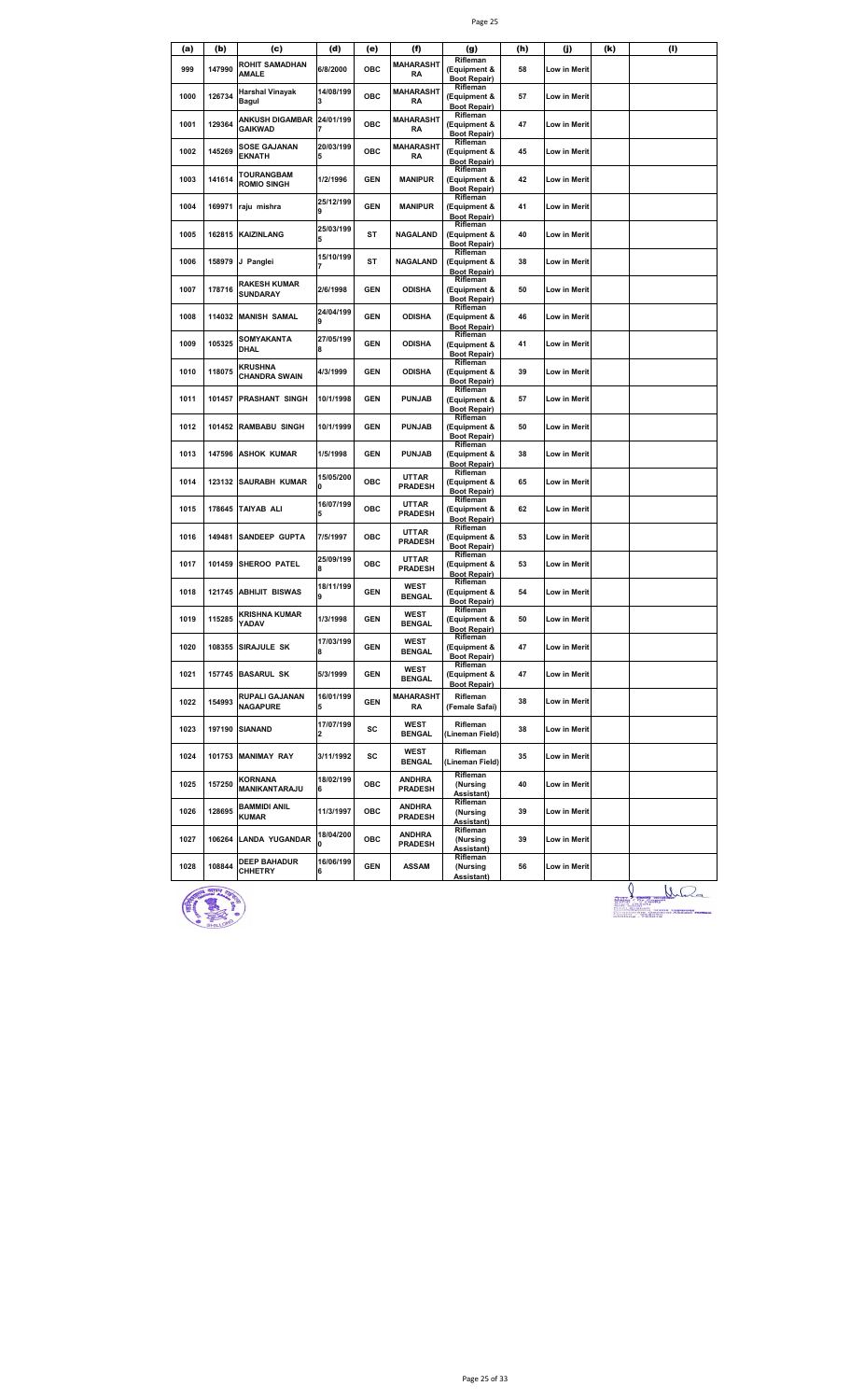| (a)  | (b)    | (c)                                         | (d)                   | (e)        | (f)                             | (g)                                                         | (h) | (j)                 | (k) | (1) |
|------|--------|---------------------------------------------|-----------------------|------------|---------------------------------|-------------------------------------------------------------|-----|---------------------|-----|-----|
| 999  | 147990 | ROHIT SAMADHAN<br><b>AMALE</b>              | 6/8/2000              | ОВС        | <b>MAHARASHT</b><br>RA          | Rifleman<br>(Equipment &<br><b>Boot Repair)</b>             | 58  | Low in Merit        |     |     |
| 1000 | 126734 | Harshal Vinayak<br>Bagul                    | 14/08/199<br>3        | OBC        | <b>MAHARASHT</b><br>RA          | Rifleman<br>(Equipment &<br><b>Boot Repair)</b>             | 57  | Low in Merit        |     |     |
| 1001 | 129364 | ANKUSH DIGAMBAR 24/01/199<br><b>GAIKWAD</b> |                       | OBC        | MAHARASHT<br>RA                 | Rifleman<br>(Equipment &<br><b>Boot Repair)</b>             | 47  | Low in Merit        |     |     |
| 1002 | 145269 | <b>SOSE GAJANAN</b><br><b>EKNATH</b>        | 20/03/199<br>5        | ОВС        | <b>MAHARASHT</b><br><b>RA</b>   | Rifleman<br>(Equipment &<br><b>Boot Repair)</b>             | 45  | Low in Merit        |     |     |
| 1003 | 141614 | TOURANGBAM<br><b>ROMIO SINGH</b>            | 1/2/1996              | <b>GEN</b> | <b>MANIPUR</b>                  | Rifleman<br>(Equipment &<br><b>Boot Repair)</b>             | 42  | Low in Merit        |     |     |
| 1004 | 169971 | raju mishra                                 | 25/12/199<br>9        | <b>GEN</b> | <b>MANIPUR</b>                  | Rifleman<br>(Equipment &<br><b>Boot Repair)</b><br>Rifleman | 41  | Low in Merit        |     |     |
| 1005 | 162815 | <b>KAIZINLANG</b>                           | 25/03/199             | ST         | NAGALAND                        | (Equipment &<br><b>Boot Repair)</b>                         | 40  | Low in Merit        |     |     |
| 1006 | 158979 | J Panglei                                   | 15/10/199             | ST         | <b>NAGALAND</b>                 | Rifleman<br>(Equipment &<br><b>Boot Repair)</b>             | 38  | Low in Merit        |     |     |
| 1007 | 178716 | <b>RAKESH KUMAR</b><br><b>SUNDARAY</b>      | 2/6/1998              | <b>GEN</b> | <b>ODISHA</b>                   | Rifleman<br>(Equipment &<br><b>Boot Repair)</b>             | 50  | Low in Merit        |     |     |
| 1008 | 114032 | <b>MANISH SAMAL</b>                         | 24/04/199             | <b>GEN</b> | <b>ODISHA</b>                   | Rifleman<br>(Equipment &<br><b>Boot Repair)</b>             | 46  | Low in Merit        |     |     |
| 1009 | 105325 | SOMYAKANTA<br>DHAL                          | 27/05/199<br>8        | <b>GEN</b> | ODISHA                          | Rifleman<br>(Equipment &<br><b>Boot Repair)</b>             | 41  | Low in Merit        |     |     |
| 1010 | 118075 | <b>KRUSHNA</b><br><b>CHANDRA SWAIN</b>      | 4/3/1999              | <b>GEN</b> | ODISHA                          | Rifleman<br>(Equipment &<br><b>Boot Repair)</b>             | 39  | Low in Merit        |     |     |
| 1011 | 101457 | <b>PRASHANT SINGH</b>                       | 10/1/1998             | <b>GEN</b> | <b>PUNJAB</b>                   | Rifleman<br>(Equipment &<br><b>Boot Repair)</b>             | 57  | Low in Merit        |     |     |
| 1012 | 101452 | <b>RAMBABU SINGH</b>                        | 10/1/1999             | <b>GEN</b> | <b>PUNJAB</b>                   | Rifleman<br>(Equipment &<br><b>Boot Repair)</b>             | 50  | Low in Merit        |     |     |
| 1013 | 147596 | <b>ASHOK KUMAR</b>                          | 1/5/1998              | <b>GEN</b> | <b>PUNJAB</b>                   | Rifleman<br>(Equipment &<br><b>Boot Repair)</b>             | 38  | Low in Merit        |     |     |
| 1014 | 123132 | <b>SAURABH KUMAR</b>                        | 15/05/200<br>O        | ОВС        | <b>UTTAR</b><br><b>PRADESH</b>  | Rifleman<br>(Equipment &<br><b>Boot Repair)</b>             | 65  | Low in Merit        |     |     |
| 1015 | 178645 | <b>TAIYAB ALI</b>                           | 16/07/199             | ОВС        | UTTAR<br><b>PRADESH</b>         | Rifleman<br>(Equipment &<br><b>Boot Repair)</b>             | 62  | Low in Merit        |     |     |
| 1016 | 149481 | <b>SANDEEP GUPTA</b>                        | 7/5/1997              | ОВС        | <b>UTTAR</b><br><b>PRADESH</b>  | Rifleman<br>(Equipment &<br><b>Boot Repair)</b>             | 53  | Low in Merit        |     |     |
| 1017 | 101459 | <b>SHEROO PATEL</b>                         | 25/09/199<br><b>R</b> | ОВС        | <b>UTTAR</b><br><b>PRADESH</b>  | Rifleman<br>(Equipment &<br><b>Boot Repair)</b>             | 53  | Low in Merit        |     |     |
| 1018 | 121745 | <b>ABHIJIT BISWAS</b>                       | 18/11/199             | <b>GEN</b> | WEST<br><b>BENGAL</b>           | Rifleman<br>(Equipment &<br><b>Boot Repair)</b>             | 54  | Low in Merit        |     |     |
| 1019 | 115285 | KRISHNA KUMAR<br>YADAV                      | 1/3/1998              | <b>GEN</b> | WEST<br><b>BENGAL</b>           | Rifleman<br>(Equipment &<br><b>Boot Repair)</b>             | 50  | Low in Merit        |     |     |
| 1020 |        | 108355 SIRAJULE SK                          | 17/03/199<br>8        | <b>GEN</b> | <b>WEST</b><br><b>BENGAL</b>    | Rifleman<br>(Equipment &<br><b>Boot Repair)</b>             | 47  | <b>Low in Merit</b> |     |     |
| 1021 |        | 157745 BASARUL SK                           | 5/3/1999              | <b>GEN</b> | WEST<br><b>BENGAL</b>           | Rifleman<br>(Equipment &<br><b>Boot Repair)</b>             | 47  | Low in Merit        |     |     |
| 1022 | 154993 | RUPALI GAJANAN<br><b>NAGAPURE</b>           | 16/01/199<br>5        | <b>GEN</b> | MAHARASHT<br>RA                 | Rifleman<br>(Female Safai)                                  | 38  | Low in Merit        |     |     |
| 1023 | 197190 | <b>SIANAND</b>                              | 17/07/199             | sc         | WEST<br><b>BENGAL</b>           | Rifleman<br>(Lineman Field)                                 | 38  | Low in Merit        |     |     |
| 1024 | 101753 | <b>MANIMAY RAY</b>                          | 3/11/1992             | sc         | <b>WEST</b><br><b>BENGAL</b>    | Rifleman<br>(Lineman Field)                                 | 35  | Low in Merit        |     |     |
| 1025 | 157250 | KORNANA<br>MANIKANTARAJU                    | 18/02/199<br>6        | ОВС        | <b>ANDHRA</b><br><b>PRADESH</b> | Rifleman<br>(Nursing<br>Assistant)                          | 40  | Low in Merit        |     |     |
| 1026 | 128695 | <b>BAMMIDI ANIL</b><br><b>KUMAR</b>         | 11/3/1997             | ОВС        | <b>ANDHRA</b><br><b>PRADESH</b> | Rifleman<br>(Nursing<br>Assistant)                          | 39  | Low in Merit        |     |     |
| 1027 | 106264 | <b>LANDA YUGANDAR</b>                       | 18/04/200<br>O        | OBC        | <b>ANDHRA</b><br><b>PRADESH</b> | Rifleman<br>(Nursing<br>Assistant)                          | 39  | Low in Merit        |     |     |
| 1028 | 108844 | <b>DEEP BAHADUR</b><br><b>CHHETRY</b>       | 16/06/199<br>6        | <b>GEN</b> | ASSAM                           | Rifleman<br>(Nursing<br>Assistant)                          | 56  | Low in Merit        |     |     |



Durant de Mala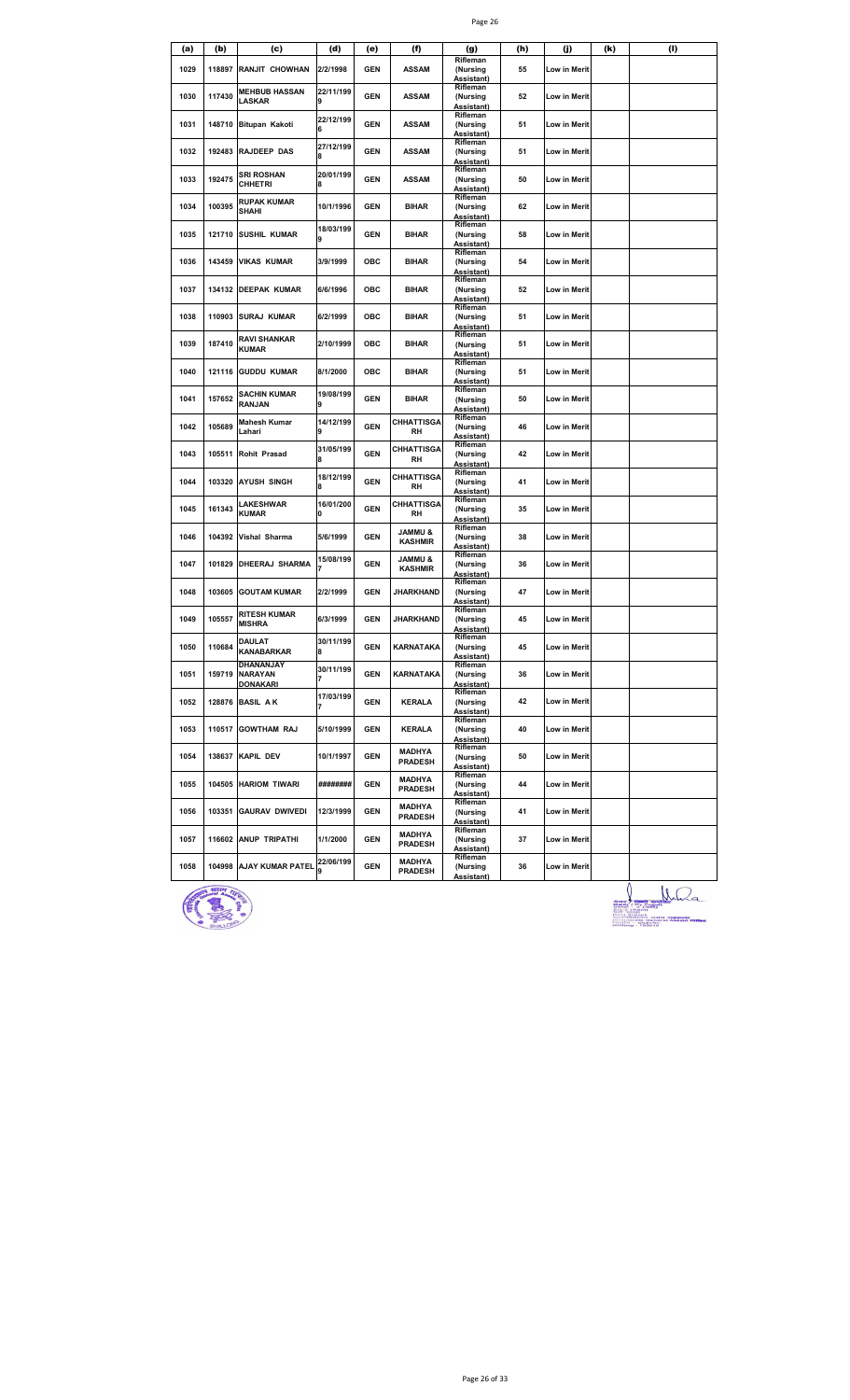| (a)  | (b)    | (c)                                     | (d)            | (e)        | (f)                                  | (g)                                       | (h) | (j)          | (k) | (1) |
|------|--------|-----------------------------------------|----------------|------------|--------------------------------------|-------------------------------------------|-----|--------------|-----|-----|
| 1029 | 118897 | RANJIT CHOWHAN                          | 2/2/1998       | GEN        | <b>ASSAM</b>                         | Rifleman<br>(Nursing<br>Assistant)        | 55  | Low in Merit |     |     |
| 1030 | 117430 | <b>MEHBUB HASSAN</b><br>LASKAR          | 22/11/199<br>9 | GEN        | <b>ASSAM</b>                         | Rifleman<br>(Nursing<br>Assistant)        | 52  | Low in Merit |     |     |
| 1031 | 148710 | <b>Bitupan Kakoti</b>                   | 22/12/199      | <b>GEN</b> | <b>ASSAM</b>                         | Rifleman<br>(Nursing<br>Assistant)        | 51  | Low in Merit |     |     |
| 1032 | 192483 | <b>RAJDEEP DAS</b>                      | 27/12/199<br>8 | <b>GEN</b> | <b>ASSAM</b>                         | Rifleman<br>(Nursing<br>Assistant)        | 51  | Low in Merit |     |     |
| 1033 | 192475 | <b>SRI ROSHAN</b><br><b>CHHETRI</b>     | 20/01/199<br>8 | <b>GEN</b> | <b>ASSAM</b>                         | Rifleman<br>(Nursing<br>Assistant)        | 50  | Low in Merit |     |     |
| 1034 | 100395 | <b>RUPAK KUMAR</b><br>SHAHI             | 10/1/1996      | <b>GEN</b> | <b>BIHAR</b>                         | Rifleman<br>(Nursing<br>Assistant)        | 62  | Low in Merit |     |     |
| 1035 | 121710 | SUSHIL KUMAR                            | 18/03/199<br>9 | <b>GEN</b> | <b>BIHAR</b>                         | Rifleman<br>(Nursing<br>Assistant)        | 58  | Low in Merit |     |     |
| 1036 | 143459 | <b>VIKAS KUMAR</b>                      | 3/9/1999       | ОВС        | <b>BIHAR</b>                         | Rifleman<br>(Nursing<br>Assistant)        | 54  | Low in Merit |     |     |
| 1037 |        | 134132 DEEPAK KUMAR                     | 6/6/1996       | OBC        | <b>BIHAR</b>                         | Rifleman<br>(Nursing<br>Assistant)        | 52  | Low in Merit |     |     |
| 1038 | 110903 | <b>SURAJ KUMAR</b>                      | 6/2/1999       | OBC        | <b>BIHAR</b>                         | Rifleman<br>(Nursing<br>Assistant)        | 51  | Low in Merit |     |     |
| 1039 | 187410 | RAVI SHANKAR<br><b>KUMAR</b>            | 2/10/1999      | ОВС        | <b>BIHAR</b>                         | Rifleman<br>(Nursing<br>Assistant)        | 51  | Low in Merit |     |     |
| 1040 | 121116 | <b>GUDDU KUMAR</b>                      | 8/1/2000       | ОВС        | <b>BIHAR</b>                         | Rifleman<br>(Nursing<br>Assistant)        | 51  | Low in Merit |     |     |
| 1041 | 157652 | SACHIN KUMAR<br>RANJAN                  | 19/08/199<br>9 | GEN        | <b>BIHAR</b>                         | Rifleman<br>(Nursing<br>Assistant)        | 50  | Low in Merit |     |     |
| 1042 | 105689 | <b>Mahesh Kumar</b><br>Lahari           | 14/12/199<br>9 | <b>GEN</b> | <b>CHHATTISGA</b><br>RH              | Rifleman<br>(Nursing<br>Assistant)        | 46  | Low in Merit |     |     |
| 1043 | 105511 | Rohit Prasad                            | 31/05/199<br>8 | GEN        | CHHATTISGA<br>RH                     | Rifleman<br>(Nursing<br>Assistant)        | 42  | Low in Merit |     |     |
| 1044 | 103320 | <b>AYUSH SINGH</b>                      | 18/12/199<br>8 | <b>GEN</b> | <b>CHHATTISGA</b><br>RH              | Rifleman<br>(Nursing<br>Assistant)        | 41  | Low in Merit |     |     |
| 1045 | 161343 | LAKESHWAR<br>KUMAR                      | 16/01/200<br>0 | <b>GEN</b> | <b>CHHATTISGA</b><br>RH              | Rifleman<br>(Nursing<br>Assistant)        | 35  | Low in Merit |     |     |
| 1046 | 104392 | Vishal Sharma                           | 5/6/1999       | GEN        | <b>&amp; UMMAL</b><br><b>KASHMIR</b> | Rifleman<br>(Nursing<br>Assistant)        | 38  | Low in Merit |     |     |
| 1047 | 101829 | DHEERAJ SHARMA                          | 15/08/199      | <b>GEN</b> | <b>JAMMU &amp;</b><br><b>KASHMIR</b> | Rifleman<br>(Nursing<br>Assistant)        | 36  | Low in Merit |     |     |
| 1048 | 103605 | <b>GOUTAM KUMAR</b>                     | 2/2/1999       | GEN        | <b>JHARKHAND</b>                     | Rifleman<br>(Nursing<br>Assistant)        | 47  | Low in Merit |     |     |
| 1049 | 105557 | <b>RITESH KUMAR</b><br><b>MISHRA</b>    | 6/3/1999       | GEN        | JHARKHAND                            | Rifleman<br>(Nursing<br>Assistant)        | 45  | Low in Merit |     |     |
| 1050 | 110684 | <b>DAULAT</b><br><b>KANABARKAR</b>      | 30/11/199<br>8 | GEN        | KARNATAKA                            | Rifleman<br>(Nursing<br><u>Assistant)</u> | 45  | Low in Merit |     |     |
| 1051 | 159719 | DHANANJAY<br><b>NARAYAN</b><br>DONAKARI | 30/11/199<br>7 | <b>GEN</b> | KARNATAKA                            | Rifleman<br>(Nursing<br>Assistant)        | 36  | Low in Merit |     |     |
| 1052 | 128876 | <b>BASIL AK</b>                         | 17/03/199      | <b>GEN</b> | <b>KERALA</b>                        | Rifleman<br>(Nursing<br>Assistant)        | 42  | Low in Merit |     |     |
| 1053 | 110517 | <b>GOWTHAM RAJ</b>                      | 5/10/1999      | <b>GEN</b> | <b>KERALA</b>                        | Rifleman<br>(Nursing<br>Assistant)        | 40  | Low in Merit |     |     |
| 1054 |        | 138637 KAPIL DEV                        | 10/1/1997      | <b>GEN</b> | MADHYA<br><b>PRADESH</b>             | Rifleman<br>(Nursing<br>Assistant)        | 50  | Low in Merit |     |     |
| 1055 |        | 104505 HARIOM TIWARI                    | ########       | GEN        | MADHYA<br><b>PRADESH</b>             | Rifleman<br>(Nursing<br>Assistant)        | 44  | Low in Merit |     |     |
| 1056 | 103351 | <b>GAURAV DWIVEDI</b>                   | 12/3/1999      | <b>GEN</b> | <b>MADHYA</b><br><b>PRADESH</b>      | Rifleman<br>(Nursing<br>Assistant)        | 41  | Low in Merit |     |     |
| 1057 |        | 116602 ANUP TRIPATHI                    | 1/1/2000       | GEN        | MADHYA<br><b>PRADESH</b>             | Rifleman<br>(Nursing<br>Assistant)        | 37  | Low in Merit |     |     |
| 1058 |        | 104998 AJAY KUMAR PATEL                 | 22/06/199      | <b>GEN</b> | <b>MADHYA</b><br><b>PRADESH</b>      | Rifleman<br>(Nursing<br>Assistant)        | 36  | Low in Merit |     |     |



**ANGELIA DE LA CONSTANTINA DE LA CONSTANTION DE LA CONSTANTION DE LA CONSTANTION DE LA CONSTANTION DE LA CONSTANTION DE LA CONSTANTION DE LA CONSTANTION DE LA CONSTANTION DE LA CONSTANTION DE LA CONSTANTION DE LA CONSTANTI**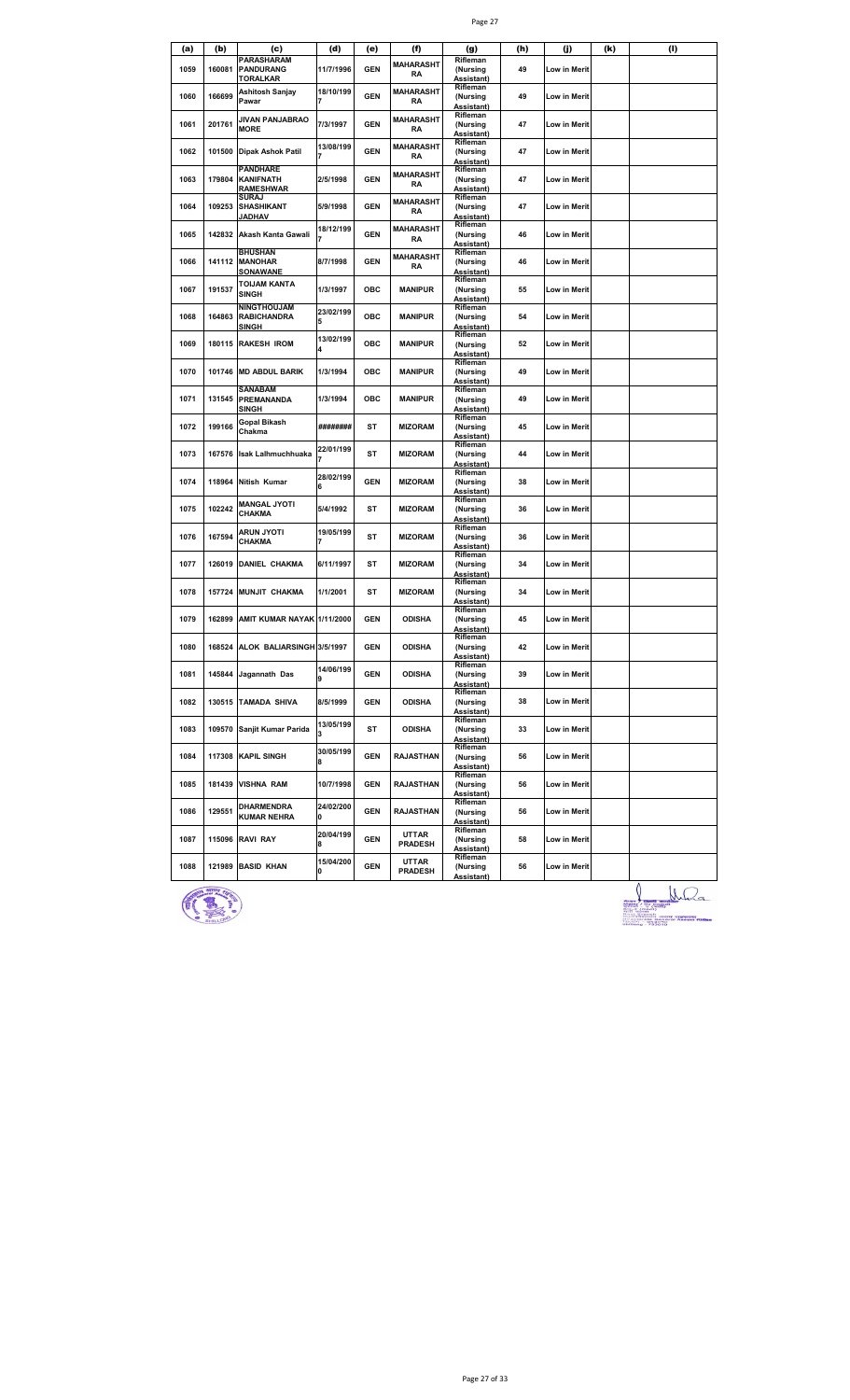|      |        |                                                          |                |            |                               | Page 27                                        |     |                     |     |     |
|------|--------|----------------------------------------------------------|----------------|------------|-------------------------------|------------------------------------------------|-----|---------------------|-----|-----|
| (a)  | (b)    | (c)                                                      | (d)            | (e)        | (f)                           | (g)                                            | (h) | (j)                 | (k) | (I) |
| 1059 | 160081 | <b>PARASHARAM</b><br><b>PANDURANG</b><br><u>TORALKAR</u> | 11/7/1996      | <b>GEN</b> | <b>MAHARASHT</b><br><b>RA</b> | Rifleman<br>(Nursing<br>Assistant)             | 49  | Low in Merit        |     |     |
| 1060 | 166699 | Ashitosh Sanjay<br>Pawar                                 | 18/10/199<br>7 | <b>GEN</b> | <b>MAHARASHT</b><br><b>RA</b> | Rifleman<br>(Nursing<br>Assistant)             | 49  | Low in Merit        |     |     |
| 1061 | 201761 | JIVAN PANJABRAO<br><b>MORE</b>                           | 7/3/1997       | <b>GEN</b> | <b>MAHARASHT</b><br>RA        | Rifleman<br>(Nursing<br>Assistant)             | 47  | Low in Merit        |     |     |
| 1062 | 101500 | <b>Dipak Ashok Patil</b>                                 | 13/08/199<br>7 | <b>GEN</b> | <b>MAHARASHT</b><br><b>RA</b> | Rifleman<br>(Nursing<br>Assistant)             | 47  | Low in Merit        |     |     |
| 1063 | 179804 | <b>PANDHARE</b><br><b>KANIFNATH</b><br><b>RAMESHWAR</b>  | 2/5/1998       | <b>GEN</b> | <b>MAHARASHT</b><br>RA        | Rifleman<br>(Nursing<br>Assistant)             | 47  | Low in Merit        |     |     |
| 1064 | 109253 | <b>SURAJ</b><br>SHASHIKANT<br><b>JADHAV</b>              | 5/9/1998       | <b>GEN</b> | <b>MAHARASHT</b><br>RA        | Rifleman<br>(Nursing<br>Assistant)             | 47  | Low in Merit        |     |     |
| 1065 | 142832 | Akash Kanta Gawali                                       | 18/12/199      | <b>GEN</b> | <b>MAHARASHT</b><br><b>RA</b> | Rifleman<br>(Nursing<br>Assistant)             | 46  | Low in Merit        |     |     |
| 1066 | 141112 | <b>BHUSHAN</b><br><b>MANOHAR</b><br>SONAWANE             | 8/7/1998       | <b>GEN</b> | <b>MAHARASHT</b><br><b>RA</b> | Rifleman<br>(Nursing<br>Assistant)             | 46  | Low in Merit        |     |     |
| 1067 | 191537 | TOIJAM KANTA<br>SINGH                                    | 1/3/1997       | ОВС        | <b>MANIPUR</b>                | Rifleman<br>(Nursing<br>Assistant)             | 55  | <b>Low in Merit</b> |     |     |
| 1068 | 164863 | <b>NINGTHOUJAM</b><br><b>RABICHANDRA</b><br>SINGH        | 23/02/199<br>5 | OBC        | <b>MANIPUR</b>                | Rifleman<br>(Nursing<br>Assistant)             | 54  | <b>Low in Merit</b> |     |     |
| 1069 | 180115 | <b>RAKESH IROM</b>                                       | 13/02/199<br>4 | ОВС        | <b>MANIPUR</b>                | Rifleman<br>(Nursing<br>Assistant)             | 52  | Low in Merit        |     |     |
| 1070 | 101746 | <b>MD ABDUL BARIK</b>                                    | 1/3/1994       | ОВС        | MANIPUR                       | Rifleman<br>(Nursing<br>Assistant)             | 49  | Low in Merit        |     |     |
| 1071 | 131545 | SANABAM<br><b>PREMANANDA</b><br>SINGH                    | 1/3/1994       | ОВС        | MANIPUR                       | Rifleman<br>(Nursing<br>Assistant)             | 49  | <b>Low in Merit</b> |     |     |
| 1072 | 199166 | Gopal Bikash<br>Chakma                                   | ########       | <b>ST</b>  | <b>MIZORAM</b>                | Rifleman<br>(Nursing<br>Assistant)             | 45  | Low in Merit        |     |     |
| 1073 | 167576 | <b>Isak Lalhmuchhuaka</b>                                | 22/01/199      | <b>ST</b>  | <b>MIZORAM</b>                | Rifleman<br>(Nursing<br>Assistant)             | 44  | Low in Merit        |     |     |
| 1074 | 118964 | Nitish Kumar                                             | 28/02/199<br>6 | <b>GEN</b> | <b>MIZORAM</b>                | Rifleman<br>(Nursing<br>Assistant)             | 38  | Low in Merit        |     |     |
| 1075 | 102242 | <b>MANGAL JYOTI</b><br>CHAKMA                            | 5/4/1992       | ST         | <b>MIZORAM</b>                | Rifleman<br>(Nursing<br>Assistant)             | 36  | Low in Merit        |     |     |
| 1076 | 167594 | ARUN JYOTI<br>CHAKMA                                     | 19/05/199<br>7 | ST         | <b>MIZORAM</b>                | Rifleman<br>(Nursing<br>Assistant)             | 36  | Low in Merit        |     |     |
| 1077 | 126019 | <b>DANIEL CHAKMA</b>                                     | 6/11/1997      | ST         | <b>MIZORAM</b>                | Rifleman<br>(Nursing<br>Assistant)             | 34  | <b>Low in Merit</b> |     |     |
| 1078 | 157724 | <b>MUNJIT CHAKMA</b>                                     | 1/1/2001       | ST         | MIZORAM                       | Rifleman<br>(Nursing<br>Assistant)             | 34  | Low in Merit        |     |     |
| 1079 | 162899 | AMIT KUMAR NAYAK 1/11/2000                               |                | <b>GEN</b> | <b>ODISHA</b>                 | Rifleman<br>(Nursing<br>Assistant)             | 45  | Low in Merit        |     |     |
| 1080 |        | 168524 ALOK BALIARSINGH 3/5/1997                         |                | <b>GEN</b> | <b>ODISHA</b>                 | Rifleman<br>(Nursing<br>Assistant)             | 42  | Low in Merit        |     |     |
| 1081 | 145844 | Jagannath Das                                            | 14/06/199<br>9 | <b>GEN</b> | <b>ODISHA</b>                 | Rifleman<br>(Nursing<br>Assistant)             | 39  | <b>Low in Merit</b> |     |     |
| 1082 |        | 130515 TAMADA SHIVA                                      | 8/5/1999       | <b>GEN</b> | <b>ODISHA</b>                 | Rifleman<br>(Nursing<br>Assistant)             | 38  | Low in Merit        |     |     |
| 1083 | 109570 | Sanjit Kumar Parida                                      | 13/05/199<br>3 | ST         | <b>ODISHA</b>                 | Rifleman<br>(Nursing<br>Assistant)             | 33  | Low in Merit        |     |     |
| 1084 | 117308 | <b>KAPIL SINGH</b>                                       | 30/05/199<br>8 | <b>GEN</b> | <b>RAJASTHAN</b>              | Rifleman<br>(Nursing<br>Assistant)             | 56  | Low in Merit        |     |     |
| 1085 | 181439 | <b>VISHNA RAM</b>                                        | 10/7/1998      | <b>GEN</b> | <b>RAJASTHAN</b>              | Rifleman<br>(Nursing<br>Assistant)<br>Rifleman | 56  | Low in Merit        |     |     |
| 1086 | 129551 | DHARMENDRA<br><b>KUMAR NEHRA</b>                         | 24/02/200<br>0 | <b>GEN</b> | <b>RAJASTHAN</b>              | (Nursing<br>Assistant)                         | 56  | Low in Merit        |     |     |
| 1087 | 115096 | <b>RAVI RAY</b>                                          | 20/04/199<br>8 | <b>GEN</b> | UTTAR<br><b>PRADESH</b>       | Rifleman<br>(Nursing<br>Assistant)             | 58  | Low in Merit        |     |     |
| 1088 | 121989 | <b>BASID KHAN</b>                                        | 15/04/200<br>O | <b>GEN</b> | UTTAR<br><b>PRADESH</b>       | Rifleman<br>(Nursing<br>Assistant)             | 56  | Low in Merit        |     | Λ   |



**Allegation Communication**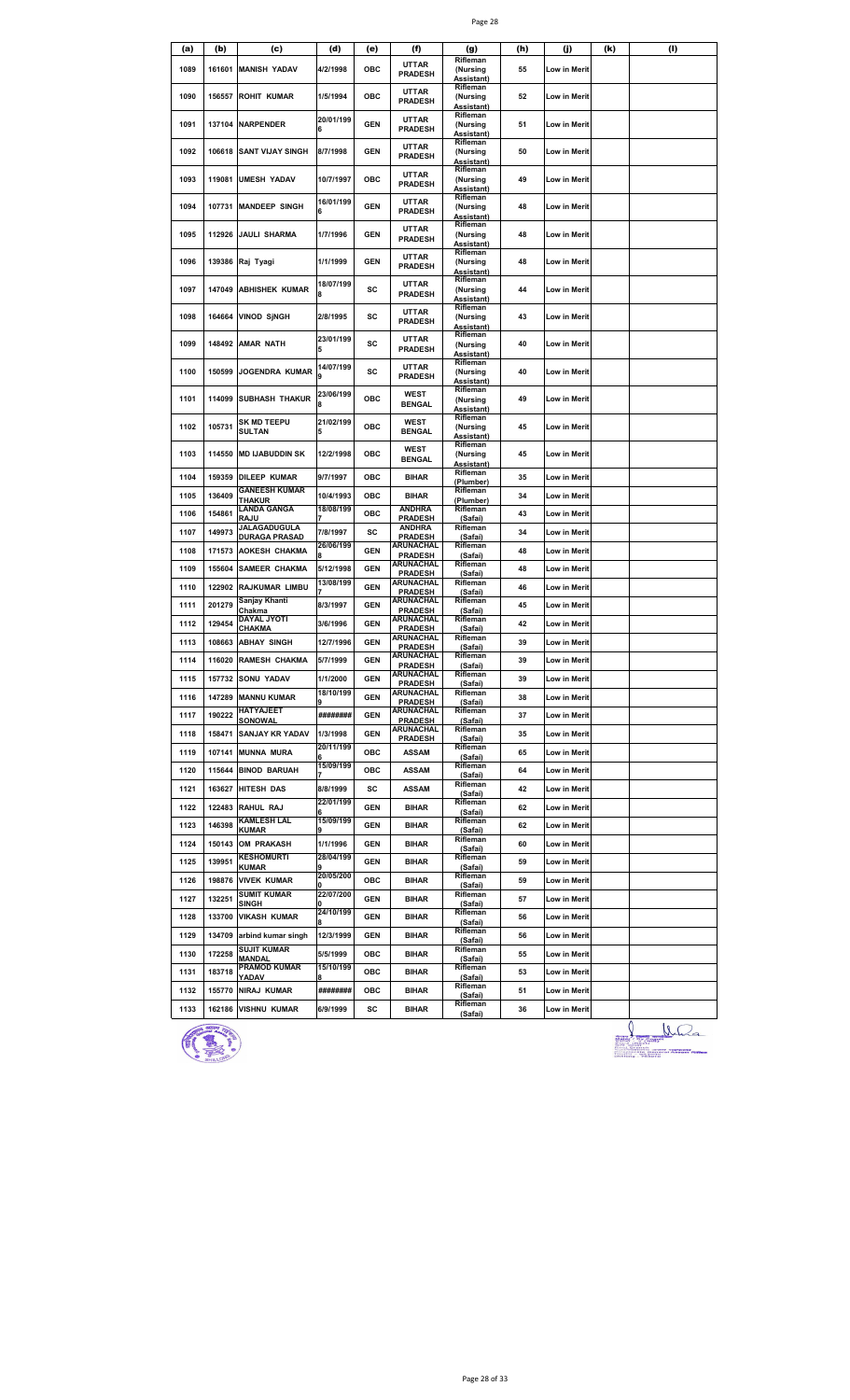|--|--|

| (a)  | (b)    | (c)                                  | (d)                   | (e)        | (f)                                | (g)                                              | (h) | (j)                 | (k) | (I) |
|------|--------|--------------------------------------|-----------------------|------------|------------------------------------|--------------------------------------------------|-----|---------------------|-----|-----|
| 1089 | 161601 | <b>MANISH YADAV</b>                  | 4/2/1998              | <b>OBC</b> | <b>UTTAR</b><br><b>PRADESH</b>     | Rifleman<br>(Nursing<br>Assistant)               | 55  | <b>Low in Merit</b> |     |     |
| 1090 | 156557 | <b>ROHIT KUMAR</b>                   | 1/5/1994              | ОВС        | <b>UTTAR</b><br><b>PRADESH</b>     | Rifleman<br>(Nursing<br>Assistant)               | 52  | Low in Merit        |     |     |
| 1091 | 137104 | <b>NARPENDER</b>                     | 20/01/199<br>6        | <b>GEN</b> | <b>UTTAR</b><br><b>PRADESH</b>     | Rifleman<br>(Nursing                             | 51  | Low in Merit        |     |     |
| 1092 | 106618 | <b>SANT VIJAY SINGH</b>              | 8/7/1998              | GEN        | <b>UTTAR</b><br><b>PRADESH</b>     | Assistant)<br>Rifleman<br>(Nursing               | 50  | Low in Merit        |     |     |
| 1093 | 119081 | <b>UMESH YADAV</b>                   | 10/7/1997             | ОВС        | <b>UTTAR</b><br><b>PRADESH</b>     | <b>Assistant)</b><br>Rifleman<br>(Nursing        | 49  | Low in Merit        |     |     |
| 1094 | 107731 | <b>MANDEEP SINGH</b>                 | 16/01/199<br>6        | GEN        | <b>UTTAR</b><br><b>PRADESH</b>     | Assistant)<br>Rifleman<br>(Nursing               | 48  | Low in Merit        |     |     |
| 1095 | 112926 | <b>JAULI SHARMA</b>                  | 1/7/1996              | <b>GEN</b> | <b>UTTAR</b><br><b>PRADESH</b>     | Assistant)<br>Rifleman<br>(Nursing<br>Assistant) | 48  | Low in Merit        |     |     |
| 1096 | 139386 | Raj Tyagi                            | 1/1/1999              | <b>GEN</b> | <b>UTTAR</b><br><b>PRADESH</b>     | Rifleman<br>(Nursing<br>Assistant)               | 48  | Low in Merit        |     |     |
| 1097 | 147049 | <b>ABHISHEK KUMAR</b>                | 18/07/199<br>8        | sc         | <b>UTTAR</b><br><b>PRADESH</b>     | Rifleman<br>(Nursing<br>Assistant)               | 44  | Low in Merit        |     |     |
| 1098 | 164664 | <b>VINOD SJNGH</b>                   | 2/8/1995              | sc         | <b>UTTAR</b><br><b>PRADESH</b>     | Rifleman<br>(Nursing                             | 43  | <b>Low in Merit</b> |     |     |
| 1099 | 148492 | <b>AMAR NATH</b>                     | 23/01/199<br>5        | SC         | <b>UTTAR</b><br><b>PRADESH</b>     | Assistant)<br>Rifleman<br>(Nursing               | 40  | Low in Merit        |     |     |
| 1100 | 150599 | <b>JOGENDRA KUMAR</b>                | 14/07/199             | SC         | <b>UTTAR</b><br><b>PRADESH</b>     | Assistant)<br>Rifleman<br>(Nursing               | 40  | Low in Merit        |     |     |
| 1101 | 114099 | <b>SUBHASH THAKUR</b>                | 23/06/199<br>8        | <b>OBC</b> | WEST<br><b>BENGAL</b>              | Assistant)<br>Rifleman<br>(Nursing               | 49  | Low in Merit        |     |     |
| 1102 | 105731 | <b>SK MD TEEPU</b><br><b>SULTAN</b>  | 21/02/199<br>5        | ОВС        | <b>WEST</b><br><b>BENGAL</b>       | Assistant)<br>Rifleman<br>(Nursing               | 45  | Low in Merit        |     |     |
| 1103 | 114550 | <b>MD IJABUDDIN SK</b>               | 12/2/1998             | ОВС        | <b>WEST</b><br><b>BENGAL</b>       | <b>Assistant)</b><br>Rifleman<br>(Nursing        | 45  | Low in Merit        |     |     |
| 1104 | 159359 | <b>DILEEP KUMAR</b>                  | 9/7/1997              | ОВС        | <b>BIHAR</b>                       | Assistant)<br>Rifleman<br>(Plumber)              | 35  | Low in Merit        |     |     |
| 1105 | 136409 | <b>GANEESH KUMAR</b><br>THAKUR       | 10/4/1993             | ОВС        | BIHAR                              | Rifleman<br>(Plumber)                            | 34  | Low in Merit        |     |     |
| 1106 | 154861 | LANDA GANGA<br>RAJU                  | 18/08/199             | ОВС        | <b>ANDHRA</b><br><b>PRADESH</b>    | Rifleman<br>(Safai)                              | 43  | Low in Merit        |     |     |
| 1107 | 149973 | JALAGADUGULA<br><b>DURAGA PRASAD</b> | 7/8/1997              | sc         | <b>ANDHRA</b><br><b>PRADESH</b>    | Rifleman<br>(Safai)                              | 34  | Low in Merit        |     |     |
| 1108 | 171573 | <b>AOKESH CHAKMA</b>                 | 26/06/199             | GEN        | ARUNACHAL<br><b>PRADESH</b>        | Rifleman                                         | 48  | Low in Merit        |     |     |
| 1109 | 155604 | <b>SAMEER CHAKMA</b>                 | 5/12/1998             | GEN        | ARUNACHAL                          | (Safai)<br>Rifleman                              | 48  | Low in Merit        |     |     |
| 1110 | 122902 | <b>RAJKUMAR LIMBU</b>                | 13/08/199             | GEN        | <b>PRADESH</b><br>ARUNACHAL        | (Safai)<br>Rifleman                              | 46  | Low in Merit        |     |     |
| 1111 | 201279 | Sanjay Khanti                        | 8/3/1997              | <b>GEN</b> | <b>PRADESH</b><br><b>ARUNACHAL</b> | (Safai)<br>Rifleman                              | 45  | Low in Merit        |     |     |
| 1112 | 129454 | Chakma<br>DAYAL JYOTI                | 3/6/1996              | <b>GEN</b> | <b>PRADESH</b><br>ARUNACHAL        | (Safai)<br>Rifleman                              | 42  | Low in Merit        |     |     |
| 1113 | 108663 | CHAKMA<br><b>ABHAY SINGH</b>         | 12/7/1996             | GEN        | <b>PRADESH</b><br>ARUNACHAL        | (Safai)<br>Rifleman                              | 39  | Low in Merit        |     |     |
| 1114 |        | 116020 RAMESH CHAKMA                 | 5/7/1999              | GEN        | <b>PRADESH</b><br><b>\RUNACHAL</b> | (Safai)<br>Rifleman                              | 39  | <b>Low in Merit</b> |     |     |
| 1115 |        | 157732 SONU YADAV                    | 1/1/2000              | GEN        | <b>PRADESH</b><br>ARUNACHAL        | (Safai)<br>Rifleman                              | 39  | Low in Merit        |     |     |
|      |        |                                      | 18/10/199             |            | <b>PRADESH</b><br>ARUNACHAL        | (Safai)<br>Rifleman                              |     |                     |     |     |
| 1116 | 147289 | <b>MANNU KUMAR</b><br>HATYAJEET      |                       | <b>GEN</b> | <b>PRADESH</b><br>ARUNACHAL        | (Safai)<br>Rifleman                              | 38  | Low in Merit        |     |     |
| 1117 | 190222 | SONOWAL                              | ########              | GEN        | <b>PRADESH</b><br>ARUNACHAL        | (Safai)<br>Rifleman                              | 37  | Low in Merit        |     |     |
| 1118 | 158471 | <b>SANJAY KR YADAV</b>               | 1/3/1998<br>20/11/199 | GEN        | <b>PRADESH</b>                     | (Safai)<br>Rifleman                              | 35  | Low in Merit        |     |     |
| 1119 | 107141 | <b>MUNNA MURA</b>                    | 15/09/199             | ОВС        | <b>ASSAM</b>                       | (Safai)<br>Rifleman                              | 65  | Low in Merit        |     |     |
| 1120 |        | 115644 BINOD BARUAH                  |                       | ОВС        | <b>ASSAM</b>                       | (Safai)<br>Rifleman                              | 64  | Low in Merit        |     |     |
| 1121 |        | 163627 HITESH DAS                    | 8/8/1999<br>22/01/199 | SC         | <b>ASSAM</b>                       | (Safai)<br>Rifleman                              | 42  | Low in Merit        |     |     |
| 1122 |        | 122483 RAHUL RAJ<br>KAMLESH LAL      | 15/09/199             | <b>GEN</b> | BIHAR                              | (Safai)<br>Rifleman                              | 62  | Low in Merit        |     |     |
| 1123 | 146398 | KUMAR                                |                       | GEN        | BIHAR                              | (Safai)                                          | 62  | Low in Merit        |     |     |
| 1124 | 150143 | <b>OM PRAKASH</b>                    | 1/1/1996              | GEN        | BIHAR                              | Rifleman<br>(Safai)                              | 60  | Low in Merit        |     |     |
| 1125 | 139951 | <b>KESHOMURTI</b><br><b>KUMAR</b>    | 28/04/199<br>9        | <b>GEN</b> | BIHAR                              | Rifleman<br>(Safai)                              | 59  | Low in Merit        |     |     |
| 1126 | 198876 | <b>VIVEK KUMAR</b>                   | 20/05/200             | ОВС        | <b>BIHAR</b>                       | Rifleman<br>(Safai)                              | 59  | Low in Merit        |     |     |
| 1127 | 132251 | <b>SUMIT KUMAR</b><br>SINGH          | 22/07/200             | <b>GEN</b> | <b>BIHAR</b>                       | Rifleman<br>(Safai)                              | 57  | Low in Merit        |     |     |
| 1128 |        | 133700 VIKASH KUMAR                  | 24/10/199             | GEN        | BIHAR                              | Rifleman<br>(Safai)                              | 56  | Low in Merit        |     |     |
| 1129 |        | 134709 arbind kumar singh            | 12/3/1999             | GEN        | BIHAR                              | Rifleman<br>(Safai)                              | 56  | Low in Merit        |     |     |
| 1130 | 172258 | <b>SUJIT KUMAR</b><br><b>MANDAL</b>  | 5/5/1999              | ОВС        | BIHAR                              | Rifleman<br>(Safai)                              | 55  | Low in Merit        |     |     |
| 1131 | 183718 | <b>PRAMOD KUMAR</b><br>YADAV         | 15/10/199             | ОВС        | <b>BIHAR</b>                       | Rifleman<br>(Safai)                              | 53  | Low in Merit        |     |     |
| 1132 | 155770 | <b>NIRAJ KUMAR</b>                   | ########              | ОВС        | BIHAR                              | Rifleman<br>(Safai)                              | 51  | Low in Merit        |     |     |
| 1133 |        | 162186 VISHNU KUMAR                  | 6/9/1999              | SC         | BIHAR                              | Rifleman<br>(Safai)                              | 36  | Low in Merit        |     |     |



Julian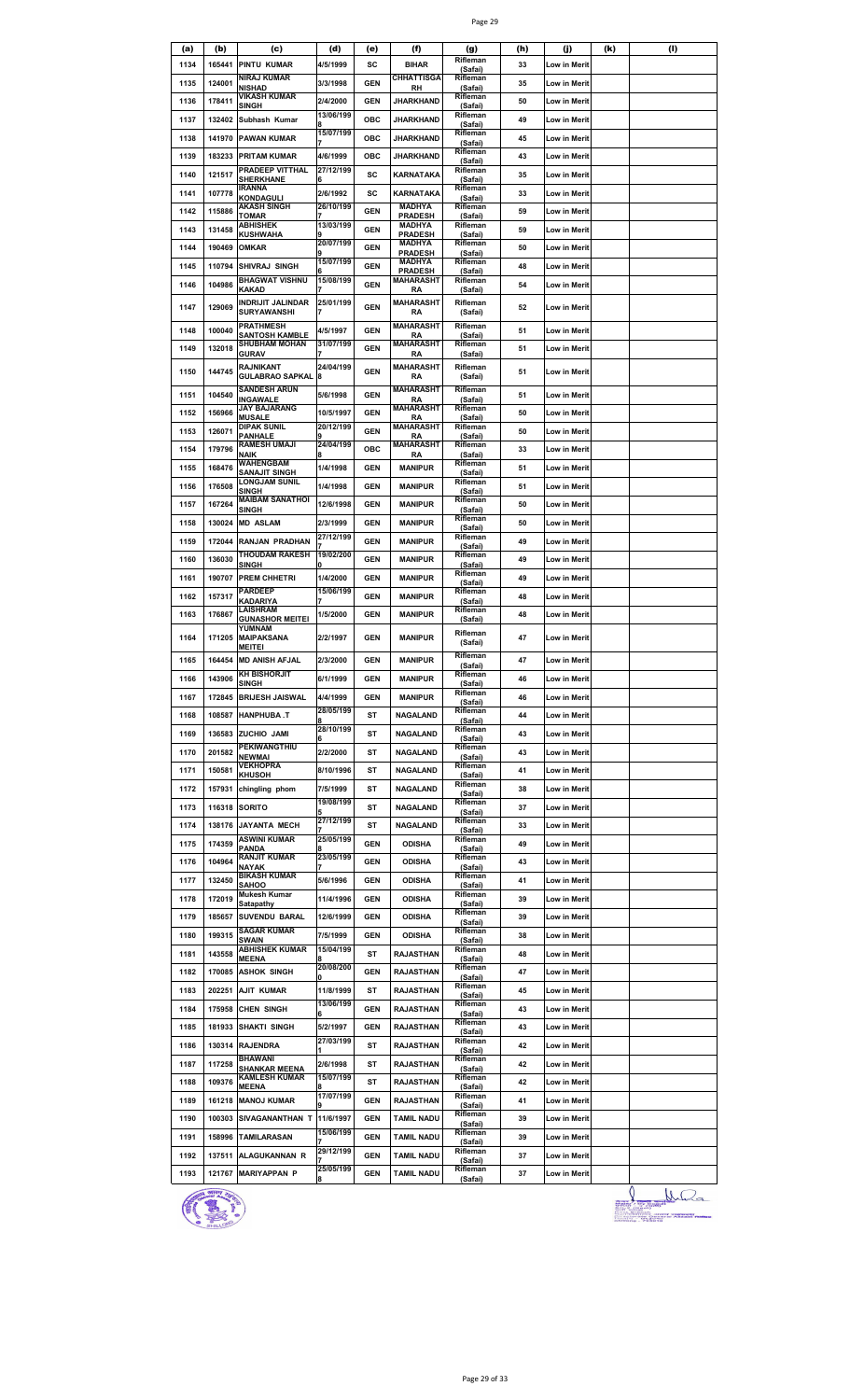|--|--|

| (a)  | (b)    | (c)                                           | (d)            | (e)        | (f)                               | (g)<br>Rifleman     | (h) | (j)                 | (k) | (I) |
|------|--------|-----------------------------------------------|----------------|------------|-----------------------------------|---------------------|-----|---------------------|-----|-----|
| 1134 | 165441 | <b>PINTU KUMAR</b><br><b>NIRAJ KUMAR</b>      | 4/5/1999       | sc         | <b>BIHAR</b><br><b>CHHATTISGA</b> | (Safai)<br>Rifleman | 33  | Low in Merit        |     |     |
| 1135 | 124001 | NISHAD                                        | 3/3/1998       | <b>GEN</b> | RH                                | (Safai)             | 35  | Low in Merit        |     |     |
| 1136 | 178411 | VIKASH KUMAR<br>SINGH                         | 2/4/2000       | <b>GEN</b> | JHARKHAND                         | Rifleman<br>(Safai) | 50  | Low in Merit        |     |     |
| 1137 | 132402 | Subhash Kumar                                 | 13/06/199      | <b>OBC</b> | JHARKHAND                         | Rifleman            | 49  | Low in Merit        |     |     |
| 1138 | 141970 | <b>PAWAN KUMAR</b>                            | 15/07/199      | <b>OBC</b> | <b>JHARKHAND</b>                  | (Safai)<br>Rifleman | 45  | Low in Merit        |     |     |
|      |        |                                               |                |            |                                   | (Safai)<br>Rifleman |     |                     |     |     |
| 1139 | 183233 | <b>PRITAM KUMAR</b>                           | 4/6/1999       | ОВС        | JHARKHAND                         | (Safai)             | 43  | Low in Merit        |     |     |
| 1140 | 121517 | PRADEEP VITTHAL<br>SHERKHANE                  | 27/12/199<br>6 | sc         | KARNATAKA                         | Rifleman<br>(Safai) | 35  | Low in Merit        |     |     |
| 1141 | 107778 | IRANNA<br>KONDAGULI                           | 2/6/1992       | SC         | <b>KARNATAKA</b>                  | Rifleman<br>(Safai) | 33  | <b>Low in Merit</b> |     |     |
| 1142 | 115886 | AKASH SINGH                                   | 26/10/199      | <b>GEN</b> | <b>MADHYA</b>                     | Rifleman            | 59  | Low in Merit        |     |     |
|      |        | TOMAR<br><b>ABHISHEK</b>                      | 13/03/199      |            | <b>PRADESH</b><br>MADHYA          | (Safai)<br>Rifleman |     |                     |     |     |
| 1143 | 131458 | <b>KUSHWAHA</b>                               |                | <b>GEN</b> | <b>PRADESH</b>                    | (Safai)             | 59  | Low in Merit        |     |     |
| 1144 | 190469 | <b>OMKAR</b>                                  | 20/07/199      | <b>GEN</b> | MADHYA<br><b>PRADESH</b>          | Rifleman<br>(Safai) | 50  | Low in Merit        |     |     |
| 1145 | 110794 | SHIVRAJ SINGH                                 | 15/07/199      | <b>GEN</b> | MADHYA<br><b>PRADESH</b>          | Rifleman<br>(Safai) | 48  | Low in Merit        |     |     |
| 1146 | 104986 | <b>BHAGWAT VISHNU</b>                         | 15/08/199      | <b>GEN</b> | MAHARASHT                         | Rifleman            | 54  | Low in Merit        |     |     |
|      |        | KAKAD<br><b>INDRIJIT JALINDAR</b>             | 25/01/199      |            | RA<br><b>MAHARASHT</b>            | (Safai)<br>Rifleman |     |                     |     |     |
| 1147 | 129069 | <b>SURYAWANSHI</b>                            |                | <b>GEN</b> | RA                                | (Safai)             | 52  | Low in Merit        |     |     |
| 1148 | 100040 | PRATHMESH                                     | 4/5/1997       | <b>GEN</b> | MAHARASHT                         | Rifleman            | 51  | Low in Merit        |     |     |
|      | 132018 | <b>SANTOSH KAMBLE</b><br><b>SHUBHAM MOHAN</b> | 31/07/199      |            | <b>RA</b><br><b>MAHARASHT</b>     | (Safai)<br>Rifleman |     |                     |     |     |
| 1149 |        | <b>GURAV</b>                                  |                | <b>GEN</b> | <b>RA</b>                         | (Safai)             | 51  | Low in Merit        |     |     |
| 1150 | 144745 | RAJNIKANT<br><b>GULABRAO SAPKAL</b>           | 24/04/199      | <b>GEN</b> | <b>MAHARASHT</b><br>RA            | Rifleman<br>(Safai) | 51  | Low in Merit        |     |     |
|      |        | <b>SANDESH ARUN</b>                           |                |            | <b>MAHARASHT</b>                  | Rifleman            |     |                     |     |     |
| 1151 | 104540 | <b>INGAWALE</b><br>JAY BAJARANG               | 5/6/1998       | <b>GEN</b> | RA<br><b>MAHARASHT</b>            | (Safai)<br>Rifleman | 51  | Low in Merit        |     |     |
| 1152 | 156966 | <b>MUSALE</b>                                 | 10/5/1997      | <b>GEN</b> | <b>RA</b>                         | (Safai)             | 50  | Low in Merit        |     |     |
| 1153 | 126071 | <b>DIPAK SUNIL</b><br>PANHALE                 | 20/12/199      | <b>GEN</b> | <b>MAHARASHT</b><br>RA            | Rifleman<br>(Safai) | 50  | Low in Merit        |     |     |
| 1154 | 179796 | <b>RAMESH UMAJI</b>                           | 24/04/199      | ОВС        | <b>MAHARASHT</b>                  | Rifleman            | 33  | Low in Merit        |     |     |
|      |        | <b>NAIK</b><br><b>WAHENGBAM</b>               |                |            | RA                                | (Safai)<br>Rifleman |     |                     |     |     |
| 1155 | 168476 | SANAJIT SINGH<br><b>LONGJAM SUNIL</b>         | 1/4/1998       | <b>GEN</b> | <b>MANIPUR</b>                    | (Safai)<br>Rifleman | 51  | Low in Merit        |     |     |
| 1156 | 176508 | SINGH                                         | 1/4/1998       | <b>GEN</b> | <b>MANIPUR</b>                    | (Safai)             | 51  | Low in Merit        |     |     |
| 1157 | 167264 | <b>MAIBAM SANATHOI</b><br><b>SINGH</b>        | 12/6/1998      | <b>GEN</b> | <b>MANIPUR</b>                    | Rifleman<br>(Safai) | 50  | Low in Merit        |     |     |
| 1158 | 130024 | <b>MD ASLAM</b>                               | 2/3/1999       | <b>GEN</b> | <b>MANIPUR</b>                    | Rifleman            | 50  | Low in Merit        |     |     |
|      |        |                                               | 27/12/199      |            |                                   | (Safai)<br>Rifleman |     |                     |     |     |
| 1159 | 172044 | RANJAN PRADHAN<br><b>THOUDAM RAKESH</b>       | 19/02/200      | <b>GEN</b> | MANIPUR                           | (Safai)<br>Rifleman | 49  | Low in Merit        |     |     |
| 1160 | 136030 | SINGH                                         |                | <b>GEN</b> | <b>MANIPUR</b>                    | (Safai)             | 49  | Low in Merit        |     |     |
| 1161 | 190707 | <b>PREM CHHETRI</b>                           | 1/4/2000       | <b>GEN</b> | <b>MANIPUR</b>                    | Rifleman<br>(Safai) | 49  | Low in Merit        |     |     |
| 1162 | 157317 | <b>PARDEEP</b>                                | 15/06/199      | <b>GEN</b> | <b>MANIPUR</b>                    | Rifleman            | 48  | Low in Merit        |     |     |
|      | 176867 | KADARIYA<br>LAISHRAM                          |                |            |                                   | (Safai)<br>Rifleman |     |                     |     |     |
| 1163 |        | <b>GUNASHOR MEITEI</b><br>YUMNAM              | 1/5/2000       | <b>GEN</b> | <b>MANIPUR</b>                    | (Safai)             | 48  | Low in Merit        |     |     |
| 1164 | 171205 | <b>MAIPAKSANA</b>                             | 2/2/1997       | <b>GEN</b> | <b>MANIPUR</b>                    | Rifleman<br>(Safai) | 47  | Low in Merit        |     |     |
|      |        | <b>MEITEI</b>                                 |                |            |                                   | Rifleman            |     |                     |     |     |
| 1165 |        | 164454 MD ANISH AFJAL<br><b>KH BISHORJIT</b>  | 2/3/2000       | <b>GEN</b> | MANIPUR                           | (Safai)<br>Rifleman | 47  | <b>Low in Merit</b> |     |     |
| 1166 | 143906 | <b>SINGH</b>                                  | 6/1/1999       | <b>GEN</b> | <b>MANIPUR</b>                    | (Safai)             | 46  | Low in Merit        |     |     |
| 1167 | 172845 | <b>BRIJESH JAISWAL</b>                        | 4/4/1999       | <b>GEN</b> | <b>MANIPUR</b>                    | Rifleman<br>(Safai) | 46  | Low in Merit        |     |     |
| 1168 | 108587 | <b>HANPHUBA .T</b>                            | 28/05/199      | ST         | <b>NAGALAND</b>                   | Rifleman            | 44  | Low in Merit        |     |     |
| 1169 | 136583 | ZUCHIO JAMI                                   | 28/10/199      | ST         | <b>NAGALAND</b>                   | (Safai)<br>Rifleman | 43  |                     |     |     |
|      |        | PEKIWANGTHIU                                  |                |            |                                   | (Safai)<br>Rifleman |     | Low in Merit        |     |     |
| 1170 | 201582 | <b>NEWMAI</b>                                 | 2/2/2000       | ST         | NAGALAND                          | (Safai)             | 43  | Low in Merit        |     |     |
| 1171 | 150581 | <b>VEKHOPRA</b><br><b>KHUSOH</b>              | 8/10/1996      | ST         | NAGALAND                          | Rifleman<br>(Safai) | 41  | Low in Merit        |     |     |
| 1172 | 157931 | chingling phom                                | 7/5/1999       | ST         | <b>NAGALAND</b>                   | Rifleman            | 38  | Low in Merit        |     |     |
| 1173 |        | 116318 SORITO                                 | 19/08/199      | ST         | <b>NAGALAND</b>                   | (Safai)<br>Rifleman | 37  | Low in Merit        |     |     |
|      |        |                                               | 27/12/199      |            |                                   | (Safai)<br>Rifleman |     |                     |     |     |
| 1174 | 138176 | <b>JAYANTA MECH</b>                           |                | ST         | <b>NAGALAND</b>                   | (Safai)             | 33  | Low in Merit        |     |     |
| 1175 | 174359 | <b>ASWINI KUMAR</b><br>PANDA                  | 25/05/199      | GEN        | <b>ODISHA</b>                     | Rifleman<br>(Safai) | 49  | Low in Merit        |     |     |
| 1176 | 104964 | <b>RANJIT KUMAR</b><br>NAYAK                  | 23/05/199      | <b>GEN</b> | <b>ODISHA</b>                     | Rifleman<br>(Safai) | 43  | Low in Merit        |     |     |
| 1177 | 132450 | <b>BIKASH KUMAR</b>                           | 5/6/1996       | <b>GEN</b> | <b>ODISHA</b>                     | Rifleman            | 41  | Low in Merit        |     |     |
|      |        | <b>SAHOO</b><br><b>Mukesh Kumar</b>           |                |            |                                   | (Safai)<br>Rifleman |     |                     |     |     |
| 1178 | 172019 | Satapathy                                     | 11/4/1996      | <b>GEN</b> | <b>ODISHA</b>                     | (Safai)             | 39  | Low in Merit        |     |     |
| 1179 | 185657 | <b>SUVENDU BARAL</b>                          | 12/6/1999      | <b>GEN</b> | <b>ODISHA</b>                     | Rifleman<br>(Safai) | 39  | Low in Merit        |     |     |
| 1180 | 199315 | <b>SAGAR KUMAR</b><br>SWAIN                   | 7/5/1999       | <b>GEN</b> | <b>ODISHA</b>                     | Rifleman<br>(Safai) | 38  | Low in Merit        |     |     |
| 1181 | 143558 | <b>ABHISHEK KUMAR</b>                         | 15/04/199      | ST         | RAJASTHAN                         | Rifleman            | 48  | Low in Merit        |     |     |
|      |        | <b>MEENA</b>                                  | 20/08/200      | <b>GEN</b> |                                   | (Safai)<br>Rifleman | 47  |                     |     |     |
| 1182 | 170085 | <b>ASHOK SINGH</b>                            |                |            | <b>RAJASTHAN</b>                  | (Safai)<br>Rifleman |     | Low in Merit        |     |     |
| 1183 | 202251 | <b>AJIT KUMAR</b>                             | 11/8/1999      | ST         | <b>RAJASTHAN</b>                  | (Safai)             | 45  | Low in Merit        |     |     |
| 1184 | 175958 | <b>CHEN SINGH</b>                             | 13/06/199<br>6 | <b>GEN</b> | <b>RAJASTHAN</b>                  | Rifleman<br>(Safai) | 43  | Low in Merit        |     |     |
| 1185 | 181933 | <b>SHAKTI SINGH</b>                           | 5/2/1997       | <b>GEN</b> | RAJASTHAN                         | Rifleman            | 43  | Low in Merit        |     |     |
| 1186 | 130314 | <b>RAJENDRA</b>                               | 27/03/199      | ST         | <b>RAJASTHAN</b>                  | (Safai)<br>Rifleman | 42  | Low in Merit        |     |     |
|      |        | BHAWANI                                       |                |            |                                   | (Safai)<br>Rifleman |     |                     |     |     |
| 1187 | 117258 | <b>SHANKAR MEENA</b>                          | 2/6/1998       | ST         | <b>RAJASTHAN</b>                  | (Safai)             | 42  | Low in Merit        |     |     |
| 1188 | 109376 | <b>KAMLESH KUMAR</b><br><b>MEENA</b>          | 15/07/199      | ST         | <b>RAJASTHAN</b>                  | Rifleman<br>(Safai) | 42  | Low in Merit        |     |     |
| 1189 | 161218 | <b>MANOJ KUMAR</b>                            | 17/07/199      | <b>GEN</b> | <b>RAJASTHAN</b>                  | Rifleman            | 41  | Low in Merit        |     |     |
| 1190 | 100303 | SIVAGANANTHAN T 11/6/1997                     |                | <b>GEN</b> | <b>TAMIL NADU</b>                 | (Safai)<br>Rifleman | 39  | Low in Merit        |     |     |
|      |        |                                               | 15/06/199      |            |                                   | (Safai)<br>Rifleman |     |                     |     |     |
| 1191 | 158996 | <b>TAMILARASAN</b>                            |                | <b>GEN</b> | <b>TAMIL NADU</b>                 | (Safai)             | 39  | Low in Merit        |     |     |
| 1192 | 137511 | ALAGUKANNAN R                                 | 29/12/199      | <b>GEN</b> | <b>TAMIL NADU</b>                 | Rifleman<br>(Safai) | 37  | Low in Merit        |     |     |
| 1193 |        | 121767 MARIYAPPAN P                           | 25/05/199      | <b>GEN</b> | <b>TAMIL NADU</b>                 | Rifleman<br>(Safai) | 37  | Low in Merit        |     |     |
|      |        |                                               |                |            |                                   |                     |     |                     |     |     |



 $\frac{1}{\frac{1}{2\pi}}\frac{N}{2\pi}$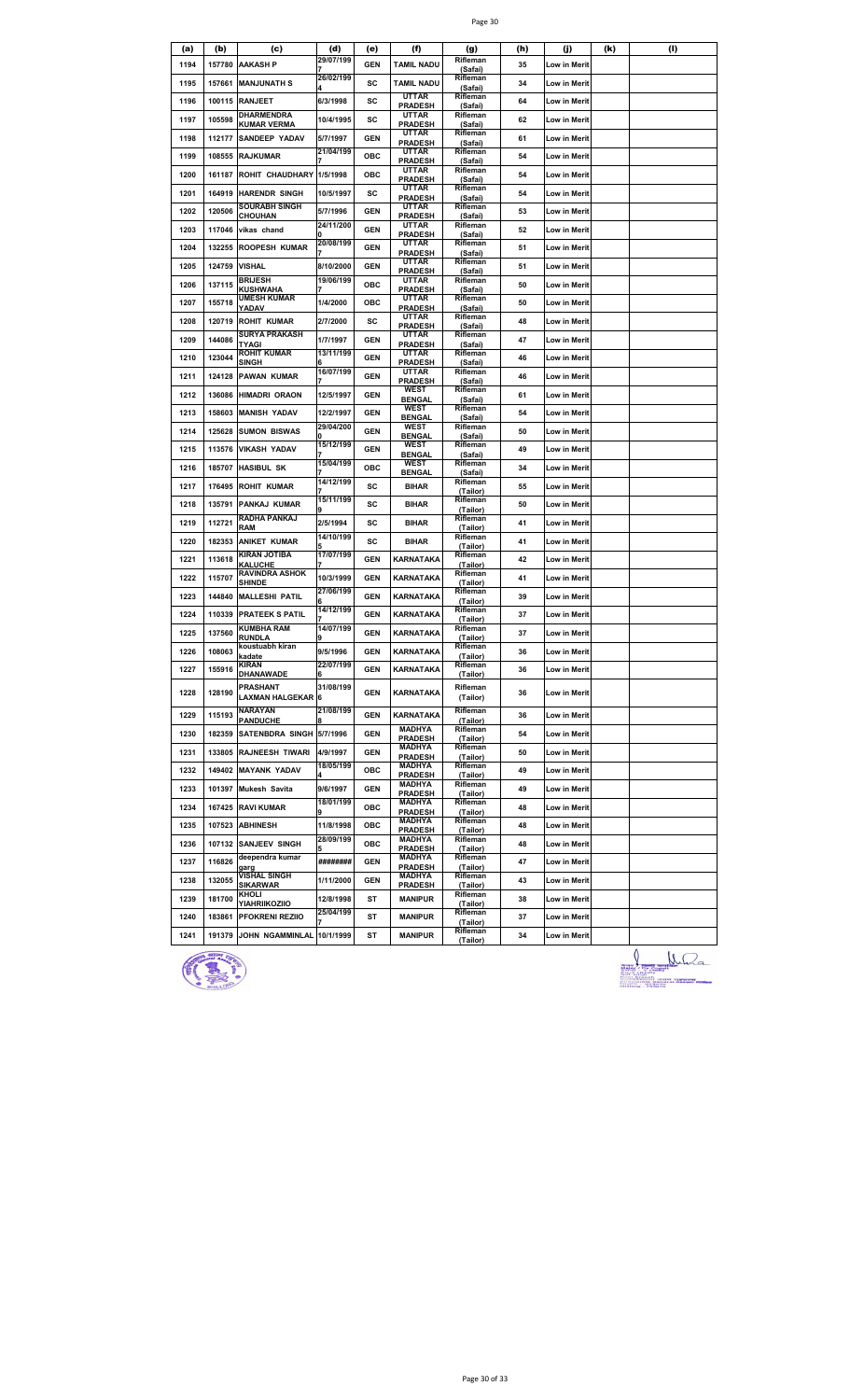|--|--|

| (a)  | (b)    | (c)                                     | (d)                    | (e)        | (f)                             | (g)                  | (h) | (j)                 | (k) | (1) |
|------|--------|-----------------------------------------|------------------------|------------|---------------------------------|----------------------|-----|---------------------|-----|-----|
| 1194 | 157780 | <b>AAKASH P</b>                         | 29/07/199              | <b>GEN</b> | <b>TAMIL NADU</b>               | Rifleman<br>(Safai)  | 35  | Low in Merit        |     |     |
| 1195 | 157661 | <b>MANJUNATH S</b>                      | 26/02/199              | SC         | <b>TAMIL NADU</b>               | Rifleman<br>(Safai)  | 34  | Low in Merit        |     |     |
| 1196 | 100115 | <b>RANJEET</b>                          | 6/3/1998               | sc         | <b>UTTAR</b><br><b>PRADESH</b>  | Rifleman<br>(Safai)  | 64  | Low in Merit        |     |     |
| 1197 | 105598 | DHARMENDRA<br><b>KUMAR VERMA</b>        | 10/4/1995              | sc         | UTTAR<br><b>PRADESH</b>         | Rifleman<br>(Safai)  | 62  | Low in Merit        |     |     |
| 1198 | 112177 | <b>SANDEEP YADAV</b>                    | 5/7/1997               | <b>GEN</b> | UTTAR<br><b>PRADESH</b>         | Rifleman<br>(Safai)  | 61  | Low in Merit        |     |     |
| 1199 | 108555 | <b>RAJKUMAR</b>                         | 21/04/199              | ОВС        | UTTAR<br><b>PRADESH</b>         | Rifleman<br>(Safai)  | 54  | Low in Merit        |     |     |
| 1200 | 161187 | ROHIT CHAUDHARY                         | 1/5/1998               | ОВС        | UTTAR                           | Rifleman             | 54  | Low in Merit        |     |     |
| 1201 | 164919 | <b>HARENDR SINGH</b>                    | 10/5/1997              | SC         | <b>PRADESH</b><br><b>UTTAR</b>  | (Safai)<br>Rifleman  | 54  | Low in Merit        |     |     |
| 1202 | 120506 | <b>SOURABH SINGH</b>                    | 5/7/1996               | <b>GEN</b> | <b>PRADESH</b><br>UTTAR         | (Safai)<br>Rifleman  | 53  | Low in Merit        |     |     |
| 1203 | 117046 | CHOUHAN<br>vikas chand                  | 24/11/200              | <b>GEN</b> | <b>PRADESH</b><br>UTTAR         | (Safai)<br>Rifleman  | 52  | Low in Merit        |     |     |
|      |        |                                         | 20/08/199              |            | <b>PRADESH</b><br>UTTAR         | (Safai)<br>Rifleman  |     |                     |     |     |
| 1204 | 132255 | <b>ROOPESH KUMAR</b>                    |                        | <b>GEN</b> | <b>PRADESH</b><br>UTTAR         | (Safai)<br>Rifleman  | 51  | Low in Merit        |     |     |
| 1205 | 124759 | <b>VISHAL</b><br><b>BRIJESH</b>         | 8/10/2000<br>19/06/199 | <b>GEN</b> | <b>PRADESH</b><br><b>UTTAR</b>  | (Safai)<br>Rifleman  | 51  | Low in Merit        |     |     |
| 1206 | 137115 | KUSHWAHA<br><b>UMESH KUMAR</b>          |                        | ОВС        | <b>PRADESH</b><br>UTTAR         | (Safai)<br>Rifleman  | 50  | Low in Merit        |     |     |
| 1207 | 155718 | YADAV                                   | 1/4/2000               | ОВС        | <b>PRADESH</b><br>UTTAR         | (Safai)<br>Rifleman  | 50  | Low in Merit        |     |     |
| 1208 | 120719 | <b>ROHIT KUMAR</b>                      | 2/7/2000               | sc         | <b>PRADESH</b>                  | (Safai)              | 48  | <b>Low in Merit</b> |     |     |
| 1209 | 144086 | <b>SURYA PRAKASH</b><br>TYAGI           | 1/7/1997               | GEN        | <b>UTTAR</b><br><b>PRADESH</b>  | Rifleman<br>(Safai)  | 47  | Low in Merit        |     |     |
| 1210 | 123044 | <b>ROHIT KUMAR</b><br>SINGH             | 13/11/199              | <b>GEN</b> | <b>UTTAR</b><br><b>PRADESH</b>  | Rifleman<br>(Safai)  | 46  | Low in Merit        |     |     |
| 1211 | 124128 | <b>PAWAN KUMAR</b>                      | 16/07/199              | <b>GEN</b> | <b>UTTAR</b><br><b>PRADESH</b>  | Rifleman<br>(Safai)  | 46  | Low in Merit        |     |     |
| 1212 | 136086 | <b>HIMADRI ORAON</b>                    | 12/5/1997              | <b>GEN</b> | WEST<br><b>BENGAL</b>           | Rifleman<br>(Safai)  | 61  | Low in Merit        |     |     |
| 1213 | 158603 | <b>MANISH YADAV</b>                     | 12/2/1997              | <b>GEN</b> | WEST<br><b>BENGAL</b>           | Rifleman<br>(Safai)  | 54  | Low in Merit        |     |     |
| 1214 | 125628 | <b>SUMON BISWAS</b>                     | 29/04/200              | <b>GEN</b> | <b>WEST</b><br><b>BENGAL</b>    | Rifleman<br>(Safai)  | 50  | Low in Merit        |     |     |
| 1215 | 113576 | <b>VIKASH YADAV</b>                     | 15/12/199              | <b>GEN</b> | <b>WEST</b><br><b>BENGAL</b>    | Rifleman<br>(Safai)  | 49  | Low in Merit        |     |     |
| 1216 | 185707 | <b>HASIBUL SK</b>                       | 15/04/199              | ОВС        | <b>WEST</b><br><b>BENGAL</b>    | Rifleman<br>(Safai)  | 34  | Low in Merit        |     |     |
| 1217 | 176495 | <b>ROHIT KUMAR</b>                      | 14/12/199              | sc         | <b>BIHAR</b>                    | Rifleman             | 55  | Low in Merit        |     |     |
| 1218 | 135791 | PANKAJ KUMAR                            | 15/11/199              | sc         | <b>BIHAR</b>                    | (Tailor)<br>Rifleman | 50  | Low in Merit        |     |     |
| 1219 | 112721 | RADHA PANKAJ                            | 2/5/1994               | sc         | <b>BIHAR</b>                    | (Tailor)<br>Rifleman | 41  | Low in Merit        |     |     |
| 1220 | 182353 | RAM<br><b>ANIKET KUMAR</b>              | 14/10/199              | SC         | <b>BIHAR</b>                    | (Tailor)<br>Rifleman | 41  | Low in Merit        |     |     |
| 1221 | 113618 | KIRAN JOTIBA                            | 17/07/199              | <b>GEN</b> | KARNATAKA                       | (Tailor)<br>Rifleman | 42  | Low in Merit        |     |     |
| 1222 | 115707 | <b>KALUCHE</b><br><b>RAVINDRA ASHOK</b> | 10/3/1999              | <b>GEN</b> | KARNATAKA                       | (Tailor)<br>Rifleman | 41  | Low in Merit        |     |     |
| 1223 | 144840 | <b>SHINDE</b><br><b>MALLESHI PATIL</b>  | 27/06/199              | <b>GEN</b> | KARNATAKA                       | (Tailor)<br>Rifleman | 39  | <b>Low in Merit</b> |     |     |
| 1224 | 110339 | <b>PRATEEK S PATIL</b>                  | 14/12/199              | <b>GEN</b> | KARNATAKA                       | (Tailor)<br>Rifleman | 37  | Low in Merit        |     |     |
|      |        | KUMBHA RAM                              | 14/07/199              |            |                                 | (Tailor)<br>Rifleman |     |                     |     |     |
| 1225 | 137560 | RUNDLA<br>koustuabh kiran               |                        | <b>GEN</b> | KARNATAKA                       | (Tailor)<br>Rifleman | 37  | Low in Merit        |     |     |
| 1226 | 108063 | kadate<br><b>KIRAN</b>                  | 9/5/1996<br>22/07/199  | <b>GEN</b> | KARNATAKA                       | (Tailor)<br>Rifleman | 36  | Low in Merit        |     |     |
| 1227 | 155916 | DHANAWADE                               | 6                      | <b>GEN</b> | KARNATAKA                       | (Tailor)             | 36  | <b>Low in Merit</b> |     |     |
| 1228 | 128190 | PRASHANT<br><b>LAXMAN HALGEKAR 6</b>    | 31/08/199              | <b>GEN</b> | KARNATAKA                       | Rifleman<br>(Tailor) | 36  | Low in Merit        |     |     |
| 1229 | 115193 | <b>NARAYAN</b><br><b>PANDUCHE</b>       | 21/08/199              | <b>GEN</b> | KARNATAKA                       | Rifleman<br>(Tailor) | 36  | Low in Merit        |     |     |
| 1230 | 182359 | SATENBDRA SINGH 5/7/1996                |                        | <b>GEN</b> | <b>MADHYA</b>                   | Rifleman             | 54  | Low in Merit        |     |     |
| 1231 | 133805 | <b>RAJNEESH TIWARI</b>                  | 4/9/1997               | <b>GEN</b> | <b>PRADESH</b><br><b>MADHYA</b> | (Tailor)<br>Rifleman | 50  | Low in Merit        |     |     |
| 1232 |        | 149402 MAYANK YADAV                     | 18/05/199              | ОВС        | <b>PRADESH</b><br><b>MADHYA</b> | (Tailor)<br>Rifleman | 49  | Low in Merit        |     |     |
| 1233 |        | 101397 Mukesh Savita                    | 9/6/1997               | <b>GEN</b> | <b>PRADESH</b><br><b>MADHYA</b> | (Tailor)<br>Rifleman | 49  | Low in Merit        |     |     |
| 1234 |        | 167425 RAVI KUMAR                       | 18/01/199              | ОВС        | <b>PRADESH</b><br>MADHYA        | (Tailor)<br>Rifleman | 48  | Low in Merit        |     |     |
| 1235 |        | 107523 ABHINESH                         | 11/8/1998              | ОВС        | <b>PRADESH</b><br>MADHYA        | (Tailor)<br>Rifleman | 48  | Low in Merit        |     |     |
|      |        |                                         | 28/09/199              |            | <b>PRADESH</b><br><b>MADHYA</b> | (Tailor)<br>Rifleman |     |                     |     |     |
| 1236 |        | 107132 SANJEEV SINGH<br>deependra kumar |                        | OBC        | <b>PRADESH</b><br><b>MADHYA</b> | (Tailor)<br>Rifleman | 48  | Low in Merit        |     |     |
| 1237 | 116826 | garg<br>VISHAL SINGH                    | ########               | <b>GEN</b> | <b>PRADESH</b><br><b>MADHYA</b> | (Tailor)<br>Rifleman | 47  | Low in Merit        |     |     |
| 1238 | 132055 | SIKARWAR<br>KHOLI                       | 1/11/2000              | <b>GEN</b> | <b>PRADESH</b>                  | (Tailor)<br>Rifleman | 43  | Low in Merit        |     |     |
| 1239 | 181700 | YIAHRIIKOZIIO                           | 12/8/1998<br>25/04/199 | ST         | <b>MANIPUR</b>                  | (Tailor)<br>Rifleman | 38  | Low in Merit        |     |     |
| 1240 | 183861 | <b>PFOKRENI REZIIO</b>                  |                        | ST         | <b>MANIPUR</b>                  | (Tailor)<br>Rifleman | 37  | Low in Merit        |     |     |
| 1241 | 191379 | JOHN NGAMMINLAL 10/1/1999               |                        | ST         | <b>MANIPUR</b>                  | (Tailor)             | 34  | Low in Merit        |     | Λ   |



 $\frac{1}{\frac{1}{2} \sum_{i=1}^{n} \frac{1}{(i-1)(i-1)}}$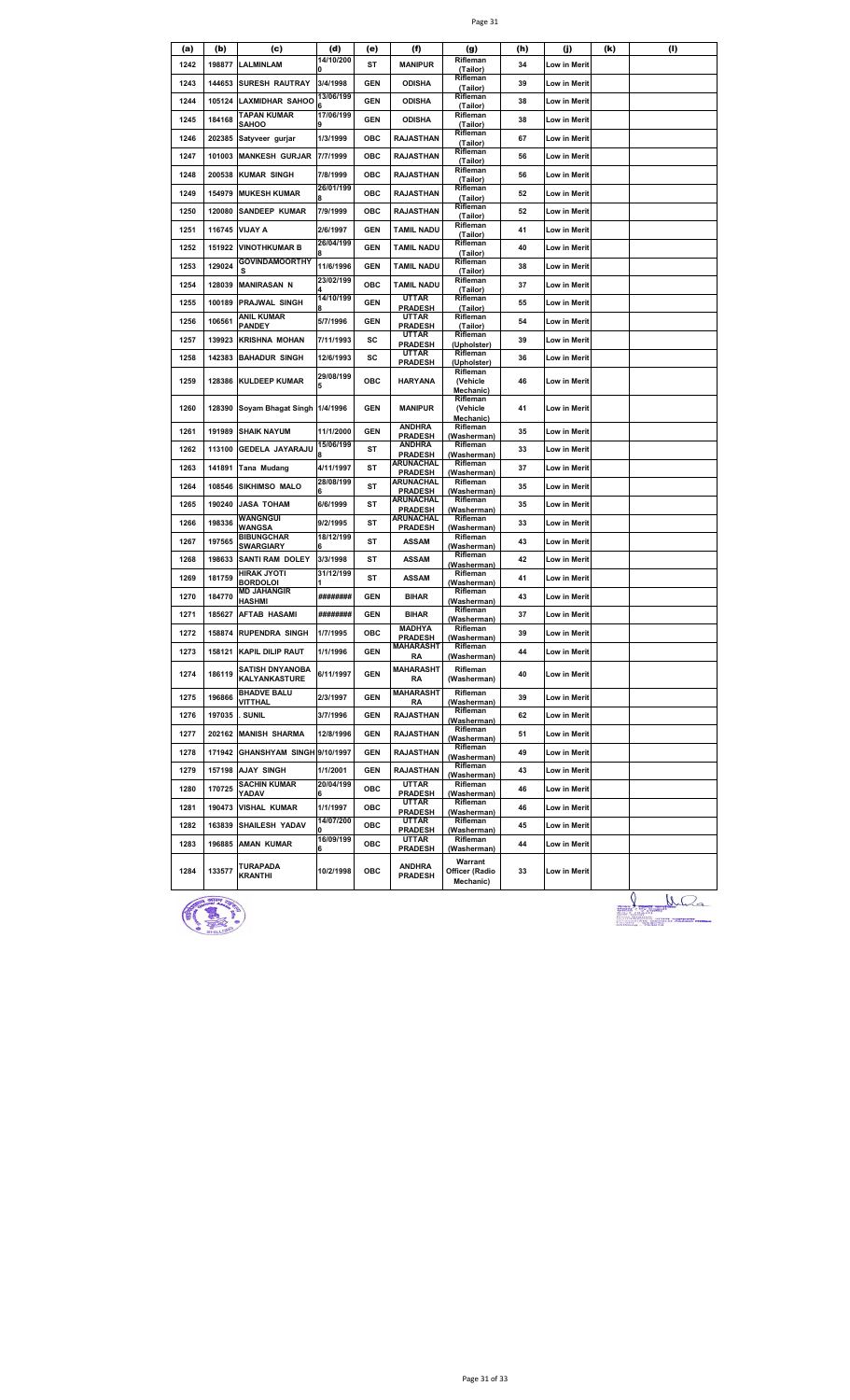|--|--|

| (a)  | (b)    | (c)                                     | (d)            | (e)        | (f)                             | (g)                               | (h) | (j)          | (k) | (1) |
|------|--------|-----------------------------------------|----------------|------------|---------------------------------|-----------------------------------|-----|--------------|-----|-----|
| 1242 | 198877 | <b>LALMINLAM</b>                        | 14/10/200      | ST         | <b>MANIPUR</b>                  | Rifleman<br>(Tailor)              | 34  | Low in Merit |     |     |
| 1243 | 144653 | <b>SURESH RAUTRAY</b>                   | 3/4/1998       | <b>GEN</b> | <b>ODISHA</b>                   | Rifleman<br>(Tailor)              | 39  | Low in Merit |     |     |
| 1244 | 105124 | <b>LAXMIDHAR SAHOO</b>                  | 13/06/199      | <b>GEN</b> | <b>ODISHA</b>                   | Rifleman<br>(Tailor)              | 38  | Low in Merit |     |     |
| 1245 | 184168 | <b>TAPAN KUMAR</b><br>SAHOO             | 17/06/199      | <b>GEN</b> | <b>ODISHA</b>                   | Rifleman<br>(Tailor)              | 38  | Low in Merit |     |     |
| 1246 | 202385 | Satyveer gurjar                         | 1/3/1999       | ОВС        | <b>RAJASTHAN</b>                | Rifleman<br>(Tailor)              | 67  | Low in Merit |     |     |
| 1247 | 101003 | <b>MANKESH GURJAR</b>                   | 7/7/1999       | ОВС        | <b>RAJASTHAN</b>                | Rifleman<br>(Tailor)              | 56  | Low in Merit |     |     |
| 1248 | 200538 | <b>KUMAR SINGH</b>                      | 7/8/1999       | OBC        | <b>RAJASTHAN</b>                | Rifleman<br>(Tailor)              | 56  | Low in Merit |     |     |
| 1249 | 154979 | <b>MUKESH KUMAR</b>                     | 26/01/199      | OBC        | <b>RAJASTHAN</b>                | Rifleman<br>(Tailor)              | 52  | Low in Merit |     |     |
| 1250 | 120080 | SANDEEP KUMAR                           | 7/9/1999       | ОВС        | <b>RAJASTHAN</b>                | Rifleman<br>(Tailor)              | 52  | Low in Merit |     |     |
| 1251 | 116745 | <b>VIJAY A</b>                          | 2/6/1997       | <b>GEN</b> | <b>TAMIL NADU</b>               | Rifleman<br>(Tailor)              | 41  | Low in Merit |     |     |
| 1252 | 151922 | <b>VINOTHKUMAR B</b>                    | 26/04/199      | <b>GEN</b> | <b>TAMIL NADU</b>               | Rifleman<br>(Tailor)              | 40  | Low in Merit |     |     |
| 1253 | 129024 | <b>GOVINDAMOORTHY</b><br>s              | 11/6/1996      | <b>GEN</b> | <b>TAMIL NADU</b>               | Rifleman                          | 38  | Low in Merit |     |     |
| 1254 | 128039 | <b>MANIRASAN N</b>                      | 23/02/199      | OBC        | <b>TAMIL NADU</b>               | (Tailor)<br>Rifleman              | 37  | Low in Merit |     |     |
| 1255 | 100189 | PRAJWAL SINGH                           | 14/10/199      | <b>GEN</b> | <b>UTTAR</b>                    | (Tailor)<br>Rifleman              | 55  | Low in Merit |     |     |
| 1256 | 106561 | ANIL KUMAR                              | 5/7/1996       | GEN        | <b>PRADESH</b><br>UTTAR         | (Tailor)<br>Rifleman              | 54  | Low in Merit |     |     |
| 1257 | 139923 | PANDEY<br><b>KRISHNA MOHAN</b>          | 7/11/1993      | sc         | <b>PRADESH</b><br>UTTAR         | (Tailor)<br>Rifleman              | 39  | Low in Merit |     |     |
| 1258 | 142383 | <b>BAHADUR SINGH</b>                    | 12/6/1993      | sc         | <b>PRADESH</b><br><b>UTTAR</b>  | (Upholster)<br>Rifleman           | 36  | Low in Merit |     |     |
|      |        |                                         | 29/08/199      |            | <b>PRADESH</b>                  | (Upholster)<br>Rifleman           |     |              |     |     |
| 1259 | 128386 | <b>KULDEEP KUMAR</b>                    | 5              | OBC        | <b>HARYANA</b>                  | (Vehicle<br>Mechanic)             | 46  | Low in Merit |     |     |
| 1260 | 128390 | Soyam Bhagat Singh 1/4/1996             |                | <b>GEN</b> | <b>MANIPUR</b>                  | Rifleman<br>(Vehicle<br>Mechanic) | 41  | Low in Merit |     |     |
| 1261 | 191989 | <b>SHAIK NAYUM</b>                      | 11/1/2000      | GEN        | <b>ANDHRA</b><br><b>PRADESH</b> | Rifleman<br>(Washerman)           | 35  | Low in Merit |     |     |
| 1262 | 113100 | GEDELA JAYARAJU                         | 15/06/199      | ST         | <b>ANDHRA</b><br><b>PRADESH</b> | Rifleman<br>(Washerman)           | 33  | Low in Merit |     |     |
| 1263 | 141891 | Tana Mudang                             | 4/11/1997      | ST         | ARUNACHAL<br><b>PRADESH</b>     | Rifleman<br>(Washerman)           | 37  | Low in Merit |     |     |
| 1264 | 108546 | <b>SIKHIMSO MALO</b>                    | 28/08/199<br>6 | ST         | ARUNACHAL<br><b>PRADESH</b>     | Rifleman<br>(Washerman)           | 35  | Low in Merit |     |     |
| 1265 | 190240 | <b>JASA TOHAM</b>                       | 6/6/1999       | ST         | ARUNACHAL<br><b>PRADESH</b>     | Rifleman<br>(Washerman)           | 35  | Low in Merit |     |     |
| 1266 | 198336 | WANGNGUI<br>NANGSA                      | 9/2/1995       | ST         | ARUNACHAL<br><b>PRADESH</b>     | Rifleman<br>(Washerman)           | 33  | Low in Merit |     |     |
| 1267 | 197565 | <b>BIBUNGCHAR</b><br>SWARGIARY          | 18/12/199      | ST         | <b>ASSAM</b>                    | Rifleman<br>(Washerman)           | 43  | Low in Merit |     |     |
| 1268 | 198633 | <b>SANTI RAM DOLEY</b>                  | 3/3/1998       | ST         | ASSAM                           | Rifleman<br>(Washerman)           | 42  | Low in Merit |     |     |
| 1269 | 181759 | HIRAK JYOTI<br><b>BORDOLOI</b>          | 31/12/199      | ST         | ASSAM                           | Rifleman<br>(Washerman)           | 41  | Low in Merit |     |     |
| 1270 | 184770 | MD JAHANGIR<br>HASHMI                   | ########       | <b>GEN</b> | <b>BIHAR</b>                    | Rifleman<br>(Washerman)           | 43  | Low in Merit |     |     |
| 1271 | 185627 | <b>AFTAB HASAMI</b>                     | ########       | GEN        | <b>BIHAR</b>                    | Rifleman<br>(Washerman)           | 37  | Low in Merit |     |     |
| 1272 | 158874 | <b>RUPENDRA SINGH</b>                   | 1/7/1995       | OBC        | <b>MADHYA</b><br><b>PRADESH</b> | Rifleman<br>(Washerman)           | 39  | Low in Merit |     |     |
| 1273 | 158121 | <b>KAPIL DILIP RAUT</b>                 | 1/1/1996       | <b>GEN</b> | <b>MAHARASHT</b><br>RA          | Rifleman<br>(Washerman)           | 44  | Low in Merit |     |     |
| 1274 | 186119 | <b>SATISH DNYANOBA</b><br>KALYANKASTURE | 6/11/1997      | <b>GEN</b> | <b>MAHARASHT</b><br>RA          | Rifleman<br>(Washerman)           | 40  | Low in Merit |     |     |
| 1275 | 196866 | <b>BHADVE BALU</b><br>VITTHAL           | 2/3/1997       | <b>GEN</b> | <b>MAHARASHT</b><br>RA          | Rifleman<br>(Washerman)           | 39  | Low in Merit |     |     |
| 1276 | 197035 | <b>SUNIL</b>                            | 3/7/1996       | <b>GEN</b> | <b>RAJASTHAN</b>                | Rifleman<br>(Washerman)           | 62  | Low in Merit |     |     |
| 1277 | 202162 | <b>MANISH SHARMA</b>                    | 12/8/1996      | <b>GEN</b> | <b>RAJASTHAN</b>                | Rifleman<br>(Washerman)           | 51  | Low in Merit |     |     |
| 1278 | 171942 | GHANSHYAM SINGH 9/10/1997               |                | <b>GEN</b> | <b>RAJASTHAN</b>                | Rifleman<br>(Washerman)           | 49  | Low in Merit |     |     |
| 1279 |        | 157198 AJAY SINGH                       | 1/1/2001       | <b>GEN</b> | <b>RAJASTHAN</b>                | Rifleman<br>(Washerman)           | 43  | Low in Merit |     |     |
| 1280 | 170725 | <b>SACHIN KUMAR</b><br>YADAV            | 20/04/199      | ОВС        | <b>UTTAR</b><br><b>PRADESH</b>  | Rifleman<br>(Washerman)           | 46  | Low in Merit |     |     |
| 1281 |        | 190473 VISHAL KUMAR                     | 1/1/1997       | ОВС        | <b>UTTAR</b><br><b>PRADESH</b>  | Rifleman                          | 46  | Low in Merit |     |     |
| 1282 | 163839 | <b>SHAILESH YADAV</b>                   | 14/07/200      | ОВС        | UTTAR                           | (Washerman)<br>Rifleman           | 45  | Low in Merit |     |     |
| 1283 | 196885 | <b>AMAN KUMAR</b>                       | 16/09/199      | OBC        | <b>PRADESH</b><br>UTTAR         | (Washerman)<br>Rifleman           | 44  | Low in Merit |     |     |
|      |        |                                         |                |            | <b>PRADESH</b>                  | (Washerman)<br>Warrant            |     |              |     |     |
| 1284 | 133577 | TURAPADA<br><b>KRANTHI</b>              | 10/2/1998      | ОВС        | <b>ANDHRA</b><br><b>PRADESH</b> | Officer (Radio<br>Mechanic)       | 33  | Low in Merit |     |     |



Juan 100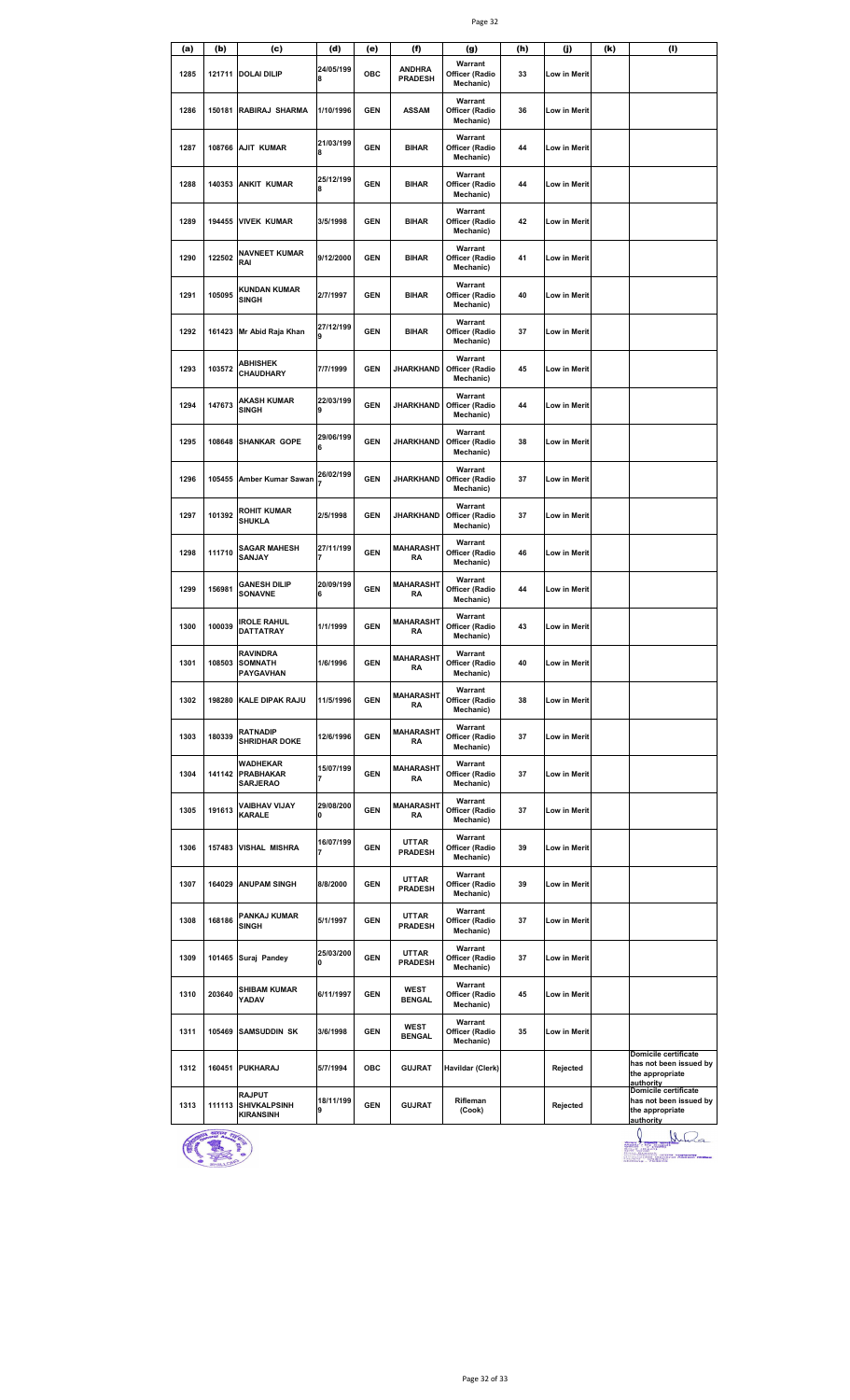| (a)  | (b)    | (c)                                                      | (d)            | (e)        | (f)                             | (g)                                    | (h) | (j)                 | (k) | (1)                                                                                   |
|------|--------|----------------------------------------------------------|----------------|------------|---------------------------------|----------------------------------------|-----|---------------------|-----|---------------------------------------------------------------------------------------|
| 1285 |        | 121711 DOLAI DILIP                                       | 24/05/199<br>8 | OBC        | <b>ANDHRA</b><br><b>PRADESH</b> | Warrant<br>Officer (Radio<br>Mechanic) | 33  | Low in Merit        |     |                                                                                       |
| 1286 | 150181 | RABIRAJ SHARMA                                           | 1/10/1996      | <b>GEN</b> | <b>ASSAM</b>                    | Warrant<br>Officer (Radio<br>Mechanic) | 36  | <b>Low in Merit</b> |     |                                                                                       |
| 1287 |        | 108766 AJIT KUMAR                                        | 21/03/199<br>8 | <b>GEN</b> | <b>BIHAR</b>                    | Warrant<br>Officer (Radio<br>Mechanic) | 44  | Low in Merit        |     |                                                                                       |
| 1288 | 140353 | <b>ANKIT KUMAR</b>                                       | 25/12/199<br>8 | <b>GEN</b> | <b>BIHAR</b>                    | Warrant<br>Officer (Radio<br>Mechanic) | 44  | Low in Merit        |     |                                                                                       |
| 1289 | 194455 | <b>VIVEK KUMAR</b>                                       | 3/5/1998       | <b>GEN</b> | <b>BIHAR</b>                    | Warrant<br>Officer (Radio<br>Mechanic) | 42  | Low in Merit        |     |                                                                                       |
| 1290 | 122502 | NAVNEET KUMAR<br>RAI                                     | 9/12/2000      | <b>GEN</b> | <b>BIHAR</b>                    | Warrant<br>Officer (Radio<br>Mechanic) | 41  | Low in Merit        |     |                                                                                       |
| 1291 | 105095 | <b>KUNDAN KUMAR</b><br>SINGH                             | 2/7/1997       | <b>GEN</b> | <b>BIHAR</b>                    | Warrant<br>Officer (Radio<br>Mechanic) | 40  | Low in Merit        |     |                                                                                       |
| 1292 | 161423 | Mr Abid Raja Khan                                        | 27/12/199<br>9 | <b>GEN</b> | <b>BIHAR</b>                    | Warrant<br>Officer (Radio<br>Mechanic) | 37  | Low in Merit        |     |                                                                                       |
| 1293 | 103572 | <b>ABHISHEK</b><br>CHAUDHARY                             | 7/7/1999       | <b>GEN</b> | <b>JHARKHAND</b>                | Warrant<br>Officer (Radio<br>Mechanic) | 45  | <b>Low in Merit</b> |     |                                                                                       |
| 1294 | 147673 | AKASH KUMAR<br>SINGH                                     | 22/03/199<br>9 | <b>GEN</b> | <b>JHARKHAND</b>                | Warrant<br>Officer (Radio<br>Mechanic) | 44  | Low in Merit        |     |                                                                                       |
| 1295 | 108648 | <b>SHANKAR GOPE</b>                                      | 29/06/199<br>6 | <b>GEN</b> | <b>JHARKHAND</b>                | Warrant<br>Officer (Radio<br>Mechanic) | 38  | Low in Merit        |     |                                                                                       |
| 1296 | 105455 | Amber Kumar Sawan                                        | 26/02/199<br>7 | <b>GEN</b> | <b>JHARKHAND</b>                | Warrant<br>Officer (Radio<br>Mechanic) | 37  | Low in Merit        |     |                                                                                       |
| 1297 | 101392 | ROHIT KUMAR<br><b>SHUKLA</b>                             | 2/5/1998       | <b>GEN</b> | JHARKHAND                       | Warrant<br>Officer (Radio<br>Mechanic) | 37  | Low in Merit        |     |                                                                                       |
| 1298 | 111710 | <b>SAGAR MAHESH</b><br>SANJAY                            | 27/11/199<br>7 | <b>GEN</b> | <b>MAHARASHT</b><br>RA          | Warrant<br>Officer (Radio<br>Mechanic) | 46  | Low in Merit        |     |                                                                                       |
| 1299 | 156981 | <b>GANESH DILIP</b><br><b>SONAVNE</b>                    | 20/09/199<br>6 | <b>GEN</b> | <b>MAHARASHT</b><br>RA          | Warrant<br>Officer (Radio<br>Mechanic) | 44  | Low in Merit        |     |                                                                                       |
| 1300 | 100039 | <b>IROLE RAHUL</b><br><b>DATTATRAY</b>                   | 1/1/1999       | <b>GEN</b> | MAHARASHT<br>RA                 | Warrant<br>Officer (Radio<br>Mechanic) | 43  | Low in Merit        |     |                                                                                       |
| 1301 | 108503 | <b>RAVINDRA</b><br><b>SOMNATH</b><br><b>PAYGAVHAN</b>    | 1/6/1996       | <b>GEN</b> | MAHARASH1<br>RA                 | Warrant<br>Officer (Radio<br>Mechanic) | 40  | <b>Low in Merit</b> |     |                                                                                       |
| 1302 | 198280 | <b>KALE DIPAK RAJU</b>                                   | 11/5/1996      | <b>GEN</b> | <b>MAHARASHT</b><br>RA          | Warrant<br>Officer (Radio<br>Mechanic) | 38  | Low in Merit        |     |                                                                                       |
| 1303 | 180339 | <b>RATNADIP</b><br><b>SHRIDHAR DOKE</b>                  | 12/6/1996      | <b>GEN</b> | <b>MAHARASHT</b><br>RA          | Warrant<br>Officer (Radio<br>Mechanic) | 37  | Low in Merit        |     |                                                                                       |
| 1304 | 141142 | WADHEKAR<br><b>PRABHAKAR</b><br><b>SARJERAO</b>          | 15/07/199<br>7 | <b>GEN</b> | <b>MAHARASHT</b><br>RA          | Warrant<br>Officer (Radio<br>Mechanic) | 37  | Low in Merit        |     |                                                                                       |
| 1305 | 191613 | <b>VAIBHAV VIJAY</b><br>KARALE                           | 29/08/200<br>n | <b>GEN</b> | <b>MAHARASHT</b><br>RA          | Warrant<br>Officer (Radio<br>Mechanic) | 37  | Low in Merit        |     |                                                                                       |
| 1306 | 157483 | VISHAL MISHRA                                            | 16/07/199<br>7 | <b>GEN</b> | <b>UTTAR</b><br><b>PRADESH</b>  | Warrant<br>Officer (Radio<br>Mechanic) | 39  | Low in Merit        |     |                                                                                       |
| 1307 | 164029 | <b>ANUPAM SINGH</b>                                      | 8/8/2000       | <b>GEN</b> | <b>UTTAR</b><br><b>PRADESH</b>  | Warrant<br>Officer (Radio<br>Mechanic) | 39  | Low in Merit        |     |                                                                                       |
| 1308 | 168186 | PANKAJ KUMAR<br>SINGH                                    | 5/1/1997       | <b>GEN</b> | <b>UTTAR</b><br><b>PRADESH</b>  | Warrant<br>Officer (Radio<br>Mechanic) | 37  | Low in Merit        |     |                                                                                       |
| 1309 | 101465 | Suraj Pandey                                             | 25/03/200<br>0 | <b>GEN</b> | UTTAR<br><b>PRADESH</b>         | Warrant<br>Officer (Radio<br>Mechanic) | 37  | Low in Merit        |     |                                                                                       |
| 1310 | 203640 | <b>SHIBAM KUMAR</b><br>YADAV                             | 6/11/1997      | <b>GEN</b> | <b>WEST</b><br><b>BENGAL</b>    | Warrant<br>Officer (Radio<br>Mechanic) | 45  | Low in Merit        |     |                                                                                       |
| 1311 | 105469 | <b>SAMSUDDIN SK</b>                                      | 3/6/1998       | <b>GEN</b> | WEST<br><b>BENGAL</b>           | Warrant<br>Officer (Radio<br>Mechanic) | 35  | Low in Merit        |     |                                                                                       |
| 1312 | 160451 | <b>PUKHARAJ</b>                                          | 5/7/1994       | OBC        | GUJRAT                          | <b>Havildar (Clerk)</b>                |     | Rejected            |     | <b>Domicile certificate</b><br>has not been issued by<br>the appropriate<br>authority |
| 1313 | 111113 | <b>RAJPUT</b><br><b>SHIVKALPSINH</b><br><b>KIRANSINH</b> | 18/11/199<br>9 | <b>GEN</b> | <b>GUJRAT</b>                   | Rifleman<br>(Cook)                     |     | Rejected            |     | Domicile certificate<br>has not been issued by<br>the appropriate<br>authority        |